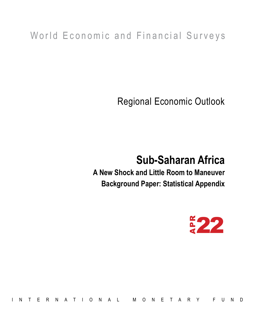## World Economic and Financial Surveys

Regional Economic Outlook

# **Sub-Saharan Africa**

**A New Shock and Little Room to Maneuver Background Paper: Statistical Appendix**



EN ATIONAL MONETARY FUND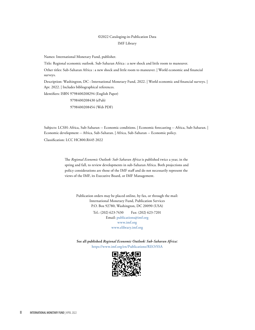## ©2022 Cataloging-in-Publication Data

## IMF Library

Names: International Monetary Fund, publisher.

Title: Regional economic outlook. Sub-Saharan Africa : a new shock and little room to maneuver.

Other titles: Sub-Saharan Africa : a new shock and little room to maneuver. | World economic and financial surveys.

Description: Washington, DC : International Monetary Fund, 2022. | World economic and financial surveys. | Apr. 2022. | Includes bibliographical references.

Identifiers: ISBN 9798400208294 (English Paper)

 9798400208430 (ePub) 9798400208454 (Web PDF)

Subjects: LCSH: Africa, Sub-Saharan -- Economic conditions. | Economic forecasting -- Africa, Sub-Saharan. | Economic development -- Africa, Sub-Saharan. | Africa, Sub-Saharan -- Economic policy.

Classification: LCC HC800.R445 2022

The *Regional Economic Outlook: Sub-Saharan Africa* is published twice a year, in the spring and fall, to review developments in sub-Saharan Africa. Both projections and policy considerations are those of the IMF staff and do not necessarily represent the views of the IMF, its Executive Board, or IMF Management.

Publication orders may be placed online, by fax, or through the mail: International Monetary Fund, Publication Services P.O. Box 92780, Washington, DC 20090 (USA)

> Tel.: (202) 623-7430 Fax: (202) 623-7201 Email: publications@imf.org www.imf.org www.elibrary.imf.org

**See all published** *Regional Economic Outlook: Sub-Saharan Africa:*  https://www.imf.org/en/Publications/REO/SSA

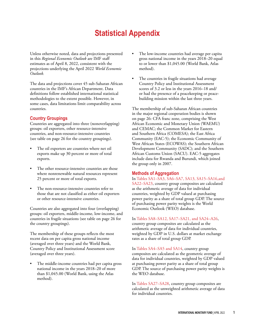## **Statistical Appendix**

Unless otherwise noted, data and projections presented in this *Regional Economic Outlook* are IMF staff estimates as of April 8, 2022, consistent with the projections underlying the April 2022 *World Economic Outlook.*

The data and projections cover 45 sub-Saharan African countries in the IMF's African Department. Data definitions follow established international statistical methodologies to the extent possible. However, in some cases, data limitations limit comparability across countries.

## **Country Groupings**

Countries are aggregated into three (nonoverlapping) groups: oil exporters, other resource-intensive countries, and non-resource-intensive countries (see table on page 26 for the country groupings).

- The oil exporters are countries where net oil exports make up 30 percent or more of total exports.
- The other resource-intensive countries are those where nonrenewable natural resources represent 25 percent or more of total exports.
- The non-resource-intensive countries refer to those that are not classified as either oil exporters or other resource-intensive countries.

Countries are also aggregated into four (overlapping) groups: oil exporters, middle-income, low-income, and countries in fragile situations (see table on page 26 for the country groupings).

The membership of these groups reflects the most recent data on per capita gross national income (averaged over three years) and the World Bank, Country Policy and Institutional Assessment score (averaged over three years).

The middle-income countries had per capita gross national income in the years 2018–20 of more than \$1,045.00 (World Bank, using the Atlas method).

- The low-income countries had average per capita gross national income in the years 2018–20 equal to or lower than \$1,045.00 (World Bank, Atlas method).
- The countries in fragile situations had average Country Policy and Institutional Assessment scores of 3.2 or less in the years 2016–18 and/ or had the presence of a peacekeeping or peacebuilding mission within the last three years.

The membership of sub-Saharan African countries in the major regional cooperation bodies is shown on page 26: CFA franc zone, comprising the West African Economic and Monetary Union (WAEMU) and CEMAC; the Common Market for Eastern and Southern Africa (COMESA); the East Africa Community (EAC-5); the Economic Community of West African States (ECOWAS); the Southern African Development Community (SADC); and the Southern African Customs Union (SACU). EAC-5 aggregates include data for Rwanda and Burundi, which joined the group only in 2007.

## **Methods of Aggregation**

In Tables SA1–SA3, SA6–SA7, SA13, SA15–SA16,and SA22–SA23, country group composites are calculated as the arithmetic average of data for individual countries, weighted by GDP valued at purchasing power parity as a share of total group GDP. The source of purchasing power parity weights is the World Economic Outlook (WEO) database.

## In Tables SA8–SA12, SA17–SA21, and SA24–A26,

country group composites are calculated as the arithmetic average of data for individual countries, weighted by GDP in U.S. dollars at market exchange rates as a share of total group GDP.

In Tables SA4–SA5 and SA14, country group composites are calculated as the geometric average of data for individual countries, weighted by GDP valued at purchasing power parity as a share of total group GDP. The source of purchasing power parity weights is the WEO database.

In Tables SA27–SA28, country group composites are calculated as the unweighted arithmetic average of data for individual countries.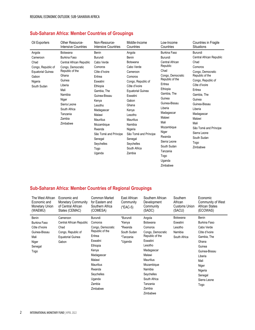## **Sub-Saharan Africa: Member Countries of Groupings**

| Oil Exporters                                                                                                   | Other Resource-                                                                                                                                                                                                          | Non-Resource-                                                                                                                                                                                                                                                                             | Middle-Income                                                                                                                                                                                                                                                                                                      | Low-Income                                                                                                                                                                                                                                                                                                                          | <b>Countries in Fragile</b>                                                                                                                                                                                                                                                                                       |
|-----------------------------------------------------------------------------------------------------------------|--------------------------------------------------------------------------------------------------------------------------------------------------------------------------------------------------------------------------|-------------------------------------------------------------------------------------------------------------------------------------------------------------------------------------------------------------------------------------------------------------------------------------------|--------------------------------------------------------------------------------------------------------------------------------------------------------------------------------------------------------------------------------------------------------------------------------------------------------------------|-------------------------------------------------------------------------------------------------------------------------------------------------------------------------------------------------------------------------------------------------------------------------------------------------------------------------------------|-------------------------------------------------------------------------------------------------------------------------------------------------------------------------------------------------------------------------------------------------------------------------------------------------------------------|
|                                                                                                                 | <b>Intensive Countries</b>                                                                                                                                                                                               | Intensive Countries                                                                                                                                                                                                                                                                       | Countries                                                                                                                                                                                                                                                                                                          | Countries                                                                                                                                                                                                                                                                                                                           | Situations                                                                                                                                                                                                                                                                                                        |
| Angola<br>Cameroon<br>Chad<br>Congo, Republic of<br><b>Equatorial Guinea</b><br>Gabon<br>Nigeria<br>South Sudan | Botswana<br>Burkina Faso<br>Central African Republic<br>Congo, Democratic<br>Republic of the<br>Ghana<br>Guinea<br>Liberia<br>Mali<br>Namibia<br>Niger<br>Sierra Leone<br>South Africa<br>Tanzania<br>Zambia<br>Zimbabwe | Benin<br>Burundi<br>Cabo Verde<br>Comoros<br>Côte d'Ivoire<br>Eritrea<br>Eswatini<br>Ethiopia<br>Gambia, The<br>Guinea-Bissau<br>Kenya<br>Lesotho<br>Madagascar<br>Malawi<br><b>Mauritius</b><br>Mozambique<br>Rwanda<br>São Tomé and Príncipe<br>Senegal<br>Seychelles<br>Togo<br>Uganda | Angola<br><b>Benin</b><br>Botswana<br>Cabo Verde<br>Cameroon<br>Comoros<br>Congo, Republic of<br>Côte d'Ivoire<br><b>Equatorial Guinea</b><br>Eswatini<br>Gabon<br>Ghana<br>Kenya<br>Lesotho<br><b>Mauritius</b><br>Namibia<br>Nigeria<br>São Tomé and Príncipe<br>Senegal<br>Seychelles<br>South Africa<br>Zambia | <b>Burkina Faso</b><br>Burundi<br>Central African<br>Republic<br>Chad<br>Congo, Democratic<br>Republic of the<br>Eritrea<br>Ethiopia<br>Gambia, The<br>Guinea<br>Guinea-Bissau<br>Liberia<br>Madagascar<br>Malawi<br>Mali<br>Mozambique<br>Niger<br>Rwanda<br>Sierra Leone<br>South Sudan<br>Tanzania<br>Togo<br>Uganda<br>Zimbabwe | Burundi<br>Central African Republic<br>Chad<br>Comoros<br>Congo, Democratic<br>Republic of the<br>Congo, Republic of<br>Côte d'Ivoire<br>Eritrea<br>Gambia, The<br>Guinea<br>Guinea-Bissau<br>Liberia<br>Madagascar<br>Malawi<br>Mali<br>São Tomé and Príncipe<br>Sierra Leone<br>South Sudan<br>Togo<br>Zimbabwe |

## **Sub-Saharan Africa: Member Countries of Regional Groupings**

| The West African<br>Economic and<br><b>Monetary Union</b><br>(WAEMU)                               | Economic and<br>Monetary Community<br>of Central African<br>States (CEMAC)                              | Common Market<br>for Eastern and<br>Southern Africa<br>(COMESA)                                                                                                                                     | East African<br>Community<br>(*EAC-5)                                | Southern African<br>Development<br>Community<br>(SADC)                                                                                                                                                                            | Southern<br>African<br>Customs Union<br>(SACU)             | Economic<br>Community of West<br>African States<br>(ECOWAS)                                                                                                                              |
|----------------------------------------------------------------------------------------------------|---------------------------------------------------------------------------------------------------------|-----------------------------------------------------------------------------------------------------------------------------------------------------------------------------------------------------|----------------------------------------------------------------------|-----------------------------------------------------------------------------------------------------------------------------------------------------------------------------------------------------------------------------------|------------------------------------------------------------|------------------------------------------------------------------------------------------------------------------------------------------------------------------------------------------|
| <b>Benin</b><br>Burkina Faso<br>Côte d'Ivoire<br>Guinea-Bissau<br>Mali<br>Niger<br>Senegal<br>Togo | Cameroon<br>Central African Republic<br>Chad<br>Congo, Republic of<br><b>Equatorial Guinea</b><br>Gabon | Burundi<br>Comoros<br>Congo, Democratic<br>Republic of the<br>Eritrea<br>Eswatini<br>Ethiopia<br>Kenya<br>Madagascar<br>Malawi<br>Mauritius<br>Rwanda<br>Seychelles<br>Uganda<br>Zambia<br>Zimbabwe | *Burundi<br>*Kenya<br>*Rwanda<br>South Sudan<br>*Tanzania<br>*Uganda | Angola<br>Botswana<br>Comoros<br>Congo, Democratic<br>Republic of the<br>Eswatini<br>Lesotho<br>Madagascar<br>Malawi<br><b>Mauritius</b><br>Mozambique<br>Namibia<br>Seychelles<br>South Africa<br>Tanzania<br>Zambia<br>Zimbabwe | Botswana<br>Eswatini<br>Lesotho<br>Namibia<br>South Africa | <b>Benin</b><br>Burkina Faso<br>Cabo Verde<br>Côte d'Ivoire<br>Gambia, The<br>Ghana<br>Guinea<br>Guinea-Bissau<br>Liberia<br>Mali<br>Niger<br>Nigeria<br>Senegal<br>Sierra Leone<br>Togo |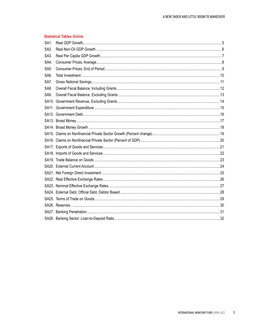## **Statistical Tables Online**

| SA <sub>1</sub> . |  |
|-------------------|--|
| SA <sub>2</sub> . |  |
| SA <sub>3</sub> . |  |
| SA4.              |  |
| SA <sub>5</sub>   |  |
| SA6.              |  |
| SA7.              |  |
| SA <sub>8</sub>   |  |
| SA9.              |  |
|                   |  |
|                   |  |
|                   |  |
|                   |  |
|                   |  |
|                   |  |
|                   |  |
|                   |  |
|                   |  |
|                   |  |
|                   |  |
|                   |  |
|                   |  |
|                   |  |
|                   |  |
|                   |  |
|                   |  |
|                   |  |
|                   |  |
|                   |  |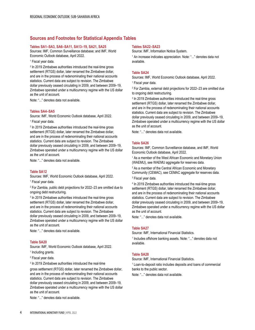## **Sources and Footnotes for Statistical Appendix Tables**

## **Tables SA1–SA3, SA6–SA11, SA13–19, SA21, SA25**

Sources: IMF, Common Surveillance database; and IMF, World Economic Outlook database, April 2022.

1 Fiscal year data.

<sup>2</sup> In 2019 Zimbabwe authorities introduced the real-time gross settlement (RTGS) dollar, later renamed the Zimbabwe dollar, and are in the process of redenominating their national accounts statistics. Current data are subject to revision. The Zimbabwe dollar previously ceased circulating in 2009, and between 2009–19, Zimbabwe operated under a multicurrency regime with the US dollar as the unit of account.

Note: "..." denotes data not available.

### **Tables SA4–SA5**

Source: IMF, World Economic Outlook database, April 2022. 1 Fiscal year data.

<sup>2</sup> In 2019 Zimbabwe authorities introduced the real-time gross settlement (RTGS) dollar, later renamed the Zimbabwe dollar, and are in the process of redenominating their national accounts statistics. Current data are subject to revision. The Zimbabwe dollar previously ceased circulating in 2009, and between 2009–19, Zimbabwe operated under a multicurrency regime with the US dollar as the unit of account.

Note: "..." denotes data not available.

#### **Table SA12**

Sources: IMF, World Economic Outlook database, April 2022.

1 Fiscal year data.

2 For Zambia, public debt projections for 2022–23 are omitted due to ongoing debt restructuring.

<sup>3</sup> In 2019 Zimbabwe authorities introduced the real-time gross settlement (RTGS) dollar, later renamed the Zimbabwe dollar, and are in the process of redenominating their national accounts statistics. Current data are subject to revision. The Zimbabwe dollar previously ceased circulating in 2009, and between 2009–19, Zimbabwe operated under a multicurrency regime with the US dollar as the unit of account.

Note: "..." denotes data not available.

#### **Table SA20**

Source: IMF, World Economic Outlook database, April 2022. <sup>1</sup> Including grants.

- 
- 2 Fiscal year data.
- 3 In 2019 Zimbabwe authorities introduced the real-time

gross settlement (RTGS) dollar, later renamed the Zimbabwe dollar, and are in the process of redenominating their national accounts statistics. Current data are subject to revision. The Zimbabwe dollar previously ceased circulating in 2009, and between 2009–19, Zimbabwe operated under a multicurrency regime with the US dollar as the unit of account.

Note: "..." denotes data not available.

#### **Tables SA22–SA23**

Source: IMF, Information Notice System.

<sup>1</sup> An increase indicates appreciation. Note: "..." denotes data not available.

## **Table SA24**

Sources: IMF, World Economic Outlook database, April 2022.

1 Fiscal year data.

2 For Zambia, external debt projections for 2022–23 are omitted due to ongoing debt restructuring.

<sup>3</sup> In 2019 Zimbabwe authorities introduced the real-time gross settlement (RTGS) dollar, later renamed the Zimbabwe dollar, and are in the process of redenominating their national accounts statistics. Current data are subject to revision. The Zimbabwe dollar previously ceased circulating in 2009, and between 2009–19, Zimbabwe operated under a multicurrency regime with the US dollar as the unit of account.

Note: "..." denotes data not available.

### **Table SA26**

Sources: IMF, Common Surveillance database, and IMF, World Economic Outlook database, April 2022.

<sup>1</sup> As a member of the West African Economic and Monetary Union (WAEMU), see WAEMU aggregate for reserves data.

<sup>2</sup> As a member of the Central African Economic and Monetary Community (CEMAC), see CEMAC aggregate for reserves data. 3 Fiscal year data.

4 In 2019 Zimbabwe authorities introduced the real-time gross settlement (RTGS) dollar, later renamed the Zimbabwe dollar, and are in the process of redenominating their national accounts statistics. Current data are subject to revision. The Zimbabwe dollar previously ceased circulating in 2009, and between 2009–19, Zimbabwe operated under a multicurrency regime with the US dollar as the unit of account.

Note: "..." denotes data not available.

#### **Table SA27**

Source: IMF, International Financial Statistics.

1 Includes offshore banking assets. Note: "..." denotes data not available.

## **Table SA28**

Source: IMF, International Financial Statistics.

<sup>1</sup> Loan-to-deposit ratio includes deposits and loans of commercial banks to the public sector.

Note: "..." denotes data not available.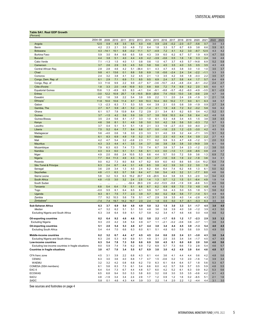## <span id="page-6-0"></span>**Table SA1. Real GDP Growth**

*(Percent)*

|                                                      | 2004-08    | 2009           | 2010        | 2011          | 2012          | 2013          | 2014       | 2015          | 2016           | 2017          | 2018          | 2019          | 2020             | 2021          | 2022       | 2023       |
|------------------------------------------------------|------------|----------------|-------------|---------------|---------------|---------------|------------|---------------|----------------|---------------|---------------|---------------|------------------|---------------|------------|------------|
| Angola                                               | 12.5       | 0.9            | 4.9         | 3.5           | 8.5           | 5.0           | 4.8        | 0.9           | $-2.6$         | $-0.2$        | $-2.0$        | $-0.7$        | $-5.6$           | 0.7           | 3.0        | 3.3        |
| Benin                                                | 4.2        | 2.3            | 2.1         | 3.0           | 4.8           | 7.2           | 6.4        | 1.8           | 3.3            | 5.7           | 6.7           | 6.9           | 3.8              | 6.6           | 5.9        | 6.1        |
| <b>Botswana</b><br><b>Burkina Faso</b>               | 4.3<br>5.9 | $-14.1$<br>3.0 | 10.1<br>8.4 | 6.8<br>6.6    | $-0.2$<br>6.5 | 11.1<br>5.8   | 5.7<br>4.3 | $-4.9$<br>3.9 | 7.2<br>6.0     | 4.1<br>6.2    | 4.2<br>6.7    | 3.0<br>5.7    | $-8.7$<br>1.9    | 12.5<br>6.9   | 4.3<br>4.7 | 4.2<br>5.0 |
| <b>Burundi</b>                                       | 4.4        | 3.8            | 5.1         | 4.0           | 4.4           | 4.9           | 4.2        | $-3.9$        | $-0.6$         | 0.5           | 1.6           | 1.8           | 0.3              | 2.4           | 3.6        | 4.6        |
| Cabo Verde                                           | 7.1        | $-1.3$         | 1.5         | 4.0           | 1.1           | 0.8           | 0.6        | 1.0           | 4.7            | 3.7           | 4.5           | 5.7           | $-14.8$          | 6.9           | 5.2        | 5.8        |
| Cameroon                                             | 3.7        | 2.6            | 2.9         | 3.5           | 4.5           | 5.0           | 5.8        | 5.6           | 4.5            | 3.5           | 4.0           | 3.5           | 0.5              | 3.5           | 4.3        | 4.9        |
| Central African Rep.                                 | 2.8        | 2.8            | 4.6         | 4.2           | 5.1           | $-36.4$       | 0.1        | 4.3           | 4.7            | 4.5           | 3.8           | 3.0           | 1.0              | 1.0           | 3.5        | 3.7        |
| Chad                                                 | 9.8        | 4.1            | 13.6        | 0.1           | 8.8           | 5.8           | 6.9        | 1.8           | $-5.6$         | $-2.4$        | 2.4           | 3.4           | $-2.2$           | $-1.1$        | 3.3        | 3.5        |
| Comoros                                              | 2.4        | 3.2            | 3.8         | 4.1           | 3.2           | 4.5           | 2.1        | 1.3           | 3.5            | 4.2           | 3.6           | 1.8           | $-0.3$           | 2.2           | 3.5        | 3.7        |
| Congo, Dem. Rep. of                                  | 6.1        | 2.9            | 7.1         | 6.9           | 7.1           | 8.5           | 9.5        | 6.9           | 2.4            | 3.7<br>$-4.4$ | 5.8           | 4.4           | 1.7              | 5.7           | 6.4        | 6.9        |
| Congo, Rep. of<br>Côte d'Ivoire                      | 3.3<br>1.8 | 11.6<br>3.3    | 9.9<br>2.0  | 2.2<br>$-4.9$ | 9.9<br>10.9   | $-0.7$<br>9.3 | 6.7<br>8.8 | $-3.6$<br>8.8 | $-10.7$<br>7.2 | 7.4           | $-4.8$<br>6.9 | $-0.4$<br>6.2 | $-8.1$<br>2.0    | $-0.2$<br>6.5 | 2.4<br>6.0 | 2.7<br>6.7 |
| <b>Equatorial Guinea</b>                             | 15.6       | 1.3            | $-8.9$      | 6.5           | 8.3           | $-4.1$        | 0.4        | $-9.1$        | $-8.8$         | $-5.7$        | $-6.2$        | -6.0          | $-4.9$           | $-3.5$        | 6.1        | $-2.9$     |
| Eritrea                                              | $-3.0$     | 12.2           | 10.9        | 25.7          | 1.9           | $-10.5$       | 30.9       | $-20.6$       | 7.4            | $-10.0$       | 13.0          | 3.8           | $-0.6$           | 2.9           | 4.7        | 3.6        |
| Eswatini                                             | 4.2        | 1.6            | 3.8         | 2.2           | 5.4           | 3.9           | 0.9        | 2.2           | 1.1            | 2.0           | 2.4           | 2.6           | $-1.9$           | 3.1           | 2.1        | 1.8        |
| Ethiopia                                             | 11.8       | 10.0           | 10.6        | 11.4          | 8.7           | 9.9           | 10.3       | 10.4          | 8.0            | 10.2          | 7.7           | 9.0           | 6.1              | 6.3           | 3.8        | 5.7        |
| Gabon                                                | 1.3        | $-2.3$         | 6.3         | 7.1           | 5.3           | 5.5           | 4.4        | 3.9           | 2.1            | 0.5           | 0.8           | 3.9           | $-1.9$           | 0.9           | 2.7        | 3.4        |
| Gambia, The                                          | 2.7<br>6.1 | 6.7<br>5.7     | 5.9<br>7.8  | $-8.1$        | 5.2<br>8.4    | 2.9<br>7.2    | $-1.4$     | 4.1<br>2.1    | 1.9<br>3.4     | 4.8<br>8.1    | 7.2           | 6.2           | $-0.2$<br>0.4    | 5.6<br>4.2    | 5.6<br>5.2 | 6.2<br>5.1 |
| Ghana<br>Guinea                                      | 3.7        | $-1.5$         | 4.2         | 13.9<br>5.6   | 5.9           | 3.9           | 2.9<br>3.7 | 3.8           | 10.8           | 10.3          | 6.2<br>6.4    | 6.5<br>5.6    | 6.4              | 4.2           | 4.8        | 5.8        |
| Guinea-Bissau                                        | 3.5        | 2.4            | 5.6         | 8.1           | $-1.7$        | 3.3           | 1.0        | 6.1           | 5.3            | 4.8           | 3.4           | 4.5           | 1.5              | 3.8           | 3.8        | 4.5        |
| Kenya                                                | 4.6        | 3.6            | 8.1         | 5.1           | 4.6           | 3.8           | 5.0        | 5.0           | 4.2            | 3.8           | 5.6           | 5.0           | $-0.3$           | 7.2           | 5.7        | 5.3        |
| Lesotho                                              | 3.7        | 0.4            | 5.1         | 5.1           | 5.1           | 1.8           | 2.1        | 3.3           | 1.9            | $-2.7$        | $-0.3$        | 0.0           | $-6.0$           | 2.1           | 3.1        | 1.6        |
| Liberia                                              | 7.5        | 5.2            | 6.4         | 7.7           | 8.4           | 8.8           | 0.7        | 0.0           | $-1.6$         | 2.5           | 1.2           | $-2.5$        | $-3.0$           | 4.2           | 4.5        | 5.5        |
| Madagascar                                           | 5.6        | $-4.0$         | 0.6         | 1.6           | 3.0           | 2.3           | 3.3        | 3.1           | 4.0            | 3.9           | 3.2           | 4.4           | $-7.1$           | 3.5           | 5.1        | 5.2        |
| Malawi<br>Mali                                       | 6.1<br>4.2 | 8.3<br>4.7     | 6.9<br>5.4  | 4.9<br>3.2    | 1.9<br>$-0.8$ | 5.2<br>2.3    | 5.7<br>7.1 | 3.0<br>6.2    | 2.3<br>5.9     | 4.0<br>5.3    | 4.4<br>4.7    | 5.4<br>4.8    | 0.9<br>$-1.2$    | 2.2<br>3.1    | 2.7<br>2.0 | 4.3<br>5.3 |
| <b>Mauritius</b>                                     | 4.3        | 3.3            | 4.4         | 4.1           | 3.5           | 3.4           | 3.7        | 3.6           | 3.8            | 3.8           | 3.8           | 3.0           | $-14.9$          | 3.9           | 6.1        | 5.6        |
| Mozambique                                           | 7.9        | 6.3            | 6.5         | 7.4           | 7.3           | 7.0           | 7.4        | 6.7           | 3.8            | 3.7           | 3.4           | 2.3           | $-1.2$           | 2.2           | 3.8        | 5.0        |
| Namibia                                              | 4.3        | 0.3            | 6.0         | 5.1           | 5.1           | 5.6           | 6.1        | 4.3           | 0.0            | $-1.0$        | 1.1           | $-0.9$        | $-8.5$           | 0.9           | 2.8        | 3.7        |
| Niger                                                | 4.9        | 2.0            | 8.6         | 2.4           | 10.5          | 5.3           | 6.6        | 4.4           | 5.7            | 5.0           | 7.2           | 5.9           | 3.6              | 1.3           | 6.9        | 7.2        |
| Nigeria                                              | 7.7        | 8.4            | 11.3        | 4.9           | 4.3           | 5.4           | 6.3        | 2.7           | $-1.6$         | 0.8           | 1.9           | 2.2           | $-1.8$           | 3.6           | 3.4        | 3.1        |
| Rwanda                                               | 9.0        | 6.2            | 7.3         | 8.0           | 8.6           | 4.7           | 6.2        | 8.9           | 6.0            | 4.0           | 8.6           | 9.5           | $-3.4$           | 10.2          | 6.4        | 7.4        |
| São Tomé & Príncipe<br>Senegal                       | 6.3<br>3.6 | 2.4<br>2.8     | 6.7<br>3.4  | 4.4<br>1.3    | 3.1<br>4.0    | 4.8<br>2.4    | 6.5<br>6.2 | 3.8<br>6.4    | 4.2<br>6.4     | 3.9<br>7.4    | 3.0<br>6.2    | 2.2<br>4.6    | 3.0<br>1.3       | 1.8<br>6.1    | 1.6<br>5.0 | 2.8<br>9.2 |
| Seychelles                                           | 4.8        | $-1.1$         | 6.3         | 5.7           | 3.8           | 6.4           | 4.7        | 5.6           | 5.4            | 4.5           | 3.2           | 3.1           | $-7.7$           | 8.0           | 4.6        | 5.6        |
| Sierra Leone                                         | 5.8        | 3.2            | 5.3         | 6.3           | 15.2          | 20.7          | 4.6        | $-20.5$       | 6.4            | 3.8           | 3.5           | 5.3           | $-2.0$           | 3.2           | 3.4        | 4.3        |
| South Africa                                         | 4.8        | $-1.5$         | 3.0         | 3.2           | 2.4           | 2.5           | 1.4        | 1.3           | 0.7            | 1.2           | 1.5           | 0.1           | $-6.4$           | 4.9           | 1.9        | 1.4        |
| South Sudan                                          |            | $\ddotsc$      | $\ddotsc$   |               | $-52.4$       | 29.3          | 2.9        | $-0.2$        | $-13.5$        | $-5.8$        | $-1.9$        | 0.9           | $-6.6$           | 5.3           | 6.5        | 5.6        |
| Tanzania                                             | 6.8        | 5.4            | 6.4         | 7.9           | 5.1           | 6.8           | 6.7        | 6.2           | 6.9            | 6.8           | 7.0           | 7.0           | 4.8              | 4.9           | 4.8        | 5.2        |
| Togo                                                 | $-0.0$     | 5.5            | 6.1         | 6.4           | 6.5           | 6.1           | 5.9        | 5.7           | 5.6            | 4.3           | 5.0           | 5.5           | 1.8              | 5.1           | 5.6        | 6.2        |
| Uganda<br>Zambia                                     | 8.3<br>7.7 | 8.1<br>9.2     | 7.5<br>10.3 | 7.7<br>5.6    | 2.3<br>7.6    | 3.9<br>5.1    | 5.7<br>4.7 | 8.0<br>2.9    | 0.2<br>3.8     | 6.8<br>3.5    | 5.6<br>4.0    | 7.7<br>1.4    | $-1.4$<br>$-2.8$ | 5.1<br>4.3    | 4.9<br>3.1 | 6.5<br>3.6 |
| Zimbabwe <sup>2</sup>                                | $-7.4$     | 7.4            | 19.7        | 14.2          | 16.7          | 2.0           | 2.4        | 1.8           | 0.5            | 5.0           | 4.7           | $-6.1$        | $-5.3$           | 6.3           | 3.5        | 3.0        |
| Sub-Saharan Africa                                   | 6.3        | 3.7            | 6.9         | 5.0           | 4.8           | 4.9           | 5.0        | 3.2           | 1.5            | 3.0           | 3.3           | 3.1           | -1.7             | 4.5           | 3.8        | 4.0        |
| Median                                               | 4.7        | 3.2            | 6.2         | 5.1           | 5.1           | 5.0           | 4.8        | 3.6           | 3.8            | 3.9           | 4.0           | 3.8           | $-1.2$           | 3.9           | 4.3        | 5.0        |
| Excluding Nigeria and South Africa                   | 6.3        | 3.8            | 6.4         | 5.9           | 6.1           | 5.7           | 5.8        | 4.2           | 3.4            | 4.7           | 4.6           | 4.6           | 0.0              | 4.8           | 4.6        | 5.2        |
| Oil-exporting countries                              | 8.2        | 6.4            | 9.2         | 4.6           | 4.6           | 5.2           | 5.8        | 2.2           | -1.7           | 0.5           | 1.2           | 1.7           | -2.3             | 2.9           | 3.5        | 3.2        |
| <b>Excluding Nigeria</b>                             | 9.3        | 2.0            | 4.2         | 3.8           | 5.4           | 4.9           | 4.7        | 1.1           | $-2.1$         | $-0.2$        | $-0.6$        | 0.6           | $-3.7$           | 1.1           | 3.6        | 3.4        |
| Oil-importing countries                              | 5.1        | 2.0            | 5.4         | 5.3           | 4.8           | 4.7           | 4.4        | 3.8           | 3.4            | 4.4           | 4.5           | 3.9           | $-1.3$           | 5.4           | 4.0        | 4.5        |
| <b>Excluding South Africa</b>                        | 5.4        | 4.4            | 7.0         | 6.6           | 6.3           | 6.0           | 6.1        | 5.1           | 4.8            | 6.0           | 5.9           | 5.6           | 0.9              | 5.5           | 4.9        | 5.6        |
| Middle-income countries                              | 6.2        | 3.2            | 6.7         | 4.4           | 4.7           | 4.5           | 4.5        | 2.4           | 0.6            | 2.0           | 2.4           | 2.1           | $-3.0$           | 4.3           | 3.6        | 3.4        |
| Excluding Nigeria and South Africa                   | 6.3        | 2.6            | 5.3         | 4.9           | 6.9           | 5.1           | 4.9        | 3.1           | 2.5            | 3.5           | 3.4           | 3.4           | $-1.7$           | 4.5           | 4.7        | 4.9        |
| Low-income countries                                 | 6.3        | 5.4            | 7.8         | 7.3           | 5.0           | 6.6           | 6.9        | 5.8           | 4.5            | 6.1           | 6.0           | 6.0           | 2.0              | 5.0           | 4.6        | 5.6        |
| Excluding low-income countries in fragile situations | 8.0        | 5.9            | 7.4         | 7.8           | 6.2           | 6.9           | 7.2        | 6.9           | 5.7            | 7.3           | 6.6           | 7.3           | 2.8              | 5.4           | 4.6        | 5.7        |
| <b>Countries in fragile situations</b>               | 3.0        | 4.7            | 7.0         | 3.4           | 5.5           | 6.7           | 6.9        | 3.8           | 3.0            | 4.2           | 4.9           | 3.9           | 0.4              | 4.6           | 4.8        | 5.7        |
| CFA franc zone                                       | 4.5        | 3.1            | 3.9         | 2.2           | 6.8           | 4.3           | 6.1        | 4.4           | 3.6            | 4.1           | 4.4           | 4.4           | 0.6              | 4.2           | 4.8        | 5.6        |
| <b>CEMAC</b>                                         | 6.3        | 3.0            | 3.6         | 4.0           | 6.8           | 1.7           | 4.7        | 1.5           | $-0.6$         | 0.2           | 1.0           | 2.0           | $-1.6$           | 1.4           | 3.9        | 3.4        |
| <b>WAEMU</b>                                         | 3.2        | 3.2            | 4.2         | 0.8           | 6.8           | 6.2           | 7.0        | 6.3           | 6.1            | 6.4           | 6.4           | 5.7           | 1.8              | 5.6           | 5.3        | 6.7        |
| COMESA (SSA members)                                 | 6.1        | 5.8            | 8.3         | 7.3           | 6.1           | 5.4           | 6.6        | 6.0           | 4.2            | 5.7           | 5.9           | 5.7           | 0.5              | 5.9           | 4.8        | 5.5        |
| EAC-5                                                | 6.4        | 5.4            | 7.3         | 6.7           | 4.4           | 4.8           | 5.7        | 6.0           | 4.2            | 5.2           | 6.1           | 6.3           | 0.9              | 6.2           | 5.3        | 5.6        |
| <b>ECOWAS</b>                                        | 6.5        | 6.8            | 9.4         | 5.0           | 5.3           | 5.8           | 6.0        | 3.2           | 0.8            | 3.0           | 3.5           | 3.5           | $-0.6$           | 4.2           | 4.1        | 4.3        |
| <b>SACU</b><br><b>SADC</b>                           | 4.8<br>5.8 | $-1.9$<br>0.1  | 3.4<br>4.6  | 3.4<br>4.3    | 2.4<br>4.4    | 2.9<br>3.9    | 1.7<br>3.3 | 1.2<br>2.2    | 0.9<br>1.4     | 1.2<br>2.0    | 1.6<br>2.2    | 0.2<br>$1.2$  | $-6.5$<br>$-4.4$ | 5.1<br>4.4    | 2.1<br>3.1 | 1.6<br>3.0 |
|                                                      |            |                |             |               |               |               |            |               |                |               |               |               |                  |               |            |            |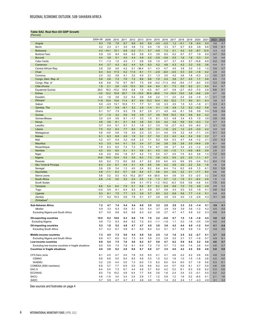## <span id="page-7-0"></span>**Table SA2. Real Non-Oil GDP Growth**

| 2004-08<br>2023<br>2009<br>2010<br>2011<br>2012<br>2013<br>2014<br>2015<br>2016<br>2017<br>2018<br>2019<br>2020<br>2021<br>2022<br>9.3<br>7.9<br>9.0<br>$-3.0$<br>$-2.5$<br>1.2<br>$-5.0$<br>3.6<br>4.7<br>7.6<br>8.7<br>8.6<br>8.9<br>$-0.1$<br>1.8<br>5.0<br>Angola<br>4.2<br>2.3<br>2.1<br>3.0<br>6.4<br>3.3<br>5.9<br>6.1<br>Benin<br>4.8<br>7.2<br>1.8<br>5.7<br>6.7<br>6.9<br>3.8<br>6.6<br>4.3<br>4.2<br>Botswana<br>4.3<br>$-14.1$<br>10.1<br>6.8<br>$-0.2$<br>11.1<br>5.7<br>$-4.9$<br>7.2<br>4.1<br>4.2<br>3.0<br>$-8.7$<br>12.5<br>3.9<br>6.2<br>5.0<br><b>Burkina Faso</b><br>5.9<br>3.0<br>8.4<br>6.6<br>6.5<br>5.8<br>4.3<br>6.0<br>6.7<br>5.7<br>1.9<br>6.9<br>4.7<br>3.8<br>4.9<br>4.2<br>4.6<br><b>Burundi</b><br>4.4<br>5.1<br>4.0<br>4.4<br>$-3.9$<br>$-0.6$<br>0.5<br>1.6<br>1.8<br>0.3<br>2.4<br>3.6<br>5.2<br>5.8<br>Cabo Verde<br>7.1<br>$-1.3$<br>1.5<br>4.0<br>1.1<br>0.8<br>0.6<br>1.0<br>4.7<br>3.7<br>4.5<br>5.7<br>$-14.8$<br>6.9<br>3.7<br>5.2<br>5.1<br>4.4<br>4.3<br>6.2<br>4.4<br>5.4<br>6.3<br>4.8<br>4.3<br>4.2<br>3.3<br>0.5<br>3.6<br>4.4<br>Cameroon<br>2.8<br>2.8<br>4.6<br>4.2<br>5.1<br>$-36.4$<br>4.3<br>4.5<br>1.0<br>3.7<br>Central African Rep.<br>0.1<br>4.7<br>3.8<br>3.0<br>1.0<br>3.5<br>6.3<br>17.3<br>0.2<br>11.5<br>8.1<br>7.1<br>$-2.9$<br>$-6.0$<br>2.0<br>$-1.8$<br>0.2<br>2.8<br>3.0<br>Chad<br>6.3<br>$-0.5$<br>0.3<br>2.4<br>3.7<br>Comoros<br>3.2<br>3.8<br>4.1<br>3.2<br>4.5<br>2.1<br>1.3<br>3.5<br>4.2<br>3.6<br>1.8<br>$-0.3$<br>2.2<br>3.5<br>6.5<br>7.0<br>Congo, Dem. Rep. of<br>5.9<br>2.8<br>7.2<br>7.0<br>7.2<br>8.6<br>9.6<br>7.0<br>2.4<br>3.8<br>5.7<br>1.7<br>5.8<br>4.5<br>7.6<br>9.7<br>19.7<br>7.5<br>9.9<br>$-0.2$<br>$-8.6$<br>$-9.4$<br>$-8.0$<br>3.3<br>3.9<br>Congo, Rep. of<br>6.8<br>6.8<br>$-11.3$<br>$-1.7$<br>0.9<br>1.8<br>2.1<br>$-5.5$<br>13.3<br>9.0<br>9.4<br>8.4<br>5.9<br>2.1<br>6.7<br>Côte d'Ivoire<br>2.6<br>8.1<br>7.3<br>6.2<br>6.5<br>6.0<br>18.2<br>$-0.5$<br>29.0<br>$-10.2$<br>15.9<br>6.8<br>1.5<br>$-9.7$<br>$-4.7$<br>0.8<br>$-2.7$<br>-6.0<br>$-7.0$<br>2.8<br>8.6<br>0.1<br><b>Equatorial Guinea</b><br>$-3.0$<br>12.2<br>25.7<br>1.9<br>30.9<br>$-20.6$<br>13.0<br>3.6<br>Eritrea<br>10.9<br>10.5<br>7.4<br>10.0<br>3.8<br>$-0.6$<br>2.9<br>4.7<br>4.2<br>3.8<br>2.2<br>5.4<br>3.9<br>0.9<br>2.2<br>2.0<br>3.1<br>2.1<br>1.8<br>Eswatini<br>1.6<br>1.1<br>2.4<br>2.6<br>$-1.9$<br>Ethiopia<br>11.8<br>10.0<br>10.6<br>11.4<br>8.7<br>9.9<br>10.3<br>10.4<br>10.2<br>7.7<br>9.0<br>6.1<br>6.3<br>3.8<br>5.7<br>8.0<br>7.1<br>7.7<br>5.1<br>2.1<br>2.3<br>5.0<br>$-3.3$<br>13.1<br>10.5<br>3.8<br>3.3<br>2.5<br>1.5<br>3.3<br>$-1.8$<br>4.1<br>Gabon<br>2.7<br>$-8.1$<br>2.9<br>6.2<br>Gambia, The<br>6.7<br>5.9<br>5.2<br>$-1.4$<br>4.1<br>1.9<br>4.8<br>7.2<br>6.2<br>$-0.2$<br>5.6<br>5.6<br>5.7<br>9.3<br>7.8<br>2.5<br>2.1<br>5.9<br>5.6<br>Ghana<br>6.1<br>7.5<br>6.7<br>4.5<br>4.6<br>6.1<br>5.8<br>0.9<br>5.9<br>$-1.5$<br>5.6<br>Guinea<br>3.7<br>4.2<br>5.9<br>3.9<br>3.7<br>3.8<br>10.8<br>10.3<br>6.4<br>5.6<br>6.4<br>4.2<br>4.8<br>5.8<br>2.4<br>5.6<br>8.1<br>$-1.7$<br>3.3<br>1.0<br>5.3<br>4.8<br>4.5<br>1.5<br>3.8<br>4.5<br>Guinea-Bissau<br>3.5<br>6.1<br>3.4<br>3.8<br>4.6<br>3.6<br>4.6<br>3.8<br>5.0<br>5.0<br>4.2<br>3.8<br>5.6<br>5.0<br>$-0.3$<br>7.2<br>5.7<br>5.3<br>8.1<br>5.1<br>Kenya<br>Lesotho<br>3.7<br>0.4<br>5.1<br>5.1<br>5.1<br>1.8<br>2.1<br>3.3<br>1.9<br>-2.7<br>-0.3<br>0.0<br>$-6.0$<br>2.1<br>3.1<br>1.6<br>5.2<br>5.5<br>7.5<br>6.4<br>7.7<br>8.4<br>8.8<br>0.7<br>0.0<br>$-1.6$<br>2.5<br>1.2<br>$-2.5$<br>$-3.0$<br>4.2<br>4.5<br>Liberia<br>5.6<br>2.3<br>3.1<br>$-7.1$<br>5.2<br>$-4.0$<br>0.6<br>1.6<br>3.0<br>3.3<br>4.0<br>3.9<br>3.2<br>4.4<br>3.5<br>5.1<br>Madagascar<br>4.9<br>5.2<br>3.0<br>4.3<br>Malawi<br>6.1<br>8.3<br>6.9<br>1.9<br>5.7<br>2.3<br>4.0<br>4.4<br>5.4<br>0.9<br>2.2<br>2.7<br>3.2<br>$-0.8$<br>2.3<br>7.1<br>5.3<br>Mali<br>4.2<br>4.7<br>5.4<br>6.2<br>5.9<br>5.3<br>4.7<br>4.8<br>$-1.2$<br>3.1<br>2.0<br><b>Mauritius</b><br>4.3<br>3.4<br>3.7<br>3.6<br>5.6<br>3.3<br>4.4<br>4.1<br>3.5<br>3.8<br>3.8<br>3.8<br>3.0<br>$-14.9$<br>3.9<br>6.1<br>7.9<br>7.4<br>7.3<br>7.0<br>7.4<br>6.7<br>2.3<br>$-1.2$<br>2.2<br>5.0<br>6.3<br>6.5<br>3.8<br>3.7<br>3.4<br>3.8<br>Mozambique<br>2.8<br>Namibia<br>4.3<br>0.3<br>6.0<br>5.1<br>5.1<br>5.6<br>6.1<br>4.3<br>0.0<br>$-1.0$<br>$-0.9$<br>$-8.5$<br>0.9<br>3.7<br>1.1<br>4.9<br>6.7<br>4.2<br>5.0<br>1.3<br>7.2<br>6.5<br>2.0<br>8.6<br>1.8<br>7.3<br>5.7<br>4.5<br>7.5<br>6.3<br>3.8<br>Niger<br>10.8<br>12.4<br>5.9<br>8.3<br>4.7<br>3.4<br>3.1<br>10.0<br>5.3<br>7.3<br>3.6<br>$-0.3$<br>0.5<br>2.0<br>2.0<br>$-1.1$<br>Nigeria<br>8.0<br>$-3.4$<br>9.0<br>6.2<br>7.3<br>8.6<br>4.7<br>6.2<br>8.9<br>6.0<br>4.0<br>8.6<br>9.5<br>10.2<br>6.4<br>7.4<br>Rwanda<br>2.8<br>São Tomé & Príncipe<br>6.3<br>2.4<br>6.7<br>4.4<br>3.1<br>4.8<br>6.5<br>3.8<br>4.2<br>3.9<br>3.0<br>2.2<br>3.0<br>1.8<br>1.6<br>3.6<br>2.8<br>1.3<br>4.0<br>2.4<br>6.2<br>6.4<br>6.2<br>4.6<br>1.3<br>6.1<br>5.0<br>5.9<br>Senegal<br>3.4<br>6.4<br>7.4<br>4.8<br>$-1.1$<br>5.7<br>3.8<br>6.4<br>4.7<br>5.6<br>4.5<br>3.2<br>$-7.7$<br>4.6<br>5.6<br>Seychelles<br>6.3<br>5.4<br>3.1<br>8.0<br>5.8<br>3.2<br>$-20.5$<br>$-2.0$<br>4.3<br>Sierra Leone<br>5.3<br>6.3<br>15.2<br>20.7<br>4.6<br>6.4<br>3.8<br>3.5<br>5.3<br>3.2<br>3.4<br>1.4<br>1.9<br>4.8<br>$-1.5$<br>3.0<br>3.2<br>2.4<br>2.5<br>1.3<br>0.7<br>1.2<br>1.5<br>$-6.4$<br>4.9<br>1.4<br>South Africa<br>0.1<br>$-17.5$<br>$-1.2$<br>$-5.9$<br>7.9<br>6.5<br>South Sudan<br>$-0.8$<br>$-10.2$<br>-6.3<br>0.6<br>$-4.8$<br>5.4<br>4.1<br>$\ddotsc$<br>$\ddotsc$<br>$\ddots$<br>$\ddots$<br>6.2<br>5.2<br>Tanzania<br>6.8<br>5.4<br>6.4<br>7.9<br>5.1<br>6.8<br>6.7<br>6.9<br>6.8<br>7.0<br>7.0<br>4.8<br>4.9<br>4.8<br>6.2<br>Togo<br>$-0.0$<br>5.5<br>6.1<br>6.4<br>6.5<br>6.1<br>5.9<br>5.7<br>5.6<br>4.3<br>5.0<br>5.5<br>1.8<br>5.1<br>5.6<br>2.3<br>3.9<br>5.7<br>4.9<br>6.5<br>Uganda<br>8.3<br>8.1<br>7.5<br>7.7<br>8.0<br>0.2<br>6.8<br>5.6<br>7.7<br>$-1.4$<br>5.1<br>3.6<br>Zambia<br>7.7<br>9.2<br>10.3<br>5.6<br>7.6<br>5.1<br>4.7<br>2.9<br>3.8<br>3.5<br>4.0<br>1.4<br>$-2.8$<br>4.3<br>3.1<br>Zimbabwe <sup>®</sup><br><br>$\ddotsc$<br>$\ddotsc$<br><br><br>$\cdots$<br><br>$\cdots$<br>$\ddotsc$<br>$\ddotsc$<br>$\ddotsc$<br>$\ddotsc$<br>$\ldots$<br>4.1<br>Sub-Saharan Africa<br>7.2<br>7.4<br>5.4<br>5.4<br>6.0<br>5.5<br>3.2<br>2.0<br>2.9<br>3.2<br>5.1<br>3.9<br>4.7<br>3.3<br>$-1.4$<br>5.6<br>3.7<br>5.0<br>4.9<br>3.3<br>6.3<br>5.1<br>5.0<br>5.4<br>3.9<br>3.9<br>3.9<br>3.6<br>$-1.2$<br>4.2<br>4.5<br>Median<br>6.7<br>5.0<br>6.6<br>6.5<br>6.6<br>6.3<br>6.2<br>3.8<br>3.7<br>4.7<br>4.7<br>4.9<br>0.2<br>5.3<br>4.8<br>5.4<br>Excluding Nigeria and South Africa<br><b>Oil-exporting countries</b><br>10.5<br>10.6<br>6.3<br>6.6<br>7.9<br>7.0<br>2.2<br>$-0.6$<br>0.7<br>1.5<br>$-1.8$<br>4.5<br>3.6<br>3.5<br>9.2<br>1.9<br>8.6<br>8.2<br>$-3.5$<br>3.9<br><b>Excluding Nigeria</b><br>4.9<br>7.3<br>6.3<br>7.2<br>6.3<br>1.1<br>0.3<br>1.6<br>4.0<br>4.4<br>1.1<br>1.6<br>Oil-importing countries<br>5.3<br>1.8<br>5.2<br>4.8<br>4.7<br>4.7<br>3.8<br>3.6<br>4.2<br>4.5<br>4.4<br>4.0<br>$-1.2$<br>5.4<br>4.1<br>4.4<br>4.2<br>6.7<br>5.8<br>6.1<br>6.0<br>6.2<br>5.2<br>5.1<br>5.7<br>5.8<br>5.8<br>5.7<br>4.9<br>5.6<br><b>Excluding South Africa</b><br>5.7<br>1.0<br>Middle-income countries<br>7.3<br>4.5<br>7.3<br>5.0<br>5.4<br>5.9<br>5.2<br>2.5<br>1.2<br>1.8<br>2.5<br>2.2<br>$-2.7$<br>5.1<br>3.7<br>3.5<br>4.7<br>6.2<br>5.9<br>2.3<br>2.9<br>3.7<br>4.9<br>Excluding Nigeria and South Africa<br>6.6<br>6.0<br>7.3<br>6.4<br>3.5<br>3.7<br>$-1.6$<br>5.7<br>5.1<br>5.7<br>Low-income countries<br>6.9<br>5.4<br>7.5<br>7.0<br>5.6<br>6.2<br>6.7<br>5.8<br>4.7<br>6.2<br>5.9<br>6.4<br>2.2<br>5.0<br>4.6<br>7.8<br>2.8<br>5.7<br>Excluding low-income countries in fragile situations<br>8.0<br>5.9<br>7.4<br>6.1<br>6.9<br>7.2<br>7.0<br>5.7<br>7.3<br>6.6<br>7.4<br>5.4<br>4.6<br>2.8<br>5.9<br><b>Countries in fragile situations</b><br>4.0<br>3.9<br>6.2<br>8.6<br>6.7<br>6.8<br>3.7<br>3.5<br>4.0<br>4.2<br>4.5<br>0.9<br>4.6<br>5.0<br>CFA franc zone<br>4.2<br>4.9<br>6.1<br>4.5<br>4.7<br>4.0<br>7.8<br>5.5<br>6.5<br>4.1<br>4.1<br>4.6<br>4.2<br>0.6<br>4.6<br>5.4<br><b>CEMAC</b><br>4.0<br>9.9<br>6.6<br>5.0<br>8.4<br>8.5<br>4.8<br>5.3<br>1.0<br>0.2<br>1.6<br>1.0<br>1.5<br>$-1.8$<br>2.6<br>4.2<br>WAEMU<br>3.2<br>2.8<br>4.4<br>0.5<br>7.3<br>6.0<br>7.3<br>6.2<br>6.5<br>6.4<br>6.0<br>5.7<br>1.9<br>5.6<br>5.3<br>6.1<br>COMESA (SSA members)<br>6.9<br>6.9<br>5.5<br>5.6<br>6.9<br>5.9<br>5.9<br>4.8<br>5.7<br>7.7<br>6.2<br>4.4<br>5.7<br>6.1<br>0.7<br>5.6<br>EAC-5<br>0.9<br>6.4<br>5.4<br>7.3<br>6.7<br>4.4<br>4.8<br>5.7<br>6.0<br>4.2<br>5.2<br>6.1<br>6.3<br>6.2<br>5.3<br>5.6<br><b>ECOWAS</b><br>7.7<br>4.2<br>4.2<br>8.5<br>7.9<br>10.2<br>4.8<br>6.4<br>6.6<br>3.8<br>1.8<br>2.4<br>3.4<br>3.3<br>$-0.1$<br>5.0<br><b>SACU</b><br>3.4<br>2.4<br>2.9<br>0.2<br>5.1<br>2.1<br>1.6<br>4.8<br>$-1.9$<br>3.4<br>1.7<br>1.2<br>0.9<br>1.2<br>1.6<br>$-6.5$ | (Percent) |  |  |  |  |  |  |  |  |
|------------------------------------------------------------------------------------------------------------------------------------------------------------------------------------------------------------------------------------------------------------------------------------------------------------------------------------------------------------------------------------------------------------------------------------------------------------------------------------------------------------------------------------------------------------------------------------------------------------------------------------------------------------------------------------------------------------------------------------------------------------------------------------------------------------------------------------------------------------------------------------------------------------------------------------------------------------------------------------------------------------------------------------------------------------------------------------------------------------------------------------------------------------------------------------------------------------------------------------------------------------------------------------------------------------------------------------------------------------------------------------------------------------------------------------------------------------------------------------------------------------------------------------------------------------------------------------------------------------------------------------------------------------------------------------------------------------------------------------------------------------------------------------------------------------------------------------------------------------------------------------------------------------------------------------------------------------------------------------------------------------------------------------------------------------------------------------------------------------------------------------------------------------------------------------------------------------------------------------------------------------------------------------------------------------------------------------------------------------------------------------------------------------------------------------------------------------------------------------------------------------------------------------------------------------------------------------------------------------------------------------------------------------------------------------------------------------------------------------------------------------------------------------------------------------------------------------------------------------------------------------------------------------------------------------------------------------------------------------------------------------------------------------------------------------------------------------------------------------------------------------------------------------------------------------------------------------------------------------------------------------------------------------------------------------------------------------------------------------------------------------------------------------------------------------------------------------------------------------------------------------------------------------------------------------------------------------------------------------------------------------------------------------------------------------------------------------------------------------------------------------------------------------------------------------------------------------------------------------------------------------------------------------------------------------------------------------------------------------------------------------------------------------------------------------------------------------------------------------------------------------------------------------------------------------------------------------------------------------------------------------------------------------------------------------------------------------------------------------------------------------------------------------------------------------------------------------------------------------------------------------------------------------------------------------------------------------------------------------------------------------------------------------------------------------------------------------------------------------------------------------------------------------------------------------------------------------------------------------------------------------------------------------------------------------------------------------------------------------------------------------------------------------------------------------------------------------------------------------------------------------------------------------------------------------------------------------------------------------------------------------------------------------------------------------------------------------------------------------------------------------------------------------------------------------------------------------------------------------------------------------------------------------------------------------------------------------------------------------------------------------------------------------------------------------------------------------------------------------------------------------------------------------------------------------------------------------------------------------------------------------------------------------------------------------------------------------------------------------------------------------------------------------------------------------------------------------------------------------------------------------------------------------------------------------------------------------------------------------------------------------------------------------------------------------------------------------------------------------------------------------------------------------------------------------------------------------------------------------------------------------------------------------------------------------------------------------------------------------------------------------------------------------------------------------------------------------------------------------------------------------------------------------------------------------------------------------------------------------------------------------------------------------------------------------------------------------------------------------------------------------------------------------------------------------------------------------------------------------------------------------------------------------------------------------------------------------------------------------------------------------------------------------------------------------------------------------------------------------------------------------------------------------------------------------------------------------------------------------------------------------------------------------------------------------------------------------------------------------------------------------------------------------------------------------------------------------------------------------------------------------------------------------------------------------------------------------------------------------------------------------------------------------------------------------------------------------------------------------------------------------------------------------------------------------------------------------------------------------------------------------------------------------------------------------------------------------------------------------------------------------------------------------------------------------------------------------------------------------------------------------------------------------------------------------------------------------------------------------------------------------------------------------------------------------------------------------------------------------------------------------------------------------------------------------------------------------------------------------------------------------------------------------------------------------------------------------------------------------------------------------------------------------------------------------------------------------------------------------------------------------------------------------------------------------------------------------------------------------------|-----------|--|--|--|--|--|--|--|--|
|                                                                                                                                                                                                                                                                                                                                                                                                                                                                                                                                                                                                                                                                                                                                                                                                                                                                                                                                                                                                                                                                                                                                                                                                                                                                                                                                                                                                                                                                                                                                                                                                                                                                                                                                                                                                                                                                                                                                                                                                                                                                                                                                                                                                                                                                                                                                                                                                                                                                                                                                                                                                                                                                                                                                                                                                                                                                                                                                                                                                                                                                                                                                                                                                                                                                                                                                                                                                                                                                                                                                                                                                                                                                                                                                                                                                                                                                                                                                                                                                                                                                                                                                                                                                                                                                                                                                                                                                                                                                                                                                                                                                                                                                                                                                                                                                                                                                                                                                                                                                                                                                                                                                                                                                                                                                                                                                                                                                                                                                                                                                                                                                                                                                                                                                                                                                                                                                                                                                                                                                                                                                                                                                                                                                                                                                                                                                                                                                                                                                                                                                                                                                                                                                                                                                                                                                                                                                                                                                                                                                                                                                                                                                                                                                                                                                                                                                                                                                                                                                                                                                                                                                                                                                                                                                                                                                                                                                                                                                                                                                                                                                                                                                                                                                                                                                                                                                                                                                                                                                                                                                                                                                                                                                                                                                                                                                                                                                                                                                                                                                                                                                                                                  |           |  |  |  |  |  |  |  |  |
|                                                                                                                                                                                                                                                                                                                                                                                                                                                                                                                                                                                                                                                                                                                                                                                                                                                                                                                                                                                                                                                                                                                                                                                                                                                                                                                                                                                                                                                                                                                                                                                                                                                                                                                                                                                                                                                                                                                                                                                                                                                                                                                                                                                                                                                                                                                                                                                                                                                                                                                                                                                                                                                                                                                                                                                                                                                                                                                                                                                                                                                                                                                                                                                                                                                                                                                                                                                                                                                                                                                                                                                                                                                                                                                                                                                                                                                                                                                                                                                                                                                                                                                                                                                                                                                                                                                                                                                                                                                                                                                                                                                                                                                                                                                                                                                                                                                                                                                                                                                                                                                                                                                                                                                                                                                                                                                                                                                                                                                                                                                                                                                                                                                                                                                                                                                                                                                                                                                                                                                                                                                                                                                                                                                                                                                                                                                                                                                                                                                                                                                                                                                                                                                                                                                                                                                                                                                                                                                                                                                                                                                                                                                                                                                                                                                                                                                                                                                                                                                                                                                                                                                                                                                                                                                                                                                                                                                                                                                                                                                                                                                                                                                                                                                                                                                                                                                                                                                                                                                                                                                                                                                                                                                                                                                                                                                                                                                                                                                                                                                                                                                                                                                  |           |  |  |  |  |  |  |  |  |
|                                                                                                                                                                                                                                                                                                                                                                                                                                                                                                                                                                                                                                                                                                                                                                                                                                                                                                                                                                                                                                                                                                                                                                                                                                                                                                                                                                                                                                                                                                                                                                                                                                                                                                                                                                                                                                                                                                                                                                                                                                                                                                                                                                                                                                                                                                                                                                                                                                                                                                                                                                                                                                                                                                                                                                                                                                                                                                                                                                                                                                                                                                                                                                                                                                                                                                                                                                                                                                                                                                                                                                                                                                                                                                                                                                                                                                                                                                                                                                                                                                                                                                                                                                                                                                                                                                                                                                                                                                                                                                                                                                                                                                                                                                                                                                                                                                                                                                                                                                                                                                                                                                                                                                                                                                                                                                                                                                                                                                                                                                                                                                                                                                                                                                                                                                                                                                                                                                                                                                                                                                                                                                                                                                                                                                                                                                                                                                                                                                                                                                                                                                                                                                                                                                                                                                                                                                                                                                                                                                                                                                                                                                                                                                                                                                                                                                                                                                                                                                                                                                                                                                                                                                                                                                                                                                                                                                                                                                                                                                                                                                                                                                                                                                                                                                                                                                                                                                                                                                                                                                                                                                                                                                                                                                                                                                                                                                                                                                                                                                                                                                                                                                                  |           |  |  |  |  |  |  |  |  |
|                                                                                                                                                                                                                                                                                                                                                                                                                                                                                                                                                                                                                                                                                                                                                                                                                                                                                                                                                                                                                                                                                                                                                                                                                                                                                                                                                                                                                                                                                                                                                                                                                                                                                                                                                                                                                                                                                                                                                                                                                                                                                                                                                                                                                                                                                                                                                                                                                                                                                                                                                                                                                                                                                                                                                                                                                                                                                                                                                                                                                                                                                                                                                                                                                                                                                                                                                                                                                                                                                                                                                                                                                                                                                                                                                                                                                                                                                                                                                                                                                                                                                                                                                                                                                                                                                                                                                                                                                                                                                                                                                                                                                                                                                                                                                                                                                                                                                                                                                                                                                                                                                                                                                                                                                                                                                                                                                                                                                                                                                                                                                                                                                                                                                                                                                                                                                                                                                                                                                                                                                                                                                                                                                                                                                                                                                                                                                                                                                                                                                                                                                                                                                                                                                                                                                                                                                                                                                                                                                                                                                                                                                                                                                                                                                                                                                                                                                                                                                                                                                                                                                                                                                                                                                                                                                                                                                                                                                                                                                                                                                                                                                                                                                                                                                                                                                                                                                                                                                                                                                                                                                                                                                                                                                                                                                                                                                                                                                                                                                                                                                                                                                                                  |           |  |  |  |  |  |  |  |  |
|                                                                                                                                                                                                                                                                                                                                                                                                                                                                                                                                                                                                                                                                                                                                                                                                                                                                                                                                                                                                                                                                                                                                                                                                                                                                                                                                                                                                                                                                                                                                                                                                                                                                                                                                                                                                                                                                                                                                                                                                                                                                                                                                                                                                                                                                                                                                                                                                                                                                                                                                                                                                                                                                                                                                                                                                                                                                                                                                                                                                                                                                                                                                                                                                                                                                                                                                                                                                                                                                                                                                                                                                                                                                                                                                                                                                                                                                                                                                                                                                                                                                                                                                                                                                                                                                                                                                                                                                                                                                                                                                                                                                                                                                                                                                                                                                                                                                                                                                                                                                                                                                                                                                                                                                                                                                                                                                                                                                                                                                                                                                                                                                                                                                                                                                                                                                                                                                                                                                                                                                                                                                                                                                                                                                                                                                                                                                                                                                                                                                                                                                                                                                                                                                                                                                                                                                                                                                                                                                                                                                                                                                                                                                                                                                                                                                                                                                                                                                                                                                                                                                                                                                                                                                                                                                                                                                                                                                                                                                                                                                                                                                                                                                                                                                                                                                                                                                                                                                                                                                                                                                                                                                                                                                                                                                                                                                                                                                                                                                                                                                                                                                                                                  |           |  |  |  |  |  |  |  |  |
|                                                                                                                                                                                                                                                                                                                                                                                                                                                                                                                                                                                                                                                                                                                                                                                                                                                                                                                                                                                                                                                                                                                                                                                                                                                                                                                                                                                                                                                                                                                                                                                                                                                                                                                                                                                                                                                                                                                                                                                                                                                                                                                                                                                                                                                                                                                                                                                                                                                                                                                                                                                                                                                                                                                                                                                                                                                                                                                                                                                                                                                                                                                                                                                                                                                                                                                                                                                                                                                                                                                                                                                                                                                                                                                                                                                                                                                                                                                                                                                                                                                                                                                                                                                                                                                                                                                                                                                                                                                                                                                                                                                                                                                                                                                                                                                                                                                                                                                                                                                                                                                                                                                                                                                                                                                                                                                                                                                                                                                                                                                                                                                                                                                                                                                                                                                                                                                                                                                                                                                                                                                                                                                                                                                                                                                                                                                                                                                                                                                                                                                                                                                                                                                                                                                                                                                                                                                                                                                                                                                                                                                                                                                                                                                                                                                                                                                                                                                                                                                                                                                                                                                                                                                                                                                                                                                                                                                                                                                                                                                                                                                                                                                                                                                                                                                                                                                                                                                                                                                                                                                                                                                                                                                                                                                                                                                                                                                                                                                                                                                                                                                                                                                  |           |  |  |  |  |  |  |  |  |
|                                                                                                                                                                                                                                                                                                                                                                                                                                                                                                                                                                                                                                                                                                                                                                                                                                                                                                                                                                                                                                                                                                                                                                                                                                                                                                                                                                                                                                                                                                                                                                                                                                                                                                                                                                                                                                                                                                                                                                                                                                                                                                                                                                                                                                                                                                                                                                                                                                                                                                                                                                                                                                                                                                                                                                                                                                                                                                                                                                                                                                                                                                                                                                                                                                                                                                                                                                                                                                                                                                                                                                                                                                                                                                                                                                                                                                                                                                                                                                                                                                                                                                                                                                                                                                                                                                                                                                                                                                                                                                                                                                                                                                                                                                                                                                                                                                                                                                                                                                                                                                                                                                                                                                                                                                                                                                                                                                                                                                                                                                                                                                                                                                                                                                                                                                                                                                                                                                                                                                                                                                                                                                                                                                                                                                                                                                                                                                                                                                                                                                                                                                                                                                                                                                                                                                                                                                                                                                                                                                                                                                                                                                                                                                                                                                                                                                                                                                                                                                                                                                                                                                                                                                                                                                                                                                                                                                                                                                                                                                                                                                                                                                                                                                                                                                                                                                                                                                                                                                                                                                                                                                                                                                                                                                                                                                                                                                                                                                                                                                                                                                                                                                                  |           |  |  |  |  |  |  |  |  |
|                                                                                                                                                                                                                                                                                                                                                                                                                                                                                                                                                                                                                                                                                                                                                                                                                                                                                                                                                                                                                                                                                                                                                                                                                                                                                                                                                                                                                                                                                                                                                                                                                                                                                                                                                                                                                                                                                                                                                                                                                                                                                                                                                                                                                                                                                                                                                                                                                                                                                                                                                                                                                                                                                                                                                                                                                                                                                                                                                                                                                                                                                                                                                                                                                                                                                                                                                                                                                                                                                                                                                                                                                                                                                                                                                                                                                                                                                                                                                                                                                                                                                                                                                                                                                                                                                                                                                                                                                                                                                                                                                                                                                                                                                                                                                                                                                                                                                                                                                                                                                                                                                                                                                                                                                                                                                                                                                                                                                                                                                                                                                                                                                                                                                                                                                                                                                                                                                                                                                                                                                                                                                                                                                                                                                                                                                                                                                                                                                                                                                                                                                                                                                                                                                                                                                                                                                                                                                                                                                                                                                                                                                                                                                                                                                                                                                                                                                                                                                                                                                                                                                                                                                                                                                                                                                                                                                                                                                                                                                                                                                                                                                                                                                                                                                                                                                                                                                                                                                                                                                                                                                                                                                                                                                                                                                                                                                                                                                                                                                                                                                                                                                                                  |           |  |  |  |  |  |  |  |  |
|                                                                                                                                                                                                                                                                                                                                                                                                                                                                                                                                                                                                                                                                                                                                                                                                                                                                                                                                                                                                                                                                                                                                                                                                                                                                                                                                                                                                                                                                                                                                                                                                                                                                                                                                                                                                                                                                                                                                                                                                                                                                                                                                                                                                                                                                                                                                                                                                                                                                                                                                                                                                                                                                                                                                                                                                                                                                                                                                                                                                                                                                                                                                                                                                                                                                                                                                                                                                                                                                                                                                                                                                                                                                                                                                                                                                                                                                                                                                                                                                                                                                                                                                                                                                                                                                                                                                                                                                                                                                                                                                                                                                                                                                                                                                                                                                                                                                                                                                                                                                                                                                                                                                                                                                                                                                                                                                                                                                                                                                                                                                                                                                                                                                                                                                                                                                                                                                                                                                                                                                                                                                                                                                                                                                                                                                                                                                                                                                                                                                                                                                                                                                                                                                                                                                                                                                                                                                                                                                                                                                                                                                                                                                                                                                                                                                                                                                                                                                                                                                                                                                                                                                                                                                                                                                                                                                                                                                                                                                                                                                                                                                                                                                                                                                                                                                                                                                                                                                                                                                                                                                                                                                                                                                                                                                                                                                                                                                                                                                                                                                                                                                                                                  |           |  |  |  |  |  |  |  |  |
|                                                                                                                                                                                                                                                                                                                                                                                                                                                                                                                                                                                                                                                                                                                                                                                                                                                                                                                                                                                                                                                                                                                                                                                                                                                                                                                                                                                                                                                                                                                                                                                                                                                                                                                                                                                                                                                                                                                                                                                                                                                                                                                                                                                                                                                                                                                                                                                                                                                                                                                                                                                                                                                                                                                                                                                                                                                                                                                                                                                                                                                                                                                                                                                                                                                                                                                                                                                                                                                                                                                                                                                                                                                                                                                                                                                                                                                                                                                                                                                                                                                                                                                                                                                                                                                                                                                                                                                                                                                                                                                                                                                                                                                                                                                                                                                                                                                                                                                                                                                                                                                                                                                                                                                                                                                                                                                                                                                                                                                                                                                                                                                                                                                                                                                                                                                                                                                                                                                                                                                                                                                                                                                                                                                                                                                                                                                                                                                                                                                                                                                                                                                                                                                                                                                                                                                                                                                                                                                                                                                                                                                                                                                                                                                                                                                                                                                                                                                                                                                                                                                                                                                                                                                                                                                                                                                                                                                                                                                                                                                                                                                                                                                                                                                                                                                                                                                                                                                                                                                                                                                                                                                                                                                                                                                                                                                                                                                                                                                                                                                                                                                                                                                  |           |  |  |  |  |  |  |  |  |
|                                                                                                                                                                                                                                                                                                                                                                                                                                                                                                                                                                                                                                                                                                                                                                                                                                                                                                                                                                                                                                                                                                                                                                                                                                                                                                                                                                                                                                                                                                                                                                                                                                                                                                                                                                                                                                                                                                                                                                                                                                                                                                                                                                                                                                                                                                                                                                                                                                                                                                                                                                                                                                                                                                                                                                                                                                                                                                                                                                                                                                                                                                                                                                                                                                                                                                                                                                                                                                                                                                                                                                                                                                                                                                                                                                                                                                                                                                                                                                                                                                                                                                                                                                                                                                                                                                                                                                                                                                                                                                                                                                                                                                                                                                                                                                                                                                                                                                                                                                                                                                                                                                                                                                                                                                                                                                                                                                                                                                                                                                                                                                                                                                                                                                                                                                                                                                                                                                                                                                                                                                                                                                                                                                                                                                                                                                                                                                                                                                                                                                                                                                                                                                                                                                                                                                                                                                                                                                                                                                                                                                                                                                                                                                                                                                                                                                                                                                                                                                                                                                                                                                                                                                                                                                                                                                                                                                                                                                                                                                                                                                                                                                                                                                                                                                                                                                                                                                                                                                                                                                                                                                                                                                                                                                                                                                                                                                                                                                                                                                                                                                                                                                                  |           |  |  |  |  |  |  |  |  |
|                                                                                                                                                                                                                                                                                                                                                                                                                                                                                                                                                                                                                                                                                                                                                                                                                                                                                                                                                                                                                                                                                                                                                                                                                                                                                                                                                                                                                                                                                                                                                                                                                                                                                                                                                                                                                                                                                                                                                                                                                                                                                                                                                                                                                                                                                                                                                                                                                                                                                                                                                                                                                                                                                                                                                                                                                                                                                                                                                                                                                                                                                                                                                                                                                                                                                                                                                                                                                                                                                                                                                                                                                                                                                                                                                                                                                                                                                                                                                                                                                                                                                                                                                                                                                                                                                                                                                                                                                                                                                                                                                                                                                                                                                                                                                                                                                                                                                                                                                                                                                                                                                                                                                                                                                                                                                                                                                                                                                                                                                                                                                                                                                                                                                                                                                                                                                                                                                                                                                                                                                                                                                                                                                                                                                                                                                                                                                                                                                                                                                                                                                                                                                                                                                                                                                                                                                                                                                                                                                                                                                                                                                                                                                                                                                                                                                                                                                                                                                                                                                                                                                                                                                                                                                                                                                                                                                                                                                                                                                                                                                                                                                                                                                                                                                                                                                                                                                                                                                                                                                                                                                                                                                                                                                                                                                                                                                                                                                                                                                                                                                                                                                                                  |           |  |  |  |  |  |  |  |  |
|                                                                                                                                                                                                                                                                                                                                                                                                                                                                                                                                                                                                                                                                                                                                                                                                                                                                                                                                                                                                                                                                                                                                                                                                                                                                                                                                                                                                                                                                                                                                                                                                                                                                                                                                                                                                                                                                                                                                                                                                                                                                                                                                                                                                                                                                                                                                                                                                                                                                                                                                                                                                                                                                                                                                                                                                                                                                                                                                                                                                                                                                                                                                                                                                                                                                                                                                                                                                                                                                                                                                                                                                                                                                                                                                                                                                                                                                                                                                                                                                                                                                                                                                                                                                                                                                                                                                                                                                                                                                                                                                                                                                                                                                                                                                                                                                                                                                                                                                                                                                                                                                                                                                                                                                                                                                                                                                                                                                                                                                                                                                                                                                                                                                                                                                                                                                                                                                                                                                                                                                                                                                                                                                                                                                                                                                                                                                                                                                                                                                                                                                                                                                                                                                                                                                                                                                                                                                                                                                                                                                                                                                                                                                                                                                                                                                                                                                                                                                                                                                                                                                                                                                                                                                                                                                                                                                                                                                                                                                                                                                                                                                                                                                                                                                                                                                                                                                                                                                                                                                                                                                                                                                                                                                                                                                                                                                                                                                                                                                                                                                                                                                                                                  |           |  |  |  |  |  |  |  |  |
|                                                                                                                                                                                                                                                                                                                                                                                                                                                                                                                                                                                                                                                                                                                                                                                                                                                                                                                                                                                                                                                                                                                                                                                                                                                                                                                                                                                                                                                                                                                                                                                                                                                                                                                                                                                                                                                                                                                                                                                                                                                                                                                                                                                                                                                                                                                                                                                                                                                                                                                                                                                                                                                                                                                                                                                                                                                                                                                                                                                                                                                                                                                                                                                                                                                                                                                                                                                                                                                                                                                                                                                                                                                                                                                                                                                                                                                                                                                                                                                                                                                                                                                                                                                                                                                                                                                                                                                                                                                                                                                                                                                                                                                                                                                                                                                                                                                                                                                                                                                                                                                                                                                                                                                                                                                                                                                                                                                                                                                                                                                                                                                                                                                                                                                                                                                                                                                                                                                                                                                                                                                                                                                                                                                                                                                                                                                                                                                                                                                                                                                                                                                                                                                                                                                                                                                                                                                                                                                                                                                                                                                                                                                                                                                                                                                                                                                                                                                                                                                                                                                                                                                                                                                                                                                                                                                                                                                                                                                                                                                                                                                                                                                                                                                                                                                                                                                                                                                                                                                                                                                                                                                                                                                                                                                                                                                                                                                                                                                                                                                                                                                                                                                  |           |  |  |  |  |  |  |  |  |
|                                                                                                                                                                                                                                                                                                                                                                                                                                                                                                                                                                                                                                                                                                                                                                                                                                                                                                                                                                                                                                                                                                                                                                                                                                                                                                                                                                                                                                                                                                                                                                                                                                                                                                                                                                                                                                                                                                                                                                                                                                                                                                                                                                                                                                                                                                                                                                                                                                                                                                                                                                                                                                                                                                                                                                                                                                                                                                                                                                                                                                                                                                                                                                                                                                                                                                                                                                                                                                                                                                                                                                                                                                                                                                                                                                                                                                                                                                                                                                                                                                                                                                                                                                                                                                                                                                                                                                                                                                                                                                                                                                                                                                                                                                                                                                                                                                                                                                                                                                                                                                                                                                                                                                                                                                                                                                                                                                                                                                                                                                                                                                                                                                                                                                                                                                                                                                                                                                                                                                                                                                                                                                                                                                                                                                                                                                                                                                                                                                                                                                                                                                                                                                                                                                                                                                                                                                                                                                                                                                                                                                                                                                                                                                                                                                                                                                                                                                                                                                                                                                                                                                                                                                                                                                                                                                                                                                                                                                                                                                                                                                                                                                                                                                                                                                                                                                                                                                                                                                                                                                                                                                                                                                                                                                                                                                                                                                                                                                                                                                                                                                                                                                                  |           |  |  |  |  |  |  |  |  |
|                                                                                                                                                                                                                                                                                                                                                                                                                                                                                                                                                                                                                                                                                                                                                                                                                                                                                                                                                                                                                                                                                                                                                                                                                                                                                                                                                                                                                                                                                                                                                                                                                                                                                                                                                                                                                                                                                                                                                                                                                                                                                                                                                                                                                                                                                                                                                                                                                                                                                                                                                                                                                                                                                                                                                                                                                                                                                                                                                                                                                                                                                                                                                                                                                                                                                                                                                                                                                                                                                                                                                                                                                                                                                                                                                                                                                                                                                                                                                                                                                                                                                                                                                                                                                                                                                                                                                                                                                                                                                                                                                                                                                                                                                                                                                                                                                                                                                                                                                                                                                                                                                                                                                                                                                                                                                                                                                                                                                                                                                                                                                                                                                                                                                                                                                                                                                                                                                                                                                                                                                                                                                                                                                                                                                                                                                                                                                                                                                                                                                                                                                                                                                                                                                                                                                                                                                                                                                                                                                                                                                                                                                                                                                                                                                                                                                                                                                                                                                                                                                                                                                                                                                                                                                                                                                                                                                                                                                                                                                                                                                                                                                                                                                                                                                                                                                                                                                                                                                                                                                                                                                                                                                                                                                                                                                                                                                                                                                                                                                                                                                                                                                                                  |           |  |  |  |  |  |  |  |  |
|                                                                                                                                                                                                                                                                                                                                                                                                                                                                                                                                                                                                                                                                                                                                                                                                                                                                                                                                                                                                                                                                                                                                                                                                                                                                                                                                                                                                                                                                                                                                                                                                                                                                                                                                                                                                                                                                                                                                                                                                                                                                                                                                                                                                                                                                                                                                                                                                                                                                                                                                                                                                                                                                                                                                                                                                                                                                                                                                                                                                                                                                                                                                                                                                                                                                                                                                                                                                                                                                                                                                                                                                                                                                                                                                                                                                                                                                                                                                                                                                                                                                                                                                                                                                                                                                                                                                                                                                                                                                                                                                                                                                                                                                                                                                                                                                                                                                                                                                                                                                                                                                                                                                                                                                                                                                                                                                                                                                                                                                                                                                                                                                                                                                                                                                                                                                                                                                                                                                                                                                                                                                                                                                                                                                                                                                                                                                                                                                                                                                                                                                                                                                                                                                                                                                                                                                                                                                                                                                                                                                                                                                                                                                                                                                                                                                                                                                                                                                                                                                                                                                                                                                                                                                                                                                                                                                                                                                                                                                                                                                                                                                                                                                                                                                                                                                                                                                                                                                                                                                                                                                                                                                                                                                                                                                                                                                                                                                                                                                                                                                                                                                                                                  |           |  |  |  |  |  |  |  |  |
|                                                                                                                                                                                                                                                                                                                                                                                                                                                                                                                                                                                                                                                                                                                                                                                                                                                                                                                                                                                                                                                                                                                                                                                                                                                                                                                                                                                                                                                                                                                                                                                                                                                                                                                                                                                                                                                                                                                                                                                                                                                                                                                                                                                                                                                                                                                                                                                                                                                                                                                                                                                                                                                                                                                                                                                                                                                                                                                                                                                                                                                                                                                                                                                                                                                                                                                                                                                                                                                                                                                                                                                                                                                                                                                                                                                                                                                                                                                                                                                                                                                                                                                                                                                                                                                                                                                                                                                                                                                                                                                                                                                                                                                                                                                                                                                                                                                                                                                                                                                                                                                                                                                                                                                                                                                                                                                                                                                                                                                                                                                                                                                                                                                                                                                                                                                                                                                                                                                                                                                                                                                                                                                                                                                                                                                                                                                                                                                                                                                                                                                                                                                                                                                                                                                                                                                                                                                                                                                                                                                                                                                                                                                                                                                                                                                                                                                                                                                                                                                                                                                                                                                                                                                                                                                                                                                                                                                                                                                                                                                                                                                                                                                                                                                                                                                                                                                                                                                                                                                                                                                                                                                                                                                                                                                                                                                                                                                                                                                                                                                                                                                                                                                  |           |  |  |  |  |  |  |  |  |
|                                                                                                                                                                                                                                                                                                                                                                                                                                                                                                                                                                                                                                                                                                                                                                                                                                                                                                                                                                                                                                                                                                                                                                                                                                                                                                                                                                                                                                                                                                                                                                                                                                                                                                                                                                                                                                                                                                                                                                                                                                                                                                                                                                                                                                                                                                                                                                                                                                                                                                                                                                                                                                                                                                                                                                                                                                                                                                                                                                                                                                                                                                                                                                                                                                                                                                                                                                                                                                                                                                                                                                                                                                                                                                                                                                                                                                                                                                                                                                                                                                                                                                                                                                                                                                                                                                                                                                                                                                                                                                                                                                                                                                                                                                                                                                                                                                                                                                                                                                                                                                                                                                                                                                                                                                                                                                                                                                                                                                                                                                                                                                                                                                                                                                                                                                                                                                                                                                                                                                                                                                                                                                                                                                                                                                                                                                                                                                                                                                                                                                                                                                                                                                                                                                                                                                                                                                                                                                                                                                                                                                                                                                                                                                                                                                                                                                                                                                                                                                                                                                                                                                                                                                                                                                                                                                                                                                                                                                                                                                                                                                                                                                                                                                                                                                                                                                                                                                                                                                                                                                                                                                                                                                                                                                                                                                                                                                                                                                                                                                                                                                                                                                                  |           |  |  |  |  |  |  |  |  |
|                                                                                                                                                                                                                                                                                                                                                                                                                                                                                                                                                                                                                                                                                                                                                                                                                                                                                                                                                                                                                                                                                                                                                                                                                                                                                                                                                                                                                                                                                                                                                                                                                                                                                                                                                                                                                                                                                                                                                                                                                                                                                                                                                                                                                                                                                                                                                                                                                                                                                                                                                                                                                                                                                                                                                                                                                                                                                                                                                                                                                                                                                                                                                                                                                                                                                                                                                                                                                                                                                                                                                                                                                                                                                                                                                                                                                                                                                                                                                                                                                                                                                                                                                                                                                                                                                                                                                                                                                                                                                                                                                                                                                                                                                                                                                                                                                                                                                                                                                                                                                                                                                                                                                                                                                                                                                                                                                                                                                                                                                                                                                                                                                                                                                                                                                                                                                                                                                                                                                                                                                                                                                                                                                                                                                                                                                                                                                                                                                                                                                                                                                                                                                                                                                                                                                                                                                                                                                                                                                                                                                                                                                                                                                                                                                                                                                                                                                                                                                                                                                                                                                                                                                                                                                                                                                                                                                                                                                                                                                                                                                                                                                                                                                                                                                                                                                                                                                                                                                                                                                                                                                                                                                                                                                                                                                                                                                                                                                                                                                                                                                                                                                                                  |           |  |  |  |  |  |  |  |  |
|                                                                                                                                                                                                                                                                                                                                                                                                                                                                                                                                                                                                                                                                                                                                                                                                                                                                                                                                                                                                                                                                                                                                                                                                                                                                                                                                                                                                                                                                                                                                                                                                                                                                                                                                                                                                                                                                                                                                                                                                                                                                                                                                                                                                                                                                                                                                                                                                                                                                                                                                                                                                                                                                                                                                                                                                                                                                                                                                                                                                                                                                                                                                                                                                                                                                                                                                                                                                                                                                                                                                                                                                                                                                                                                                                                                                                                                                                                                                                                                                                                                                                                                                                                                                                                                                                                                                                                                                                                                                                                                                                                                                                                                                                                                                                                                                                                                                                                                                                                                                                                                                                                                                                                                                                                                                                                                                                                                                                                                                                                                                                                                                                                                                                                                                                                                                                                                                                                                                                                                                                                                                                                                                                                                                                                                                                                                                                                                                                                                                                                                                                                                                                                                                                                                                                                                                                                                                                                                                                                                                                                                                                                                                                                                                                                                                                                                                                                                                                                                                                                                                                                                                                                                                                                                                                                                                                                                                                                                                                                                                                                                                                                                                                                                                                                                                                                                                                                                                                                                                                                                                                                                                                                                                                                                                                                                                                                                                                                                                                                                                                                                                                                                  |           |  |  |  |  |  |  |  |  |
|                                                                                                                                                                                                                                                                                                                                                                                                                                                                                                                                                                                                                                                                                                                                                                                                                                                                                                                                                                                                                                                                                                                                                                                                                                                                                                                                                                                                                                                                                                                                                                                                                                                                                                                                                                                                                                                                                                                                                                                                                                                                                                                                                                                                                                                                                                                                                                                                                                                                                                                                                                                                                                                                                                                                                                                                                                                                                                                                                                                                                                                                                                                                                                                                                                                                                                                                                                                                                                                                                                                                                                                                                                                                                                                                                                                                                                                                                                                                                                                                                                                                                                                                                                                                                                                                                                                                                                                                                                                                                                                                                                                                                                                                                                                                                                                                                                                                                                                                                                                                                                                                                                                                                                                                                                                                                                                                                                                                                                                                                                                                                                                                                                                                                                                                                                                                                                                                                                                                                                                                                                                                                                                                                                                                                                                                                                                                                                                                                                                                                                                                                                                                                                                                                                                                                                                                                                                                                                                                                                                                                                                                                                                                                                                                                                                                                                                                                                                                                                                                                                                                                                                                                                                                                                                                                                                                                                                                                                                                                                                                                                                                                                                                                                                                                                                                                                                                                                                                                                                                                                                                                                                                                                                                                                                                                                                                                                                                                                                                                                                                                                                                                                                  |           |  |  |  |  |  |  |  |  |
|                                                                                                                                                                                                                                                                                                                                                                                                                                                                                                                                                                                                                                                                                                                                                                                                                                                                                                                                                                                                                                                                                                                                                                                                                                                                                                                                                                                                                                                                                                                                                                                                                                                                                                                                                                                                                                                                                                                                                                                                                                                                                                                                                                                                                                                                                                                                                                                                                                                                                                                                                                                                                                                                                                                                                                                                                                                                                                                                                                                                                                                                                                                                                                                                                                                                                                                                                                                                                                                                                                                                                                                                                                                                                                                                                                                                                                                                                                                                                                                                                                                                                                                                                                                                                                                                                                                                                                                                                                                                                                                                                                                                                                                                                                                                                                                                                                                                                                                                                                                                                                                                                                                                                                                                                                                                                                                                                                                                                                                                                                                                                                                                                                                                                                                                                                                                                                                                                                                                                                                                                                                                                                                                                                                                                                                                                                                                                                                                                                                                                                                                                                                                                                                                                                                                                                                                                                                                                                                                                                                                                                                                                                                                                                                                                                                                                                                                                                                                                                                                                                                                                                                                                                                                                                                                                                                                                                                                                                                                                                                                                                                                                                                                                                                                                                                                                                                                                                                                                                                                                                                                                                                                                                                                                                                                                                                                                                                                                                                                                                                                                                                                                                                  |           |  |  |  |  |  |  |  |  |
|                                                                                                                                                                                                                                                                                                                                                                                                                                                                                                                                                                                                                                                                                                                                                                                                                                                                                                                                                                                                                                                                                                                                                                                                                                                                                                                                                                                                                                                                                                                                                                                                                                                                                                                                                                                                                                                                                                                                                                                                                                                                                                                                                                                                                                                                                                                                                                                                                                                                                                                                                                                                                                                                                                                                                                                                                                                                                                                                                                                                                                                                                                                                                                                                                                                                                                                                                                                                                                                                                                                                                                                                                                                                                                                                                                                                                                                                                                                                                                                                                                                                                                                                                                                                                                                                                                                                                                                                                                                                                                                                                                                                                                                                                                                                                                                                                                                                                                                                                                                                                                                                                                                                                                                                                                                                                                                                                                                                                                                                                                                                                                                                                                                                                                                                                                                                                                                                                                                                                                                                                                                                                                                                                                                                                                                                                                                                                                                                                                                                                                                                                                                                                                                                                                                                                                                                                                                                                                                                                                                                                                                                                                                                                                                                                                                                                                                                                                                                                                                                                                                                                                                                                                                                                                                                                                                                                                                                                                                                                                                                                                                                                                                                                                                                                                                                                                                                                                                                                                                                                                                                                                                                                                                                                                                                                                                                                                                                                                                                                                                                                                                                                                                  |           |  |  |  |  |  |  |  |  |
|                                                                                                                                                                                                                                                                                                                                                                                                                                                                                                                                                                                                                                                                                                                                                                                                                                                                                                                                                                                                                                                                                                                                                                                                                                                                                                                                                                                                                                                                                                                                                                                                                                                                                                                                                                                                                                                                                                                                                                                                                                                                                                                                                                                                                                                                                                                                                                                                                                                                                                                                                                                                                                                                                                                                                                                                                                                                                                                                                                                                                                                                                                                                                                                                                                                                                                                                                                                                                                                                                                                                                                                                                                                                                                                                                                                                                                                                                                                                                                                                                                                                                                                                                                                                                                                                                                                                                                                                                                                                                                                                                                                                                                                                                                                                                                                                                                                                                                                                                                                                                                                                                                                                                                                                                                                                                                                                                                                                                                                                                                                                                                                                                                                                                                                                                                                                                                                                                                                                                                                                                                                                                                                                                                                                                                                                                                                                                                                                                                                                                                                                                                                                                                                                                                                                                                                                                                                                                                                                                                                                                                                                                                                                                                                                                                                                                                                                                                                                                                                                                                                                                                                                                                                                                                                                                                                                                                                                                                                                                                                                                                                                                                                                                                                                                                                                                                                                                                                                                                                                                                                                                                                                                                                                                                                                                                                                                                                                                                                                                                                                                                                                                                                  |           |  |  |  |  |  |  |  |  |
|                                                                                                                                                                                                                                                                                                                                                                                                                                                                                                                                                                                                                                                                                                                                                                                                                                                                                                                                                                                                                                                                                                                                                                                                                                                                                                                                                                                                                                                                                                                                                                                                                                                                                                                                                                                                                                                                                                                                                                                                                                                                                                                                                                                                                                                                                                                                                                                                                                                                                                                                                                                                                                                                                                                                                                                                                                                                                                                                                                                                                                                                                                                                                                                                                                                                                                                                                                                                                                                                                                                                                                                                                                                                                                                                                                                                                                                                                                                                                                                                                                                                                                                                                                                                                                                                                                                                                                                                                                                                                                                                                                                                                                                                                                                                                                                                                                                                                                                                                                                                                                                                                                                                                                                                                                                                                                                                                                                                                                                                                                                                                                                                                                                                                                                                                                                                                                                                                                                                                                                                                                                                                                                                                                                                                                                                                                                                                                                                                                                                                                                                                                                                                                                                                                                                                                                                                                                                                                                                                                                                                                                                                                                                                                                                                                                                                                                                                                                                                                                                                                                                                                                                                                                                                                                                                                                                                                                                                                                                                                                                                                                                                                                                                                                                                                                                                                                                                                                                                                                                                                                                                                                                                                                                                                                                                                                                                                                                                                                                                                                                                                                                                                                  |           |  |  |  |  |  |  |  |  |
|                                                                                                                                                                                                                                                                                                                                                                                                                                                                                                                                                                                                                                                                                                                                                                                                                                                                                                                                                                                                                                                                                                                                                                                                                                                                                                                                                                                                                                                                                                                                                                                                                                                                                                                                                                                                                                                                                                                                                                                                                                                                                                                                                                                                                                                                                                                                                                                                                                                                                                                                                                                                                                                                                                                                                                                                                                                                                                                                                                                                                                                                                                                                                                                                                                                                                                                                                                                                                                                                                                                                                                                                                                                                                                                                                                                                                                                                                                                                                                                                                                                                                                                                                                                                                                                                                                                                                                                                                                                                                                                                                                                                                                                                                                                                                                                                                                                                                                                                                                                                                                                                                                                                                                                                                                                                                                                                                                                                                                                                                                                                                                                                                                                                                                                                                                                                                                                                                                                                                                                                                                                                                                                                                                                                                                                                                                                                                                                                                                                                                                                                                                                                                                                                                                                                                                                                                                                                                                                                                                                                                                                                                                                                                                                                                                                                                                                                                                                                                                                                                                                                                                                                                                                                                                                                                                                                                                                                                                                                                                                                                                                                                                                                                                                                                                                                                                                                                                                                                                                                                                                                                                                                                                                                                                                                                                                                                                                                                                                                                                                                                                                                                                                  |           |  |  |  |  |  |  |  |  |
|                                                                                                                                                                                                                                                                                                                                                                                                                                                                                                                                                                                                                                                                                                                                                                                                                                                                                                                                                                                                                                                                                                                                                                                                                                                                                                                                                                                                                                                                                                                                                                                                                                                                                                                                                                                                                                                                                                                                                                                                                                                                                                                                                                                                                                                                                                                                                                                                                                                                                                                                                                                                                                                                                                                                                                                                                                                                                                                                                                                                                                                                                                                                                                                                                                                                                                                                                                                                                                                                                                                                                                                                                                                                                                                                                                                                                                                                                                                                                                                                                                                                                                                                                                                                                                                                                                                                                                                                                                                                                                                                                                                                                                                                                                                                                                                                                                                                                                                                                                                                                                                                                                                                                                                                                                                                                                                                                                                                                                                                                                                                                                                                                                                                                                                                                                                                                                                                                                                                                                                                                                                                                                                                                                                                                                                                                                                                                                                                                                                                                                                                                                                                                                                                                                                                                                                                                                                                                                                                                                                                                                                                                                                                                                                                                                                                                                                                                                                                                                                                                                                                                                                                                                                                                                                                                                                                                                                                                                                                                                                                                                                                                                                                                                                                                                                                                                                                                                                                                                                                                                                                                                                                                                                                                                                                                                                                                                                                                                                                                                                                                                                                                                                  |           |  |  |  |  |  |  |  |  |
|                                                                                                                                                                                                                                                                                                                                                                                                                                                                                                                                                                                                                                                                                                                                                                                                                                                                                                                                                                                                                                                                                                                                                                                                                                                                                                                                                                                                                                                                                                                                                                                                                                                                                                                                                                                                                                                                                                                                                                                                                                                                                                                                                                                                                                                                                                                                                                                                                                                                                                                                                                                                                                                                                                                                                                                                                                                                                                                                                                                                                                                                                                                                                                                                                                                                                                                                                                                                                                                                                                                                                                                                                                                                                                                                                                                                                                                                                                                                                                                                                                                                                                                                                                                                                                                                                                                                                                                                                                                                                                                                                                                                                                                                                                                                                                                                                                                                                                                                                                                                                                                                                                                                                                                                                                                                                                                                                                                                                                                                                                                                                                                                                                                                                                                                                                                                                                                                                                                                                                                                                                                                                                                                                                                                                                                                                                                                                                                                                                                                                                                                                                                                                                                                                                                                                                                                                                                                                                                                                                                                                                                                                                                                                                                                                                                                                                                                                                                                                                                                                                                                                                                                                                                                                                                                                                                                                                                                                                                                                                                                                                                                                                                                                                                                                                                                                                                                                                                                                                                                                                                                                                                                                                                                                                                                                                                                                                                                                                                                                                                                                                                                                                                  |           |  |  |  |  |  |  |  |  |
|                                                                                                                                                                                                                                                                                                                                                                                                                                                                                                                                                                                                                                                                                                                                                                                                                                                                                                                                                                                                                                                                                                                                                                                                                                                                                                                                                                                                                                                                                                                                                                                                                                                                                                                                                                                                                                                                                                                                                                                                                                                                                                                                                                                                                                                                                                                                                                                                                                                                                                                                                                                                                                                                                                                                                                                                                                                                                                                                                                                                                                                                                                                                                                                                                                                                                                                                                                                                                                                                                                                                                                                                                                                                                                                                                                                                                                                                                                                                                                                                                                                                                                                                                                                                                                                                                                                                                                                                                                                                                                                                                                                                                                                                                                                                                                                                                                                                                                                                                                                                                                                                                                                                                                                                                                                                                                                                                                                                                                                                                                                                                                                                                                                                                                                                                                                                                                                                                                                                                                                                                                                                                                                                                                                                                                                                                                                                                                                                                                                                                                                                                                                                                                                                                                                                                                                                                                                                                                                                                                                                                                                                                                                                                                                                                                                                                                                                                                                                                                                                                                                                                                                                                                                                                                                                                                                                                                                                                                                                                                                                                                                                                                                                                                                                                                                                                                                                                                                                                                                                                                                                                                                                                                                                                                                                                                                                                                                                                                                                                                                                                                                                                                                  |           |  |  |  |  |  |  |  |  |
|                                                                                                                                                                                                                                                                                                                                                                                                                                                                                                                                                                                                                                                                                                                                                                                                                                                                                                                                                                                                                                                                                                                                                                                                                                                                                                                                                                                                                                                                                                                                                                                                                                                                                                                                                                                                                                                                                                                                                                                                                                                                                                                                                                                                                                                                                                                                                                                                                                                                                                                                                                                                                                                                                                                                                                                                                                                                                                                                                                                                                                                                                                                                                                                                                                                                                                                                                                                                                                                                                                                                                                                                                                                                                                                                                                                                                                                                                                                                                                                                                                                                                                                                                                                                                                                                                                                                                                                                                                                                                                                                                                                                                                                                                                                                                                                                                                                                                                                                                                                                                                                                                                                                                                                                                                                                                                                                                                                                                                                                                                                                                                                                                                                                                                                                                                                                                                                                                                                                                                                                                                                                                                                                                                                                                                                                                                                                                                                                                                                                                                                                                                                                                                                                                                                                                                                                                                                                                                                                                                                                                                                                                                                                                                                                                                                                                                                                                                                                                                                                                                                                                                                                                                                                                                                                                                                                                                                                                                                                                                                                                                                                                                                                                                                                                                                                                                                                                                                                                                                                                                                                                                                                                                                                                                                                                                                                                                                                                                                                                                                                                                                                                                                  |           |  |  |  |  |  |  |  |  |
|                                                                                                                                                                                                                                                                                                                                                                                                                                                                                                                                                                                                                                                                                                                                                                                                                                                                                                                                                                                                                                                                                                                                                                                                                                                                                                                                                                                                                                                                                                                                                                                                                                                                                                                                                                                                                                                                                                                                                                                                                                                                                                                                                                                                                                                                                                                                                                                                                                                                                                                                                                                                                                                                                                                                                                                                                                                                                                                                                                                                                                                                                                                                                                                                                                                                                                                                                                                                                                                                                                                                                                                                                                                                                                                                                                                                                                                                                                                                                                                                                                                                                                                                                                                                                                                                                                                                                                                                                                                                                                                                                                                                                                                                                                                                                                                                                                                                                                                                                                                                                                                                                                                                                                                                                                                                                                                                                                                                                                                                                                                                                                                                                                                                                                                                                                                                                                                                                                                                                                                                                                                                                                                                                                                                                                                                                                                                                                                                                                                                                                                                                                                                                                                                                                                                                                                                                                                                                                                                                                                                                                                                                                                                                                                                                                                                                                                                                                                                                                                                                                                                                                                                                                                                                                                                                                                                                                                                                                                                                                                                                                                                                                                                                                                                                                                                                                                                                                                                                                                                                                                                                                                                                                                                                                                                                                                                                                                                                                                                                                                                                                                                                                                  |           |  |  |  |  |  |  |  |  |
|                                                                                                                                                                                                                                                                                                                                                                                                                                                                                                                                                                                                                                                                                                                                                                                                                                                                                                                                                                                                                                                                                                                                                                                                                                                                                                                                                                                                                                                                                                                                                                                                                                                                                                                                                                                                                                                                                                                                                                                                                                                                                                                                                                                                                                                                                                                                                                                                                                                                                                                                                                                                                                                                                                                                                                                                                                                                                                                                                                                                                                                                                                                                                                                                                                                                                                                                                                                                                                                                                                                                                                                                                                                                                                                                                                                                                                                                                                                                                                                                                                                                                                                                                                                                                                                                                                                                                                                                                                                                                                                                                                                                                                                                                                                                                                                                                                                                                                                                                                                                                                                                                                                                                                                                                                                                                                                                                                                                                                                                                                                                                                                                                                                                                                                                                                                                                                                                                                                                                                                                                                                                                                                                                                                                                                                                                                                                                                                                                                                                                                                                                                                                                                                                                                                                                                                                                                                                                                                                                                                                                                                                                                                                                                                                                                                                                                                                                                                                                                                                                                                                                                                                                                                                                                                                                                                                                                                                                                                                                                                                                                                                                                                                                                                                                                                                                                                                                                                                                                                                                                                                                                                                                                                                                                                                                                                                                                                                                                                                                                                                                                                                                                                  |           |  |  |  |  |  |  |  |  |
|                                                                                                                                                                                                                                                                                                                                                                                                                                                                                                                                                                                                                                                                                                                                                                                                                                                                                                                                                                                                                                                                                                                                                                                                                                                                                                                                                                                                                                                                                                                                                                                                                                                                                                                                                                                                                                                                                                                                                                                                                                                                                                                                                                                                                                                                                                                                                                                                                                                                                                                                                                                                                                                                                                                                                                                                                                                                                                                                                                                                                                                                                                                                                                                                                                                                                                                                                                                                                                                                                                                                                                                                                                                                                                                                                                                                                                                                                                                                                                                                                                                                                                                                                                                                                                                                                                                                                                                                                                                                                                                                                                                                                                                                                                                                                                                                                                                                                                                                                                                                                                                                                                                                                                                                                                                                                                                                                                                                                                                                                                                                                                                                                                                                                                                                                                                                                                                                                                                                                                                                                                                                                                                                                                                                                                                                                                                                                                                                                                                                                                                                                                                                                                                                                                                                                                                                                                                                                                                                                                                                                                                                                                                                                                                                                                                                                                                                                                                                                                                                                                                                                                                                                                                                                                                                                                                                                                                                                                                                                                                                                                                                                                                                                                                                                                                                                                                                                                                                                                                                                                                                                                                                                                                                                                                                                                                                                                                                                                                                                                                                                                                                                                                  |           |  |  |  |  |  |  |  |  |
|                                                                                                                                                                                                                                                                                                                                                                                                                                                                                                                                                                                                                                                                                                                                                                                                                                                                                                                                                                                                                                                                                                                                                                                                                                                                                                                                                                                                                                                                                                                                                                                                                                                                                                                                                                                                                                                                                                                                                                                                                                                                                                                                                                                                                                                                                                                                                                                                                                                                                                                                                                                                                                                                                                                                                                                                                                                                                                                                                                                                                                                                                                                                                                                                                                                                                                                                                                                                                                                                                                                                                                                                                                                                                                                                                                                                                                                                                                                                                                                                                                                                                                                                                                                                                                                                                                                                                                                                                                                                                                                                                                                                                                                                                                                                                                                                                                                                                                                                                                                                                                                                                                                                                                                                                                                                                                                                                                                                                                                                                                                                                                                                                                                                                                                                                                                                                                                                                                                                                                                                                                                                                                                                                                                                                                                                                                                                                                                                                                                                                                                                                                                                                                                                                                                                                                                                                                                                                                                                                                                                                                                                                                                                                                                                                                                                                                                                                                                                                                                                                                                                                                                                                                                                                                                                                                                                                                                                                                                                                                                                                                                                                                                                                                                                                                                                                                                                                                                                                                                                                                                                                                                                                                                                                                                                                                                                                                                                                                                                                                                                                                                                                                                  |           |  |  |  |  |  |  |  |  |
|                                                                                                                                                                                                                                                                                                                                                                                                                                                                                                                                                                                                                                                                                                                                                                                                                                                                                                                                                                                                                                                                                                                                                                                                                                                                                                                                                                                                                                                                                                                                                                                                                                                                                                                                                                                                                                                                                                                                                                                                                                                                                                                                                                                                                                                                                                                                                                                                                                                                                                                                                                                                                                                                                                                                                                                                                                                                                                                                                                                                                                                                                                                                                                                                                                                                                                                                                                                                                                                                                                                                                                                                                                                                                                                                                                                                                                                                                                                                                                                                                                                                                                                                                                                                                                                                                                                                                                                                                                                                                                                                                                                                                                                                                                                                                                                                                                                                                                                                                                                                                                                                                                                                                                                                                                                                                                                                                                                                                                                                                                                                                                                                                                                                                                                                                                                                                                                                                                                                                                                                                                                                                                                                                                                                                                                                                                                                                                                                                                                                                                                                                                                                                                                                                                                                                                                                                                                                                                                                                                                                                                                                                                                                                                                                                                                                                                                                                                                                                                                                                                                                                                                                                                                                                                                                                                                                                                                                                                                                                                                                                                                                                                                                                                                                                                                                                                                                                                                                                                                                                                                                                                                                                                                                                                                                                                                                                                                                                                                                                                                                                                                                                                                  |           |  |  |  |  |  |  |  |  |
|                                                                                                                                                                                                                                                                                                                                                                                                                                                                                                                                                                                                                                                                                                                                                                                                                                                                                                                                                                                                                                                                                                                                                                                                                                                                                                                                                                                                                                                                                                                                                                                                                                                                                                                                                                                                                                                                                                                                                                                                                                                                                                                                                                                                                                                                                                                                                                                                                                                                                                                                                                                                                                                                                                                                                                                                                                                                                                                                                                                                                                                                                                                                                                                                                                                                                                                                                                                                                                                                                                                                                                                                                                                                                                                                                                                                                                                                                                                                                                                                                                                                                                                                                                                                                                                                                                                                                                                                                                                                                                                                                                                                                                                                                                                                                                                                                                                                                                                                                                                                                                                                                                                                                                                                                                                                                                                                                                                                                                                                                                                                                                                                                                                                                                                                                                                                                                                                                                                                                                                                                                                                                                                                                                                                                                                                                                                                                                                                                                                                                                                                                                                                                                                                                                                                                                                                                                                                                                                                                                                                                                                                                                                                                                                                                                                                                                                                                                                                                                                                                                                                                                                                                                                                                                                                                                                                                                                                                                                                                                                                                                                                                                                                                                                                                                                                                                                                                                                                                                                                                                                                                                                                                                                                                                                                                                                                                                                                                                                                                                                                                                                                                                                  |           |  |  |  |  |  |  |  |  |
|                                                                                                                                                                                                                                                                                                                                                                                                                                                                                                                                                                                                                                                                                                                                                                                                                                                                                                                                                                                                                                                                                                                                                                                                                                                                                                                                                                                                                                                                                                                                                                                                                                                                                                                                                                                                                                                                                                                                                                                                                                                                                                                                                                                                                                                                                                                                                                                                                                                                                                                                                                                                                                                                                                                                                                                                                                                                                                                                                                                                                                                                                                                                                                                                                                                                                                                                                                                                                                                                                                                                                                                                                                                                                                                                                                                                                                                                                                                                                                                                                                                                                                                                                                                                                                                                                                                                                                                                                                                                                                                                                                                                                                                                                                                                                                                                                                                                                                                                                                                                                                                                                                                                                                                                                                                                                                                                                                                                                                                                                                                                                                                                                                                                                                                                                                                                                                                                                                                                                                                                                                                                                                                                                                                                                                                                                                                                                                                                                                                                                                                                                                                                                                                                                                                                                                                                                                                                                                                                                                                                                                                                                                                                                                                                                                                                                                                                                                                                                                                                                                                                                                                                                                                                                                                                                                                                                                                                                                                                                                                                                                                                                                                                                                                                                                                                                                                                                                                                                                                                                                                                                                                                                                                                                                                                                                                                                                                                                                                                                                                                                                                                                                                  |           |  |  |  |  |  |  |  |  |
|                                                                                                                                                                                                                                                                                                                                                                                                                                                                                                                                                                                                                                                                                                                                                                                                                                                                                                                                                                                                                                                                                                                                                                                                                                                                                                                                                                                                                                                                                                                                                                                                                                                                                                                                                                                                                                                                                                                                                                                                                                                                                                                                                                                                                                                                                                                                                                                                                                                                                                                                                                                                                                                                                                                                                                                                                                                                                                                                                                                                                                                                                                                                                                                                                                                                                                                                                                                                                                                                                                                                                                                                                                                                                                                                                                                                                                                                                                                                                                                                                                                                                                                                                                                                                                                                                                                                                                                                                                                                                                                                                                                                                                                                                                                                                                                                                                                                                                                                                                                                                                                                                                                                                                                                                                                                                                                                                                                                                                                                                                                                                                                                                                                                                                                                                                                                                                                                                                                                                                                                                                                                                                                                                                                                                                                                                                                                                                                                                                                                                                                                                                                                                                                                                                                                                                                                                                                                                                                                                                                                                                                                                                                                                                                                                                                                                                                                                                                                                                                                                                                                                                                                                                                                                                                                                                                                                                                                                                                                                                                                                                                                                                                                                                                                                                                                                                                                                                                                                                                                                                                                                                                                                                                                                                                                                                                                                                                                                                                                                                                                                                                                                                                  |           |  |  |  |  |  |  |  |  |
|                                                                                                                                                                                                                                                                                                                                                                                                                                                                                                                                                                                                                                                                                                                                                                                                                                                                                                                                                                                                                                                                                                                                                                                                                                                                                                                                                                                                                                                                                                                                                                                                                                                                                                                                                                                                                                                                                                                                                                                                                                                                                                                                                                                                                                                                                                                                                                                                                                                                                                                                                                                                                                                                                                                                                                                                                                                                                                                                                                                                                                                                                                                                                                                                                                                                                                                                                                                                                                                                                                                                                                                                                                                                                                                                                                                                                                                                                                                                                                                                                                                                                                                                                                                                                                                                                                                                                                                                                                                                                                                                                                                                                                                                                                                                                                                                                                                                                                                                                                                                                                                                                                                                                                                                                                                                                                                                                                                                                                                                                                                                                                                                                                                                                                                                                                                                                                                                                                                                                                                                                                                                                                                                                                                                                                                                                                                                                                                                                                                                                                                                                                                                                                                                                                                                                                                                                                                                                                                                                                                                                                                                                                                                                                                                                                                                                                                                                                                                                                                                                                                                                                                                                                                                                                                                                                                                                                                                                                                                                                                                                                                                                                                                                                                                                                                                                                                                                                                                                                                                                                                                                                                                                                                                                                                                                                                                                                                                                                                                                                                                                                                                                                                  |           |  |  |  |  |  |  |  |  |
|                                                                                                                                                                                                                                                                                                                                                                                                                                                                                                                                                                                                                                                                                                                                                                                                                                                                                                                                                                                                                                                                                                                                                                                                                                                                                                                                                                                                                                                                                                                                                                                                                                                                                                                                                                                                                                                                                                                                                                                                                                                                                                                                                                                                                                                                                                                                                                                                                                                                                                                                                                                                                                                                                                                                                                                                                                                                                                                                                                                                                                                                                                                                                                                                                                                                                                                                                                                                                                                                                                                                                                                                                                                                                                                                                                                                                                                                                                                                                                                                                                                                                                                                                                                                                                                                                                                                                                                                                                                                                                                                                                                                                                                                                                                                                                                                                                                                                                                                                                                                                                                                                                                                                                                                                                                                                                                                                                                                                                                                                                                                                                                                                                                                                                                                                                                                                                                                                                                                                                                                                                                                                                                                                                                                                                                                                                                                                                                                                                                                                                                                                                                                                                                                                                                                                                                                                                                                                                                                                                                                                                                                                                                                                                                                                                                                                                                                                                                                                                                                                                                                                                                                                                                                                                                                                                                                                                                                                                                                                                                                                                                                                                                                                                                                                                                                                                                                                                                                                                                                                                                                                                                                                                                                                                                                                                                                                                                                                                                                                                                                                                                                                                                  |           |  |  |  |  |  |  |  |  |
|                                                                                                                                                                                                                                                                                                                                                                                                                                                                                                                                                                                                                                                                                                                                                                                                                                                                                                                                                                                                                                                                                                                                                                                                                                                                                                                                                                                                                                                                                                                                                                                                                                                                                                                                                                                                                                                                                                                                                                                                                                                                                                                                                                                                                                                                                                                                                                                                                                                                                                                                                                                                                                                                                                                                                                                                                                                                                                                                                                                                                                                                                                                                                                                                                                                                                                                                                                                                                                                                                                                                                                                                                                                                                                                                                                                                                                                                                                                                                                                                                                                                                                                                                                                                                                                                                                                                                                                                                                                                                                                                                                                                                                                                                                                                                                                                                                                                                                                                                                                                                                                                                                                                                                                                                                                                                                                                                                                                                                                                                                                                                                                                                                                                                                                                                                                                                                                                                                                                                                                                                                                                                                                                                                                                                                                                                                                                                                                                                                                                                                                                                                                                                                                                                                                                                                                                                                                                                                                                                                                                                                                                                                                                                                                                                                                                                                                                                                                                                                                                                                                                                                                                                                                                                                                                                                                                                                                                                                                                                                                                                                                                                                                                                                                                                                                                                                                                                                                                                                                                                                                                                                                                                                                                                                                                                                                                                                                                                                                                                                                                                                                                                                                  |           |  |  |  |  |  |  |  |  |
|                                                                                                                                                                                                                                                                                                                                                                                                                                                                                                                                                                                                                                                                                                                                                                                                                                                                                                                                                                                                                                                                                                                                                                                                                                                                                                                                                                                                                                                                                                                                                                                                                                                                                                                                                                                                                                                                                                                                                                                                                                                                                                                                                                                                                                                                                                                                                                                                                                                                                                                                                                                                                                                                                                                                                                                                                                                                                                                                                                                                                                                                                                                                                                                                                                                                                                                                                                                                                                                                                                                                                                                                                                                                                                                                                                                                                                                                                                                                                                                                                                                                                                                                                                                                                                                                                                                                                                                                                                                                                                                                                                                                                                                                                                                                                                                                                                                                                                                                                                                                                                                                                                                                                                                                                                                                                                                                                                                                                                                                                                                                                                                                                                                                                                                                                                                                                                                                                                                                                                                                                                                                                                                                                                                                                                                                                                                                                                                                                                                                                                                                                                                                                                                                                                                                                                                                                                                                                                                                                                                                                                                                                                                                                                                                                                                                                                                                                                                                                                                                                                                                                                                                                                                                                                                                                                                                                                                                                                                                                                                                                                                                                                                                                                                                                                                                                                                                                                                                                                                                                                                                                                                                                                                                                                                                                                                                                                                                                                                                                                                                                                                                                                                  |           |  |  |  |  |  |  |  |  |
|                                                                                                                                                                                                                                                                                                                                                                                                                                                                                                                                                                                                                                                                                                                                                                                                                                                                                                                                                                                                                                                                                                                                                                                                                                                                                                                                                                                                                                                                                                                                                                                                                                                                                                                                                                                                                                                                                                                                                                                                                                                                                                                                                                                                                                                                                                                                                                                                                                                                                                                                                                                                                                                                                                                                                                                                                                                                                                                                                                                                                                                                                                                                                                                                                                                                                                                                                                                                                                                                                                                                                                                                                                                                                                                                                                                                                                                                                                                                                                                                                                                                                                                                                                                                                                                                                                                                                                                                                                                                                                                                                                                                                                                                                                                                                                                                                                                                                                                                                                                                                                                                                                                                                                                                                                                                                                                                                                                                                                                                                                                                                                                                                                                                                                                                                                                                                                                                                                                                                                                                                                                                                                                                                                                                                                                                                                                                                                                                                                                                                                                                                                                                                                                                                                                                                                                                                                                                                                                                                                                                                                                                                                                                                                                                                                                                                                                                                                                                                                                                                                                                                                                                                                                                                                                                                                                                                                                                                                                                                                                                                                                                                                                                                                                                                                                                                                                                                                                                                                                                                                                                                                                                                                                                                                                                                                                                                                                                                                                                                                                                                                                                                                                  |           |  |  |  |  |  |  |  |  |
|                                                                                                                                                                                                                                                                                                                                                                                                                                                                                                                                                                                                                                                                                                                                                                                                                                                                                                                                                                                                                                                                                                                                                                                                                                                                                                                                                                                                                                                                                                                                                                                                                                                                                                                                                                                                                                                                                                                                                                                                                                                                                                                                                                                                                                                                                                                                                                                                                                                                                                                                                                                                                                                                                                                                                                                                                                                                                                                                                                                                                                                                                                                                                                                                                                                                                                                                                                                                                                                                                                                                                                                                                                                                                                                                                                                                                                                                                                                                                                                                                                                                                                                                                                                                                                                                                                                                                                                                                                                                                                                                                                                                                                                                                                                                                                                                                                                                                                                                                                                                                                                                                                                                                                                                                                                                                                                                                                                                                                                                                                                                                                                                                                                                                                                                                                                                                                                                                                                                                                                                                                                                                                                                                                                                                                                                                                                                                                                                                                                                                                                                                                                                                                                                                                                                                                                                                                                                                                                                                                                                                                                                                                                                                                                                                                                                                                                                                                                                                                                                                                                                                                                                                                                                                                                                                                                                                                                                                                                                                                                                                                                                                                                                                                                                                                                                                                                                                                                                                                                                                                                                                                                                                                                                                                                                                                                                                                                                                                                                                                                                                                                                                                                  |           |  |  |  |  |  |  |  |  |
|                                                                                                                                                                                                                                                                                                                                                                                                                                                                                                                                                                                                                                                                                                                                                                                                                                                                                                                                                                                                                                                                                                                                                                                                                                                                                                                                                                                                                                                                                                                                                                                                                                                                                                                                                                                                                                                                                                                                                                                                                                                                                                                                                                                                                                                                                                                                                                                                                                                                                                                                                                                                                                                                                                                                                                                                                                                                                                                                                                                                                                                                                                                                                                                                                                                                                                                                                                                                                                                                                                                                                                                                                                                                                                                                                                                                                                                                                                                                                                                                                                                                                                                                                                                                                                                                                                                                                                                                                                                                                                                                                                                                                                                                                                                                                                                                                                                                                                                                                                                                                                                                                                                                                                                                                                                                                                                                                                                                                                                                                                                                                                                                                                                                                                                                                                                                                                                                                                                                                                                                                                                                                                                                                                                                                                                                                                                                                                                                                                                                                                                                                                                                                                                                                                                                                                                                                                                                                                                                                                                                                                                                                                                                                                                                                                                                                                                                                                                                                                                                                                                                                                                                                                                                                                                                                                                                                                                                                                                                                                                                                                                                                                                                                                                                                                                                                                                                                                                                                                                                                                                                                                                                                                                                                                                                                                                                                                                                                                                                                                                                                                                                                                                  |           |  |  |  |  |  |  |  |  |
|                                                                                                                                                                                                                                                                                                                                                                                                                                                                                                                                                                                                                                                                                                                                                                                                                                                                                                                                                                                                                                                                                                                                                                                                                                                                                                                                                                                                                                                                                                                                                                                                                                                                                                                                                                                                                                                                                                                                                                                                                                                                                                                                                                                                                                                                                                                                                                                                                                                                                                                                                                                                                                                                                                                                                                                                                                                                                                                                                                                                                                                                                                                                                                                                                                                                                                                                                                                                                                                                                                                                                                                                                                                                                                                                                                                                                                                                                                                                                                                                                                                                                                                                                                                                                                                                                                                                                                                                                                                                                                                                                                                                                                                                                                                                                                                                                                                                                                                                                                                                                                                                                                                                                                                                                                                                                                                                                                                                                                                                                                                                                                                                                                                                                                                                                                                                                                                                                                                                                                                                                                                                                                                                                                                                                                                                                                                                                                                                                                                                                                                                                                                                                                                                                                                                                                                                                                                                                                                                                                                                                                                                                                                                                                                                                                                                                                                                                                                                                                                                                                                                                                                                                                                                                                                                                                                                                                                                                                                                                                                                                                                                                                                                                                                                                                                                                                                                                                                                                                                                                                                                                                                                                                                                                                                                                                                                                                                                                                                                                                                                                                                                                                                  |           |  |  |  |  |  |  |  |  |
|                                                                                                                                                                                                                                                                                                                                                                                                                                                                                                                                                                                                                                                                                                                                                                                                                                                                                                                                                                                                                                                                                                                                                                                                                                                                                                                                                                                                                                                                                                                                                                                                                                                                                                                                                                                                                                                                                                                                                                                                                                                                                                                                                                                                                                                                                                                                                                                                                                                                                                                                                                                                                                                                                                                                                                                                                                                                                                                                                                                                                                                                                                                                                                                                                                                                                                                                                                                                                                                                                                                                                                                                                                                                                                                                                                                                                                                                                                                                                                                                                                                                                                                                                                                                                                                                                                                                                                                                                                                                                                                                                                                                                                                                                                                                                                                                                                                                                                                                                                                                                                                                                                                                                                                                                                                                                                                                                                                                                                                                                                                                                                                                                                                                                                                                                                                                                                                                                                                                                                                                                                                                                                                                                                                                                                                                                                                                                                                                                                                                                                                                                                                                                                                                                                                                                                                                                                                                                                                                                                                                                                                                                                                                                                                                                                                                                                                                                                                                                                                                                                                                                                                                                                                                                                                                                                                                                                                                                                                                                                                                                                                                                                                                                                                                                                                                                                                                                                                                                                                                                                                                                                                                                                                                                                                                                                                                                                                                                                                                                                                                                                                                                                                  |           |  |  |  |  |  |  |  |  |
|                                                                                                                                                                                                                                                                                                                                                                                                                                                                                                                                                                                                                                                                                                                                                                                                                                                                                                                                                                                                                                                                                                                                                                                                                                                                                                                                                                                                                                                                                                                                                                                                                                                                                                                                                                                                                                                                                                                                                                                                                                                                                                                                                                                                                                                                                                                                                                                                                                                                                                                                                                                                                                                                                                                                                                                                                                                                                                                                                                                                                                                                                                                                                                                                                                                                                                                                                                                                                                                                                                                                                                                                                                                                                                                                                                                                                                                                                                                                                                                                                                                                                                                                                                                                                                                                                                                                                                                                                                                                                                                                                                                                                                                                                                                                                                                                                                                                                                                                                                                                                                                                                                                                                                                                                                                                                                                                                                                                                                                                                                                                                                                                                                                                                                                                                                                                                                                                                                                                                                                                                                                                                                                                                                                                                                                                                                                                                                                                                                                                                                                                                                                                                                                                                                                                                                                                                                                                                                                                                                                                                                                                                                                                                                                                                                                                                                                                                                                                                                                                                                                                                                                                                                                                                                                                                                                                                                                                                                                                                                                                                                                                                                                                                                                                                                                                                                                                                                                                                                                                                                                                                                                                                                                                                                                                                                                                                                                                                                                                                                                                                                                                                                                  |           |  |  |  |  |  |  |  |  |
|                                                                                                                                                                                                                                                                                                                                                                                                                                                                                                                                                                                                                                                                                                                                                                                                                                                                                                                                                                                                                                                                                                                                                                                                                                                                                                                                                                                                                                                                                                                                                                                                                                                                                                                                                                                                                                                                                                                                                                                                                                                                                                                                                                                                                                                                                                                                                                                                                                                                                                                                                                                                                                                                                                                                                                                                                                                                                                                                                                                                                                                                                                                                                                                                                                                                                                                                                                                                                                                                                                                                                                                                                                                                                                                                                                                                                                                                                                                                                                                                                                                                                                                                                                                                                                                                                                                                                                                                                                                                                                                                                                                                                                                                                                                                                                                                                                                                                                                                                                                                                                                                                                                                                                                                                                                                                                                                                                                                                                                                                                                                                                                                                                                                                                                                                                                                                                                                                                                                                                                                                                                                                                                                                                                                                                                                                                                                                                                                                                                                                                                                                                                                                                                                                                                                                                                                                                                                                                                                                                                                                                                                                                                                                                                                                                                                                                                                                                                                                                                                                                                                                                                                                                                                                                                                                                                                                                                                                                                                                                                                                                                                                                                                                                                                                                                                                                                                                                                                                                                                                                                                                                                                                                                                                                                                                                                                                                                                                                                                                                                                                                                                                                                  |           |  |  |  |  |  |  |  |  |
|                                                                                                                                                                                                                                                                                                                                                                                                                                                                                                                                                                                                                                                                                                                                                                                                                                                                                                                                                                                                                                                                                                                                                                                                                                                                                                                                                                                                                                                                                                                                                                                                                                                                                                                                                                                                                                                                                                                                                                                                                                                                                                                                                                                                                                                                                                                                                                                                                                                                                                                                                                                                                                                                                                                                                                                                                                                                                                                                                                                                                                                                                                                                                                                                                                                                                                                                                                                                                                                                                                                                                                                                                                                                                                                                                                                                                                                                                                                                                                                                                                                                                                                                                                                                                                                                                                                                                                                                                                                                                                                                                                                                                                                                                                                                                                                                                                                                                                                                                                                                                                                                                                                                                                                                                                                                                                                                                                                                                                                                                                                                                                                                                                                                                                                                                                                                                                                                                                                                                                                                                                                                                                                                                                                                                                                                                                                                                                                                                                                                                                                                                                                                                                                                                                                                                                                                                                                                                                                                                                                                                                                                                                                                                                                                                                                                                                                                                                                                                                                                                                                                                                                                                                                                                                                                                                                                                                                                                                                                                                                                                                                                                                                                                                                                                                                                                                                                                                                                                                                                                                                                                                                                                                                                                                                                                                                                                                                                                                                                                                                                                                                                                                                  |           |  |  |  |  |  |  |  |  |
|                                                                                                                                                                                                                                                                                                                                                                                                                                                                                                                                                                                                                                                                                                                                                                                                                                                                                                                                                                                                                                                                                                                                                                                                                                                                                                                                                                                                                                                                                                                                                                                                                                                                                                                                                                                                                                                                                                                                                                                                                                                                                                                                                                                                                                                                                                                                                                                                                                                                                                                                                                                                                                                                                                                                                                                                                                                                                                                                                                                                                                                                                                                                                                                                                                                                                                                                                                                                                                                                                                                                                                                                                                                                                                                                                                                                                                                                                                                                                                                                                                                                                                                                                                                                                                                                                                                                                                                                                                                                                                                                                                                                                                                                                                                                                                                                                                                                                                                                                                                                                                                                                                                                                                                                                                                                                                                                                                                                                                                                                                                                                                                                                                                                                                                                                                                                                                                                                                                                                                                                                                                                                                                                                                                                                                                                                                                                                                                                                                                                                                                                                                                                                                                                                                                                                                                                                                                                                                                                                                                                                                                                                                                                                                                                                                                                                                                                                                                                                                                                                                                                                                                                                                                                                                                                                                                                                                                                                                                                                                                                                                                                                                                                                                                                                                                                                                                                                                                                                                                                                                                                                                                                                                                                                                                                                                                                                                                                                                                                                                                                                                                                                                                  |           |  |  |  |  |  |  |  |  |
|                                                                                                                                                                                                                                                                                                                                                                                                                                                                                                                                                                                                                                                                                                                                                                                                                                                                                                                                                                                                                                                                                                                                                                                                                                                                                                                                                                                                                                                                                                                                                                                                                                                                                                                                                                                                                                                                                                                                                                                                                                                                                                                                                                                                                                                                                                                                                                                                                                                                                                                                                                                                                                                                                                                                                                                                                                                                                                                                                                                                                                                                                                                                                                                                                                                                                                                                                                                                                                                                                                                                                                                                                                                                                                                                                                                                                                                                                                                                                                                                                                                                                                                                                                                                                                                                                                                                                                                                                                                                                                                                                                                                                                                                                                                                                                                                                                                                                                                                                                                                                                                                                                                                                                                                                                                                                                                                                                                                                                                                                                                                                                                                                                                                                                                                                                                                                                                                                                                                                                                                                                                                                                                                                                                                                                                                                                                                                                                                                                                                                                                                                                                                                                                                                                                                                                                                                                                                                                                                                                                                                                                                                                                                                                                                                                                                                                                                                                                                                                                                                                                                                                                                                                                                                                                                                                                                                                                                                                                                                                                                                                                                                                                                                                                                                                                                                                                                                                                                                                                                                                                                                                                                                                                                                                                                                                                                                                                                                                                                                                                                                                                                                                                  |           |  |  |  |  |  |  |  |  |
|                                                                                                                                                                                                                                                                                                                                                                                                                                                                                                                                                                                                                                                                                                                                                                                                                                                                                                                                                                                                                                                                                                                                                                                                                                                                                                                                                                                                                                                                                                                                                                                                                                                                                                                                                                                                                                                                                                                                                                                                                                                                                                                                                                                                                                                                                                                                                                                                                                                                                                                                                                                                                                                                                                                                                                                                                                                                                                                                                                                                                                                                                                                                                                                                                                                                                                                                                                                                                                                                                                                                                                                                                                                                                                                                                                                                                                                                                                                                                                                                                                                                                                                                                                                                                                                                                                                                                                                                                                                                                                                                                                                                                                                                                                                                                                                                                                                                                                                                                                                                                                                                                                                                                                                                                                                                                                                                                                                                                                                                                                                                                                                                                                                                                                                                                                                                                                                                                                                                                                                                                                                                                                                                                                                                                                                                                                                                                                                                                                                                                                                                                                                                                                                                                                                                                                                                                                                                                                                                                                                                                                                                                                                                                                                                                                                                                                                                                                                                                                                                                                                                                                                                                                                                                                                                                                                                                                                                                                                                                                                                                                                                                                                                                                                                                                                                                                                                                                                                                                                                                                                                                                                                                                                                                                                                                                                                                                                                                                                                                                                                                                                                                                                  |           |  |  |  |  |  |  |  |  |
|                                                                                                                                                                                                                                                                                                                                                                                                                                                                                                                                                                                                                                                                                                                                                                                                                                                                                                                                                                                                                                                                                                                                                                                                                                                                                                                                                                                                                                                                                                                                                                                                                                                                                                                                                                                                                                                                                                                                                                                                                                                                                                                                                                                                                                                                                                                                                                                                                                                                                                                                                                                                                                                                                                                                                                                                                                                                                                                                                                                                                                                                                                                                                                                                                                                                                                                                                                                                                                                                                                                                                                                                                                                                                                                                                                                                                                                                                                                                                                                                                                                                                                                                                                                                                                                                                                                                                                                                                                                                                                                                                                                                                                                                                                                                                                                                                                                                                                                                                                                                                                                                                                                                                                                                                                                                                                                                                                                                                                                                                                                                                                                                                                                                                                                                                                                                                                                                                                                                                                                                                                                                                                                                                                                                                                                                                                                                                                                                                                                                                                                                                                                                                                                                                                                                                                                                                                                                                                                                                                                                                                                                                                                                                                                                                                                                                                                                                                                                                                                                                                                                                                                                                                                                                                                                                                                                                                                                                                                                                                                                                                                                                                                                                                                                                                                                                                                                                                                                                                                                                                                                                                                                                                                                                                                                                                                                                                                                                                                                                                                                                                                                                                                  |           |  |  |  |  |  |  |  |  |
|                                                                                                                                                                                                                                                                                                                                                                                                                                                                                                                                                                                                                                                                                                                                                                                                                                                                                                                                                                                                                                                                                                                                                                                                                                                                                                                                                                                                                                                                                                                                                                                                                                                                                                                                                                                                                                                                                                                                                                                                                                                                                                                                                                                                                                                                                                                                                                                                                                                                                                                                                                                                                                                                                                                                                                                                                                                                                                                                                                                                                                                                                                                                                                                                                                                                                                                                                                                                                                                                                                                                                                                                                                                                                                                                                                                                                                                                                                                                                                                                                                                                                                                                                                                                                                                                                                                                                                                                                                                                                                                                                                                                                                                                                                                                                                                                                                                                                                                                                                                                                                                                                                                                                                                                                                                                                                                                                                                                                                                                                                                                                                                                                                                                                                                                                                                                                                                                                                                                                                                                                                                                                                                                                                                                                                                                                                                                                                                                                                                                                                                                                                                                                                                                                                                                                                                                                                                                                                                                                                                                                                                                                                                                                                                                                                                                                                                                                                                                                                                                                                                                                                                                                                                                                                                                                                                                                                                                                                                                                                                                                                                                                                                                                                                                                                                                                                                                                                                                                                                                                                                                                                                                                                                                                                                                                                                                                                                                                                                                                                                                                                                                                                                  |           |  |  |  |  |  |  |  |  |
|                                                                                                                                                                                                                                                                                                                                                                                                                                                                                                                                                                                                                                                                                                                                                                                                                                                                                                                                                                                                                                                                                                                                                                                                                                                                                                                                                                                                                                                                                                                                                                                                                                                                                                                                                                                                                                                                                                                                                                                                                                                                                                                                                                                                                                                                                                                                                                                                                                                                                                                                                                                                                                                                                                                                                                                                                                                                                                                                                                                                                                                                                                                                                                                                                                                                                                                                                                                                                                                                                                                                                                                                                                                                                                                                                                                                                                                                                                                                                                                                                                                                                                                                                                                                                                                                                                                                                                                                                                                                                                                                                                                                                                                                                                                                                                                                                                                                                                                                                                                                                                                                                                                                                                                                                                                                                                                                                                                                                                                                                                                                                                                                                                                                                                                                                                                                                                                                                                                                                                                                                                                                                                                                                                                                                                                                                                                                                                                                                                                                                                                                                                                                                                                                                                                                                                                                                                                                                                                                                                                                                                                                                                                                                                                                                                                                                                                                                                                                                                                                                                                                                                                                                                                                                                                                                                                                                                                                                                                                                                                                                                                                                                                                                                                                                                                                                                                                                                                                                                                                                                                                                                                                                                                                                                                                                                                                                                                                                                                                                                                                                                                                                                                  |           |  |  |  |  |  |  |  |  |
|                                                                                                                                                                                                                                                                                                                                                                                                                                                                                                                                                                                                                                                                                                                                                                                                                                                                                                                                                                                                                                                                                                                                                                                                                                                                                                                                                                                                                                                                                                                                                                                                                                                                                                                                                                                                                                                                                                                                                                                                                                                                                                                                                                                                                                                                                                                                                                                                                                                                                                                                                                                                                                                                                                                                                                                                                                                                                                                                                                                                                                                                                                                                                                                                                                                                                                                                                                                                                                                                                                                                                                                                                                                                                                                                                                                                                                                                                                                                                                                                                                                                                                                                                                                                                                                                                                                                                                                                                                                                                                                                                                                                                                                                                                                                                                                                                                                                                                                                                                                                                                                                                                                                                                                                                                                                                                                                                                                                                                                                                                                                                                                                                                                                                                                                                                                                                                                                                                                                                                                                                                                                                                                                                                                                                                                                                                                                                                                                                                                                                                                                                                                                                                                                                                                                                                                                                                                                                                                                                                                                                                                                                                                                                                                                                                                                                                                                                                                                                                                                                                                                                                                                                                                                                                                                                                                                                                                                                                                                                                                                                                                                                                                                                                                                                                                                                                                                                                                                                                                                                                                                                                                                                                                                                                                                                                                                                                                                                                                                                                                                                                                                                                                  |           |  |  |  |  |  |  |  |  |
|                                                                                                                                                                                                                                                                                                                                                                                                                                                                                                                                                                                                                                                                                                                                                                                                                                                                                                                                                                                                                                                                                                                                                                                                                                                                                                                                                                                                                                                                                                                                                                                                                                                                                                                                                                                                                                                                                                                                                                                                                                                                                                                                                                                                                                                                                                                                                                                                                                                                                                                                                                                                                                                                                                                                                                                                                                                                                                                                                                                                                                                                                                                                                                                                                                                                                                                                                                                                                                                                                                                                                                                                                                                                                                                                                                                                                                                                                                                                                                                                                                                                                                                                                                                                                                                                                                                                                                                                                                                                                                                                                                                                                                                                                                                                                                                                                                                                                                                                                                                                                                                                                                                                                                                                                                                                                                                                                                                                                                                                                                                                                                                                                                                                                                                                                                                                                                                                                                                                                                                                                                                                                                                                                                                                                                                                                                                                                                                                                                                                                                                                                                                                                                                                                                                                                                                                                                                                                                                                                                                                                                                                                                                                                                                                                                                                                                                                                                                                                                                                                                                                                                                                                                                                                                                                                                                                                                                                                                                                                                                                                                                                                                                                                                                                                                                                                                                                                                                                                                                                                                                                                                                                                                                                                                                                                                                                                                                                                                                                                                                                                                                                                                                  |           |  |  |  |  |  |  |  |  |
|                                                                                                                                                                                                                                                                                                                                                                                                                                                                                                                                                                                                                                                                                                                                                                                                                                                                                                                                                                                                                                                                                                                                                                                                                                                                                                                                                                                                                                                                                                                                                                                                                                                                                                                                                                                                                                                                                                                                                                                                                                                                                                                                                                                                                                                                                                                                                                                                                                                                                                                                                                                                                                                                                                                                                                                                                                                                                                                                                                                                                                                                                                                                                                                                                                                                                                                                                                                                                                                                                                                                                                                                                                                                                                                                                                                                                                                                                                                                                                                                                                                                                                                                                                                                                                                                                                                                                                                                                                                                                                                                                                                                                                                                                                                                                                                                                                                                                                                                                                                                                                                                                                                                                                                                                                                                                                                                                                                                                                                                                                                                                                                                                                                                                                                                                                                                                                                                                                                                                                                                                                                                                                                                                                                                                                                                                                                                                                                                                                                                                                                                                                                                                                                                                                                                                                                                                                                                                                                                                                                                                                                                                                                                                                                                                                                                                                                                                                                                                                                                                                                                                                                                                                                                                                                                                                                                                                                                                                                                                                                                                                                                                                                                                                                                                                                                                                                                                                                                                                                                                                                                                                                                                                                                                                                                                                                                                                                                                                                                                                                                                                                                                                                  |           |  |  |  |  |  |  |  |  |
|                                                                                                                                                                                                                                                                                                                                                                                                                                                                                                                                                                                                                                                                                                                                                                                                                                                                                                                                                                                                                                                                                                                                                                                                                                                                                                                                                                                                                                                                                                                                                                                                                                                                                                                                                                                                                                                                                                                                                                                                                                                                                                                                                                                                                                                                                                                                                                                                                                                                                                                                                                                                                                                                                                                                                                                                                                                                                                                                                                                                                                                                                                                                                                                                                                                                                                                                                                                                                                                                                                                                                                                                                                                                                                                                                                                                                                                                                                                                                                                                                                                                                                                                                                                                                                                                                                                                                                                                                                                                                                                                                                                                                                                                                                                                                                                                                                                                                                                                                                                                                                                                                                                                                                                                                                                                                                                                                                                                                                                                                                                                                                                                                                                                                                                                                                                                                                                                                                                                                                                                                                                                                                                                                                                                                                                                                                                                                                                                                                                                                                                                                                                                                                                                                                                                                                                                                                                                                                                                                                                                                                                                                                                                                                                                                                                                                                                                                                                                                                                                                                                                                                                                                                                                                                                                                                                                                                                                                                                                                                                                                                                                                                                                                                                                                                                                                                                                                                                                                                                                                                                                                                                                                                                                                                                                                                                                                                                                                                                                                                                                                                                                                                                  |           |  |  |  |  |  |  |  |  |
|                                                                                                                                                                                                                                                                                                                                                                                                                                                                                                                                                                                                                                                                                                                                                                                                                                                                                                                                                                                                                                                                                                                                                                                                                                                                                                                                                                                                                                                                                                                                                                                                                                                                                                                                                                                                                                                                                                                                                                                                                                                                                                                                                                                                                                                                                                                                                                                                                                                                                                                                                                                                                                                                                                                                                                                                                                                                                                                                                                                                                                                                                                                                                                                                                                                                                                                                                                                                                                                                                                                                                                                                                                                                                                                                                                                                                                                                                                                                                                                                                                                                                                                                                                                                                                                                                                                                                                                                                                                                                                                                                                                                                                                                                                                                                                                                                                                                                                                                                                                                                                                                                                                                                                                                                                                                                                                                                                                                                                                                                                                                                                                                                                                                                                                                                                                                                                                                                                                                                                                                                                                                                                                                                                                                                                                                                                                                                                                                                                                                                                                                                                                                                                                                                                                                                                                                                                                                                                                                                                                                                                                                                                                                                                                                                                                                                                                                                                                                                                                                                                                                                                                                                                                                                                                                                                                                                                                                                                                                                                                                                                                                                                                                                                                                                                                                                                                                                                                                                                                                                                                                                                                                                                                                                                                                                                                                                                                                                                                                                                                                                                                                                                                  |           |  |  |  |  |  |  |  |  |
|                                                                                                                                                                                                                                                                                                                                                                                                                                                                                                                                                                                                                                                                                                                                                                                                                                                                                                                                                                                                                                                                                                                                                                                                                                                                                                                                                                                                                                                                                                                                                                                                                                                                                                                                                                                                                                                                                                                                                                                                                                                                                                                                                                                                                                                                                                                                                                                                                                                                                                                                                                                                                                                                                                                                                                                                                                                                                                                                                                                                                                                                                                                                                                                                                                                                                                                                                                                                                                                                                                                                                                                                                                                                                                                                                                                                                                                                                                                                                                                                                                                                                                                                                                                                                                                                                                                                                                                                                                                                                                                                                                                                                                                                                                                                                                                                                                                                                                                                                                                                                                                                                                                                                                                                                                                                                                                                                                                                                                                                                                                                                                                                                                                                                                                                                                                                                                                                                                                                                                                                                                                                                                                                                                                                                                                                                                                                                                                                                                                                                                                                                                                                                                                                                                                                                                                                                                                                                                                                                                                                                                                                                                                                                                                                                                                                                                                                                                                                                                                                                                                                                                                                                                                                                                                                                                                                                                                                                                                                                                                                                                                                                                                                                                                                                                                                                                                                                                                                                                                                                                                                                                                                                                                                                                                                                                                                                                                                                                                                                                                                                                                                                                                  |           |  |  |  |  |  |  |  |  |
|                                                                                                                                                                                                                                                                                                                                                                                                                                                                                                                                                                                                                                                                                                                                                                                                                                                                                                                                                                                                                                                                                                                                                                                                                                                                                                                                                                                                                                                                                                                                                                                                                                                                                                                                                                                                                                                                                                                                                                                                                                                                                                                                                                                                                                                                                                                                                                                                                                                                                                                                                                                                                                                                                                                                                                                                                                                                                                                                                                                                                                                                                                                                                                                                                                                                                                                                                                                                                                                                                                                                                                                                                                                                                                                                                                                                                                                                                                                                                                                                                                                                                                                                                                                                                                                                                                                                                                                                                                                                                                                                                                                                                                                                                                                                                                                                                                                                                                                                                                                                                                                                                                                                                                                                                                                                                                                                                                                                                                                                                                                                                                                                                                                                                                                                                                                                                                                                                                                                                                                                                                                                                                                                                                                                                                                                                                                                                                                                                                                                                                                                                                                                                                                                                                                                                                                                                                                                                                                                                                                                                                                                                                                                                                                                                                                                                                                                                                                                                                                                                                                                                                                                                                                                                                                                                                                                                                                                                                                                                                                                                                                                                                                                                                                                                                                                                                                                                                                                                                                                                                                                                                                                                                                                                                                                                                                                                                                                                                                                                                                                                                                                                                                  |           |  |  |  |  |  |  |  |  |
|                                                                                                                                                                                                                                                                                                                                                                                                                                                                                                                                                                                                                                                                                                                                                                                                                                                                                                                                                                                                                                                                                                                                                                                                                                                                                                                                                                                                                                                                                                                                                                                                                                                                                                                                                                                                                                                                                                                                                                                                                                                                                                                                                                                                                                                                                                                                                                                                                                                                                                                                                                                                                                                                                                                                                                                                                                                                                                                                                                                                                                                                                                                                                                                                                                                                                                                                                                                                                                                                                                                                                                                                                                                                                                                                                                                                                                                                                                                                                                                                                                                                                                                                                                                                                                                                                                                                                                                                                                                                                                                                                                                                                                                                                                                                                                                                                                                                                                                                                                                                                                                                                                                                                                                                                                                                                                                                                                                                                                                                                                                                                                                                                                                                                                                                                                                                                                                                                                                                                                                                                                                                                                                                                                                                                                                                                                                                                                                                                                                                                                                                                                                                                                                                                                                                                                                                                                                                                                                                                                                                                                                                                                                                                                                                                                                                                                                                                                                                                                                                                                                                                                                                                                                                                                                                                                                                                                                                                                                                                                                                                                                                                                                                                                                                                                                                                                                                                                                                                                                                                                                                                                                                                                                                                                                                                                                                                                                                                                                                                                                                                                                                                                                  |           |  |  |  |  |  |  |  |  |
| <b>SADC</b><br>0.9<br>4.7<br>4.0<br>1.6<br>1.4<br>2.2<br>2.4<br>1.7<br>4.9<br>3.2<br>5.7<br>4.7<br>4.1<br>4.6<br>$-4.3$<br>3.1                                                                                                                                                                                                                                                                                                                                                                                                                                                                                                                                                                                                                                                                                                                                                                                                                                                                                                                                                                                                                                                                                                                                                                                                                                                                                                                                                                                                                                                                                                                                                                                                                                                                                                                                                                                                                                                                                                                                                                                                                                                                                                                                                                                                                                                                                                                                                                                                                                                                                                                                                                                                                                                                                                                                                                                                                                                                                                                                                                                                                                                                                                                                                                                                                                                                                                                                                                                                                                                                                                                                                                                                                                                                                                                                                                                                                                                                                                                                                                                                                                                                                                                                                                                                                                                                                                                                                                                                                                                                                                                                                                                                                                                                                                                                                                                                                                                                                                                                                                                                                                                                                                                                                                                                                                                                                                                                                                                                                                                                                                                                                                                                                                                                                                                                                                                                                                                                                                                                                                                                                                                                                                                                                                                                                                                                                                                                                                                                                                                                                                                                                                                                                                                                                                                                                                                                                                                                                                                                                                                                                                                                                                                                                                                                                                                                                                                                                                                                                                                                                                                                                                                                                                                                                                                                                                                                                                                                                                                                                                                                                                                                                                                                                                                                                                                                                                                                                                                                                                                                                                                                                                                                                                                                                                                                                                                                                                                                                                                                                                                   |           |  |  |  |  |  |  |  |  |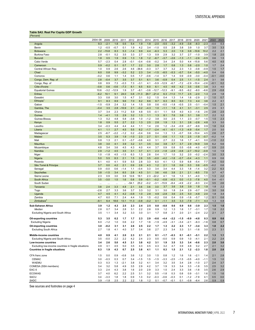## <span id="page-8-0"></span>**Table SA3. Real Per Capita GDP Growth**

| (Percent) |  |  |
|-----------|--|--|

|                                                               | 2004-08       | 2009             | 2010       | 2011          | 2012          | 2013          | 2014          | 2015              | 2016             | 2017          | 2018          | 2019          | 2020              | 2021          | 2022          | 2023          |
|---------------------------------------------------------------|---------------|------------------|------------|---------------|---------------|---------------|---------------|-------------------|------------------|---------------|---------------|---------------|-------------------|---------------|---------------|---------------|
| Angola                                                        | 9.3           | $-2.1$           | 1.8        | 0.5           | 5.4           | 1.9           | 1.8           | $-2.0$            | $-5.5$           | $-3.2$        | $-4.9$        | $-3.6$        | $-8.3$            | $-2.3$        | $-0.0$        | 0.3           |
| Benin                                                         | 1.2           | $-0.5$           | $-0.7$     | 0.1           | 1.9           | 4.2           | 3.4           | $-1.0$            | 0.5              | 2.8           | 3.8           | 3.9           | 1.0               | 3.7           | 3.0           | 3.3           |
| <b>Botswana</b>                                               | 2.2           | $-15.8$          | 8.3        | 5.3           | $-1.4$        | 9.9           | 4.4           | $-6.3$            | 5.3              | 2.0           | 1.9           | 0.8           | $-10.6$           | 10.2          | 2.2           | 2.1           |
| <b>Burkina Faso</b>                                           | 2.8           | $-0.1$           | 5.2        | 3.5           | 3.3           | 2.7           | 1.3           | 0.9               | 2.9              | 3.2           | 3.7           | 2.7           | $-1.0$            | 3.9           | 1.8           | 2.0           |
| <b>Burundi</b>                                                | 1.8           | 0.5              | 1.9        | 0.9           | 1.3           | 1.8           | 1.2           | $-6.7$            | $-3.7$           | $-2.6$        | $-1.3$        | $-1.1$        | $-2.6$            | $-0.5$        | 0.6           | 1.5           |
| Cabo Verde<br>Cameroon                                        | 5.7<br>0.9    | $-2.3$<br>$-0.2$ | 0.4<br>0.1 | 2.8<br>0.7    | $-0.1$<br>1.7 | $-0.4$<br>2.2 | $-0.6$<br>3.0 | $-0.2$<br>2.8     | 3.4<br>1.7       | 2.4<br>0.8    | 5.0<br>1.3    | 4.4<br>0.8    | $-15.8$<br>$-2.0$ | 5.6<br>1.0    | 4.0<br>1.7    | 4.5<br>2.4    |
| Central African Rep.                                          | 1.0           | 0.9              | 2.6        | 2.6           | 4.6           | $-36.6$       | $-0.3$        | 3.7               | 3.7              | 3.2           | 2.3           | 1.3           | $-0.8$            | $-0.9$        | 1.5           | 1.7           |
| Chad                                                          | 6.0           | 0.8              | 9.9        | $-3.2$        | 5.2           | 2.3           | 3.4           | $-1.5$            | $-8.5$           | $-5.3$        | $-0.7$        | 0.4           | $-5.0$            | $-4.0$        | 0.4           | 0.6           |
| Comoros                                                       | $-0.2$        | 0.6              | 1.1        | 1.4           | 0.5           | 1.7           | $-0.6$        | $-1.4$            | 0.7              | 1.4           | 0.9           | $-0.9$        | $-3.0$            | $-0.4$        | $-0.1$        | $-0.0$        |
| Congo, Dem. Rep. of                                           | 2.8           | $-0.4$           | 3.7        | 3.5           | 3.7           | 5.1           | 6.1           | 3.6               | $-0.9$           | 0.4           | 2.5           | 1.1           | $-1.5$            | 2.4           | 3.1           | 3.6           |
| Congo, Rep. of                                                | 0.8           | 8.9              | 7.3        | $-0.3$        | 7.3           | $-3.1$        | 4.1           | $-5.9$            | $-12.9$          | $-6.7$        | $-7.2$        | $-2.9$        | $-10.4$           | $-2.6$        | $-0.1$        | 0.2           |
| Côte d'Ivoire                                                 | $-0.8$        | 0.6              | $-0.6$     | $-7.3$        | 8.1           | 6.5           | 6.0           | 6.1               | 4.5              | 4.6           | 4.2           | 3.5           | $-0.6$            | 3.8           | 3.3           | 4.0           |
| <b>Equatorial Guinea</b>                                      | 10.6          | $-3.2$           | $-12.9$    | 1.9           | 3.7           | $-8.1$        | $-3.6$        | $-12.7$           | $-12.3$          | $-9.1$        | $-9.5$        | $-9.2$        | $-8.0$            | -6.6          | 2.9           | $-5.8$        |
| Eritrea                                                       | $-6.2$        | 10.1             | 9.1        | 24.0          | 0.8           | $-11.3$       | 29.7          | $-21.4$           | 6.3              | $-11.0$       | 11.7          | 2.5           | $-2.0$            | 1.3           | 2.9           | 1.8           |
| Eswatini                                                      | 3.3           | 0.8              | 3.0        | 1.5           | 4.7           | 3.1           | 0.2           | 1.5               | 0.4              | 1.3           | 1.4           | 1.6           | $-2.9$            | 2.1           | 1.0           | 0.7           |
| <b>Ethiopia</b><br>Gabon                                      | 9.1<br>$-1.5$ | 8.3<br>$-5.9$    | 8.9<br>2.4 | 9.6<br>3.2    | 7.0<br>1.4    | 8.2<br>1.5    | 8.6<br>0.8    | 8.7<br>0.6        | 6.3<br>$-0.5$    | 8.5<br>$-1.8$ | 6.0<br>$-0.5$ | 7.3<br>2.5    | 4.4<br>$-3.1$     | 3.6<br>$-0.4$ | 2.2<br>1.5    | 4.1<br>2.1    |
| Gambia, The                                                   | $-0.4$        | 3.5              | 2.8        | $-10.9$       | 2.1           | $-0.2$        | $-4.3$        | 1.0               | $-1.1$           | 1.8           | 4.1           | 3.1           | $-3.1$            | 2.5           | 2.5           | 3.1           |
| Ghana                                                         | 3.7           | 3.4              | 2.3        | 11.2          | 5.9           | 4.8           | 0.5           | $-0.1$            | 1.1              | 5.8           | 4.0           | 4.3           | $-1.6$            | 2.6           | 2.6           | 2.5           |
| Guinea                                                        | 1.4           | $-4.1$           | 1.5        | 2.9           | 3.2           | 1.3           | 1.1           | 1.3               | 8.1              | 7.6           | 3.8           | 3.1           | 3.8               | 1.7           | 2.2           | 3.2           |
| Guinea-Bissau                                                 | 1.3           | 0.2              | 4.8        | 5.8           | $-3.8$        | 1.0           | $-1.2$        | 3.8               | 3.0              | 2.5           | 1.1           | 2.3           | $-0.7$            | 1.5           | 1.5           | 2.3           |
| Kenya                                                         | 1.8           | 0.9              | 5.5        | 2.7           | 2.2           | 1.3           | 2.5           | 2.8               | 1.9              | 1.3           | 3.1           | 2.6           | $-2.6$            | 4.8           | 3.3           | 3.0           |
| Lesotho                                                       | 3.4           | $-0.3$           | 4.4        | 4.4           | 4.4           | 1.1           | 1.4           | 2.6               | 1.2              | $-3.4$        | $-0.9$        | $-0.7$        | $-6.6$            | 0.9           | 1.8           | 0.4           |
| Liberia                                                       | 4.1           | 1.1              | 2.7        | 4.5           | 5.5           | 6.2           | $-1.7$        | $-2.4$            | $-4.1$           | $-0.1$        | $-1.3$        | $-4.9$        | $-5.4$            | 1.7           | 2.0           | 3.0           |
| Madagascar                                                    | 2.5           | $-6.7$           | $-2.2$     | $-1.2$        | 0.2           | $-0.4$        | 0.6           | 0.4               | 1.3              | 1.3           | $-0.7$        | 0.6           | $-10.4$           | 4.5           | 2.6           | 2.7           |
| Malawi                                                        | 3.5           | 5.3              | 3.9        | 1.9           | $-1.0$        | 2.3           | 2.7           | 0.1               | $-0.6$           | 1.1           | 1.5           | 2.5           | $-1.9$            | $-0.7$        | $-0.2$        | 1.4           |
| Mali<br><b>Mauritius</b>                                      | 0.8<br>3.8    | 1.3<br>3.0       | 2.1<br>4.1 | 0.1<br>3.9    | $-3.7$<br>3.2 | -0.6<br>3.1   | 4.0<br>3.5    | 3.1<br>3.4        | 2.7<br>3.8       | 2.2<br>3.7    | 1.6<br>3.7    | 1.7<br>2.9    | $-4.1$<br>$-14.9$ | 0.0<br>3.9    | $-1.0$<br>6.2 | 2.2<br>5.6    |
| Mozambique                                                    | 4.8           | 3.4              | 3.6        | 4.5           | 4.3           | 4.0           | 4.4           | 3.7               | 0.9              | 0.8           | 0.5           | $-0.6$        | $-4.0$            | $-0.7$        | 0.9           | 2.0           |
| Namibia                                                       | 2.9           | $-1.2$           | 4.5        | 3.5           | 3.1           | 3.7           | 4.1           | 2.3               | $-1.8$           | $-2.9$        | $-0.8$        | $-2.7$        | $-10.2$           | $-0.9$        | 1.0           | 1.9           |
| Niger                                                         | 1.0           | $-1.8$           | 4.5        | $-1.5$        | 6.3           | 1.3           | 2.6           | 0.4               | 1.7              | 1.0           | 3.2           | 2.0           | $-0.2$            | $-2.4$        | 3.0           | 3.3           |
| Nigeria                                                       | 5.0           | 5.5              | 8.3        | 2.1           | 1.5           | 2.6           | 3.5           | $-0.0$            | $-4.2$           | $-1.8$        | $-0.7$        | $-0.4$        | $-4.3$            | 1.1           | 0.9           | 0.6           |
| Rwanda                                                        | 6.1           | 4.0              | 4.1        | 5.9           | 5.5           | 2.8           | 3.3           | 6.0               | 4.1              | 1.3           | 5.9           | 6.8           | $-5.4$            | 7.7           | 4.0           | 5.0           |
| São Tomé & Príncipe                                           | 3.7           | 0.0              | 4.2        | 2.1           | 0.9           | 2.6           | 4.3           | 1.2               | 2.1              | 1.8           | 0.6           | 0.3           | 0.6               | $-0.5$        | $-0.2$        | 0.6           |
| Senegal                                                       | 0.9           | $-0.0$           | 0.6        | $-1.4$        | 1.1           | $-0.4$        | 3.3           | 3.4               | 3.4              | 4.4           | 3.3           | 1.8           | $-1.4$            | 3.2           | 2.2           | 6.3           |
| Seychelles                                                    | 3.8           | $-1.5$           | 3.4        | 8.5           | 2.8           | 4.5           | 3.1           | 3.6               | 4.6              | 3.8           | 2.1           | 2.1           | $-8.5$            | 7.0           | 3.7           | 4.7           |
| Sierra Leone<br>South Africa                                  | 2.3<br>3.5    | 0.9<br>$-3.0$    | 3.0<br>1.5 | 3.9<br>1.6    | 12.6<br>0.8   | 18.1<br>0.9   | 2.3<br>$-0.1$ | $-22.2$<br>$-0.2$ | 4.1<br>$-0.8$    | 1.6<br>$-0.3$ | 1.3<br>0.0    | 3.1<br>$-1.3$ | $-4.0$<br>$-7.8$  | 1.1<br>4.0    | 1.3<br>0.4    | 2.2<br>$-0.1$ |
| South Sudan                                                   | $\ddotsc$     | $\ddotsc$        | $\ddotsc$  | $\ddotsc$     | $-54.1$       | 25.2          | $-0.2$        | $-3.1$            | $-15.9$          | $-8.4$        | $-4.9$        | $-2.2$        | $-9.3$            | 2.4           | 3.5           | 2.6           |
| Tanzania                                                      | 3.8           | 2.4              | 3.3        | 4.8           | 2.1           | 3.6           | 3.6           | 3.0               | 3.7              | 3.6           | 3.8           | 3.9           | 1.8               | 1.9           | 1.8           | 2.2           |
| Togo                                                          | $-2.6$        | 2.7              | 3.3        | 3.6           | 3.7           | 3.3           | 3.2           | 3.1               | 3.0              | 1.8           | 2.4           | 2.9           | $-0.7$            | 2.6           | 3.0           | 3.6           |
| Uganda                                                        | 4.7           | 4.5              | 4.1        | 4.2           | $-0.8$        | 1.0           | 2.8           | 4.9               | $-2.8$           | 3.6           | 2.5           | 5.0           | $-4.8$            | 2.0           | 1.8           | 3.4           |
| Zambia                                                        | 4.7           | 6.0              | 7.1        | 2.4           | 4.4           | 1.9           | 1.5           | $-0.2$            | 0.6              | 0.4           | 0.9           | $-1.6$        | $-5.7$            | 1.2           | 0.1           | 0.6           |
| Zimbabwe <sup>2</sup>                                         | $-8.1$        | 6.4              | 18.6       | 13.1          | 11.3          | $-0.8$        | $-0.2$        | 0.1               | $-1.1$           | 3.5           | 3.3           | $-7.8$        | $-7.1$            | 4.3           | 1.3           | 0.8           |
| <b>Sub-Saharan Africa</b>                                     | 3.9           | 1.2              | 4.3        | 2.5           | 2.3           | 2.4           | 2.5           | 0.8               | -0.8             | 0.6           | 0.9           | 0.8           | -3.9              | 2.3           | 1.5           | 1.6           |
| Median                                                        | 2.8           | 0.7              | 3.4        | 2.8           | 3.1           | 2.2           | 2.6           | 0.9               | 1.2              | 1.3           | 1.6           | 1.7           | $-3.1$            | 1.7           | 1.8           | 2.2           |
| Excluding Nigeria and South Africa                            | 3.5           | 1.1              | 3.4        | 3.2           | 3.3           | 3.0           | 3.1           | 1.7               | 0.8              | 2.1           | 2.0           | 2.1           | $-2.4$            | 2.2           | 2.1           | 2.7           |
| Oil-exporting countries                                       | 5.3           | 3.5              | 6.2        | 1.7           | 1.7           | 2.3           | 2.9           | -0.6              | -4.4             | $-2.2$        | -1.5          | -0.9          | -4.8              | 0.3           | 0.9           | 0.6           |
| <b>Excluding Nigeria</b>                                      | 6.0           | $-1.2$           | 1.0        | 0.6           | 2.2           | 1.7           | 1.6           | $-1.9$            | $-4.9$           | $-3.1$        | $-3.4$        | $-2.1$        | $-6.3$            | $-1.6$        | 0.8           | 0.7           |
| Oil-importing countries                                       | 3.0           | $-0.2$           | 3.1        | 3.1           | 2.6           | 2.5           | 2.2           | 1.7               | 1.3              | 2.2           | 2.3           | 1.7           | $-3.4$            | 3.3           | 1.8           | 2.2           |
| <b>Excluding South Africa</b>                                 | 2.7           | 1.8              | 4.1        | 4.0           | 3.7           | 3.4           | 3.6           | 2.7               | 2.3              | 3.4           | 3.3           | 3.1           | $-1.6$            | 3.0           | 2.3           | 3.1           |
|                                                               |               |                  |            |               |               |               |               |                   |                  |               |               |               |                   |               |               |               |
| Middle-income countries<br>Excluding Nigeria and South Africa | 4.0<br>3.5    | 0.9<br>$-0.0$    | 4.1<br>2.2 | 2.0<br>2.2    | 2.3<br>4.2    | 2.1<br>2.4    | 2.1<br>2.3    | 0.1<br>0.5        | $-1.7$<br>$-0.0$ | $-0.3$<br>0.9 | 0.1<br>0.9    | -0.1<br>1.0   | $-5.1$<br>$-4.1$  | 2.2<br>2.1    | 1.3<br>2.2    | 1.1<br>2.4    |
| Low-income countries                                          | 3.4           | 2.6              | 5.0        | 4.5           | 2.1           | 3.8           | 4.2           | 3.1               | 1.9              | 3.5           | 3.3           | 3.4           | $-0.6$            | 2.3           | 2.0           | 3.0           |
| Excluding low-income countries in fragile situations          | 4.9           | 3.1              | 4.5        | 5.0           | 3.5           | 4.3           | 4.5           | 4.3               | 3.2              | 4.7           | 3.9           | 4.8           | 0.2               | 2.7           | 2.1           | 3.2           |
| <b>Countries in fragile situations</b>                        | 0.3           | 1.9              | 4.3        | 0.7           | 2.5           | 3.8           | 4.1           | 1.1               | 0.3              | 1.5           | 2.1           | 1.2           | $-2.3$            | 1.8           | 2.0           | 2.8           |
|                                                               |               |                  |            |               |               |               |               |                   |                  |               |               |               |                   |               |               |               |
| CFA franc zone                                                | 1.5           | 0.0              | 0.9        | $-0.8$        | 3.6           | 1.2           | 3.0           | 1.5               | 0.8              | 1.2           | 1.6           | 1.6           | $-2.1$            | 1.4           | 2.1           | 2.8           |
| <b>CEMAC</b><br><b>WAEMU</b>                                  | 3.0           | $-0.3$<br>0.3    | 0.3        | 0.7<br>$-2.1$ | 3.4           | $-1.5$<br>3.2 | 1.5           | $-1.5$<br>3.4     | $-3.3$<br>3.2    | $-2.5$        | $-1.5$        | $-0.5$<br>2.8 | $-4.0$            | $-1.1$<br>2.7 | 1.5<br>2.4    | 1.0           |
| COMESA (SSA members)                                          | 0.3<br>3.4    | 3.2              | 1.3<br>5.8 | 4.9           | 3.8<br>3.5    | 2.9           | 4.1<br>4.2    | 3.7               | 1.9              | 3.5<br>3.3    | 3.4<br>3.4    | 3.3           | $-1.0$<br>$-1.8$  | 3.5           | 2.5           | 3.7<br>3.2    |
| EAC-5                                                         | 3.3           | 2.4              | 4.3        | 3.8           | 1.6           | 2.0           | 2.9           | 3.3               | 1.5              | 2.4           | 3.3           | 3.6           | $-1.8$            | 3.5           | 2.6           | 2.9           |
| <b>ECOWAS</b>                                                 | 3.7           | 4.0              | 6.2        | 2.2           | 2.5           | 3.1           | 3.2           | 0.5               | $-1.8$           | 0.3           | 0.8           | 0.9           | $-3.1$            | 1.6           | 1.5           | 1.6           |
| SACU                                                          | 3.4           | $-3.3$           | 1.8        | 1.8           | 0.9           | 1.3           | 0.2           | $-0.3$            | $-0.6$           | $-0.3$        | 0.1           | $-1.2$        | $-7.9$            | 4.1           | 0.5           | 0.0           |
| SADC                                                          | 3.9           | $-1.8$           | 2.5        | 2.2           | 2.2           | 1.8           | 1.2           | 0.1               | $-0.7$           | $-0.1$        | 0.1           | $-0.8$        | $-6.4$            | 2.6           | 0.9           | 0.9           |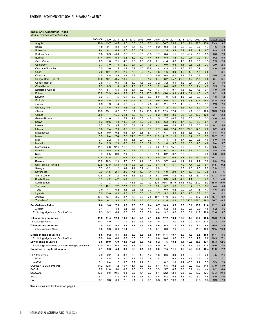## <span id="page-9-0"></span>**Table SA4. Consumer Prices**

|  |  | (Annual average, percent change) |  |  |  |  |
|--|--|----------------------------------|--|--|--|--|

|                                                      | 2004-08      | 2009           | 2010        | 2011        | 2012        | 2013       | 2014          | 2015           | 2016           | 2017        | 2018          | 2019             | 2020          | 2021         | 2022         | 2023        |
|------------------------------------------------------|--------------|----------------|-------------|-------------|-------------|------------|---------------|----------------|----------------|-------------|---------------|------------------|---------------|--------------|--------------|-------------|
| Angola                                               | 20.9         | 13.7           | 14.5        | 13.5        | 10.3        | 8.8        | 7.3           | 9.2            | 30.7           | 29.8        | 19.6          | 17.1             | 22.3          | 25.8         | 23.9         | 13.2        |
| Benin                                                | 4.0          | 0.4            | 2.2         | 2.7         | 6.7         | 1.0        | $-1.1$        | 0.2            | $-0.8$         | 1.8         | 0.8           | $-0.9$           | 3.0           | 1.7          | 4.6          | 1.8         |
| <b>Botswana</b>                                      | 9.4          | 8.1            | 6.9         | 8.5         | 7.5         | 5.9        | 4.4           | 3.1            | 2.8            | 3.3         | 3.2           | 2.7              | 1.9           | 6.7          | 8.9          | 4.5         |
| <b>Burkina Faso</b>                                  | 3.8          | 0.9            | $-0.6$      | 2.8         | 3.8<br>18.2 | 0.5<br>7.9 | $-0.3$        | 1.7            | 0.4            | 1.5         | 2.0<br>$-4.0$ | $-3.2$<br>$-0.7$ | 1.9           | 3.9          | 6.0<br>9.2   | 2.0         |
| Burundi<br>Cabo Verde                                | 11.4<br>2.9  | 10.6<br>1.0    | 6.5<br>2.1  | 9.6<br>4.5  | 2.5         | 1.5        | 4.4<br>$-0.2$ | 5.6<br>0.1     | 5.5<br>$-1.4$  | 1.6<br>0.8  | 1.3           | 1.1              | 7.3<br>0.6    | 8.3<br>1.9   | 2.3          | 6.5<br>2.0  |
| Cameroon                                             | 2.7          | 3.0            | 1.3         | 2.9         | 2.4         | 2.1        | 1.9           | 2.7            | 0.9            | 0.6         | 1.1           | 2.5              | 2.5           | 2.3          | 2.9          | 2.3         |
| Central African Rep.                                 | 3.5          | 3.6            | 1.5         | 1.2         | 5.9         | 4.0        | 17.8          | 1.4            | 4.9            | 4.2         | 1.6           | 2.8              | 0.9           | 4.3          | 4.0          | 3.6         |
| Chad                                                 | 2.0          | 10.1           | $-2.1$      | 2.0         | 7.5         | 0.2        | 1.7           | 4.8            | $-1.6$         | $-0.9$      | 4.0           | $-1.0$           | 4.5           | $-0.8$       | 4.1          | 3.1         |
| Comoros                                              | 4.0          | 4.8            | 3.9         | 2.2         | 5.9         | 0.4        | $-0.0$        | 0.9            | 0.8            | 0.1         | 1.7           | 3.7              | 0.8           | 1.5          | 5.0          | 1.5         |
| Congo, Dem. Rep. of                                  | 14.6         | 46.1           | 23.5        | 14.9        | 0.9         | 0.9        | 1.2           | 0.7            | 3.2            | 35.7        | 29.3          | 4.7              | 11.4          | 9.0          | 6.4          | 6.1         |
| Congo, Rep. of                                       | 3.9          | 4.3            | 0.4         | 1.8         | 5.0         | 4.6        | 0.9           | 3.2            | 3.2            | 0.4         | 1.2           | 0.4              | 1.4           | 2.0          | 2.7          | 3.0         |
| Côte d'Ivoire                                        | 2.3          | 0.5            | 1.8         | 4.9         | 1.3         | 2.6        | 0.5           | 1.2            | 0.6            | 0.6         | 0.6           | 0.8              | 2.4           | 4.2          | 5.5          | 2.3         |
| <b>Equatorial Guinea</b>                             | 4.4          | 5.7            | 5.3         | 4.8         | 3.4         | 3.2        | 4.3           | 1.7            | 1.4            | 0.7         | 1.3           | 1.2              | 4.8           | $-0.1$       | 4.0          | 3.9         |
| Eritrea<br>Eswatini                                  | 16.9<br>6.9  | 33.9<br>7.4    | 10.3<br>4.5 | 5.9<br>6.1  | 4.8<br>8.9  | 5.9<br>5.6 | 10.0<br>5.7   | 28.5<br>5.0    | $-5.6$<br>7.8  | 13.3<br>6.2 | 14.4<br>4.8   | $-16.4$<br>2.6   | 4.8<br>3.9    | 4.5<br>3.7   | 6.2<br>4.8   | 3.5<br>4.2  |
| Ethiopia                                             | 18.0         | 8.5            | 8.1         | 33.2        | 24.1        | 8.1        | 7.4           | 9.6            | 6.6            | 10.7        | 13.8          | 15.8             | 20.4          | 26.8         | 34.5         | 30.5        |
| Gabon                                                | 0.9          | 1.9            | 1.4         | 1.3         | 2.7         | 0.5        | 4.5           | $-0.1$         | 2.1            | 2.7         | 4.8           | 2.0              | 1.3           | 1.1          | 2.9          | 2.6         |
| Gambia, The                                          | 6.2          | 4.6            | 5.0         | 4.8         | 4.6         | 5.2        | 6.3           | 6.8            | 7.2            | 8.0         | 6.5           | 7.1              | 5.9           | 7.4          | 8.0          | 8.0         |
| Ghana                                                | 13.3         | 13.1           | 6.7         | 7.7         | 7.1         | 11.7       | 15.5          | 17.2           | 17.5           | 12.4        | 9.8           | 7.1              | 9.9           | 10.0         | 16.3         | 13.0        |
| Guinea                                               | 25.0         | 4.7            | 15.5        | 21.4        | 15.2        | 11.9       | 9.7           | 8.2            | 8.2            | 8.9         | 9.8           | 9.5              | 10.6          | 12.6         | 12.7         | 12.3        |
| Guinea-Bissau                                        | 4.2          | $-1.6$         | 1.1         | 5.1         | 2.1         | 0.8        | $-1.0$        | 1.5            | 2.7            | $-0.2$      | 0.4           | 0.3              | 1.5           | 3.3          | 4.0          | 3.0         |
| Kenya                                                | 8.3          | 10.6           | 4.3         | 14.0        | 9.4         | 5.7        | 6.9           | 6.6            | 6.3            | 8.0         | 4.7           | 5.2              | 5.3           | 6.1          | 7.2          | 7.1         |
| Lesotho                                              | 6.7          | 7.4            | 3.5         | 5.0<br>8.5  | 6.1         | 4.9<br>7.6 | 5.4<br>9.9    | 3.2            | 6.6            | 4.4<br>12.4 | 4.8           | 5.2<br>27.0      | 5.0           | 6.0          | 6.1<br>8.2   | 5.6         |
| Liberia<br>Madagascar                                | 9.8<br>12.5  | 7.4<br>9.0     | 7.3<br>9.2  | 9.5         | 6.8<br>5.7  | 5.8        | 6.1           | 7.7<br>7.4     | 8.8<br>6.1     | 8.6         | 23.5<br>8.6   | 5.6              | 17.0<br>4.2   | 7.8<br>5.8   | 8.8          | 6.9<br>6.8  |
| Malawi                                               | 8.3          | 8.4            | 7.4         | 7.6         | 21.3        | 28.3       | 23.8          | 21.9           | 21.7           | 11.5        | 9.2           | 9.4              | 8.6           | 9.3          | 10.7         | 7.1         |
| Mali                                                 | 3.1          | 2.2            | 1.3         | 3.1         | 5.3         | $-2.4$     | 2.7           | 1.4            | $-1.8$         | 1.8         | 1.7           | $-2.9$           | 0.5           | 4.0          | 8.0          | 3.0         |
| <b>Mauritius</b>                                     | 7.4          | 2.5            | 2.9         | 6.5         | 3.9         | 3.5        | 3.2           | 1.3            | 1.0            | 3.7         | 3.2           | 0.5              | 2.5           | 4.0          | 8.4          | 5.7         |
| Mozambique                                           | 11.4         | 3.8            | 12.4        | 11.2        | 2.6         | 4.3        | 2.6           | 3.6            | 17.4           | 15.1        | 3.9           | 2.8              | 3.1           | 5.7          | 8.5          | 7.7         |
| Namibia                                              | 5.4          | 9.5            | 4.9         | 5.0         | 6.7         | 5.6        | 5.3           | 3.4            | 6.7            | 6.1         | 4.3           | 3.7              | 2.2           | 3.6          | 5.5          | 4.6         |
| Niger                                                | 3.9          | 0.5            | 0.9         | 2.9         | 0.5         | 2.3        | $-0.9$        | 1.0            | 0.2            | 0.2         | 2.8           | $-2.5$           | 2.9           | 3.8          | 5.0          | 3.0         |
| Nigeria                                              | 11.6         | 12.5           | 13.7        | 10.8        | 12.2        | 8.5        | 8.0           | 9.0            | 15.7           | 16.5        | 12.1          | 11.4             | 13.2          | 17.0         | 16.1         | 13.1        |
| Rwanda                                               | 10.9         | 10.3           | 2.3         | 5.7         | 6.3         | 4.2        | 1.8           | 2.5            | 5.7            | 4.8         | 1.4           | 2.4              | 7.7           | 0.8          | 8.0          | 7.0         |
| São Tomé & Príncipe<br>Senegal                       | 20.8<br>3.3  | 17.0<br>$-2.2$ | 13.3<br>1.2 | 14.3<br>3.4 | 10.6<br>1.4 | 8.1<br>0.7 | 7.0<br>$-1.1$ | 6.1<br>0.9     | 5.4<br>1.2     | 5.7<br>1.1  | 7.9<br>0.5    | 7.7<br>1.0       | 9.8<br>2.5    | 8.1<br>2.2   | 14.5<br>3.0  | 9.2<br>2.2  |
| Seychelles                                           | 9.0          | 31.8           | $-2.4$      | 2.6         | 7.1         | 4.3        | 1.4           | 4.0            | $-1.0$         | 2.9         | 3.7           | 1.8              | 1.2           | 9.8          | 5.6          | 1.6         |
| Sierra Leone                                         | 12.5         | 7.5            | 7.2         | 6.8         | 6.6         | 5.5        | 4.6           | 6.7            | 10.9           | 18.2        | 16.0          | 14.8             | 13.4          | 11.9         | 17.3         | 14.5        |
| South Africa                                         | 5.5          | 7.2            | 4.2         | 5.0         | 5.6         | 5.7        | 6.1           | 4.6            | 6.3            | 5.3         | 4.6           | 4.1              | 3.3           | 4.5          | 5.7          | 4.6         |
| South Sudan                                          | $\ddotsc$    | $\ddotsc$      | $\ddotsc$   | Ω.          | 45.1        | $-0.0$     | 1.7           | 52.8           | 379.8          | 187.9       | 83.5          | 51.2             | 24.0          | 5.3          | 16.0         | 15.0        |
| Tanzania                                             | 6.6          | 12.1           | 7.2         | 12.7        | 16.0        | 7.9        | 6.1           | 5.6            | 5.2            | 5.3         | 3.5           | 3.4              | 3.3           | 3.7          | 4.4          | 5.4         |
| Togo                                                 | 3.0          | 4.1            | 0.2         | 3.6         | 2.6         | 1.8        | 0.2           | 1.8            | 0.9            | $-0.2$      | 0.9           | 0.7              | 1.8           | 4.3          | 4.6          | 2.0         |
| Uganda                                               | 7.5          | 13.0           | 4.0         | 18.7        | 14.0        | 5.5        | 4.3           | 3.7            | 5.2            | 5.6         | 2.6           | 2.3              | 2.8           | 2.2          | 6.1          | 4.1         |
| Zambia<br>Zimbabwe <sup>4</sup>                      | 13.7<br>39.9 | 13.4<br>6.2    | 8.5<br>3.0  | 8.7<br>3.5  | 6.6<br>3.7  | 7.0<br>1.6 | 7.8<br>$-0.2$ | 10.1<br>$-2.4$ | 17.9<br>$-1.6$ | 6.6<br>0.9  | 7.0<br>10.6   | 9.2<br>255.3     | 15.7<br>557.2 | 20.5<br>98.5 | 15.7<br>86.7 | 9.2<br>46.5 |
|                                                      |              |                |             |             |             |            |               |                |                |             |               |                  |               |              |              |             |
| Sub-Saharan Africa<br>Median                         | 8.8          | 9.6<br>7.4     | 7.8<br>4.3  | 9.3<br>5.4  | 9.0         | 6.5        | 6.4           | 6.7<br>3.6     | 10.3<br>5.2    | 10.6<br>4.4 | 8.3           | 8.1<br>2.8       | 10.2<br>3.9   | 11.0         | 12.2<br>6.2  | 9.6         |
| <b>Excluding Nigeria and South Africa</b>            | 7.1<br>9.3   | 9.2            | 6.4         | 10.6        | 6.1<br>8.8  | 4.6<br>5.8 | 4.4<br>5.6    | 6.4            | 9.2            | 10.0        | 3.9<br>8.0    | 8.1              | 11.2          | 4.5<br>10.6  | 12.6         | 4.6<br>9.7  |
|                                                      |              |                |             |             |             |            |               |                |                |             |               |                  |               |              |              |             |
| <b>Oil-exporting countries</b>                       | 11.2         | 11.4           | 12.0        | 10.0        | 11.0        | 7.5        | 7.1           | 8.6            | 17.2           | 16.9        | 12.2          | 11.0             | 13.0          | 15.8         | 15.3         | 11.6        |
| <b>Excluding Nigeria</b>                             | 10.3         | 8.9            | 7.7         | 7.9         | 8.2         | 5.3        | 4.9           | 7.5            | 21.1           | 18.0        | 12.3          | 10.2             | 12.4          | 12.8         | 13.2         | 8.0         |
| Oil-importing countries                              | 7.5          | 8.4            | 5.3         | 8.9         | 7.7         | 5.9        | 5.9           | 5.6            | 6.3            | 7.1         | 6.2           | 6.5              | 8.7           | 8.5          | 10.5         | 8.5         |
| <b>Excluding South Africa</b>                        | 9.0          | 9.3            | 6.0         | 11.4        | 9.0         | 6.0        | 5.8           | 6.1            | 6.3            | 7.9         | 6.9           | 7.6              | 11.0          | 10.2         | 12.5         | 10.0        |
| Middle-income countries                              | 8.5          | 9.2            | 8.1         | 8.1         | 8.2         | 6.8        | 6.8           | 6.9            | 11.1           | 10.7        | 8.0           | 7.3              | 8.5           | 10.5         | 11.1         | 8.5         |
| Excluding Nigeria and South Africa                   | 8.9          | 8.0            | 6.0         | 8.2         | 6.5         | 6.0        | 6.1           | 6.6            | 10.6           | 9.6         | 6.8           | 6.0              | 7.9           | 9.0          | 10.3         | 7.1         |
| Low-income countries                                 | 9.8          | 10.9           | 6.9         | 13.9        | 12.1        | 5.6        | 4.9           | 6.2            | 7.5            | 10.4        | 9.4           | 10.6             | 15.0          | 12.4         | 15.3         | 12.6        |
| Excluding low-income countries in fragile situations | 10.0         | 9.2            | 6.3         | 16.8        | 13.8        | 6.2        | 5.0           | 6.0            | 6.1            | 7.7         | 7.3           | 7.1              | 9.5           | 11.8         | 16.0         | 14.0        |
| <b>Countries in fragile situations</b>               | 7.1          | 9.6            | 5.8         | 6.8         | 6.8         | 4.1        | 3.3           | 5.0            | 7.5            | 11.1        | 9.8           | 12.6             | 19.0          | 10.4         | 11.0         | 7.2         |
| CFA franc zone                                       | 2.9          | 2.2            | 1.3         | 3.3         | 3.2         | 1.6        | 1.2           | 1.6            | 0.6            | 0.9         | 1.4           | 0.2              | 2.4           | 2.8          | 4.5          | 2.4         |
| <b>CEMAC</b>                                         | 2.8          | 4.5            | 1.5         | 2.7         | 3.7         | 2.3        | 2.8           | 2.4            | 1.1            | 0.8         | 2.1           | 1.6              | 2.7           | 1.5          | 3.2          | 2.7         |
| <b>WAEMU</b>                                         | 3.1          | 0.4            | 1.2         | 3.7         | 2.7         | 1.2        | 0.1           | 1.1            | 0.2            | 1.0         | 1.1           | $-0.6$           | 2.2           | 3.5          | 5.3          | 2.3         |
| COMESA (SSA members)                                 | 11.2         | 12.8           | 7.2         | 15.7        | 11.4        | 6.3        | 6.0           | 6.4            | 6.5            | 10.2        | 9.4           | 12.2             | 17.3          | 14.6         | 17.0         | 13.9        |
| EAC-5                                                | 7.8          | 11.6           | 5.0         | 14.3        | 12.5        | 6.3        | 5.8           | 5.5            | 5.7            | 6.5         | 3.6           | 3.9              | 4.4           | 4.4          | 6.2          | 6.0         |
| <b>ECOWAS</b>                                        | 10.0         | 9.8            | 10.5        | 9.3         | 9.8         | 7.4        | 7.3           | 8.1            | 12.2           | 12.4        | 9.3           | 8.2              | 10.2          | 12.7         | 13.3         | 10.3        |
| SACU<br>SADC                                         | 5.7<br>8.1   | 7.3            | 4.3         | 5.1         | 5.8<br>7.1  | 5.7        | 6.0<br>6.1    | 4.5            | 6.2<br>9.7     | 5.2         | 4.5           | 4.0              | 3.2           | 4.6<br>9.5   | 5.9          | 4.6         |
|                                                      |              | 9.8            | 6.9         | 7.5         |             | 6.4        |               | 5.3            |                | 10.3        | 8.1           | 8.6              | 10.8          |              | 9.9          | 7.0         |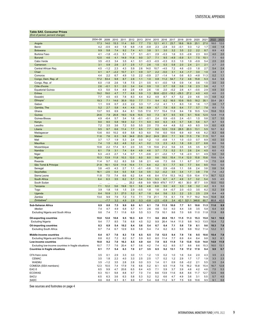## <span id="page-10-0"></span>**Table SA5. Consumer Prices**

| (End of period, percent change,                      |             |               |            |             |             |            |               |                |               |               |               |               |               |              |              |             |
|------------------------------------------------------|-------------|---------------|------------|-------------|-------------|------------|---------------|----------------|---------------|---------------|---------------|---------------|---------------|--------------|--------------|-------------|
|                                                      | 2004-08     | 2009          | 2010       | 2011        | 2012        | 2013       | 2014          | 2015           | 2016          | 2017          | 2018          | 2019          | 2020          | 2021         | 2022         | 2023        |
| Angola                                               | 17.3        | 14.0          | 15.3       | 11.4        | 9.0         | 7.7        | 7.5           | 12.1           | 41.1          | 23.7          | 18.6          | 16.9          | 25.1          | 27.0         | 18.0         | 12.0        |
| Benin                                                | 4.2         | $-0.5$        | 4.0        | 1.8         | 6.8         | $-1.8$     | $-0.8$        | 2.3            | $-2.8$        | 3.0           | $-0.1$        | 0.3           | 1.2           | 1.7          | 4.6          | 1.8         |
| <b>Botswana</b>                                      | 9.9         | 5.8           | 7.4        | 9.2         | 7.4         | 4.1        | 3.8           | 3.1            | 3.0           | 3.2           | 3.5           | 2.2           | 2.2           | 8.7          | 8.9          | 4.5         |
| Burkina Faso                                         | 4.1<br>12.5 | $-1.8$        | -0.3       | 5.1         | 1.7         | 0.1        | $-0.1$<br>3.7 | 2.9            | $-0.3$        | 1.6           | 0.3<br>$-5.9$ | $-2.6$        | 2.3           | 8.0          | 4.0          | 2.0         |
| <b>Burundi</b><br>Cabo Verde                         | 3.5         | 4.6<br>$-0.3$ | 4.1<br>3.4 | 14.9<br>3.5 | 11.8<br>4.1 | 9.0<br>0.1 | $-0.3$        | 7.1<br>$-0.5$  | 9.5<br>$-0.3$ | $-4.9$<br>0.3 | 1.0           | 5.1<br>1.9    | 7.5<br>$-0.9$ | 10.1<br>5.4  | 7.1<br>2.5   | 6.0<br>2.0  |
| Cameroon                                             | 3.1         | 0.9           | 2.6        | 2.7         | 2.5         | 1.7        | 2.6           | 1.5            | 0.3           | 0.8           | 2.0           | 2.4           | 2.1           | 2.1          | 2.7          | 2.0         |
| Central African Rep.                                 | 4.5         | $-1.2$        | 2.3        | 4.3         | 5.9         | 2.6        | 14.0          | 10.7           | $-4.5$        | 7.2           | 4.6           | $-2.0$        | 1.8           | 2.7          | 5.4          | 2.4         |
| Chad                                                 | 4.1         | 4.7           | $-2.2$     | 10.7        | 2.1         | 0.9        | 3.7           | 2.2            | $-5.0$        | 3.1           | 4.4           | $-1.7$        | 3.0           | 1.0          | 3.8          | 3.1         |
| Comoros                                              | 4.4         | 2.2           | 6.7        | 4.9         | 1.0         | 2.2        | -0.9          | 2.7            | $-1.4$        | 1.4           | 0.6           | 6.3           | -4.8          | 11.3         | 0.2          | 1.1         |
| Congo, Dem. Rep. of                                  | 17.2        | 53.4          | 9.8        | 8.7         | 2.8         | 1.1        | 1.0           | 0.8            | 11.2          | 54.7          | 7.2           | 4.6           | 15.8          | 5.3          | 6.4          | 5.8         |
| Congo, Rep. of                                       | 6.0         | $-1.8$        | 2.6        | 1.8         | 7.5         | 2.1        | 0.5           | 4.1            | $-0.0$        | 1.8           | 0.9           | 1.4           | 0.6           | 1.5          | 3.0          | 3.0         |
| Côte d'Ivoire                                        | 2.6         | $-0.1$        | 5.1        | 2.0         | 3.4         | 0.4        | 0.9           | 1.0            | 0.7           | 0.8           | 0.6           | 1.6           | 2.3           | 5.6          | 4.2          | 1.7         |
| <b>Equatorial Guinea</b>                             | 4.3         | 5.0           | 5.4        | 4.9         | 2.6         | 4.9        | 2.6           | 1.6            | 2.0           | $-0.2$        | 2.6           | 4.1           | $-0.5$        | 2.9          | 4.9          | 3.0         |
| Eritrea                                              | 19.2        | 19.0          | 4.7        | 7.7         | 6.6         | 9.9        | 1.3           | 50.8           | $-22.0$       | 18.2          | $-29.3$       | 27.2          | 4.0           | 4.0          | 4.0          | 2.0         |
| Eswatini                                             | 7.7         | 4.5           | 4.5        | 7.8         | 8.3         | 4.4        | 6.2           | 4.9            | 8.7           | 4.7           | 5.2           | 2.0           | 4.6           | 3.5          | 4.8          | 4.2         |
| Ethiopia                                             | 19.3        | 7.1           | 14.6       | 35.9        | 15.0        | 7.7        | 7.1           | 9.4            | 6.2           | 16.5          | 10.6          | 19.5          | 18.2          | 35.1         | 33.4         | 28.1        |
| Gabon<br>Gambia, The                                 | 1.1<br>5.2  | 0.9<br>2.7    | 0.7<br>5.8 | 2.3<br>4.4  | 2.2<br>4.9  | 3.3<br>5.6 | 1.7<br>6.9    | $-1.2$<br>6.7  | 4.1<br>7.9    | 1.1<br>6.9    | 6.3<br>6.4    | 1.0<br>7.7    | 1.6<br>5.7    | 1.7<br>7.6   | 3.6<br>8.5   | 1.7<br>7.5  |
| Ghana                                                | 13.7        | 9.5           | 6.9        | 8.4         | 8.1         | 13.5       | 17.0          | 17.7           | 15.4          | 11.8          | 9.4           | 7.8           | 10.5          | 12.6         | 15.8         | 10.3        |
| Guinea                                               | 24.6        | 7.9           | 20.8       | 19.0        | 12.8        | 10.5       | 9.0           | 7.3            | 8.7           | 9.5           | 9.9           | 9.1           | 10.6          | 12.5         | 12.8         | 11.8        |
| Guinea-Bissau                                        | 4.9         | $-6.4$        | 5.7        | 3.4         | 1.6         | $-0.1$     | $-0.1$        | 2.4            | 0.9           | $-0.5$        | 2.4           | $-0.1$        | 1.5           | 5.8          | 0.7          | 3.0         |
| Kenya                                                | 9.0         | 8.0           | 5.8        | 18.9        | 3.2         | 7.1        | 6.0           | 8.0            | 6.3           | 4.5           | 5.7           | 5.8           | 5.6           | 5.7          | 8.7          | 5.5         |
| Lesotho                                              | 7.2         | 3.5           | 3.6        | 7.2         | 5.0         | 5.5        | 2.0           | 7.5            | 4.4           | 4.8           | 5.2           | 4.0           | 6.5           | 5.9          | 6.0          | 4.9         |
| Liberia                                              | 9.5         | 9.7           | 6.6        | 11.4        | 7.7         | 8.5        | 7.7           | 8.0            | 12.5          | 13.9          | 28.5          | 20.3          | 13.1          | 5.5          | 10.7         | 8.2         |
| Madagascar                                           | 13.6        | 8.0           | 10.2       | 6.9         | 5.8         | 6.3        | 6.0           | 7.6            | 6.0           | 10.6          | 6.9           | 4.0           | 4.6           | 6.2          | 8.3          | 6.6         |
| Malawi                                               | 11.6        | 7.6           | 6.3        | 9.8         | 34.6        | 23.5       | 24.2          | 24.9           | 20.0          | 7.1           | 9.9           | 11.5          | 7.6           | 11.5         | 10.7         | 6.6         |
| Mali                                                 | 3.7         | 1.7           | 1.9        | 5.3         | 2.4         | 0.0        | 1.2           | 1.0            | $-0.8$        | 1.1           | 1.0           | $-3.3$        | 0.7           | 8.9          | 4.0          | 3.0         |
| <b>Mauritius</b>                                     | 7.4         | 1.5           | 6.2        | 4.8         | 3.2         | 4.1        | 0.2           | 1.3            | 2.3           | 4.3           | 1.8           | 0.9           | 2.7           | 6.8          | 8.0          | 5.6         |
| Mozambique                                           | 10.8        | 2.2           | 17.4       | 6.1         | 2.0         | 3.5        | 1.9           | 10.6           | 21.2          | 5.6           | 3.5           | 3.5           | 3.5           | 6.7          | 9.0          | 7.0         |
| Namibia<br>Niger                                     | 6.1<br>5.3  | 7.9<br>$-4.3$ | 3.1<br>2.7 | 7.4<br>1.4  | 6.4<br>0.7  | 4.9<br>1.1 | 4.6<br>-0.6   | 3.7<br>2.1     | 7.3<br>$-2.2$ | 5.2<br>1.7    | 5.1<br>1.6    | 2.6<br>$-2.3$ | 2.4<br>3.1    | 4.5<br>4.9   | 6.0<br>5.0   | 4.5<br>3.0  |
| Nigeria                                              | 10.3        | 13.9          | 11.8       | 10.3        | 12.0        | 8.0        | 8.0           | 9.6            | 18.5          | 15.4          | 11.4          | 12.0          | 15.8          | 15.6         | 15.6         | 12.4        |
| Rwanda                                               | 11.4        | 5.7           | 0.2        | 8.3         | 3.9         | 3.6        | 2.1           | 4.6            | 7.3           | 0.6           | 1.1           | 6.7           | 3.7           | 1.9          | 7.5          | 6.8         |
| São Tomé & Príncipe                                  | 21.9        | 16.1          | 12.9       | 11.9        | 10.4        | 7.1        | 6.4           | 4.2            | 5.1           | 7.7           | 9.0           | 7.7           | 9.4           | 9.5          | 15.0         | 5.0         |
| Senegal                                              | 3.8         | $-4.5$        | 4.3        | 2.7         | 1.1         | $-0.1$     | $-0.8$        | 1.0            | 2.9           | $-0.8$        | 1.1           | 0.6           | 2.4           | 3.8          | 0.8          | 3.4         |
| Seychelles                                           | 16.1        | $-2.5$        | 0.4        | 5.5         | 5.8         | 3.4        | 0.5           | 3.2            | $-0.2$        | 3.5           | 3.4           | 1.7           | 3.8           | 7.9          | 7.4          | $-4.2$      |
| Sierra Leone                                         | 11.8        | 7.5           | 7.4        | 6.6         | 6.2         | 5.4        | 4.6           | 8.4            | 17.4          | 15.3          | 14.2          | 13.9          | 10.4          | 17.9         | 16.7         | 12.3        |
| South Africa                                         | 6.4         | 6.3           | 3.5        | 6.2         | 5.7         | 5.4        | 5.3           | 5.3            | 6.7           | 4.7           | 4.9           | 3.7           | 3.2           | 5.4          | 5.5          | 4.5         |
| South Sudan                                          | $\cdots$    | $\ddotsc$     | $\ddotsc$  | $\ddotsc$   | 25.2        | $-8.8$     | 9.9           | 109.9          | 479.7         | 117.7         | 40.1          | 30.0          | 87.7          | 0.9          | 10.0         | 15.0        |
| Tanzania                                             | 7.1         | 12.2          | 5.6        | 19.8        | 12.1        | 5.6        | 4.8           | 6.8            | 5.0           | 4.0           | 3.3           | 3.8           | 3.2           | 4.2          | 6.3          | 5.0         |
| Togo                                                 | 3.9         | 1.8           | 1.6        | 1.5         | 2.9         | $-0.5$     | 1.8           | 1.6            | 0.4           | -0.7          | 2.0           | $-0.3$        | 3.5           | 6.2          | 0.2          | 3.9         |
| Uganda                                               | 8.4         | 10.9          | 3.1        | 27.0        | 5.2         | 6.7        | 1.8           | 6.4            | 5.6           | 3.3           | 2.2           | 2.5           | 2.5           | 2.9          | 6.4          | 4.9         |
| Zambia<br>Zimbabwe <sup>4</sup>                      | 13.4        | 9.9<br>-7.7   | 7.9<br>3.2 | 7.2<br>4.9  | 7.3<br>2.9  | 7.1<br>0.3 | 7.9<br>$-0.8$ | 21.1<br>$-2.5$ | 7.5<br>$-0.9$ | 6.1<br>3.4    | 7.9<br>42.1   | 11.7<br>521.1 | 19.2<br>348.6 | 16.6<br>60.7 | 10.8<br>85.8 | 8.8<br>42.0 |
|                                                      |             |               |            |             |             |            |               |                |               |               |               |               |               |              |              |             |
| Sub-Saharan Africa                                   | 8.9         | 8.8           | 7.5        | 9.9         | 8.0         | 6.1        | 6.1           | 7.8            | 11.5          | 10.0          | 7.7           | 9.1           | 10.6          | 11.5         | 11.6         | 8.9         |
| Median<br><b>Excluding Nigeria and South Africa</b>  | 7.4<br>9.6  | 4.7<br>7.4    | 4.9<br>7.1 | 6.8<br>11.6 | 5.7<br>6.9  | 4.1<br>5.5 | 2.6<br>5.3    | 4.6<br>7.9     | 5.0<br>10.1   | 4.0<br>9.6    | 4.4<br>7.0    | 3.8<br>9.8    | 3.5<br>11.0   | 5.8<br>11.8  | 6.4<br>11.9  | 4.9<br>8.8  |
|                                                      |             |               |            |             |             |            |               |                |               |               |               |               |               |              |              |             |
| Oil-exporting countries                              | 10.0        | 12.0          | 10.8       | 9.5         | 10.3        | 6.9        | 7.1           | 9.6            | 20.8          | 15.1          | 11.5          | 11.3          | 15.3          | 15.0         | 14.1         | 10.9        |
| <b>Excluding Nigeria</b>                             | 9.4         | 7.7           | 8.5        | 7.6         | 6.8         | 4.5        | 5.2           | 9.9            | 26            | 14.4          | 11.5          | 9.8           | 14.3          | 13.5         | 10.4         | 7.2         |
| Oil-importing countries                              | 8.3         | 6.9           | 5.4        | 10.2        | 6.4         | 5.6        | 5.4           | 6.7            | 6.4           | 7.1           | 5.6           | 7.9           | 8.1           | 9.6          | 10.3         | 7.8         |
| <b>Excluding South Africa</b>                        | 9.7         | 7.4           | 6.7        | 12.9        | 6.9         | 5.8        | 5.4           | 7.4            | 6.2           | 8.3           | 5.9           | 9.8           | 10.2          | 11.4         | 12.2         | 9.1         |
| Middle-income countries                              | 8.4         | 8.7           | 7.6        | 8.3         | 7.8         | 6.5        | 6.5           | 7.8            | 12.5          | 9.4           | 7.9           | 7.6           | 9.5           | 10.6         | 10.4         | 7.8         |
| Excluding Nigeria and South Africa                   | 8.8         | 6.2           | 7.2        | 8.2         | 5.7         | 5.9        | 6.0           | 8.0            | 11.4          | 7.7           | 6.9           | 6.4           | 8.4           | 9.8          | 9.2          | 6.1         |
| Low-income countries                                 | 10.8        | 9.2           | 7.0        | 16.3        | 8.5         | 4.9        | 4.4           | 7.9            | 8.5           | 11.9          | 7.0           | 13.8          | 13.9          | 14.0         | 14.9         | 11.9        |
| Excluding low-income countries in fragile situations | 10.7        | 7.7           | 7.6        | 20.4        | 8.7         | 5.6        | 4.2           | 7.4            | 6.2           | 8.5           | 5.7           | 8.6           | 8.6           | 15.3         | 16.0         | 13.1        |
| <b>Countries in fragile situations</b>               | 8.1         | 7.7           | 5.4        | 6.3         | 7.0         | 2.7        | 3.5           | 6.5            | 9.2           | 13.1          | 7.0           | 17.2          | 17.8          | 9.4          | 9.9          | 6.7         |
| CFA franc zone                                       | 3.5         | 0.1           | 2.9        | 3.3         | 3.0         | 1.1        | 1.2           | 1.5            | 0.2           | 1.0           | 1.6           | 0.4           | 2.0           | 4.3          | 3.5          | 2.3         |
| <b>CEMAC</b>                                         | 3.5         | 1.8           | 2.2        | 4.0         | 3.3         | 2.5        | 2.5           | 1.7            | 0.2           | 1.2           | 2.9           | 1.7           | 1.7           | 1.9          | 3.3          | 2.3         |
| WAEMU                                                | 3.5         | $-1.2$        | 3.5        | 2.8         | 2.8         | 0.0        | 0.3           | 1.4            | 0.1           | 0.9           | 0.8           | $-0.2$        | 2.1           | 5.5          | 3.5          | 2.4         |
| COMESA (SSA members)                                 | 12.3        | 10.5          | 7.4        | 17.9        | 7.6         | 6.6        | 5.2           | 8.1            | 6.5           | 11.8          | 7.6           | 16.2          | 15.8          | 15.4         | 16.7         | 12.8        |
| EAC-5                                                | 8.5         | 9.9           | 4.7        | 20.6        | 6.5         | 6.4        | 4.5           | 7.1            | 5.9           | 3.7           | 3.9           | 4.6           | 4.2           | 4.6          | 7.5          | 5.3         |
| <b>ECOWAS</b>                                        | 9.3         | 10.1          | 9.8        | 8.8         | 9.7         | 7.0        | 7.4           | 8.6            | 13.9          | 11.6          | 8.8           | 8.6           | 11.7          | 12.7         | 12.5         | 9.6         |
| SACU                                                 | 6.5         | 6.3           | 3.6        | 6.3         | 5.8         | 5.3        | 5.2           | 5.2            | 6.6           | 4.7           | 4.9           | 3.6           | 3.1           | 5.5          | 5.7          | 4.5         |
| SADC                                                 | 8.6         | 8.8           | 6.1        | 8.1         | 6.9         | 5.7        | 5.4           | 6.8            | 11.2          | 9.7           | 7.5           | 9.8           | 10.6          | 9.5          | 9.1          | 6.6         |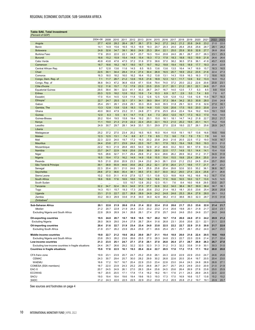## <span id="page-11-0"></span>**Table SA6. Total Investment**

| 'Percent of GDP                                      |              |              |              |              |              |              |              |              |              |              |              |              |              |              |              |              |
|------------------------------------------------------|--------------|--------------|--------------|--------------|--------------|--------------|--------------|--------------|--------------|--------------|--------------|--------------|--------------|--------------|--------------|--------------|
|                                                      | 2004-08      | 2009         | 2010         | 2011         | 2012         | 2013         | 2014         | 2015         | 2016         | 2017         | 2018         | 2019         | 2020         | 2021         | 2022         | 2023         |
| Angola                                               | 27.7         | 42.8         | 28.2         | 26.4         | 26.7         | 26.1         | 27.5         | 34.2         | 27.2         | 24.2         | 21.2         | 20.8         | 24.8         | 23.2         | 21.0         | 22.0         |
| Benin                                                | 14.1         | 14.9         | 15.6         | 16.5         | 15.3         | 18.9         | 19.3         | 20.7         | 20.3         | 24.0         | 26.4         | 25.6         | 25.6         | 28.7         | 28.1         | 28.2         |
| <b>Botswana</b>                                      | 24.8         | 32.6         | 34.7         | 39.1         | 36.0         | 24.9         | 25.3         | 28.4         | 22.1         | 25.0         | 25.9         | 30.9         | 32.8         | 27.7         | 26.8         | 26.6         |
| <b>Burkina Faso</b>                                  | 17.6         | 20.0         | 22.0         | 22.1         | 24.7         | 23.7         | 19.3         | 19.4         | 20.8         | 24.0         | 26.1         | 26.7         | 23.7         | 26.3         | 23.1         | 25.3         |
| <b>Burundi</b>                                       | 16.6         | 15.2         | 15.9         | 15.4         | 14.9         | 15.4         | 18.3         | 17.3         | 17.8         | 18.3         | 18.8         | 19.3         | 19.9         | 21.8         | 26.6         | 26.6         |
| Cabo Verde                                           | 40.8         | 43.8         | 47.6         | 47.5         | 37.2         | 31.6         | 37.0         | 38.6         | 37.0         | 38.2         | 36.5         | 37.6         | 36.1         | 41.8         | 45.7         | 43.5         |
| Cameroon                                             | 18.7         | 18.6         | 18.2         | 18.7         | 18.0         | 18.7         | 19.7         | 18.2         | 19.8         | 19.4         | 19.5         | 18.9         | 17.7         | 19.3         | 20.4         | 22.8         |
| Central African Rep.                                 | 9.7          | 12.8         | 13.6         | 11.6         | 14.5         | 8.5          | 16.5         | 13.6         | 13.6         | 13.5         | 16.4         | 14.7         | 18.9         | 15.7         | 16.3         | 16.5         |
| Chad                                                 | 22.5         | 30.1         | 34.4         | 28.4         | 31.4         | 27.4         | 30.4         | 26.9         | 16.5         | 20.7         | 18.9         | 23.2         | 23.5         | 21.6         | 22.4         | 27.3         |
| Comoros                                              | 16.3         | 18.0         | 18.2         | 16.0         | 16.2         | 16.4         | 15.2         | 13.8         | 13.1         | 14.3         | 15.9         | 16.3         | 16.3         | 17.2         | 18.6         | 16.5         |
| Congo, Dem. Rep. of                                  | 7.1          | 11.7         | 28.7         | 21.2         | 12.6         | 15.5         | 21.6         | 18.9         | 12.3         | 12.1         | 11.7         | 12.6         | 9.2          | 13.3         | 16.0         | 15.2         |
| Congo, Rep. of                                       | 36.8         | 54.3         | 47.2         | 36.8         | 43.8         | 47.1         | 53.6         | 79.4         | 74.0         | 37.2         | 25.0         | 22.2         | 22.6         | 20.6         | 20.8         | 23.1         |
| Côte d'Ivoire                                        | 12.2         | 11.6         | 15.7         | 7.2          | 17.9         | 23.3         | 23.5         | 23.5         | 21.7         | 20.1         | 21.2         | 20.1         | 22.1         | 24.6         | 25.7         | 25.9         |
| <b>Equatorial Guinea</b>                             | 29.5         | 39.4         | 38.1         | 32.0         | 41.1         | 30.3         | 28.7         | 24.7         | 16.7         | 14.0         | 12.5         | 7.7          | 5.3          | 8.5          | 9.8          | 10.4         |
| Eritrea                                              | 20.3         | 12.5         | 18.2         | 12.8         | 10.2         | 10.9         | 7.4          | 10.3         | 6.9          | 8.7          | 2.9          | 5.0          | 7.4          | 8.0          | 7.0          | 6.7          |
| Eswatini                                             | 17.0         | 15.4         | 14.5         | 12.9         | 11.8         | 12.2         | 12.6         | 12.5         | 12.8         | 12.8         | 13.2         | 13.6         | 12.8         | 15.8         | 16.7         | 16.3         |
| Ethiopia                                             | 22.7         | 24.7         | 25.5         | 32.1         | 37.1         | 34.1         | 38.0         | 39.4         | 37.3         | 38.4         | 34.2         | 35.3         | 30.8         | 28.0         | 23.6         | 24.9         |
| Gabon                                                | 25.4         | 29.1         | 26.1         | 23.8         | 29.1         | 33.3         | 35.9         | 34.8         | 35.5         | 31.8         | 29.1         | 32.0         | 31.6         | 32.6         | 27.0         | 30.1         |
| Gambia, The                                          | 13.3         | 12.8         | 13.8         | 12.8         | 18.3         | 13.9         | 14.8         | 13.5         | 12.6         | 20.6         | 17.5         | 19.5         | 20.0         | 20.8         | 23.9         | 23.7         |
| Ghana                                                | 40.0         | 38.0         | 47.9         | 23.2         | 31.1         | 24.8         | 27.1         | 27.6         | 25.5         | 20.4         | 22.4         | 19.4         | 19.2         | 18.6         | 19.1         | 19.8         |
| Guinea                                               | 12.0         | 6.3          | 5.5          | 9.1          | 14.7         | 11.6         | 6.4          | 7.3          | 25.0         | 12.0         | 19.7         | 17.3         | 16.3         | 17.0         | 15.6         | 14.0         |
| Guinea-Bissau                                        | 20.2         | 18.4         | 19.5         | 15.8         | 19.4         | 19.2         | 20.1         | 15.0         | 18.1         | 18.1         | 14.7         | 14.2         | 21.8         | 22.7         | 20.2         | 21.7         |
| Kenya                                                | 11.1         | 19.0         | 21.3         | 21.9         | 22.2         | 22.4         | 25.0         | 22.1         | 19.3         | 21.0         | 20.2         | 19.5         | 20.1         | 14.1         | 15.2         | 15.6         |
| Lesotho                                              | 24.9         | 30.7         | 29.7         | 28.1         | 34.9         | 33.1         | 33.1         | 29.9         | 27.0         | 22.8         | 18.0         | 22.7         | 26.1         | 25.6         | 28.9         | 24.7         |
| Liberia                                              |              |              |              |              |              |              |              |              |              |              |              |              |              |              |              |              |
| Madagascar                                           | 25.2         | 37.2         | 27.0         | 23.4         | 20.2         | 16.5         | 16.5         | 16.0         | 16.4         | 15.8         | 19.1         | 19.7         | 13.6         | 16.6         | 19.6         | 19.6         |
| Malawi                                               | 12.3         | 12.5         | 13.1         | 7.4          | 8.8          | 8.7          | 7.9          | 8.5          | 7.3          | 9.6          | 7.9          | 7.9          | 7.5          | 7.8          | 9.6          | 9.0          |
| Mali                                                 | 22.3         | 22.0         | 24.0         | 19.7         | 17.2         | 19.3         | 20.2         | 20.8         | 24.0         | 21.6         | 20.5         | 22.5         | 17.2         | 19.0         | 14.8         | 16.7         |
| <b>Mauritius</b>                                     | 24.4         | 23.8         | 27.1         | 23.9         | 24.4         | 22.0         | 19.7         | 18.1         | 17.9         | 18.3         | 19.4         | 19.8         | 19.0         | 19.3         | 22.3         | 21.0         |
| Mozambique                                           | 22.2         | 18.3         | 21.9         | 28.8         | 49.5         | 54.0         | 52.9         | 41.2         | 46.6         | 33.2         | 50.0         | 60.1         | 57.8         | 53.4         | 79.9         | 72.2         |
| Namibia                                              | 23.7         | 24.7         | 22.9         | 18.9         | 25.6         | 25.6         | 36.0         | 28.9         | 22.0         | 17.7         | 14.9         | 15.1         | 14.4         | 14.1         | 15.4         | 15.8         |
| Niger                                                | 19.5         | 28.6         | 32.7         | 31.7         | 29.4         | 29.8         | 31.2         | 32.4         | 28.6         | 26.2         | 28.9         | 30.2         | 31.2         | 31.7         | 34.9         | 31.9         |
| Nigeria                                              | 16.5         | 19.4         | 17.3         | 16.2         | 14.9         | 14.9         | 15.8         | 15.5         | 15.4         | 15.5         | 19.8         | 25.4         | 29.4         | 25.0         | 20.9         | 20.6         |
| Rwanda                                               | 16.5         | 21.0         | 20.6         | 20.9         | 23.3         | 24.4         | 23.2         | 24.3         | 26.1         | 23.8         | 21.2         | 23.2         | 24.5         | 20.4         | 25.7         | 29.0         |
| São Tomé & Príncipe                                  | 39.1         | 38.9         | 55.9<br>20.1 | 44.6         | 35.6<br>24.6 | 28.2<br>24.1 | 25.2<br>25.9 | 32.1<br>25.8 | 27.9<br>25.4 | 26.4<br>29.8 | 21.7         | 18.6<br>32.0 | 17.7         | 21.7<br>36.1 | 26.7         | 23.2         |
| Senegal<br>Seychelles                                | 22.3<br>28.6 | 20.4<br>27.3 | 36.6         | 21.0<br>35.4 | 38.1         | 38.5         | 37.5         | 33.7         | 30.0         | 30.2         | 32.6<br>29.0 | 27.4         | 35.2<br>22.4 | 25.6         | 36.8<br>27.1 | 36.7<br>26.6 |
| Sierra Leone                                         | 10.2         | 10.0         | 31.1         | 41.9         | 27.9         | 12.7         | 13.1         | 13.8         | 12.3         | 18.8         | 16.9         | 16.2         | 16.6         | 16.2         | 16.7         | 17.4         |
| South Africa                                         | 18.6         | 18.8         | 17.6         | 18.9         | 18.6         | 19.2         | 18.5         | 18.6         | 17.0         | 16.6         | 16.5         | 16.0         | 12.7         | 13.0         | 14.5         | 14.5         |
| South Sudan                                          | $\ddotsc$    |              |              | 5.5          | 10.7         | 12.8         | 20.2         | 12.3         | 15.1         | 7.6          | 8.4          | 16.0         | 16.8         | 29.5         | 33.0         | 20.7         |
| Tanzania                                             | 32.2         | 34.7         | 32.4         | 35.3         | 34.8         | 37.5         | 37.7         | 32.8         | 32.2         | 34.0         | 38.4         | 39.7         | 39.9         | 36.4         | 36.7         | 36.1         |
| Togo                                                 | 14.3         | 15.1         | 15.7         | 19.3         | 17.3         | 20.8         | 20.6         | 23.2         | 21.4         | 18.3         | 18.1         | 20.5         | 23.6         | 25.4         | 26.8         | 25.8         |
| Uganda                                               | 23.1         | 21.5         | 22.7         | 22.7         | 26.8         | 28.9         | 24.9         | 24.2         | 24.8         | 24.6         | 25.3         | 26.4         | 27.8         | 28.0         | 29.1         | 33.2         |
| Zambia                                               | 33.2         | 30.3         | 29.9         | 33.6         | 31.8         | 34.0         | 34.0         | 42.8         | 38.2         | 41.0         | 38.6         | 39.3         | 32.3         | 28.7         | 31.5         | 31.6         |
| Zimbabwe <sup>4</sup>                                |              |              |              |              |              |              |              |              |              |              |              |              |              |              |              |              |
| Sub-Saharan Africa                                   | 20.1         | 22.8         | 21.9         | 20.6         | 21.6         | 21.4         | 22.2         | 22.4         | 21.0         | 20.6         | 21.7         | 23.3         | 23.6         | 22.0         | 21.4         | 21.7         |
| Median                                               | 21.2         | 20.7         | 22.8         | 21.9         | 24.4         | 23.3         | 23.2         | 23.2         | 21.4         | 20.6         | 19.8         | 20.1         | 21.8         | 21.7         | 22.4         | 23.1         |
| Excluding Nigeria and South Africa                   | 22.8         | 26.9         | 26.9         | 24.1         | 26.8         | 26.1         | 27.4         | 27.8         | 25.7         | 24.6         | 24.6         | 25.0         | 24.6         | 23.7         | 24.0         | 24.6         |
|                                                      |              |              |              |              |              |              |              |              |              |              |              |              |              |              |              |              |
| <b>Oil-exporting countries</b>                       | 19.5         | 24.8         | 20.7         | 18.7         | 18.9         | 18.5         | 19.7         | 20.2         | 18.7         | 17.8         | 20.0         | 24.0         | 27.3         | 24.2         | 20.9         | 21.2         |
| <b>Excluding Nigeria</b>                             | 26.0         | .9           | 29.0         | 24.4         | 27<br>.8     | 26.          | 28.4         | 31.6         | 26.8         | 23.1         | 20.6         | 20.6         | 22.          | 22.1         | 21.1         | 22.5         |
| Oil-importing countries                              | 20.4         | 21.6         | 22.7         | 21.9         | 23.4         | 23.4         | 24.0         | 23.8         | 22.5         | 22.2         | 22.7         | 22.9         | 21.5         | 20.8         | 21.7         | 22.0         |
| <b>Excluding South Africa</b>                        | 21.8         | 23.7         | 26.2         | 23.9         | 26.4         | 25.9         | 27.1         | 26.6         | 25.4         | 25.1         | 25.7         | 26.1         | 25.2         | 24.0         | 24.7         | 25.0         |
| Middle-income countries                              | 19.8         | 22.7         | 21.2         | 19.6         | 20.2         | 20.0         | 20.7         | 21.1         | 19.4         | 18.8         | 20.0         | 21.6         | 22.4         | 20.5         | 19.6         | 19.8         |
| Excluding Nigeria and South Africa                   | 23.8         | 29.3         | 28.2         | 23.6         | 26.6         | 25.5         | 27.0         | 28.3         | 24.8         | 23.3         | 22.7         | 22.0         | 22.6         | 21.4         | 21.7         | 22.4         |
| Low-income countries                                 | 21.3         | 23.5         | 25.1         | 24.7         | 27.1         | 27.0         | 28.1         | 27.0         | 26.8         | 26.4         | 27.1         | 28.7         | 26.9         | 26.3         | 26.7         | 27.0         |
| Excluding low-income countries in fragile situations | 24.4         | 26.7         | 26.6         | 29.2         | 32.2         | 32.0         | 32.3         | 31.3         | 31.2         | 31.3         | 32.2         | 33.8         | 31.9         | 30.1         | 30.3         | 31.0         |
| <b>Countries in fragile situations</b>               | 15.6         | 17.8         | 22.5         | 16.1         | 19.3         | 20.4         | 22.4         | 22.7         | 20.5         | 17.6         | 17.2         | 17.5         | 17.1         | 19.2         | 20.0         | 20.0         |
|                                                      |              |              |              |              |              |              |              |              |              |              |              |              |              |              |              |              |
| CFA franc zone                                       | 19.9         | 23.1         | 23.9         | 20.7         | 24.7         | 25.2         | 25.9         | 26.1         | 24.3         | 22.8         | 22.9         | 22.9         | 23.0         | 24.7         | 24.6         | 25.8         |
| <b>CEMAC</b>                                         | 24.3         | 30.7         | 29.4         | 25.7         | 30.0         | 28.2         | 29.9         | 30.2         | 26.8         | 22.6         | 20.5         | 20.4         | 19.7         | 20.5         | 20.4         | 23.0         |
| <b>WAEMU</b>                                         | 16.6         | 17.2         | 19.7         | 16.7         | 20.4         | 22.9         | 23.0         | 23.4         | 22.8         | 23.0         | 24.4         | 24.3         | 24.8         | 26.9         | 26.8         | 27.1         |
| COMESA (SSA members)                                 | 18.7         | 22.0         | 23.9         | 24.3         | 25.2         | 25.0         | 26.6         | 26.7         | 24.7         | 25.7         | 24.3         | 24.9         | 23.0         | 20.9         | 21.0         | 21.9         |
| EAC-5<br><b>ECOWAS</b>                               | 20.7         | 24.5<br>20.5 | 24.9<br>20.5 | 26.1         | 27.0         | 28.3<br>17.4 | 28.4<br>18.2 | 25.6<br>18.2 | 24.5<br>18.1 | 25.6         | 26.4<br>21.1 | 26.9<br>24.3 | 27.8<br>26.9 | 23.8<br>24.5 | 25.0<br>22.0 | 25.9<br>22.0 |
| SACU                                                 | 18.7<br>19.0 | 19.4         | 18.4         | 17.1<br>19.6 | 17.8<br>19.4 | 19.6         | 19.3         | 19.3         | 17.3         | 17.6<br>17.0 | 16.9         | 16.6         | 13.7         | 13.8         | 15.2         | 15.2         |
| SADC                                                 | 21.2         | 24.3         | 22.0         | 22.5         | 22.5         | 22.9         | 23.2         | 23.8         | 21.2         | 20.5         | 20.8         | 21.2         | 19.7         | 19.1         | 20.9         | 20.7         |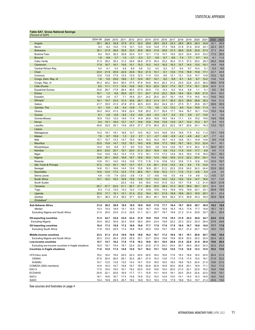## <span id="page-12-0"></span>**Table SA7. Gross National Savings**

| (Percent of GDP                                      |              |              |              |              |              |              |              |                |                |                |                |                |               |                |                |                |
|------------------------------------------------------|--------------|--------------|--------------|--------------|--------------|--------------|--------------|----------------|----------------|----------------|----------------|----------------|---------------|----------------|----------------|----------------|
|                                                      | 2004-08      | 2009         | 2010         | 2011         | 2012         | 2013         | 2014         | 2015           | 2016           | 2017           | 2018           | 2019           | 2020          | 2021           | 2022           | 2023           |
| Angola                                               | 39.1         | 26.3         | 34.8         | 37.9         | 37.2         | 32.0         | 29.8         | 28.5           | 24.5           | 23.3           | 28.5           | 26.9           | 26.3          | 34.6           | 32.1           | 26.9           |
| Benin                                                | 9.4          | 8.2          | 10.0         | 11.6         | 10.1         | 13.5         | 12.6         | 14.8           | 17.3           | 19.8           | 21.8           | 21.6           | 23.9          | 24.1           | 22.3           | 22.7           |
| <b>Botswana</b>                                      | 35.1         | 21.9         | 28.8         | 35.8         | 33.0         | 30.8         | 36.8         | 31.8           | 30.8           | 31.3           | 26.6           | 23.8           | 23.8          | 27.3           | 27.3           | 29.4           |
| <b>Burkina Faso</b>                                  | 8.4          | 16.0         | 20.2         | 20.8         | 23.4         | 13.7         | 12.1         | 11.9           | 14.7           | 19.0           | 22.0           | 23.4           | 23.5          | 23.2           | 17.3           | 20.0           |
| <b>Burundi</b>                                       | 1.6          | 8.9          | 3.7          | 1.0          | $-3.7$       | $-5.3$       | 2.7          | 5.8            | 6.7            | 6.6            | 7.4            | 7.7            | 9.7           | 8.3            | 8.1            | 11.0           |
| Cabo Verde                                           | 31.3         | 29.2         | 35.2         | 31.2         | 24.6         | 26.8         | 27.9         | 35.4           | 33.2           | 30.4           | 31.3           | 37.2           | 20.2          | 29.3           | 34.2           | 34.8           |
| Cameroon                                             | 17.9         | 16.7         | 16.1         | 15.6         | 15.1         | 15.3         | 15.2         | 14.3           | 16.5           | 16.3           | 15.7           | 14.4           | 13.5          | 16.1           | 18.8           | 19.9           |
| Central African Rep                                  | 4.4          | 4.1          | 4.2          | 4.8          | 8.9          | 5.6          | 3.2          | 4.5            | 8.2            | 5.7            | 8.4            | 9.7            | 10.4          | 5.1            | 5.3            | 8.0            |
| Chad                                                 | 23.0         | 21.9         | 25.9         | 22.6         | 23.6         | 18.2         | 21.5         | 13.1           | 6.1            | 13.6           | 17.6           | 18.9           | 15.9          | 17.1           | 23.7           | 24.9           |
| Comoros                                              | 12.6         | 13.9         | 17.9         | 12.4         | 12.9         | 12.3         | 11.4         | 13.5           | 8.8            | 12.1           | 13.1           | 13.0           | 14.7          | 13.8           | 10.2           | 8.3            |
| Congo, Dem. Rep. of                                  | 1.6          | 5.5          | 23.6         | 19.6         | 5.7          | 12.4         | 16.7         | 14.1           | 8.2            | 8.9            | 8.1            | 8.5            | 6.7           | 12.2           | 15.6           | 14.9           |
| Congo, Rep. of                                       | 40.3         | 40.2         | 54.0         | 50.0         | 57.5         | 57.8         | 54.6         | 40.4           | 25.3           | 31.2           | 24.9           | 22.6           | 22.5          | 36.0           | 46.8           | 37.8           |
| Côte d'Ivoire                                        | 8.0          | 11.1         | 11.1         | 10.4         | 10.8         | 14.0         | 15.3         | 22.5           | 20.3           | 17.4           | 16.7           | 17.4           | 19.1          | 20.9           | 20.9           | 21.5           |
| <b>Equatorial Guinea</b>                             | 33.6         | 29.7         | 17.8         | 26.4         | 40.0         | 27.9         | 24.5         | 7.0            | $-9.3$         | 6.2            | 10.4           | 6.8            | 1.1           | 5.1            | 8.2            | 8.5            |
| Eritrea                                              | 16.1         | 1.2          | 6.8          | 25.6         | 22.7         | 13.1         | 24.7         | 31.0           | 22.2           | 32.6           | 18.4           | 18.0           | 18.8          | 21.5           | 20.5           | 20.0           |
| Eswatini                                             | 13.9         | 3.8          | 5.7          | 7.1          | 16.9         | 23.1         | 24.2         | 25.5           | 20.7           | 19.1           | 14.6           | 17.9           | 19.5          | 16.3           | 14.6           | 16.2           |
| Ethiopia                                             | 18.1         | 15.7         | 23.5         | 31.5         | 30.6         | 28.1         | 30.3         | 31.4           | 31.1           | 30.3           | 32.3           | 29.9           | 26.6          | 25.2           | 19.6           | 21.0           |
| Gabon                                                | 41.7         | 33.5         | 41.0         | 47.8         | 47.0         | 40.5         | 43.5         | 29.2           | 24.4           | 23.1           | 27.0           | 31.1           | 25.6          | 25.7           | 28.6           | 30.0           |
| Gambia, The                                          | 8.1          | 5.0          | 3.8          | 5.4          | 13.8         | 7.1          | 7.5          | 3.6            | 3.3            | 13.2           | 8.0            | 13.4           | 16.9          | 11.3           | 9.0            | 11.9           |
| Ghana                                                | 34.2         | 34.0         | 41.5         | 16.6         | 22.4         | 15.8         | 20.2         | 21.7           | 20.4           | 17.1           | 19.4           | 16.7           | 16.1          | 15.6           | 15.5           | 16.4           |
| Guinea                                               | 8.1          | 0.6          | $-0.9$       | $-9.3$       | $-5.2$       | $-0.9$       | $-8.0$       | $-5.3$         | $-5.7$         | 5.2            | 0.5            | 5.8            | 2.7           | 13.0           | 6.1            | 5.5            |
| Guinea-Bissau                                        | 16.9         | 13.0         | 12.0         | 14.6         | 11.4         | 14.9         | 20.6         | 16.8           | 19.5           | 18.4           | 11.1           | 5.4            | 19.2          | 19.6           | 14.6           | 16.9           |
| Kenya                                                | 9.4          | 15.1         | 16.0         | 13.7         | 14.7         | 14.6         | 15.6         | 15.8           | 13.9           | 14.0           | 14.7           | 14.2           | 15.3          | 8.7            | 9.4            | 10.3           |
| Lesotho                                              | 40.6         | 32.5         | 20.1         | 13.6         | 25.9         | 27.7         | 27.9         | 26.0           | 20.3           | 20.2           | 16.7           | 20.6           | 24.1          | 16.3           | 13.3           | 15.7           |
| Liberia                                              |              |              |              |              |              |              |              |                |                |                |                | ш.             |               |                |                |                |
| Madagascar<br>Malawi                                 | 14.2<br>7.6  | 19.1<br>9.7  | 18.1<br>15.6 | 16.6<br>1.3  | 12.7<br>2.2  | 10.0<br>2.7  | 16.2<br>2.1  | 14.4<br>$-3.7$ | 16.8<br>$-5.8$ | 15.4<br>$-5.9$ | 19.9<br>$-4.2$ | 17.5<br>$-4.8$ | 8.2<br>$-6.2$ | 11.2<br>$-6.7$ | 13.1<br>$-7.7$ | 13.4<br>$-6.2$ |
| Mali                                                 | 15.7         | 15.7         | 13.3         | 14.7         | 15.0         | 16.4         | 15.5         | 15.4           | 16.7           | 14.3           | 15.6           | 15.1           | 14.9          | 14.6           | 9.5            | 11.8           |
| <b>Mauritius</b>                                     | 22.5         | 15.9         | 14.7         | 13.2         | 18.1         | 19.0         | 16.8         | 16.8           | 17.3           | 18.8           | 18.7           | 19.3           | 15.3          | 22.4           | 16.1           | 16.1           |
| Mozambique                                           | 14.2         | 8.0          | 6.8          | 5.7          | 8.0          | 13.5         | 16.5         | 3.8            | 14.4           | 13.6           | 19.7           | 41.0           | 30.2          | 31.0           | 35.0           | 33.1           |
| Namibia                                              | 30.4         | 23.2         | 20.7         | 15.7         | 20.0         | 21.3         | 25.3         | 16.9           | 5.8            | 13.3           | 11.5           | 13.4           | 17.7          | 6.8            | 8.5            | 11.3           |
| Niger                                                | 13.0         | 10.5         | 18.2         | 13.3         | 17.5         | 17.2         | 19.1         | 17.0           | 17.2           | 14.9           | 16.3           | 18.0           | 17.8          | 16.0           | 19.1           | 18.1           |
| Nigeria                                              | 30.6         | 24.1         | 20.8         | 18.8         | 18.7         | 18.6         | 16.0         | 12.4           | 16.6           | 18.9           | 21.3           | 22.2           | 25.4          | 24.1           | 19.8           | 19.5           |
| Rwanda                                               | 14.8         | 15.1         | 14.0         | 14.0         | 13.6         | 17.0         | 11.9         | 11.6           | 10.8           | 14.2           | 10.8           | 11.3           | 12.6          | 9.9            | 14.3           | 18.7           |
| São Tomé & Príncipe                                  | 37.2         | 13.0         | 33.1         | 16.7         | 13.7         | 13.7         | 4.4          | 20.1           | 21.8           | 13.2           | 9.4            | 6.4            | 7.5           | 12.0           | 14.5           | 14.5           |
| Senegal                                              | 14.6         | 15.1         | 16.6         | 14.5         | 15.9         | 15.8         | 18.9         | 20.1           | 21.2           | 22.5           | 23.8           | 24.0           | 24.3          | 24.4           | 23.9           | 28.2           |
| Seychelles                                           | 14.9         | 12.4         | 17.2         | 12.4         | 17.0         | 26.5         | 15.1         | 15.6           | 10.3           | 11.1           | 11.6           | 11.2           | $-0.6$        | 5.3            | $-2.8$         | 3.0            |
| Sierra Leone                                         | 4.8          | $-1.8$       | 7.4          | $-23.0$      | $-3.6$       | $-1.9$       | 3.7          | $-9.8$         | 4.6            | 0.5            | 4.6            | 1.9            | 9.8           | 3.2            | $-0.5$         | 3.7            |
| South Africa                                         | 14.7         | 16.3         | 16.3         | 16.8         | 13.9         | 13.8         | 13.7         | 14.3           | 14.3           | 14.2           | 13.6           | 13.4           | 14.7          | 16.6           | 15.7           | 13.5           |
| South Sudan                                          | $\cdots$     |              |              | 23.3         | $-5.2$       | 9.0          | 19.0         | 14.0           | 31.9           | 12.3           | 15.7           | 17.6           | 1.2           | 21.4           | 42.5           | 21.8           |
| Tanzania                                             | 25.7         | 27.7         | 23.4         | 21.1         | 25.7         | 27.1         | 28.4         | 25.5           | 28.4           | 31.3           | 34.5           | 38.0           | 39.1          | 33.1           | 32.4           | 32.5           |
| Togo                                                 | 8.3          | 11.2         | 12.0         | 14.2         | 12.4         | 11.8         | 13.8         | 15.6           | 14.2           | 16.8           | 15.5           | 19.8           | 22.1          | 22.1           | 20.8           | 19.5           |
| Uganda                                               | 20.5         | 17.1         | 16.1         | 15.1         | 21.4         | 23.2         | 18.4         | 18.1           | 21.9           | 19.8           | 19.6           | 20.3           | 18.5          | 20.1           | 22.1           | 23.4           |
| Zambia                                               | 32.1         | 36.2         | 37.4         | 38.3         | 37.1         | 33.5         | 36.2         | 40.1           | 34.9           | 39.3           | 37.3           | 39.8           | 44.3          | 35.5           | 35.9           | 35.9           |
| Zimbabwe <sup>2</sup>                                |              |              |              |              |              |              |              |                |                |                |                |                |               |                |                |                |
| Sub-Saharan Africa                                   | 21.9         | 20.2         | 20.8         | 19.5         | 19.5         | 18.8         | 18.6         | 17.0           | 17.7           | 18.4           | 19.7           | 20.0           | 20.7          | 20.8           | 19.2           | 18.9           |
| Median                                               | 15.3         | 15.4         | 16.9         | 15.1         | 15.9         | 15.8         | 16.7         | 15.6           | 16.8           | 16.3           | 16.3           | 17.6           | 17.7          | 16.6           | 16.1           | 18.1           |
| Excluding Nigeria and South Africa                   | 21.5         | 20.0         | 23.0         | 21.2         | 22.6         | 21.1         | 22.1         | 20.7           | 19.7           | 19.9           | 21.2           | 21.4           | 20.6          | 20.7           | 20.1           | 20.4           |
|                                                      |              |              |              |              |              |              |              |                |                |                |                |                |               |                |                |                |
| <b>Oil-exporting countries</b>                       | 31.5         | 24.7         | 23.8         | 23.0         | 23.4         | 21.9         | 19.8         | 15.6           | 17.6           | 19.3           | 21.9           | 22.2           | 24.0          | 24.7           | 22.0           | 21.0           |
| <b>Excluding Nigeria</b>                             | 33.4         | $\cdot$      | 30.9         | 32.          | 33.6         | 29.          | 28.5         | 23.4           | 19.8           |                | 3              | $\overline{2}$ | 20.<br>3      | 26.4           | 27.6           | 24.6           |
| Oil-importing countries                              | 16.4         | 17.3         | 18.8         | 17.2         | 16.9         | 16.6         | 17.7         | 17.9           | 17.8           | 17.9           | 18.4           | 18.7           | 18.9          | 18.6           | 17.7           | 17.8           |
| <b>Excluding South Africa</b>                        | 17.6         | 18.0         | 20.5         | 17.4         | 18.8         | 18.4         | 20.0         | 19.9           | 19.7           | 19.8           | 20.7           | 21.2           | 20.7          | 19.4           | 18.5           | 19.5           |
| Middle-income countries                              | 23.3         | 21.3         | 21.4         | 19.9         | 19.9         | 18.9         | 18.2         | 16.7           | 17.2           | 18.0           | 19.1           | 19.1           | 20.6          | 20.7           | 19.0           | 18.4           |
| Excluding Nigeria and South Africa                   | 25.3         | 23.0         | 26.4         | 23.8         | 25.9         | 23.1         | 23.7         | 22.6           | 19.8           | 19.8           | 20.9           | 20.2           | 20.2          | 20.5           | 20.4           | 20.3           |
| Low-income countries                                 | 15.7         | 15.7         | 18.2         | 17.8         | 17.9         | 18.3         | 19.8         | 18.1           | 19.5           | 20.0           | 21.6           | 22.8           | 21.0          | 20.9           | 19.8           | 20.4           |
| Excluding low-income countries in fragile situations | 18.5         | 18.1         | 19.4         | 19.7         | 22.4         | 22.0         | 23.0         | 21.5           | 24.2           | 24.4           | 26.7           | 28.0           | 26.0          | 24.3           | 22.5           | 23.5           |
| <b>Countries in fragile situations</b>               | 11.6         | 12.5         | 17.4         | 14.9         | 12.9         | 14.7         | 16.2         | 15.1           | 12.6           | 12.6           | 11.9           | 12.6           | 12.3          | 15.5           | 16.2           | 15.9           |
| CFA franc zone                                       |              |              |              |              |              |              |              |                |                |                |                |                |               |                |                |                |
| <b>CEMAC</b>                                         | 18.2<br>27.9 | 18.2<br>25.4 | 19.4<br>26.5 | 20.0<br>28.1 | 22.3<br>32.4 | 20.5<br>28.1 | 20.5<br>27.4 | 18.4<br>18.3   | 16.6<br>13.6   | 17.6<br>17.0   | 18.3<br>17.8   | 18.6<br>17.4   | 18.5<br>15.0  | 20.0<br>18.1   | 20.4<br>21.9   | 21.4<br>22.2   |
| <b>WAEMU</b>                                         | 10.7         | 12.5         | 13.8         | 13.5         | 14.2         | 14.7         | 15.5         | 18.5           | 18.5           | 18.0           | 18.6           | 19.3           | 20.4          | 21.0           | 19.6           | 21.0           |
| COMESA (SSA members)                                 | 14.9         | 16.3         | 19.7         | 19.8         | 19.7         | 19.6         | 20.8         | 20.9           | 19.9           | 20.0           | 20.6           | 20.1           | 18.9          | 17.1           | 16.2           | 17.2           |
| EAC-5                                                | 17.0         | 19.4         | 18.0         | 16.1         | 19.2         | 20.0         | 19.5         | 18.6           | 19.4           | 20.0           | 21.0           | 22.1           | 22.9          | 18.2           | 18.9           | 19.8           |
| <b>ECOWAS</b>                                        | 25.9         | 22.1         | 20.9         | 16.9         | 17.7         | 17.1         | 15.9         | 14.1           | 16.9           | 18.1           | 20.0           | 20.4           | 22.6          | 22.0           | 18.8           | 19.1           |
| <b>SACU</b>                                          | 16.1         | 16.6         | 16.7         | 17.4         | 14.8         | 14.9         | 15.2         | 15.2           | 14.9           | 15.0           | 14.1           | 14.0           | 15.3          | 16.9           | 16.0           | 14.2           |
| SADC                                                 | 19.4         | 18.9         | 20.5         | 20.7         | 19.2         | 18.8         | 19.3         | 18.3           | 17.6           | 17.9           | 18.6           | 19.4           | 19.7          | 21.2           | 20.6           | 19.0           |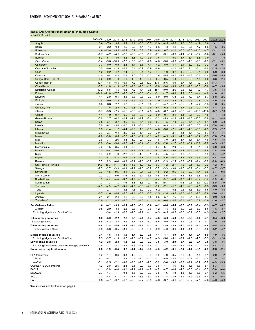## <span id="page-13-0"></span>**Table SA8. Overall Fiscal Balance, Including Grants**

| (Percent of GDP <sub>,</sub>                         |           |         |                   |         |         |        |                  |         |         |         |                |        |         |         |               |        |
|------------------------------------------------------|-----------|---------|-------------------|---------|---------|--------|------------------|---------|---------|---------|----------------|--------|---------|---------|---------------|--------|
|                                                      | 2004-08   | 2009    | 2010              | 2011    | 2012    | 2013   | 2014             | 2015    | 2016    | 2017    | 2018           | 2019   | 2020    | 2021    | 2022          | 2023   |
| Angola                                               | 3.6       | $-7.9$  | 3.4               | 8.1     | 4.1     | $-0.3$ | $-5.7$           | $-2.9$  | $-4.5$  | $-6.6$  | 2.3            | 0.8    | $-1.9$  | 2.8     | 3.1           | 1.6    |
| Benin                                                | $-0.4$    | $-2.2$  | $-0.3$            | $-1.0$  | $-0.2$  | $-1.4$ | $-1.7$           | $-5.6$  | $-4.3$  | $-4.2$  | $-3.0$         | $-0.5$ | $-4.7$  | $-5.8$  | $-4.5$        | $-3.5$ |
| <b>Botswana</b>                                      | 4.6       | $-13.8$ | $-8.0$            | $-0.1$  | 0.9     | 5.8    | 3.9              | $-4.8$  | 0.7     | $-1.1$  | $-5.0$         | $-8.5$ | $-11.0$ | $-4.7$  | $-3.1$        | 1.0    |
| <b>Burkina Faso</b>                                  | $-0.7$    | $-4.2$  | $-4.1$            | $-2.0$  | $-2.8$  | $-3.5$ | $-1.7$           | $-2.1$  | $-3.1$  | $-6.9$  | $-4.4$         | $-3.4$ | $-5.7$  | $-5.6$  | $-6.1$        | $-5.0$ |
| <b>Burundi</b>                                       | $-8.2$    | $-5.1$  | $-3.6$            | $-3.5$  | $-3.8$  | $-1.9$ | $-3.9$           | $-7.6$  | $-7.1$  | $-5.0$  | $-6.7$         | $-6.4$ | $-6.6$  | $-3.9$  | $-7.4$        | $-7.5$ |
| Cabo Verde                                           | $-3.4$    | $-5.8$  | $-10.5$           | $-7.7$  | $-10.3$ | $-9.3$ | $-7.6$           | $-4.6$  | $-3.0$  | $-3.0$  | $-2.7$         | $-1.8$ | $-9.1$  | $-8.5$  | $-7.1$        | $-5.1$ |
| Cameroon                                             | 7.3       | $-0.0$  | $-0.9$            | $-2.3$  | $-1.4$  | $-3.6$ | $-4.1$           | $-4.2$  | $-5.9$  | $-4.7$  | $-2.4$         | $-3.2$ | $-3.2$  | $-3.2$  | $-1.2$        | 0.7    |
| Central African Rep.                                 | 0.5       | $-0.6$  | $-1.3$            | $-2.1$  | 0.4     | $-5.9$ | $-3.9$           | $-0.6$  | 1.1     | $-1.1$  | $-1.0$         | 1.4    | $-3.4$  | $-6.0$  | $-2.5$        | $-2.0$ |
| Chad                                                 | 1.2       | $-9.2$  | $-4.2$            | 2.4     | 0.5     | $-2.1$ | $-4.2$           | $-4.4$  | $-1.9$  | $-0.2$  | 1.9            | $-0.2$ | 2.1     | $-0.8$  | 5.9           | 8.3    |
| Comoros                                              | $-1.0$    | 0.4     | 4.2               | 0.9     | 2.0     | 10.5   | $-0.3$           | 2.6     | $-5.5$  | $-0.1$  | $-1.3$         | $-4.3$ | $-0.5$  | $-2.4$  | $-5.6$        | $-5.3$ |
| Congo, Dem. Rep. of                                  | 0.2       | 0.9     | $-1.0$            | $-1.0$  | 1.8     | 1.9    | $-0.0$           | $-0.4$  | $-0.5$  | 1.4     | $-0.0$         | $-2.0$ | $-1.4$  | $-0.0$  | $-3.3$        | $-2.4$ |
| Congo, Rep. of                                       | 13.1      | 4.8     | 15.5              | 16.1    | 7.2     | $-2.8$ | $-10.7$          | $-17.8$ | $-15.6$ | $-5.9$  | 5.7            | 4.7    | $-1.2$  | 2.0     | 11.3          | 7.7    |
|                                                      | $-0.7$    | $-1.0$  | $-1.3$            | $-2.9$  | $-2.3$  | $-1.6$ |                  | $-2.0$  | $-3.0$  | $-3.3$  | $-2.9$         | $-2.3$ | $-5.6$  | $-5.6$  |               | $-3.8$ |
| Côte d'Ivoire                                        | 17.2      | $-6.5$  |                   |         | $-7.2$  | $-4.4$ | $-1.6$<br>$-7.5$ |         |         | $-2.6$  |                |        | $-1.7$  | 1.7     | $-4.7$<br>3.5 | 4.4    |
| <b>Equatorial Guinea</b>                             | $-24.0$   |         | $-4.5$<br>$-17.7$ | 0.8     |         |        |                  | $-15.1$ | $-10.9$ |         | 0.5            | 1.8    |         |         |               |        |
| Eritrea                                              |           | $-21.0$ |                   | $-6.0$  | $-5.6$  | $-8.0$ | $-0.4$           | $-3.1$  | $-1.7$  | $-6.0$  | 4.2            | 0.6    | $-4.4$  | $-4.0$  | $-1.0$        | 0.1    |
| Eswatini                                             | 1.4       | $-2.9$  | $-9.1$            | $-3.8$  | 3.3     | 0.6    | $-2.7$           | $-6.0$  | $-9.0$  | $-6.8$  | $-9.5$         | $-7.0$ | $-5.4$  | $-5.7$  | $-5.8$        | $-2.6$ |
| Ethiopia                                             | $-3.4$    | $-0.9$  | $-1.3$            | $-1.6$  | $-1.2$  | $-1.9$ | $-2.6$           | $-1.9$  | $-2.3$  | $-3.2$  | $-3.0$         | $-2.5$ | $-2.8$  | $-2.8$  | $-4.0$        | $-3.3$ |
| Gabon                                                | 8.5       | 6.8     | 2.7               | 1.7     | 6.2     | $-3.1$ | 6.0              | $-1.1$  | -4.7    | $-1.7$  | $-0.2$         | 2.1    | $-2.2$  | $-1.5$  | 1.6           | 3.5    |
| Gambia, The                                          | $-1.7$    | $-1.6$  | $-2.9$            | $-3.0$  | $-2.8$  | $-5.1$ | $-3.9$           | $-5.4$  | $-6.2$  | $-4.3$  | $-5.7$         | $-2.5$ | $-2.2$  | $-4.4$  | $-4.4$        | $-2.3$ |
| Ghana                                                | $-3.7$    | $-5.3$  | $-7.5$            | $-5.5$  | $-8.3$  | $-9.1$ | $-7.8$           | $-4.0$  | $-6.7$  | $-4.0$  | $-6.8$         | $-7.3$ | $-15.6$ | $-11.6$ | $-8.7$        | $-7.8$ |
| Guinea                                               | $-1.1$    | $-4.9$  | $-9.7$            | $-0.9$  | $-2.5$  | $-3.9$ | $-3.2$           | $-6.9$  | $-0.1$  | $-2.1$  | $-1.1$         | $-0.5$ | $-2.9$  | $-1.5$  | $-4.4$        | $-4.2$ |
| Guinea-Bissau                                        | $-5.0$    | 2.7     | $-0.2$            | $-1.4$  | $-2.1$  | $-1.7$ | $-2.4$           | $-3.2$  | $-5.3$  | $-1.3$  | $-4.9$         | $-4.0$ | $-10.0$ | $-5.9$  | $-4.1$        | $-4.0$ |
| Kenya                                                | $-0.5$    | $-3.1$  | $-3.7$            | $-3.6$  | $-5.3$  | $-5.4$ | $-5.9$           | $-6.7$  | $-7.5$  | $-7.4$  | $-6.9$         | $-7.4$ | $-8.1$  | $-8.1$  | $-6.9$        | $-5.3$ |
| Lesotho                                              | 7.0       | $-6.2$  | $-3.4$            | $-10.0$ | 4.2     | $-3.1$ | 3.0              | $-1.4$  | $-8.9$  | $-1.1$  | $-4.8$         | $-7.5$ | 0.3     | $-6.9$  | $-7.8$        | $-6.1$ |
| Liberia                                              | 0.5       | $-1.4$  | 1.2               | $-4.4$  | $-2.9$  | 1.3    | $-3.8$           | $-4.6$  | $-3.8$  | $-7.1$  | $-4.5$         | $-4.8$ | $-3.8$  | $-2.9$  | $-2.9$        | $-2.7$ |
| Madagascar                                           | $-3.3$    | $-2.3$  | $-0.8$            | $-2.0$  | $-2.2$  | $-3.4$ | $-2.0$           | $-2.9$  | $-1.1$  | $-2.1$  | $-1.3$         | $-1.4$ | $-4.0$  | $-6.3$  | $-6.3$        | $-4.1$ |
| Malawi                                               | $-2.0$    | $-3.0$  | 0.6               | $-2.8$  | $-1.5$  | $-3.7$ | $-3.1$           | $-4.2$  | $-4.9$  | $-5.1$  | $-4.3$         | $-4.5$ | $-8.2$  | $-8.5$  | $-7.8$        | $-7.5$ |
| Mali                                                 | 3.6       | $-3.7$  | $-2.6$            | $-3.4$  | $-1.0$  | $-2.4$ | $-2.9$           | $-1.8$  | $-3.9$  | $-2.9$  | $-4.7$         | $-1.7$ | $-5.4$  | $-4.9$  | $-4.5$        | $-3.5$ |
| <b>Mauritius</b>                                     | $-3.6$    | $-3.4$  | $-3.0$            | $-3.0$  | $-1.8$  | $-3.4$ | $-3.1$           | $-3.6$  | $-2.8$  | $-1.7$  | $-2.2$         | $-8.4$ | $-10.9$ | $-7.2$  | $-4.9$        | $-5.2$ |
| Mozambique                                           | $-2.6$    | $-4.5$  | $-3.5$            | $-4.4$  | $-3.5$  | $-2.5$ | $-9.9$           | $-6.7$  | $-5.1$  | $-2.0$  | $-5.6$         | $-0.1$ | $-5.1$  | $-3.6$  | $-3.0$        | $-3.8$ |
| Namibia                                              | 2.0       | $-0.4$  | $-5.0$            | $-7.1$  | $-3.1$  | $-4.7$ | $-6.4$           | $-8.3$  | $-9.3$  | $-5.0$  | $-5.1$         | $-5.5$ | $-8.2$  | $-8.9$  | $-7.8$        | $-5.0$ |
| Niger                                                | 5.4       | $-3.9$  | $-1.0$            | $-2.2$  | $-0.8$  | $-1.9$ | $-6.1$           | $-6.7$  | $-4.5$  | $-4.1$  | $-3.0$         | $-3.6$ | $-5.3$  | $-5.9$  | $-5.4$        | $-4.2$ |
| Nigeria                                              | 4.7       | $-5.3$  | $-4.2$            | 0.4     | $-0.1$  | $-2.7$ | $-2.4$           | $-3.8$  | $-4.6$  | $-5.4$  | $-4.3$         | $-4.7$ | $-5.7$  | $-6.0$  | $-6.4$        | $-5.9$ |
| Rwanda                                               | 0.5       | 0.3     | $-0.6$            | $-0.9$  | $-2.4$  | $-1.3$ | $-3.9$           | $-2.7$  | $-2.3$  | $-2.5$  | $-2.6$         | $-5.1$ | $-9.4$  | $-6.9$  | $-6.8$        | $-6.3$ |
| São Tomé & Príncipe                                  | 34.6      | $-19.3$ | $-11.7$           | $-12.5$ | $-11.2$ | 1.9    | $-5.3$           | $-6.3$  | $-4.2$  | $-2.7$  | $-1.9$         | $-0.1$ | 5.9     | 0.9     | 1.2           | 0.4    |
| Senegal                                              | $-2.0$    | $-3.7$  | $-3.9$            | $-4.9$  | $-4.2$  | $-4.3$ | $-3.9$           | $-3.7$  | $-3.3$  | $-3.0$  | $-3.7$         | $-3.9$ | $-6.4$  | $-6.3$  | $-4.7$        | $-3.7$ |
| Seychelles                                           | $-0.7$    | 4.8     | 0.5               | 3.4     | 2.9     | 0.4    | 3.5              | 1.8     | 0.2     | 0.5     | $-1.0$         | 0.9    | $-17.4$ | $-5.8$  | $-6.7$        | $-0.8$ |
| Sierra Leone                                         | 2.2       | -2.3    | $-5.0$            | $-4.5$  | $-5.2$  | $-2.4$ | $-3.6$           | $-4.5$  | $-8.5$  | $-8.8$  | $-5.6$         | $-3.1$ | $-5.8$  | $-6.9$  | $-3.9$        | $-3.2$ |
| South Africa                                         | 0.1       | $-4.7$  | $-4.5$            | $-3.7$  | $-4.0$  | $-3.9$ | $-3.9$           | $-4.4$  | $-3.7$  | $-4.0$  | $-3.7$         | -4.7   | $-9.7$  | $-6.4$  | $-5.8$        | $-6.1$ |
| South Sudan                                          | $\ddotsc$ |         |                   | 4.6     | $-14.8$ | $-3.5$ | $-9.1$           | $-16.7$ | $-19.3$ | 3.3     | $-0.6$         | 0.1    | 6.7     | 10.0    | 8.9           | 3.9    |
| Tanzania                                             | $-2.5$    | $-4.5$  | $-4.7$            | $-3.5$  | $-4.0$  | $-3.8$ | $-2.9$           | $-3.2$  | $-2.1$  | $-1.2$  | $-1.9$         | $-2.0$ | $-2.5$  | $-3.3$  | $-3.3$        | $-3.0$ |
| Togo                                                 | $-1.1$    | $-2.7$  | $-1.7$            | -4.6    | $-4.8$  | $-5.2$ | $-7.2$           | $-6.2$  | $-7.1$  | $-0.2$  | $-0.6$         | 1.6    | $-6.9$  | $-6.5$  | $-4.9$        | $-4.0$ |
| Uganda                                               | $-0.7$    | $-1.6$  | $-4.6$            | $-2.0$  | $-2.4$  | $-3.2$ | $-2.7$           | $-2.5$  | $-2.6$  | $-3.6$  | $-3.0$         | $-4.8$ | $-7.5$  | $-7.8$  | $-5.6$        | $-4.1$ |
| Zambia                                               | 2.1       | $-2.1$  | $-2.4$            | $-1.8$  | $-2.8$  | $-6.2$ | $-5.8$           | $-9.5$  | $-5.7$  | $-7.5$  | $-8.3$         | $-9.4$ | $-13.8$ | $-8.7$  | $-9.0$        | $-6.8$ |
| Zimbabwe <sup>2</sup>                                | $-2.9$    | $-2.2$  | 0.2               | $-2.5$  | 0.0     | $-1.3$ | $-1.1$           | $-1.8$  | $-6.6$  | $-10.6$ | $-5.4$         | $-1.0$ | 0.8     | $-2.0$  | $-2.6$        | $-2.7$ |
|                                                      |           |         |                   |         |         |        |                  |         |         |         |                |        |         |         |               |        |
| Sub-Saharan Africa                                   | 1.6       | $-4.2$  | $-3.3$            | $-1.1$  | $-1.8$  | $-3.1$ | $-3.6$           | $-4.2$  | $-4.4$  | $-4.4$  | $-3.5$         | $-3.9$ | $-6.4$  | $-5.3$  | $-4.7$        | $-4.2$ |
| Median                                               | $-0.5$    | $-2.9$  | $-3.0$            | $-2.3$  | $-2.3$  | $-3.1$ | $-3.6$           | $-4.2$  | $-4.5$  | $-3.2$  | $-3.0$         | $-2.5$ | $-5.3$  | $-5.6$  | $-4.5$        | $-3.7$ |
| Excluding Nigeria and South Africa                   | 1.1       | -3.4    | $-1.9$            | $-0.3$  | $-1.5$  | $-2.9$ | -4.1             | $-4.3$  | $-4.5$  | $-4.2$  | $-3.0$         | $-3.2$ | $-5.5$  | $-4.5$  | $-3.4$        | $-2.7$ |
| <b>Oil-exporting countries</b>                       | 5.3       | $-5.0$  | $-2.2$            | 2.2     | 0.5     | $-2.4$ | $-3.4$           | $-4.3$  | $-5.0$  | $-5.3$  | $-2.5$         | $-3.3$ | $-4.6$  | $-4.1$  | $-3.4$        | $-3.3$ |
| <b>Excluding Nigeria</b>                             | 6.5       |         | 2.3               | 5.5     |         | 1.7    | .3               | $-5.6$  | 5.9     | 5.2     | $\overline{c}$ | 0.3    | $-1.6$  | 0.7     | 3.0           | 2.6    |
| Oil-importing countries                              | $-0.4$    | $-3.8$  | $-4.0$            | $-3.4$  | $-3.4$  | $-3.6$ | $-3.7$           | $-4.1$  | $-3.9$  | $-3.9$  | $-4.0$         | $-4.3$ | $-7.3$  | $-5.9$  | $-5.4$        | $-4.8$ |
| <b>Excluding South Africa</b>                        | $-0.9$    | $-3.0$  | $-3.5$            | $-3.1$  | $-3.0$  | $-3.4$ | $-3.6$           | $-3.9$  | $-4.0$  | $-3.9$  | $-4.1$         | $-4.1$ | $-6.3$  | $-5.6$  | $-5.2$        | $-4.2$ |
|                                                      |           |         |                   |         |         |        |                  |         |         |         |                |        |         |         |               |        |
| Middle-income countries                              | 2.1       | $-4.5$  | $-3.4$            | $-1.0$  | $-1.7$  | $-3.2$ | $-3.6$           | $-4.4$  | $-4.7$  | $-4.9$  | $-3.7$         | -4.4   | $-7.4$  | $-5.9$  | $-4.9$        | $-4.6$ |
| Excluding Nigeria and South Africa                   | 2.3       | $-3.7$  | $-1.3$            | 0.6     | $-1.0$  | $-3.2$ | $-4.7$           | $-4.9$  | $-5.6$  | $-5.1$  | $-3.1$         | $-4.0$ | $-7.3$  | $-5.3$  | $-3.1$        | $-2.4$ |
| Low-income countries                                 | $-1.2$    | $-2.8$  | $-2.8$            | $-1.8$  | $-2.3$  | $-2.3$ | $-3.3$           | $-3.5$  | $-3.0$  | $-2.9$  | $-2.7$         | $-2.3$ | $-3.4$  | $-3.5$  | $-3.8$        | $-3.1$ |
| Excluding low-income countries in fragile situations | $-1.6$    | $-2.7$  | $-3.1$            | $-2.5$  | $-2.6$  | $-2.8$ | $-3.5$           | $-3.1$  | $-2.7$  | $-3.0$  | $-2.9$         | $-2.7$ | $-4.1$  | $-4.4$  | $-4.4$        | $-3.7$ |
| <b>Countries in fragile situations</b>               | 0.6       | $-1.9$  | $-0.4$            | 0.2     | $-1.1$  | $-1.7$ | $-3.3$           | $-4.5$  | $-4.2$  | $-3.1$  | $-2.1$         | $-1.4$ | $-3.1$  | $-2.9$  | $-2.6$        | $-2.1$ |
|                                                      |           |         |                   |         |         |        |                  |         |         |         |                |        |         |         |               |        |
| CFA franc zone                                       | 4.2       | $-1.7$  | $-0.6$            | $-0.3$  | $-1.0$  | $-2.9$ | $-3.4$           | $-4.9$  | $-4.9$  | $-3.5$  | $-2.0$         | $-1.5$ | $-4.4$  | $-4.1$  | $-2.0$        | $-1.2$ |
| <b>CEMAC</b>                                         | 9.1       | $-0.7$  | 1.1               | 2.5     | 0.4     | $-3.4$ | $-4.2$           | $-7.3$  | $-6.9$  | $-3.4$  | 0.0            | $-0.1$ | $-2.0$  | $-1.4$  | 2.5           | 3.4    |
| <b>WAEMU</b>                                         | $-0.1$    | $-2.5$  | $-2.1$            | $-3.0$  | $-2.3$  | $-2.5$ | $-2.8$           | $-3.2$  | $-3.6$  | $-3.6$  | $-3.3$         | $-2.4$ | $-5.7$  | $-5.7$  | $-4.9$        | $-3.9$ |
| COMESA (SSA members)                                 | $-1.2$    | $-2.0$  | $-2.5$            | $-2.3$  | $-2.1$  | $-2.9$ | $-3.3$           | $-3.8$  | $-4.1$  | $-4.5$  | $-4.2$         | $-4.6$ | $-5.5$  | $-5.1$  | $-5.3$        | $-4.1$ |
| EAC-5                                                | $-1.1$    | $-3.0$  | $-4.0$            | $-3.1$  | $-4.1$  | $-4.2$ | $-4.2$           | $-4.7$  | $-4.7$  | $-4.6$  | $-4.6$         | $-5.3$ | $-6.4$  | $-6.5$  | $-5.6$        | $-4.4$ |
| <b>ECOWAS</b>                                        | 2.7       | $-4.7$  | $-4.1$            | $-0.8$  | $-1.3$  | $-3.2$ | $-2.9$           | $-3.8$  | $-4.6$  | $-4.8$  | $-4.3$         | $-4.3$ | $-6.6$  | $-6.4$  | $-6.2$        | $-5.5$ |
| SACU                                                 | 0.3       | $-4.8$  | $-4.7$            | $-3.7$  | $-3.7$  | $-3.6$ | $-3.7$           | $-4.5$  | $-3.8$  | $-3.9$  | $-3.9$         | $-4.9$ | $-9.6$  | $-6.4$  | $-5.7$        | $-5.8$ |
| SADC                                                 | 0.3       | $-4.7$  | $-3.2$            | $-1.7$  | $-2.0$  | $-2.7$ | $-3.9$           | $-4.0$  | $-3.7$  | $-4.1$  | $-2.9$         | $-3.7$ | $-7.1$  | $-4.6$  | $-4.0$        | $-4.0$ |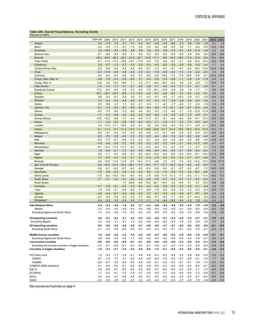## <span id="page-14-0"></span>**Table SA9. Overall Fiscal Balance, Excluding Grants**

| (Percent of GDP)                                     |           |               |         |         |                         |               |         |         |         |               |         |         |              |         |         |         |
|------------------------------------------------------|-----------|---------------|---------|---------|-------------------------|---------------|---------|---------|---------|---------------|---------|---------|--------------|---------|---------|---------|
|                                                      | 2004-08   | 2009          | 2010    | 2011    | 2012                    | 2013          | 2014    | 2015    | 2016    | 2017          | 2018    | 2019    | 2020         | 2021    | 2022    | 2023    |
| Angola                                               | 3.4       | $-7.9$        | 3.4     | 8.1     | 4.1                     | $-0.3$        | $-5.7$  | $-2.9$  | $-4.5$  | $-6.6$        | 2.3     | 0.8     | $-1.9$       | 2.8     | 3.1     | 1.6     |
| Benin                                                | $-2.0$    | $-4.4$        | $-1.3$  | $-2.7$  | $-1.5$                  | $-2.0$        | $-2.3$  | $-6.0$  | $-4.8$  | $-5.0$        | $-3.6$  | $-1.7$  | $-6.4$       | $-6.8$  | $-5.3$  | $-4.3$  |
| <b>Botswana</b>                                      | 3.9       | $-14.8$       | $-8.3$  | $-0.6$  | 0.8                     | 5.6           | 3.6     | $-4.9$  | 0.6     | $-1.4$        | $-5.1$  | $-8.6$  | $-11.0$      | $-4.8$  | $-3.2$  | 0.9     |
| <b>Burkina Faso</b>                                  | $-9.1$    | $-9.4$        | $-8.0$  | $-6.5$  | $-7.1$                  | $-8.4$        | $-5.5$  | $-5.4$  | $-5.5$  | $-9.3$        | $-6.8$  | $-4.8$  | $-8.9$       | $-8.5$  | $-8.0$  | $-6.8$  |
| <b>Burundi</b>                                       |           | $-24.2 -24.0$ |         |         | $-26.3$ $-25.3$ $-21.9$ | $-20.1 -12.8$ |         | $-11.1$ | $-9.5$  | $-10.3 -10.6$ |         | $-11.0$ | $-10.8$      | $-8.6$  | $-19.3$ | $-18.9$ |
| Cabo Verde                                           | $-9.1$    | $-11.4$       | $-17.3$ | $-10.6$ | $-13.1$                 | $-11.9$       | $-9.4$  | $-7.0$  | $-5.8$  | $-6.7$        | $-4.1$  | $-5.0$  | $-12.3$      | $-10.4$ | $-9.2$  | $-6.9$  |
|                                                      |           |               |         |         |                         |               |         |         |         |               |         |         |              |         |         |         |
| Cameroon                                             | 2.0       | $-0.7$        | $-1.5$  | $-2.7$  | $-1.8$                  | $-3.8$        | $-4.3$  | $-4.3$  | $-6.2$  | $-5.0$        | $-2.8$  | $-3.8$  | $-3.3$       | $-3.4$  | $-1.7$  | 0.4     |
| Central African Rep.                                 | $-5.3$    | $-5.6$        | $-6.5$  | $-4.4$  | $-4.2$                  | $-8.4$        | $-13.7$ | $-7.3$  | $-4.7$  | $-6.1$        | $-8.7$  | $-8.2$  | $-16.0$      | $-10.9$ | $-10.4$ | $-8.9$  |
| Chad                                                 | $-0.7$    | $-11.8$       | $-5.5$  | 0.8     | $-2.2$                  | $-4.3$        | $-6.1$  | $-7.8$  | $-4.8$  | $-4.3$        | $-1.3$  | $-1.8$  | $-2.2$       | $-2.0$  | 3.4     | 5.6     |
| Comoros                                              | $-4.5$    | $-5.4$        | $-4.7$  | $-3.6$  | $-3.5$                  | $-5.7$        | $-5.9$  | $-9.0$  | $-10.9$ | $-7.2$        | $-7.9$  | $-10.6$ | $-9.5$       | $-9.1$  | $-12.0$ | $-10.9$ |
| Congo, Dem. Rep. of                                  | $-0.8$    | $-1.9$        | $-4.4$  | $-2.8$  | $-0.2$                  | 0.1           | $-4.4$  | $-3.6$  | $-3.3$  | $-0.6$        | $-1.1$  | $-2.8$  | $-1.6$       | $-1.9$  | $-4.6$  | $-3.3$  |
| Congo, Rep. of                                       | 12.8      | 4.4           | 15.5    | 15.6    | 7.1                     | $-3.2$        | $-11.1$ | $-18.4$ | $-16.3$ | $-6.4$        | 5.6     | 3.9     | $-2.9$       | 1.2     | 10.9    | 7.2     |
| Côte d'Ivoire                                        | $-1.5$    | $-1.4$        | $-1.7$  | $-3.1$  | $-2.7$                  | $-2.6$        | $-2.8$  | $-3.1$  | $-4.0$  | $-4.2$        | $-3.7$  | $-3.1$  | $-6.1$       | $-5.9$  | $-5.1$  | $-4.1$  |
| <b>Equatorial Guinea</b>                             | 17.2      | $-6.5$        | $-4.5$  | 0.8     | $-7.2$                  | $-4.4$        | $-7.5$  | $-15.1$ | $-10.9$ | $-2.6$        | 0.5     | 1.8     | $-1.7$       | 1.7     | 3.5     | 4.4     |
| Eritrea                                              | $-33.1$   | $-24.7$       | $-22.5$ | $-8.9$  | $-7.4$                  | $-10.2$       | $-2.0$  | $-5.1$  | $-3.6$  | $-8.4$        | 3.2     | $-0.5$  | $-5.5$       | $-5.1$  | $-2.0$  | $-0.9$  |
| Eswatini                                             | 0.8       | $-3.4$        | $-9.1$  | $-3.8$  | 3.2                     | 0.1           | $-4.3$  | $-6.7$  | $-9.9$  | $-7.7$        | $-10.3$ | $-7.8$  | $-5.7$       | $-5.9$  | $-6.4$  | $-3.2$  |
| Ethiopia                                             | $-7.5$    | $-5.2$        | $-4.5$  | $-4.8$  | $-2.9$                  | $-3.4$        | $-3.7$  | $-3.0$  | $-3.1$  | $-3.9$        | $-3.8$  | $-3.8$  | $-4.0$       | $-3.6$  | $-4.4$  | $-3.6$  |
| Gabon                                                | 8.5       | 6.8           | 2.7     | 1.7     | 6.2                     | $-3.1$        | 6.0     | $-1.1$  | $-4.7$  | $-1.7$        | $-0.2$  | 2.1     | $-2.2$       | $-1.6$  | 1.2     | 3.5     |
|                                                      |           |               |         |         |                         |               |         |         |         |               |         |         |              |         |         |         |
| Gambia, The                                          | $-2.7$    | $-4.3$        | $-5.4$  | $-6.3$  | $-8.6$                  | $-6.5$        | $-6.4$  | $-6.6$  | $-7.3$  | $-12.1$       | $-9.0$  |         | $-9.7 -10.5$ | $-6.9$  | $-9.6$  | $-9.1$  |
| Ghana                                                | $-6.2$    | $-7.5$        | $-9.2$  | $-7.0$  | $-9.5$                  | $-9.4$        | $-8.3$  | $-5.5$  | $-7.3$  | $-4.6$        | $-7.1$  | $-7.6$  | $-15.9$      | $-11.9$ | $-8.9$  | $-7.9$  |
| Guinea                                               | $-1.7$    | $-5.1$        | $-9.9$  | $-3.5$  | $-4.6$                  | $-5.0$        | $-6.3$  | $-8.0$  | $-1.4$  | $-3.6$        | $-2.5$  | $-1.0$  | $-3.9$       | $-2.1$  | $-4.8$  | $-4.6$  |
| Guinea-Bissau                                        | $-13.0$   | $-12.2$       | $-8.8$  | $-7.7$  | $-4.4$                  | $-4.9$        | $-11.3$ | $-9.1$  | $-9.1$  | $-6.3$        | $-8.5$  | $-6.9$  | $-14.1$      | $-12.3$ | $-8.3$  | $-8.3$  |
| Kenya                                                | $-1.1$    | $-3.9$        | $-4.2$  | $-3.9$  | $-6.2$                  | $-6.4$        | $-6.3$  | $-7.1$  | $-7.8$  | $-7.7$        | $-7.2$  | $-7.6$  | $-8.3$       | $-8.5$  | $-7.3$  | $-5.6$  |
| Lesotho                                              | 4.4       | $-11.0$       | $-11.1$ | $-18.3$ | $-4.6$                  | $-8.1$        | 0.6     | $-4.6$  | $-12.8$ | $-4.4$        | $-9.0$  | $-11.1$ | $-2.9$       | $-11.1$ | $-13.4$ | $-8.9$  |
| Liberia                                              | $-0.1$    | $-11.4$       | $-6.1$  | $-11.3$ | $-13.0$                 | $-11.4$       | $-18.8$ | $-22.8$ | $-21.7$ | $-21.4$       | $-18.5$ | $-18.3$ | $-19.2$      | $-15.5$ | $-14.3$ | $-13.1$ |
| Madagascar                                           | $-8.0$    | $-3.7$        | $-2.5$  | $-3.7$  | $-3.3$                  | $-4.5$        | $-3.9$  | $-4.1$  | $-4.1$  | $-4.6$        | $-3.8$  | $-4.5$  | $-6.5$       | $-8.0$  | $-8.5$  | $-6.3$  |
| Malawi                                               | $-8.5$    | $-7.9$        | $-5.9$  | $-5.2$  | $-7.2$                  | $-7.8$        | $-5.0$  | $-6.4$  | $-6.6$  | $-7.4$        | $-5.3$  | $-6.2$  | $-9.9$       | $-9.8$  | $-9.0$  | $-8.6$  |
| Mali                                                 | $-6.2$    | $-7.7$        | $-5.1$  | $-6.6$  | $-1.2$                  | $-5.2$        | $-5.1$  | $-4.5$  | $-5.5$  | $-4.5$        | $-6.0$  | $-3.6$  | $-6.6$       | $-5.6$  | $-4.8$  | $-5.1$  |
| <b>Mauritius</b>                                     | $-3.9$    | $-4.9$        | $-3.6$  | $-3.7$  | $-2.4$                  | $-3.7$        | $-3.2$  | $-3.7$  | $-3.5$  | $-2.4$        | $-3.1$  | $-9.4$  | $-11.5$      | $-8.0$  | $-5.7$  | $-6.0$  |
| Mozambique                                           | $-8.7$    | $-12.2$       | $-11.0$ | $-11.3$ | $-8.2$                  | $-7.4$        | $-14.0$ | $-9.5$  | $-7.0$  | $-4.0$        | $-7.6$  | $-1.1$  | $-8.7$       | $-5.3$  | $-7.4$  | $-6.6$  |
| Namibia                                              | 1.8       | $-0.6$        | $-5.1$  | $-7.2$  | $-3.3$                  | $-4.9$        | $-6.6$  | $-8.4$  | $-9.3$  | $-5.0$        | $-5.1$  | $-5.6$  | $-8.3$       | $-9.0$  | $-7.8$  | $-5.0$  |
|                                                      |           |               | $-4.3$  |         |                         |               |         |         |         |               |         |         |              |         |         |         |
| Niger                                                | $-5.8$    | $-7.1$        |         | $-4.9$  | $-5.3$                  | $-8.0$        | $-10.3$ | $-10.8$ | $-8.9$  | $-9.0$        | $-9.0$  | $-10.4$ | $-12.1$      | $-13.4$ | $-11.2$ | $-9.5$  |
| Nigeria                                              | 4.7       | $-5.3$        | $-4.2$  | 0.4     | $-0.1$                  | $-2.7$        | $-2.4$  | $-3.8$  | $-4.6$  | $-5.4$        | $-4.3$  | $-4.7$  | $-5.7$       | $-6.0$  | $-6.4$  | $-5.9$  |
| Rwanda                                               | $-9.0$    | $-10.5$       | $-11.8$ | $-11.6$ |                         | $-9.7 -10.4$  | $-11.4$ | $-8.8$  | $-7.2$  | $-7.2$        | $-7.4$  | $-9.2$  | $-14.2$      | $-12.3$ | $-13.6$ | $-11.5$ |
| São Tomé & Príncipe                                  | $-5.0$    | $-34.6$       | $-31.4$ | $-32.0$ | $-29.4$                 | $-11.0$       | $-15.3$ | $-17.7$ | $-17.7$ | $-13.2$       | $-10.2$ | $-6.5$  | $-4.5$       | $-6.9$  | $-11.9$ | $-7.9$  |
| Senegal                                              | $-3.6$    | $-6.1$        | $-6.0$  | $-6.7$  | $-6.5$                  | $-6.3$        | $-6.5$  | $-5.9$  | $-5.4$  | $-5.1$        | $-5.7$  | $-5.5$  | $-8.7$       | $-7.2$  | $-6.5$  | $-5.4$  |
| Seychelles                                           | $-1.8$    | 0.8           | $-0.3$  | 0.9     | $-1.9$                  | $-3.9$        | 0.5     | 1.0     | $-1.0$  | $-0.3$        | $-1.0$  | 0.5     | $-19.2$      | $-8.6$  | $-9.6$  | $-3.1$  |
| Sierra Leone                                         | $-7.5$    | -8.4          | $-10.3$ | $-10.1$ | $-9.0$                  | $-5.0$        | $-7.8$  | $-9.9$  | $-11.5$ | $-11.3$       | $-7.7$  | $-6.5$  | $-11.1$      | $-11.4$ | $-8.3$  | $-7.3$  |
| South Africa                                         | 0.1       | $-4.7$        | $-4.5$  | $-3.7$  | $-4.0$                  | $-3.9$        | $-3.9$  | $-4.4$  | $-3.7$  | $-4.0$        | $-3.7$  | -4.7    | $-9.7$       | $-6.4$  | $-5.8$  | $-6.1$  |
| South Sudan                                          | $\ddotsc$ |               |         | 1.7     | $-20.9$                 | $-9.9$        | $-15.3$ | $-22.1$ | $-19.4$ | 3.2           | $-0.6$  | 0.1     | 6.7          | 10.0    | 8.9     | 3.9     |
| Tanzania                                             | $-7.1$    | $-7.9$        | $-8.1$  | $-6.9$  | $-7.0$                  | $-6.0$        | $-4.5$  | $-4.0$  | $-2.8$  | $-2.0$        | $-2.5$  | $-2.5$  | $-3.1$       | $-3.8$  | $-3.9$  | $-3.5$  |
| Togo                                                 | $-1.9$    | $-3.8$        | $-3.1$  | $-6.9$  | $-6.6$                  | $-7.7$        | $-8.9$  | $-7.9$  | $-9.2$  | $-2.6$        | $-3.3$  | $-1.3$  | $-9.3$       | $-8.3$  | $-9.0$  | $-7.1$  |
| Uganda                                               | $-4.6$    | $-3.4$        | $-6.7$  | $-3.4$  | $-3.9$                  | $-4.0$        | $-3.7$  | $-3.7$  | $-3.5$  | $-4.2$        | $-3.8$  | $-5.7$  | $-8.7$       | $-9.0$  | $-6.3$  | $-4.5$  |
| Zambia                                               | $-5.7$    | $-4.5$        | $-3.9$  | $-2.4$  | $-4.5$                  | $-7.7$        | $-6.6$  | $-9.7$  | $-5.9$  | $-7.7$        | $-8.5$  | $-9.7$  | $-14.3$      | $-9.3$  | $-9.3$  | $-7.2$  |
| Zimbabwe <sup>4</sup>                                |           |               |         |         |                         |               |         |         |         |               |         |         |              |         |         |         |
|                                                      | $-2.9$    | $-2.2$        | 0.2     | $-2.5$  | 0.0                     | $-1.3$        | $-1.1$  | $-1.8$  | $-6.6$  | $-10.6$       | $-5.4$  | $-1.0$  | 0.8          | $-2.0$  | $-2.6$  | $-2.7$  |
| Sub-Saharan Africa                                   | 0.4       | $-5.2$        | $-4.0$  | $-1.8$  | $-2.5$                  | $-3.7$        | $-4.2$  | $-4.8$  | $-4.9$  | $-4.9$        | $-3.9$  | $-4.4$  | $-7.0$       | $-5.8$  | $-5.2$  | $-4.6$  |
| Median                                               | $-3.3$    | $-5.5$        | $-5.2$  | $-3.9$  | $-4.4$                  | $-5.0$        | $-5.9$  | $-6.4$  | $-5.9$  | $-5.0$        | $-5.1$  | $-4.8$  | $-8.3$       | $-6.9$  | $-6.5$  | $-5.6$  |
| Excluding Nigeria and South Africa                   | $-1.5$    | $-5.4$        | $-3.6$  | $-1.9$  | $-3.0$                  | $-4.3$        | $-5.5$  | $-5.6$  | $-5.5$  | $-5.2$        | $-3.8$  | $-4.2$  | $-6.6$       | $-5.4$  | $-4.3$  | $-3.5$  |
|                                                      |           |               |         |         |                         |               |         |         |         |               |         |         |              |         |         |         |
| <b>Oil-exporting countries</b>                       | 4.9       | $-5.1$        | $-2.2$  | 2.1     | 0.3                     | $-2.5$        | $-3.5$  | $-4.5$  | $-5.1$  | $-5.4$        | $-2.6$  | $-3.3$  | $-4.7$       | $-4.1$  | $-3.5$  | $-3.3$  |
| <b>Excluding Nigeria</b>                             | 5.3       | 6.6<br>-4     | 2.1     | 5.1     | 1.2                     | $-2.3$        | 5.8     | $-6.2$  | $-6.2$  | 5<br>.5       | 0.9     | 0.0     | $-2.0$       | 0.5     | 2.7     | 2.3     |
| Oil-importing countries                              | $-2.0$    | $-5.2$        | $-5.2$  | $-4.5$  | $-4.5$                  | $-4.7$        | $-4.8$  | $-5.0$  | $-4.7$  | $-4.7$        | $-4.6$  | $-5.0$  | $-8.2$       | $-6.6$  | $-6.1$  | $-5.4$  |
| <b>Excluding South Africa</b>                        | $-4.1$    | $-5.7$        | $-5.9$  | $-5.2$  | $-4.9$                  | $-5.2$        | $-5.4$  | $-5.4$  | $-5.3$  | $-5.1$        | $-5.1$  | $-5.2$  | $-7.5$       | $-6.7$  | $-6.3$  | $-5.1$  |
|                                                      |           |               |         |         |                         |               |         |         |         |               |         |         |              |         |         |         |
| Middle-income countries                              | 1.6       | $-4.9$        | $-3.6$  | $-1.2$  | $-1.9$                  | $-3.4$        | $-3.8$  | $-4.5$  | $-4.9$  | $-5.0$        | $-3.8$  | -4.6    | $-7.6$       | $-6.0$  | $-5.1$  | $-4.7$  |
| Excluding Nigeria and South Africa                   | 0.8       | $-4.6$        | $-2.0$  | 0.0     | $-1.7$                  | $-3.8$        | $-5.2$  | $-5.5$  | $-6.0$  | $-5.6$        | $-3.5$  | $-4.4$  | $-7.8$       | $-5.7$  | $-3.5$  | $-2.7$  |
| Low-income countries                                 | $-5.9$    | -6.6          | $-6.4$  | $-4.9$  | $-5.1$                  | $-5.1$        | $-6.0$  | $-5.8$  | $-4.8$  | $-4.6$        | $-4.2$  | $-3.8$  | $-5.2$       | $-5.1$  | $-5.3$  | $-4.4$  |
| Excluding low-income countries in fragile situations | $-7.2$    | $-6.7$        | $-6.9$  | $-6.1$  | $-5.4$                  | $-5.5$        | $-5.7$  | $-4.8$  | $-4.1$  | $-4.4$        | $-4.4$  | $-4.3$  | $-6.0$       | $-6.0$  | $-5.9$  | $-4.8$  |
| <b>Countries in fragile situations</b>               | $-1.9$    | -4.3          | $-2.7$  | $-1.8$  | $-3.2$                  | $-4.0$        | $-6.0$  | $-7.0$  | $-6.1$  | $-5.0$        | $-3.4$  | $-2.8$  | $-4.5$       | $-4.1$  | $-3.8$  | $-3.3$  |
|                                                      |           |               |         |         |                         |               |         |         |         |               |         |         |              |         |         |         |
| CFA franc zone                                       | $1.2$     | $-3.3$        | $-1.7$  | $-1.5$  | $-2.1$                  | $-4.4$        | $-4.8$  | $-6.3$  | $-6.3$  | $-4.9$        | $-3.3$  | $-2.9$  | $-6.0$       | $-5.3$  | $-3.2$  | $-2.3$  |
| <b>CEMAC</b>                                         | 6.7       | $-1.5$        | 0.7     | 2.1     | $-0.2$                  | $-3.8$        | $-4.8$  | $-8.0$  | $-7.6$  | $-4.2$        | $-0.7$  | $-0.9$  | $-3.1$       | $-1.9$  | 1.7     | 2.8     |
| WAEMU                                                | $-3.6$    | $-4.7$        | $-3.8$  | $-4.9$  | $-4.0$                  | $-4.8$        | $-4.9$  | $-5.1$  | $-5.4$  | $-5.3$        | $-5.1$  | $-4.1$  | $-7.6$       | $-7.2$  | $-6.3$  | $-5.3$  |
| COMESA (SSA members)                                 | $-4.1$    | $-4.6$        | $-5.0$  | $-4.1$  | $-3.9$                  | $-4.6$        | $-4.8$  | $-5.0$  | $-5.2$  | $-5.5$        | $-5.0$  | $-5.5$  | $-6.4$       | $-6.1$  | $-6.2$  | $-4.9$  |
| EAC-5                                                | $-3.9$    | $-5.6$        | $-6.7$  | $-5.5$  | $-6.4$                  | $-6.2$        | $-5.6$  | $-5.7$  | $-5.5$  | $-5.4$        | $-5.3$  | $-5.9$  | $-7.1$       | $-7.4$  | $-6.6$  | $-5.2$  |
| <b>ECOWAS</b>                                        | 1.7       | $-5.4$        | $-4.7$  | $-1.4$  | $-1.8$                  | $-3.7$        | $-3.4$  | $-4.3$  | $-5.1$  | $-5.4$        | $-4.8$  | $-4.9$  | $-7.2$       | $-6.9$  | $-6.7$  | $-5.9$  |
| <b>SACU</b>                                          | 0.3       | $-4.9$        | $-4.7$  | $-3.8$  | $-3.8$                  | $-3.6$        | $-3.7$  | $-4.5$  | $-3.8$  | $-4.0$        | $-3.9$  | $-5.0$  | $-9.7$       | $-6.4$  | $-5.8$  | $-5.8$  |
| SADC                                                 | $-0.5$    | $-5.5$        | $-3.8$  | $-2.2$  | $-2.5$                  | $-3.2$        | $-4.5$  | $-4.4$  | $-4.1$  | $-4.5$        | $-3.1$  | $-4.0$  | $-7.4$       | $-4.9$  | $-4.3$  | $-4.3$  |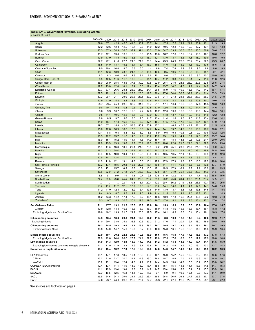## <span id="page-15-0"></span>**Table SA10. Government Revenue, Excluding Grants**

| (Percent of GDP                                            |              |              |              |              |              |              |                      |              |              |              |              |              |              |              |              |              |
|------------------------------------------------------------|--------------|--------------|--------------|--------------|--------------|--------------|----------------------|--------------|--------------|--------------|--------------|--------------|--------------|--------------|--------------|--------------|
|                                                            | 2004-08      | 2009         | 2010         | 2011         | 2012         | 2013         | 2014                 | 2015         | 2016         | 2017         | 2018         | 2019         | 2020         | 2021         | 2022         | 2023         |
| Angola                                                     | 39.0         | 37.1         | 42.8         | 45.5         | 41.3         | 36.7         | 30.7                 | 24.1         | 17.5         | 17.5         | 22.9         | 21.2         | 20.9         | 22.1         | 21.3         | 19.3         |
| Benin                                                      | 12.2         | 12.6         | 12.8         | 12.0         | 12.7         | 12.9         | 11.9                 | 12.2         | 10.6         | 12.8         | 13.0         | 12.9         | 12.7         | 13.4         | 13.4         | 13.8         |
| <b>Botswana</b>                                            | 42.3         | 37.3         | 34.3         | 36.5         | 37.9         | 39.1         | 40.2                 | 32.9         | 34.7         | 33.3         | 30.5         | 28.3         | 26.0         | 30.8         | 30.6         | 32.2         |
| <b>Burkina Faso</b>                                        | 11.7         | 12.1         | 13.6         | 13.9         | 15.6         | 16.8         | 15.5                 | 15.0         | 16.2         | 17.0         | 17.2         | 18.7         | 16.6         | 16.1         | 16.8         | 17.2         |
| <b>Burundi</b>                                             | 13.9         | 13.9         | 14.5         | 16.9         | 15.6         | 14.7         | 15.7                 | 12.1         | 13.0         | 13.7         | 15.5         | 17.8         | 18.2         | 19.0         | 19.5         | 19.5         |
| Cabo Verde                                                 | 22.7         | 22.1         | 21.8         | 22.7         | 21.6         | 21.9         | 21.1                 | 24.4         | 23.9         | 24.9         | 26.8         | 26.2         | 23.4         | 22.3         | 25.9         | 26.7         |
| Cameroon                                                   | 15.5         | 14.0         | 13.7         | 15.2         | 15.4         | 15.4         | 15.7                 | 15.8         | 14.0         | 14.2         | 15.2         | 14.8         | 13.2         | 13.6         | 15.6         | 17.2         |
| Central African Rep.                                       | 9.0<br>14.1  | 10.4         | 10.8         | 9.7          | 10.3         | 5.0          | 4.4                  | 6.6          | 7.4          | 7.8          | 8.9          | 8.7          | 9.2          | 8.8          | 8.6          | 9.3          |
| Chad<br>Comoros                                            | 8.3          | 12.3<br>8.3  | 18.9<br>8.6  | 23.2<br>9.6  | 21.7<br>11.3 | 18.5<br>9.1  | 15.8<br>8.6          | 10.5<br>10.1 | 9.5<br>8.0   | 10.6<br>11.7 | 12.0<br>11.2 | 12.5<br>9.6  | 16.9<br>9.2  | 15.1<br>10.2 | 20.1<br>10.0 | 22.1<br>10.2 |
| Congo, Dem. Rep. of                                        | 8.5          | 10.5         | 11.6         | 11.2         | 13.5         | 12.9         | 14.1                 | 13.7         | 11.2         | 9.8          | 10.0         | 10.1         | 8.7          | 11.3         | 11.8         | 12.6         |
| Congo, Rep. of                                             | 38.0         | 28.9         | 38.5         | 43.5         | 37.8         | 39.2         | 37.5                 | 22.9         | 25.4         | 21.9         | 24.8         | 26.0         | 20.6         | 22.8         | 28.5         | 27.4         |
| Côte d'Ivoire                                              | 12.7         | 13.0         | 12.8         | 10.1         | 13.4         | 13.3         | 12.4                 | 13.4         | 13.7         | 14.2         | 14.0         | 14.2         | 14.4         | 14.2         | 14.7         | 14.9         |
| <b>Equatorial Guinea</b>                                   | 33.7         | 33.4         | 26.6         | 28.3         | 28.0         | 24.9         | 24.1                 | 26.5         | 16.9         | 17.5         | 19.9         | 18.5         | 14.2         | 14.2         | 16.4         | 17.1         |
| Eritrea                                                    | 29.5         | 19.1         | 21.1         | 23.8         | 26.3         | 23.0         | 19.8                 | 26.4         | 27.6         | 34.4         | 30.5         | 32.9         | 30.4         | 31.4         | 33.3         | 33.9         |
| Eswatini                                                   | 30.2         | 29.4         | 21.1         | 20.6         | 29.5         | 28.1         | 27.2                 | 27.0         | 24.4         | 27.3         | 24.3         | 26.5         | 28.3         | 25.3         | 24.6         | 24.0         |
| Ethiopia                                                   | 13.9         | 11.9         | 14.0         | 13.4         | 13.8         | 14.3         | 13.8                 | 14.4         | 14.8         | 14.1         | 12.3         | 11.6         | 10.5         | 10.2         | 10.0         | 11.4         |
| Gabon                                                      | 28.7         | 29.4         | 25.8         | 23.5         | 30.2         | 31.6         | 29.7                 | 21.1         | 17.1         | 16.4         | 16.9         | 19.5         | 17.6         | 15.5         | 16.6         | 18.3         |
| Gambia, The                                                | 9.8          | 10.1         | 9.2          | 10.3         | 10.5         | 10.6         | 12.5                 | 13.0         | 12.0         | 11.6         | 11.8         | 14.0         | 14.4         | 14.7         | 14.6         | 13.7         |
| Ghana                                                      | 9.8          | 9.9          | 10.7         | 12.6         | 12.5         | 12.2         | 12.6                 | 13.2         | 12.6         | 13.0         | 13.8         | 13.6         | 13.0         | 14.4         | 16.4         | 16.1         |
| Guinea                                                     | 9.5          | 11.1         | 10.6         | 12.5         | 15.5         | 13.7         | 13.9                 | 13.7         | 14.8         | 13.7         | 13.5         | 13.9         | 11.8         | 11.9         | 12.2         | 12.8         |
| Guinea-Bissau                                              | 8.6          | 8.5          | 9.7          | 9.6          | 8.6          | 7.5          | 11.7                 | 12.4         | 11.4         | 11.8         | 11.6         | 12.5         | 11.8         | 13.4         | 13.6         | 14.1         |
| Kenya                                                      | 11.9         | 16.4         | 17.3         | 16.2         | 15.9         | 16.9         | 17.1                 | 16.7         | 17.5         | 17.5         | 17.3         | 16.8         | 16.4         | 16.4         | 17.0         | 17.3         |
| Lesotho                                                    | 49.2         | 57.1         | 45.8         | 42.0         | 53.8         | 50.9         | 50.9                 | 47.2         | 41.1         | 46.5         | 45.8         | 44.7         | 52.1         | 42.1         | 41.5         | 44.3         |
| Liberia                                                    | 15.0         | 12.6         | 18.9         | 18.6         | 17.8         | 16.0         | 14.7                 | 14.4         | 14.1         | 13.7         | 14.0         | 13.9         | 15.9         | 16.7         | 16.0         | 17.1         |
| Madagascar                                                 | 10.1         | 8.8          | 9.8          | 8.3          | 8.2          | 8.2          | 8.6                  | 8.9          | 9.5          | 10.3         | 10.5         | 10.8         | 9.9          | 10.8         | 12.2         | 12.6         |
| Malawi                                                     | 10.3         | 12.2         | 13.7         | 11.8         | 11.5         | 12.9         | 13.2                 | 13.2         | 13.1         | 13.5         | 14.1         | 13.1         | 12.8         | 13.5         | 13.7         | 14.4         |
| Mali                                                       | 15.0         | 15.1         | 15.2         | 14.0         | 14.4         | 14.5<br>20.1 | 14.9                 | 16.4<br>20.7 | 16.7<br>20.6 | 18.4<br>22.0 | 14.3         | 19.6<br>21.8 | 19.5         | 21.4<br>22.9 | 20.0         | 20.6         |
| <b>Mauritius</b><br>Mozambique                             | 17.8<br>11.4 | 19.9<br>14.3 | 19.9<br>16.3 | 19.6<br>18.1 | 19.7<br>20.4 | 24.8         | 19.8<br>26.4         | 23.2         | 22.0         | 25.1         | 21.7<br>23.8 | 28.7         | 22.1<br>24.5 | 25.3         | 23.3<br>25.0 | 23.4<br>25.4 |
| Namibia                                                    | 29.3         | 31.3         | 28.4         | 31.2         | 31.8         | 33.4         | 35.2                 | 35.3         | 32.4         | 33.1         | 31.2         | 32.0         | 33.1         | 29.9         | 28.5         | 30.6         |
| Niger                                                      | 10.4         | 10.5         | 10.0         | 10.4         | 11.3         | 12.5         | 13.4                 | 13.4         | 10.5         | 10.5         | 12.1         | 11.2         | 10.8         | 10.8         | 11.9         | 12.8         |
| Nigeria                                                    | 20.9         | 10.1         | 12.4         | 17.7         | 14.7         | 11.5         | 10.9                 | 7.2          | 5.1          | 6.6          | 8.5          | 7.8          | 6.3          | 7.2          | 8.4          | 8.1          |
| Rwanda                                                     | 11.6         | 11.8         | 12.1         | 13.1         | 14.8         | 15.8         | 16.1                 | 17.8         | 17.9         | 17.9         | 19.0         | 19.0         | 18.8         | 19.0         | 18.8         | 18.4         |
| São Tomé & Príncipe                                        | 33.2         | 17.4         | 18.5         | 20.2         | 16.8         | 20.6         | 15.1                 | 16.5         | 14.7         | 14.4         | 15.8         | 15.6         | 18.6         | 17.8         | 17.7         | 17.9         |
| Senegal                                                    | 16.6         | 15.1         | 15.7         | 16.5         | 16.5         | 15.7         | 16.6                 | 17.1         | 18.5         | 17.3         | 16.9         | 18.7         | 17.9         | 18.6         | 19.1         | 19.5         |
| Seychelles                                                 | 36.5         | 32.9         | 34.2         | 37.2         | 36.7         | 33.8         | 33.2                 | 32.5         | 35.1         | 34.0         | 35.1         | 35.3         | 33.8         | 31.0         | 31.6         | 33.5         |
| Sierra Leone                                               | 8.8          | 9.1          | 9.9          | 11.4         | 11.3         | 10.7         | 9.8                  | 10.8         | 11.9         | 12.2         | 13.7         | 14.7         | 14.7         | 15.9         | 15.6         | 15.6         |
| South Africa                                               | 24.7         | 23.8         | 23.8         | 24.4         | 24.6         | 25.0         | 25.4                 | 25.8         | 26.2         | 25.8         | 26.4         | 26.8         | 25.1         | 26.7         | 27.5         | 27.1         |
| South Sudan                                                | .            |              |              | 22.7         | 10.8         | 15.4         | 20.4                 | 12.3         | 29.4         | 36.2         | 31.9         | 36.5         | 26.5         | 42.1         | 45.3         | 25.5         |
| Tanzania                                                   | 10.7         | 11.7         | 11.7         | 12.1         | 12.6         | 12.8         | 12.8                 | 13.2         | 14.1         | 14.6         | 14.1         | 14.1         | 14.0         | 14.1         | 14.8         | 15.0         |
| Togo                                                       | 11.2         | 11.0         | 12.4         | 12.0         | 13.2         | 13.4         | 13.6                 | 14.5         | 13.9         | 13.7         | 15.3         | 14.8         | 13.8         | 14.5         | 14.7         | 15.0         |
| Uganda                                                     | 9.4          | 8.3          | 8.7          | 9.8          | 9.2          | 9.3          | 9.9                  | 11.4         | 11.5         | 12.0         | 12.4         | 12.6         | 12.7         | 13.1         | 14.1         | 14.3         |
| Zambia                                                     | 15.2         | 13.3         | 14.2         | 17.1         | 17.0         | 16.2         | 18.1                 | 18.6         | 18.0         | 17.3         | 19.2         | 20.1         | 19.8         | 23.2         | 19.8         | 21.8         |
| Zimbabwe <sup>®</sup>                                      | 5.3          | 9.7          | 18.3         | 20.7         | 20.4         | 19.6         | 19.3                 | 18.7         | 17.0         | 18.1         | 14.9         | 12.3         | 15.4         | 17.2         | 17.0         | 17.0         |
| Sub-Saharan Africa                                         | 21.1         | 17.7         | 19.1         | 21.3         | 20.3         | 18.8         | 18.0                 | 16.1         | 15.3         | 16.3         | 16.9         | 16.5         | 15.0         | 16.4         | 17.0         | 16.7         |
| Median                                                     | 13.9         | 12.8         | 14.4         | 16.5         | 15.6         | 15.7         | 15.7                 | 15.0         | 14.8         | 14.6         | 15.3         | 15.6         | 16.4         | 16.1         | 16.8         | 17.2         |
| Excluding Nigeria and South Africa                         | 18.6         | 18.2         | 19.9         | 21.5         | 21.2         | 20.3         | 19.5                 | 17.4         | 16.1         | 16.3         | 16.6         | 16.4         | 15.4         | 16.1         | 16.9         | 17.0         |
| <b>Oil-exporting countries</b>                             | 24.3         | 16.4         | 18.8         | 23.8         | 21.1         | 17.8         | 16.2                 | 11.5         | 8.8          | 10.3         | 12.3         | 11.3         | 9.4          | 10.6         | 12.3         | 11.7         |
| <b>Excluding Nigeria</b>                                   | 31.0         |              | 33.0         | 34           | 33.3         | 30           | 27<br>$\overline{2}$ | 21           |              |              | 20           | 19.7         | 8.0          | 18.9         | 20.5         | 19.6         |
| Oil-importing countries                                    | 19.2         | 18.5         | 19.2         | 19.6         | 19.7         | 19.6         | 19.7                 | 19.7         | 19.5         | 19.7         | 19.5         | 19.4         | 18.0         | 19.3         | 19.7         | 19.8         |
| <b>Excluding South Africa</b>                              | 13.8         | 14.0         | 14.7         | 15.0         | 15.7         | 15.7         | 16.0                 | 16.0         | 15.8         | 16.1         | 15.6         | 15.5         | 14.9         | 15.5         | 15.9         | 16.4         |
|                                                            |              |              |              |              |              |              |                      |              |              |              |              |              |              |              |              |              |
| Middle-income countries                                    | 22.9<br>22.6 | 19.1         | 20.2<br>24.0 | 22.8         | 21.6<br>25.7 | 19.8         | 18.9<br>22.7         | 16.6<br>19.8 | 15.6<br>17.5 | 16.8<br>17.6 | 17.9         | 17.3         | 15.6         | 17.2<br>17.9 | 17.8<br>18.8 | 17.3         |
| Excluding Nigeria and South Africa<br>Low-income countries | 11.0         | 22.6<br>11.3 | 12.9         | 26.0<br>14.0 | 13.9         | 24.1<br>14.2 | 14.6                 | 14.2         | 14.2         | 14.4         | 18.8<br>13.8 | 18.3<br>14.0 | 17.2<br>13.4 | 14.1         | 14.5         | 18.8<br>15.0 |
| Excluding low-income countries in fragile situations       | 11.1         | 11.0         | 11.9         | 12.3         | 12.9         | 13.7         | 13.8                 | 14.1         | 14.2         | 14.5         | 13.9         | 14.0         | 13.1         | 13.3         | 13.7         | 14.3         |
| <b>Countries in fragile situations</b>                     | 13.7         | 13.4         | 16.2         | 17.3         | 17.2         | 16.8         | 16.6                 | 14.6         | 14.6         | 14.7         | 14.3         | 14.7         | 14.3         | 15.5         | 16.2         | 16.3         |
|                                                            |              |              |              |              |              |              |                      |              |              |              |              |              |              |              |              |              |
| CFA franc zone                                             | 18.1         | 17.1         | 17.8         | 18.5         | 19.4         | 18.9         | 18.0                 | 16.1         | 15.0         | 15.2         | 15.5         | 16.2         | 15.2         | 15.4         | 16.6         | 17.3         |
| <b>CEMAC</b>                                               | 23.7         | 21.9         | 22.7         | 24.7         | 25.1         | 24.3         | 23.0                 | 18.5         | 15.7         | 15.5         | 17.0         | 17.2         | 15.3         | 15.2         | 18.0         | 19.1         |
| WAEMU                                                      | 13.2         | 13.1         | 13.4         | 12.4         | 14.0         | 14.1         | 13.7                 | 14.4         | 14.5         | 15.0         | 14.6         | 15.6         | 15.2         | 15.5         | 15.8         | 16.2         |
| COMESA (SSA members)                                       | 12.4         | 13.1         | 14.4         | 14.5         | 14.9         | 15.0         | 15.4                 | 15.6         | 15.4         | 15.4         | 14.8         | 14.4         | 13.8         | 14.5         | 14.7         | 15.3         |
| EAC-5                                                      | 11.1         | 12.9         | 13.4         | 13.4         | 13.3         | 13.9         | 14.2                 | 14.7         | 15.4         | 15.6         | 15.6         | 15.4         | 15.2         | 15.3         | 15.9         | 16.1         |
| <b>ECOWAS</b>                                              | 17.9         | 10.8         | 12.5         | 16.2         | 14.4         | 12.0         | 11.6                 | 9.1          | 8.0          | 9.4          | 10.6         | 10.4         | 9.3          | 10.3         | 11.1         | 10.9         |
| <b>SACU</b><br>SADC                                        | 25.5<br>24.6 | 24.6<br>23.7 | 24.3<br>24.6 | 25.0<br>26.0 | 25.4<br>25.9 | 25.9<br>25.4 | 26.4<br>24.7         | 26.5<br>23.3 | 26.8<br>22.1 | 26.5<br>22.1 | 26.8<br>22.9 | 27.1<br>22.8 | 25.6<br>21.5 | 27.1<br>23.1 | 27.7<br>23.1 | 27.5<br>22.8 |
|                                                            |              |              |              |              |              |              |                      |              |              |              |              |              |              |              |              |              |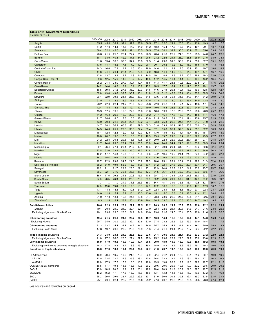## <span id="page-16-0"></span>**Table SA11. Government Expenditure**

| (Percent of GDP                                      |                   |          |      |      |              |         |      |      |              |      |              |              |      |      |      |              |
|------------------------------------------------------|-------------------|----------|------|------|--------------|---------|------|------|--------------|------|--------------|--------------|------|------|------|--------------|
|                                                      | 2004-08           | 2009     | 2010 | 2011 | 2012         | 2013    | 2014 | 2015 | 2016         | 2017 | 2018         | 2019         | 2020 | 2021 | 2022 | 2023         |
| Angola                                               | 35.5              | 45.0     | 39.4 | 37.4 | 37.2         | 37.0    | 36.5 | 27.1 | 22.0         | 24.1 | 20.6         | 20.4         | 22.8 | 19.3 | 18.2 | 17.7         |
| Benin                                                | 14.2              | 17.0     | 14.1 | 14.7 | 14.2         | 14.9    | 14.2 | 18.2 | 15.4         | 17.8 | 16.6         | 14.6         | 19.1 | 20.1 | 18.7 | 18.1         |
| <b>Botswana</b>                                      | 38.4              | 52.1     | 42.6 | 37.2 | 37.1         | 33.5    | 36.5 | 37.8 | 34.1         | 34.7 | 35.6         | 36.9         | 37.1 | 35.6 | 33.8 | 31.3         |
| Burkina Faso                                         | 20.8              | 21.5     | 21.7 | 20.4 | 22.7         | 25.3    | 20.9 | 20.4 | 21.6         | 26.2 | 24.0         | 23.5         | 25.5 | 24.6 | 24.7 | 23.9         |
| <b>Burundi</b>                                       | 38.1              | 38.0     | 40.8 | 42.2 | 37.5         | 34.8    | 28.5 | 23.2 | 22.6         | 24.1 | 26.0         | 28.8         | 28.9 | 27.5 | 38.9 | 38.4         |
| Cabo Verde                                           | 31.8              | 33.4     | 39.2 | 33.3 | 34.7         | 33.8    | 30.5 | 31.4 | 29.6         | 31.6 | 30.9         | 31.2         | 35.6 | 32.7 | 35.1 | 33.5         |
| Cameroon                                             | 13.5              | 14.7     | 15.2 | 17.8 | 17.2         | 19.2    | 20.1 | 20.1 | 20.2         | 19.2 | 18.0         | 18.7         | 16.6 | 17.0 | 17.3 | 16.8         |
| Central African Rep.                                 | 14.3              | 16.0     | 17.3 | 14.2 | 14.5         | 13.4    | 18.0 | 14.0 | 12.1         | 13.9 | 17.6         | 16.9         | 25.1 | 19.7 | 19.0 | 18.2         |
| Chad                                                 | 14.8              | 24.1     | 24.4 | 22.4 | 23.9         | 22.8    | 22.0 | 18.3 | 14.4         | 14.9 | 13.3         | 14.3         | 19.1 | 17.1 | 16.7 | 16.5         |
| Comoros                                              | 12.8              | 13.7     | 13.3 | 13.2 | 14.9         | 14.8    | 14.5 | 19.1 | 18.9         | 18.8 | 19.2         | 20.2         | 18.8 | 19.3 | 22.0 | 21.1         |
| Congo, Dem. Rep. of                                  | 9.3               | 12.5     | 15.9 | 14.0 | 13.7         | 12.7    | 18.5 | 17.2 | 14.5         | 10.4 | 11.1         | 12.8         | 10.4 | 13.2 | 16.4 | 15.9         |
| Congo, Rep. of                                       | 25.2              | 24.4     | 23.0 | 27.9 | 30.7         | 42.4    | 48.6 | 41.3 | 41.7         | 28.3 | 19.3         | 22.0         | 23.5 | 21.7 | 17.6 | 20.2         |
| Côte d'Ivoire                                        | 14.2              | 14.4     | 14.5 | 13.2 | 16.1         | 15.9    | 15.2 | 16.5 | 17.7         | 18.4 | 17.7         | 17.3         | 20.5 | 20.1 | 19.7 | 19.0         |
| <b>Equatorial Guinea</b>                             | 16.5              | 39.8     | 31.2 | 27.5 | 35.2         | 29.3    | 31.6 | 41.6 | 27.8         | 20.1 | 19.4         | 16.7         | 16.0 | 12.6 | 12.8 | 12.7         |
| Eritrea                                              | 62.6              | 43.8     | 43.6 | 32.7 | 33.7         | 33.1    | 21.8 | 31.5 | 31.2         | 42.8 | 27.4         | 33.4         | 36.0 | 36.5 | 35.3 | 34.8         |
| Eswatini                                             | 29.4              | 32.9     | 30.2 | 24.4 | 26.3         | 27.9    | 31.5 | 33.6 | 34.2         | 35.1 | 34.6         | 34.3         | 34.1 | 31.2 | 30.9 | 27.3         |
| Ethiopia                                             | 21.5              | 17.1     | 18.5 | 18.2 | 16.6         | 17.8    | 17.5 | 17.3 | 17.9         | 18.0 | 16.1         | 15.4         | 14.5 | 13.8 | 14.5 | 15.0         |
| Gabon                                                | 20.2              | 22.6     | 23.1 | 21.7 | 23.9         | 34.7    | 23.8 | 22.3 | 21.8         | 18.1 | 17.1         | 17.4         | 19.8 | 17.1 | 15.4 | 14.8         |
| Gambia, The                                          | 12.4              | 14.4     | 14.6 | 16.5 | 19.1         | 17.2    | 19.0 | 19.6 | 19.4         | 23.6 | 20.8         | 23.7         | 24.9 | 21.6 | 24.3 | 22.8         |
| Ghana                                                | 15.9              | 17.5     | 19.9 | 19.5 | 22.0         | 21.6    | 21.0 | 18.6 | 19.9         | 17.6 | 20.9         | 21.1         | 29.0 | 26.3 | 25.2 | 23.9         |
| Guinea                                               | 11.2              | 16.2     | 20.5 | 16.0 | 20.0         | 18.6    | 20.2 | 21.7 | 16.1         | 17.3 | 16.0         | 14.9         | 15.8 | 14.1 | 16.9 | 17.4         |
| Guinea-Bissau                                        | 21.7              | 20.6     | 18.5 | 17.3 | 13.0         | 12.4    | 23.0 | 21.5 | 20.5         | 18.1 | 20.1         | 19.4         | 25.8 | 25.7 | 21.9 | 22.4         |
| Kenya                                                | 13.0              | 20.3     | 21.5 | 20.1 | 22.1         | 23.2    | 23.4 | 23.8 | 25.3         | 25.2 | 24.5         | 24.4         | 24.7 | 24.9 | 24.3 | 22.9         |
| Lesotho                                              | 44.7              | 68.1     | 56.9 | 60.3 | 58.4         | 59.0    | 50.3 | 51.8 | 53.9         | 50.9 | 54.8         | 55.8         | 55.0 | 53.1 | 54.9 | 53.2         |
| Liberia                                              | 14.5              | 24.0     | 25.1 | 29.8 | 30.8         | 27.4    | 33.4 | 37.1 | 35.8         | 35.1 | 32.5         | 32.2         | 35.1 | 32.2 | 30.3 | 30.1         |
| Madagascar                                           | 18.1              | 12.5     | 12.3 | 12.0 | 11.5         | 12.7    | 12.6 | 13.0 | 13.5         | 14.9 | 14.4         | 15.4         | 16.3 | 18.7 | 20.6 | 18.9         |
| Malawi                                               | 18.8              | 20.2     | 19.6 | 17.0 | 18.8         | 20.7    | 18.3 | 19.5 | 19.7         | 21.0 | 19.4         | 19.3         | 22.7 | 23.3 | 22.7 | 23.0         |
| Mali                                                 | 21.2              | 22.8     | 20.3 | 20.6 | 15.5         | 19.8    | 20.0 | 20.9 | 22.3         | 22.9 | 20.3         | 23.1         | 26.1 | 27.1 | 24.8 | 25.7         |
| <b>Mauritius</b>                                     | 21.7              | 24.8     | 23.5 | 23.4 | 22.2         | 23.8    | 23.0 | 24.4 | 24.0         | 24.4 | 24.8         | 31.1         | 33.6 | 30.9 | 29.0 | 29.4         |
| Mozambique                                           | 20.1              | 26.4     | 27.4 | 29.4 | 28.7         | 32.1    | 40.3 | 32.7 | 29.0         | 29.1 | 31.3         | 29.8         | 33.2 | 30.6 | 32.4 | 32.1         |
| Namibia                                              | 27.5              | 32.0     | 33.5 | 38.5 | 35.0         | 38.3    | 41.8 | 43.7 | 41.8         | 38.1 | 36.3         | 37.6         | 41.3 | 38.9 | 36.3 | 35.7         |
| Niger                                                | 16.2              | 17.7     | 14.3 | 15.3 | 16.6         | 20.4    | 23.6 | 24.2 | 19.4         | 19.5 | 21.1         | 21.6         | 22.9 | 24.2 | 23.1 | 22.3         |
| Nigeria                                              | 16.2              | 15.4     | 16.6 | 17.3 | 14.8         | 14.1    | 13.4 | 11.0 | 9.8          | 12.0 | 12.8         | 12.5         | 12.0 | 13.3 | 14.9 | 14.0         |
| Rwanda                                               | 20.7              | 22.3     | 23.8 | 24.7 | 24.6         | 26.2    | 27.5 | 26.6 | 25.1         | 25.1 | 26.4         | 28.2         | 32.9 | 31.3 | 32.4 | 29.9         |
| São Tomé & Príncipe                                  | 38.2              | 51.9     | 49.9 | 52.2 | 46.2         | 31.5    | 30.4 | 34.2 | 32.4         | 27.6 | 26.0         | 22.1         | 23.1 | 24.7 | 29.6 | 25.7         |
| Senegal                                              | 20.2              | 21.1     | 21.7 | 23.3 | 23.0         | 22.1    | 23.1 | 22.9 | 24.0         | 22.5 | 22.6         | 24.2         | 26.6 | 25.7 | 25.7 | 25.0         |
| Seychelles                                           | 38.3              | 32.1     | 34.6 | 36.3 | 38.6         | 37.8    | 32.7 | 31.5 | 36.1         | 34.3 | 36.2         | 34.8         | 53.0 | 39.6 | 41.1 | 36.6         |
| Sierra Leone                                         | 16.4              | 17.5     | 20.2 | 21.5 | 20.3         | 15.7    | 17.6 | 20.7 | 23.3         | 23.4 | 21.4         | 21.3         | 25.7 | 27.3 | 23.9 | 22.9         |
| South Africa                                         | 24.6              | 28.5     | 28.3 | 28.1 | 28.6         | 28.9    | 29.3 | 30.2 | 29.9         | 29.9 | 30.2         | 31.5         | 34.9 | 33.2 | 33.3 | 33.2         |
| South Sudan                                          |                   |          |      | 21.0 | 31.6         | 25.3    | 35.7 | 34.4 | 48.7         | 33.0 | 32.5         | 36.4         | 19.8 | 32.1 | 36.4 | 21.6         |
| Tanzania                                             | $\ddotsc$<br>17.8 | 19.6     | 19.8 | 19.0 | 19.6         | 18.8    | 17.3 | 17.2 | 16.9         | 16.6 | 16.6         | 16.6         | 17.1 | 17.9 | 18.7 | 18.5         |
|                                                      | 13.1              | 14.8     | 15.5 | 18.9 | 19.8         | 21.2    | 22.5 | 22.4 | 23.1         | 16.3 | 18.6         | 16.0         | 23.1 | 22.8 | 23.7 | 22.1         |
| Togo<br>Uganda                                       | 14.0              | 11.8     | 15.4 | 13.2 | 13.1         | 13.3    | 13.6 | 15.1 | 15.0         | 16.3 | 16.2         | 18.3         | 21.4 | 22.1 | 20.4 | 18.8         |
| Zambia                                               | 21.0              | 17.8     | 18.1 | 19.5 | 21.5         | 23.8    | 24.7 | 28.3 | 23.9         | 25.0 | 27.7         | 29.8         | 34.1 | 32.5 | 29.1 | 29.0         |
| Zimbabwe <sup>4</sup>                                | 8.3               | 11.8     | 18.1 | 23.2 | 20.4         | 20.9    | 20.4 | 20.5 | 23.7         | 28.7 | 20.3         | 13.3         | 14.7 | 19.2 | 19.5 | 19.7         |
|                                                      |                   |          |      |      |              |         |      |      |              |      |              |              |      |      |      |              |
| Sub-Saharan Africa                                   | 20.6              | 22.9     | 23.1 | 23.1 | 22.7         | 22.5    | 22.2 | 20.9 | 20.2         | 21.2 | 20.9         | 20.9         | 22.0 | 22.2 | 22.1 | 21.4         |
| Median                                               | 19.4              | 20.9     | 21.0 | 21.0 | 22.1         | 22.8    | 23.0 | 22.4 | 22.6         | 23.4 | 20.8         | 21.6         | 24.7 | 24.6 | 23.9 | 22.8         |
| Excluding Nigeria and South Africa                   | 20.1              | 23.6     | 23.5 | 23.3 | 24.2         | 24.6    | 25.0 | 23.0 | 21.6         | 21.5 | 20.4         | 20.5         | 22.0 | 21.6 | 21.2 | 20.5         |
| <b>Oil-exporting countries</b>                       | 19.4              | 21.5     | 21.0 | 21.7 | 20.7         | 20.3    | 19.7 | 16.0 | 14.0         | 15.8 | 15.0         | 14.6         | 14.1 | 14.8 | 15.8 | 15.0         |
| <b>Excluding Nigeria</b>                             | 25.7              | 34<br>0. |      | 29.9 | 32.          | 32<br>8 | 33.0 | 27   | 23.2         |      | 19.5         |              | 20.0 | 18.4 | 17.7 | 17.2         |
|                                                      |                   | 23.7     | 24.4 | 24.1 |              | 24.2    | 24.5 | 24.7 |              | 24.4 |              |              | 26.2 | 25.9 | 25.8 |              |
| Oil-importing countries                              | 21.2<br>17.8      | 19.7     | 20.6 | 20.2 | 24.2<br>20.6 | 20.9    | 21.3 | 21.4 | 24.2<br>21.1 | 21.1 | 24.1<br>20.7 | 24.4<br>20.7 | 22.4 | 22.2 | 22.2 | 25.2<br>21.5 |
| <b>Excluding South Africa</b>                        |                   |          |      |      |              |         |      |      |              |      |              |              |      |      |      |              |
| Middle-income countries                              | 21.3              | 24.0     | 23.8 | 24.0 | 23.5         | 23.2    | 22.6 | 21.1 | 20.6         | 21.9 | 21.7         | 21.9         | 23.2 | 23.2 | 22.9 | 22.1         |
| Excluding Nigeria and South Africa                   | 21.8              | 27.2     | 26.0 | 26.0 | 27.4         | 27.9    | 27.9 | 25.2 | 23.6         | 23.2 | 22.3         | 22.7         | 25.0 | 23.6 | 22.3 | 21.5         |
| Low-income countries                                 | 16.9              | 17.9     | 19.2 | 19.0 | 19.0         | 19.4    | 20.5 | 20.0 | 18.9         | 19.0 | 18.0         | 17.8         | 18.6 | 19.2 | 19.8 | 19.4         |
| Excluding low-income countries in fragile situations | 18.3              | 17.8     | 18.8 | 18.4 | 18.3         | 19.2    | 19.4 | 18.9 | 18.3         | 18.9 | 18.3         | 18.3         | 19.1 | 19.3 | 19.6 | 19.2         |
| <b>Countries in fragile situations</b>               | 15.6              | 17.6     | 18.8 | 19.1 | 20.4         | 20.8    | 22.7 | 21.6 | 20.7         | 19.7 | 17.7         | 17.5         | 18.8 | 19.6 | 20.0 | 19.6         |
|                                                      |                   |          |      |      |              |         |      |      |              |      |              |              |      |      |      |              |
| CFA franc zone                                       | 16.9              | 20.4     | 19.5 | 19.9 | 21.6         | 23.3    | 22.9 | 22.4 | 21.2         | 20.1 | 18.9         | 19.1         | 21.2 | 20.7 | 19.9 | 19.6         |
| <b>CEMAC</b>                                         | 17.0              | 23.4     | 22.1 | 22.6 | 25.3         | 28.1    | 27.8 | 26.4 | 23.3         | 19.7 | 17.6         | 18.1         | 18.4 | 17.1 | 16.3 | 16.3         |
| <b>WAEMU</b>                                         | 16.8              | 17.9     | 17.2 | 17.3 | 18.0         | 18.9    | 18.6 | 19.5 | 19.8         | 20.3 | 19.7         | 19.8         | 22.9 | 22.7 | 22.1 | 21.5         |
| COMESA (SSA members)                                 | 16.5              | 17.7     | 19.4 | 18.6 | 18.8         | 19.6    | 20.2 | 20.6 | 20.6         | 20.9 | 19.8         | 19.9         | 20.2 | 20.6 | 20.9 | 20.2         |
| EAC-5                                                | 15.0              | 18.5     | 20.2 | 18.9 | 19.7         | 20.1    | 19.8 | 20.4 | 20.9         | 21.0 | 20.9         | 21.3         | 22.3 | 22.7 | 22.5 | 21.3         |
| <b>ECOWAS</b>                                        | 16.2              | 16.2     | 17.1 | 17.6 | 16.2         | 15.8    | 15.0 | 13.4 | 13.2         | 14.8 | 15.5         | 15.2         | 16.6 | 17.2 | 17.7 | 16.8         |
| <b>SACU</b>                                          | 25.2              | 29.5     | 29.0 | 28.7 | 29.2         | 29.5    | 30.1 | 31.0 | 30.6         | 30.5 | 30.8         | 32.1         | 35.2 | 33.5 | 33.5 | 33.3         |
| <b>SADC</b>                                          | 25.1              | 29.1     | 28.4 | 28.2 | 28.5         | 28.6    | 29.2 | 27.6 | 26.2         | 26.6 | 26.0         | 26.8         | 28.8 | 28.0 | 27.4 | 27.1         |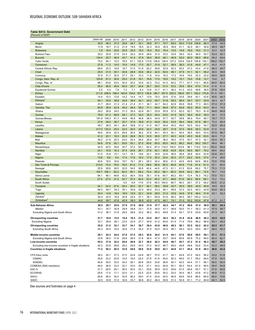## <span id="page-17-0"></span>**Table SA12. Government Debt**

| 'Percent of GDP                                      |           |       |       |       |       |              |              |       |       |              |       |       |       |       |       |       |
|------------------------------------------------------|-----------|-------|-------|-------|-------|--------------|--------------|-------|-------|--------------|-------|-------|-------|-------|-------|-------|
|                                                      | 2004-08   | 2009  | 2010  | 2011  | 2012  | 2013         | 2014         | 2015  | 2016  | 2017         | 2018  | 2019  | 2020  | 2021  | 2022  | 2023  |
| Angola                                               | 30.5      | 56.3  | 37.2  | 29.6  | 26.7  | 33.1         | 39.8         | 57.1  | 75.7  | 69.3         | 93.0  | 113.6 | 136.8 | 86.3  | 57.9  | 54.6  |
| Benin                                                | 17.9      | 18.7  | 21.0  | 21.9  | 19.5  | 18.5         | 22.3         | 30.9  | 35.9  | 39.6         | 41.1  | 42.5  | 46.1  | 50.6  | 49.3  | 48.7  |
| <b>Botswana</b>                                      | 7.6       | 18.4  | 20.8  | 20.9  | 20.0  | 18.3         | 18.4         | 18.2  | 16.4  | 14.5         | 14.9  | 16.5  | 19.0  | 21.3  | 23.2  | 22.9  |
| <b>Burkina Faso</b>                                  | 29.2      | 25.9  | 27.8  | 24.5  | 25.2  | 25.9         | 26.6         | 31.4  | 33.2  | 33.6         | 38.0  | 42.0  | 46.5  | 50.7  | 53.4  | 53.1  |
| <b>Burundi</b>                                       | 134.4     | 25.7  | 46.9  | 42.7  | 41.4  | 37.9         | 38.0         | 39.9  | 46.1  | 46.9         | 53.0  | 60.0  | 66.0  | 68.6  | 69.2  | 69.6  |
| Cabo Verde                                           | 75.0      | 64.1  | 72.5  | 78.5  | 91.1  | 102.5        | 115.9        | 126.6 | 128.4 | 127.2        | 125.6 | 124.9 | 158.8 | 154.1 | 159.2 | 152.7 |
| Cameroon                                             | 27.8      | 11.3  | 14.0  | 15.0  | 14.9  | 17.5         | 20.7         | 31.6  | 32.1  | 36.5         | 38.3  | 41.6  | 44.9  | 47.1  | 45.2  | 41.0  |
| Central African Rep.                                 | 66.6      | 20.3  | 19.9  | 19.7  | 31.5  | 51.8         | 62.2         | 59.8  | 53.9  | 50.3         | 50.0  | 47.2  | 43.4  | 47.6  | 46.3  | 44.7  |
| Chad                                                 | 25.9      | 31.5  | 30.1  | 30.6  | 28.8  | 30.6         | 38.2         | 42.5  | 50.0  | 49.1         | 47.9  | 51.1  | 52.1  | 58.2  | 46.5  | 39.8  |
| Comoros                                              | 37.9      | 31.7  | 30.5  | 27.7  | 25.1  | 10.3         | 11.9         | 14.4  | 16.3  | 17.2         | 16.9  | 19.5  | 22.3  | 25.2  | 30.4  | 34.5  |
| Congo, Dem. Rep. of                                  | 103.8     | 91.3  | 30.6  | 25.0  | 21.8  | 19.1         | 16.8         | 17.0  | 19.5  | 19.2         | 15.1  | 15.0  | 15.6  | 12.7  | 10.6  | 8.7   |
| Congo, Rep. of                                       | 96.1      | 83.8  | 43.5  | 34.4  | 30.2  | 33.9         | 42.3         | 74.2  | 91.0  | 94.2         | 77.1  | 81.7  | 110.1 | 85.8  | 64.0  | 62.4  |
| Côte d'Ivoire                                        | 55.4      | 46.5  | 45.6  | 50.0  | 24.7  | 24.6         | 26.7         | 29.2  | 31.4  | 33.2         | 35.6  | 38.4  | 47.0  | 51.4  | 51.8  | 51.4  |
| <b>Equatorial Guinea</b>                             | 2.0       | 4.3   | 7.9   | 7.2   | 7.1   | 6.3          | 12.6         | 31.7  | 41.1  | 36.2         | 41.2  | 43.0  | 48.8  | 39.9  | 27.8  | 30.4  |
| Eritrea                                              | 211.8     | 206.9 | 198.4 | 160.8 | 154.6 | 187.0        | 136.6        | 180.7 | 167.5 | 202.5        | 185.6 | 187.1 | 182.2 | 170.8 | 151.9 | 140.1 |
| Eswatini                                             | 14.4      | 10.3  | 13.8  | 14.2  | 14.4  | 14.7         | 13.9         | 19.3  | 24.9  | 27.6         | 33.9  | 39.6  | 42.1  | 42.8  | 45.6  | 44.3  |
| Ethiopia                                             | 64.1      | 30.0  | 38.9  | 44.6  | 39.4  | 44.1         | 44.2         | 50.7  | 51.8  | 55.3         | 58.4  | 54.7  | 53.7  | 52.9  | 48.3  | 42.7  |
| Gabon                                                | 41.7      | 26.0  | 21.3  | 21.4  | 21.4  | 31.1         | 34.1         | 44.7  | 64.2  | 62.9         | 60.9  | 59.8  | 77.3  | 69.5  | 57.4  | 57.2  |
| Gambia, The                                          | 65.8      | 38.9  | 42.9  | 49.2  | 49.5  | 58.2         | 71.1         | 69.4  | 80.9  | 87.0         | 83.6  | 83.0  | 85.0  | 83.0  | 80.4  | 75.5  |
| Ghana                                                | 28.2      | 26.8  | 34.5  | 31.3  | 35.4  | 42.9         | 50.1         | 53.9  | 55.9  | 57.0         | 62.0  | 62.7  | 78.3  | 81.8  | 84.6  | 84.8  |
| Guinea                                               | 79.9      | 61.3  | 68.9  | 58.1  | 27.2  | 34.0         | 35.2         | 44.4  | 43.0  | 41.9         | 39.3  | 38.4  | 44.0  | 39.3  | 39.1  | 37.5  |
| Guinea-Bissau                                        | 181.8     | 148.3 | 61.7  | 44.8  | 46.6  | 48.9         | 58.4         | 54.9  | 57.7  | 50.7         | 59.8  | 66.5  | 79.4  | 80.7  | 79.7  | 77.7  |
| Kenya                                                | 27.6      | 36.0  | 36.7  | 35.7  | 37.6  | 39.8         | 41.3         | 45.8  | 50.4  | 53.9         | 56.4  | 58.6  | 67.6  | 68.1  | 70.3  | 69.4  |
| Lesotho                                              | 49.7      | 36.5  | 34.1  | 36.4  | 39.8  | 41.2         | 41.5         | 45.7  | 40.6  | 40.0         | 49.0  | 50.5  | 54.2  | 54.7  | 52.5  | 50.3  |
| Liberia                                              | 417.0     | 132.2 | 25.4  | 22.5  | 20.5  | 20.6         | 24.3         | 24.8  | 28.7  | 31.9         | 37.4  | 48.9  | 58.3  | 52.9  | 51.6  | 51.6  |
| Madagascar                                           | 49.5      | 34.9  | 32.3  | 29.9  | 30.4  | 36.2         | 37.8         | 44.1  | 40.3  | 40.1         | 40.4  | 38.5  | 49.0  | 53.4  | 57.9  | 56.7  |
| Malawi                                               | 41.2      | 23.1  | 19.3  | 20.0  | 28.6  | 35.3         | 33.5         | 35.5  | 37.1  | 40.3         | 43.9  | 45.3  | 54.8  | 63.5  | 66.9  | 71.2  |
| Mali                                                 | 29.2      | 21.9  | 25.3  | 24.0  | 25.4  | 26.4         | 26.9         | 30.7  | 36.0  | 36.0         | 37.5  | 40.7  | 47.3  | 52.1  | 53.4  | 52.1  |
| <b>Mauritius</b>                                     | 54.8      | 57.6  | 55.1  | 55.6  | 55.1  | 57.5         | 60.6         | 65.0  | 65.0  | 64.3         | 66.2  | 84.6  | 99.2  | 100.7 | 98.9  | 96.1  |
| Mozambique                                           | 44.5      | 40.5  | 39.6  | 34.7  | 37.4  | 50.1         | 64.3         | 87.4  | 119.2 | 100.0        | 103.6 | 96.1  | 119.0 | 102.3 | 102.0 | 94.8  |
| Namibia                                              | 24.1      | 15.9  | 16.3  | 27.4  | 24.6  | 26.1         | 27.6         | 42.1  | 45.8  | 43.8         | 50.4  | 59.5  | 66.7  | 70.2  | 69.6  | 68.2  |
|                                                      | 31.0      | 15.9  | 15.1  | 14.7  | 18.1  | 19.6         | 22.1         | 29.9  | 32.8  | 36.5         | 36.9  | 39.8  | 45.0  | 52.9  | 53.8  | 53.1  |
| Niger                                                | 15.8      |       | 9.4   |       |       | 18.3         | 17.5         | 20.3  | 23.4  |              |       | 29.2  |       |       |       |       |
| Nigeria                                              | 40.6      | 8.6   | 18.8  | 17.4  | 17.6  | 26.1         | 28.3         | 32.4  | 36.6  | 25.3<br>41.3 | 27.7  |       | 34.5  | 37.0  | 37.4  | 38.8  |
| Rwanda                                               |           | 18.5  |       | 18.7  | 19.1  |              |              |       |       |              | 44.9  | 49.8  | 64.6  | 68.6  | 72.0  | 73.6  |
| São Tomé & Príncipe                                  | 215.0     | 72.4  | 79.5  | 78.0  | 81.0  | 71.2         | 69.5         | 85.8  | 95.3  | 85.8         | 93.9  | 71.6  | 81.4  | 61.3  | 63.1  | 60.0  |
| Senegal                                              | 25.9      | 29.9  | 28.5  | 32.9  | 34.5  | 36.9         | 42.4         | 44.5  | 47.5  | 61.1         | 61.5  | 63.6  | 69.2  | 75.7  | 75.3  | 71.3  |
| Seychelles                                           | 155.7     | 106.1 | 82.2  | 82.5  | 80.1  | 68.2         | 70.4         | 65.3  | 66.1  | 60.3         | 55.9  | 54.2  | 89.1  | 72.5  | 76.7  | 73.0  |
| Sierra Leone                                         | 94.1      | 48.1  | 46.8  | 42.0  | 36.4  | 30.6         | 35.1         | 47.6  | 60.7  | 69.2         | 69.1  | 72.4  | 76.3  | 76.2  | 75.0  | 73.1  |
| South Africa                                         | 27.4      | 27.0  | 31.2  | 34.7  | 37.4  | 40.4         | 43.3         | 45.2  | 47.1  | 48.6         | 51.6  | 56.3  | 69.4  | 69.1  | 70.2  | 73.4  |
| South Sudan                                          | $\ddotsc$ |       |       | 0.0   | 8.9   | 17.6         | 37.6         | 59.3  | 104.0 | 60.7         | 46.3  | 28.1  | 37.2  | 58.2  | 50.5  | 21.2  |
| Tanzania                                             | 34.1      | 24.0  | 27.6  | 28.4  | 30.0  | 32.7         | 36.1         | 39.2  | 39.8  | 40.7         | 40.5  | 39.0  | 40.5  | 40.8  | 39.8  | 38.9  |
| Togo                                                 | 68.3      | 59.7  | 34.3  | 35.1  | 35.6  | 42.4         | 46.5         | 53.3  | 60.1  | 56.6         | 57.0  | 52.4  | 60.3  | 63.8  | 63.6  | 62.3  |
| Uganda<br>Zambia <sup>2</sup>                        | 30.4      | 14.8  | 18.4  | 18.0  | 19.5  | 22.1         | 24.8         | 28.5  | 31.0  | 33.6         | 34.9  | 37.6  | 46.4  | 51.6  | 53.1  | 52.4  |
|                                                      | 54.4      | 20.5  | 18.9  | 20.8  | 25.4  | 27.1         | 36.1         | 65.8  | 61.6  | 66.3         | 80.5  | 99.7  | 140.2 | 123.2 |       |       |
| Zimbabwe <sup>:</sup>                                | 44.6      | 58.7  | 47.6  | 42.9  | 38.3  | 36.9         | 42.2         | 47.5  | 49.1  | 74.1         | 51.0  | 93.2  | 102.6 | 67.6  | 67.2  | 61.7  |
| Sub-Saharan Africa                                   | 30.5      | 26.7  | 25.6  | 27.9  | 27.8  | 29.9         | 31.9         | 37.7  | 42.2  | 44.7         | 47.2  | 50.0  | 57.4  | 56.9  | 55.1  | 54.3  |
| Median                                               | 43.1      | 30.7  | 30.9  | 29.9  | 28.8  | 33.1         | 37.6         | 44.5  | 47.1  | 48.6         | 50.0  | 51.1  | 58.3  | 61.3  | 57.9  | 56.7  |
| <b>Excluding Nigeria and South Africa</b>            | 41.2      | 36.7  | 31.9  | 29.5  | 28.6  | 32.2         | 36.2         | 45.2  | 49.9  | 51.4         | 54.1  | 57.5  | 63.9  | 60.6  | 57.3  | 54.7  |
|                                                      |           |       | 15.5  | 19.4  | 19.3  |              |              |       | 36.3  | 38.3         |       |       | 48.5  | 46.3  | 42.5  | 42.0  |
| <b>Oil-exporting countries</b>                       | 21.7      | 18.8  |       | 23.0  |       | 21.4<br>27.7 | 23.0<br>34.6 | 29.7  | 64.6  |              | 41.8  | 43.8  | 88.2  | 68.9  |       |       |
| <b>Excluding Nigeria</b>                             | 33.1      | .9    | 29.1  |       |       |              |              | 51.2  |       | 61           |       | 9.    |       |       | 53.1  | 49.2  |
| Oil-importing countries                              | 35.5      | 31.5  | 32.1  | 33.7  | 34.1  | 36.7         | 39.4         | 43.8  | 46.0  | 48.3         | 50.1  | 53.5  | 62.2  | 62.2  | 62.3  | 61.7  |
| <b>Excluding South Africa</b>                        | 44.3      | 35.5  | 33.0  | 32.6  | 31.4  | 34.2         | 37.0         | 43.0  | 45.4  | 48.1         | 49.3  | 52.0  | 59.0  | 58.7  | 58.5  | 56.2  |
| Middle-income countries                              | 26.1      | 24.3  | 24.4  | 27.6  | 27.5  | 29.3         | 30.9         | 36.5  | 41.5  | 44.1         | 47.6  | 50.9  | 59.5  | 59.1  | 57.1  | 57.3  |
| Excluding Nigeria and South Africa                   | 33.8      | 36.0  | 31.6  | 29.8  | 28.0  | 31.8         | 36.4         | 47.4  | 53.7  | 54.6         | 60.6  | 65.9  | 75.2  | 69.5  | 64.4  | 62.7  |
| Low-income countries                                 | 55.2      | 37.8  | 32.4  | 29.0  | 29.6  | 32.7         | 36.0         | 42.3  | 44.9  | 46.7         | 45.7  | 47.2  | 51.4  | 50.3  | 48.7  | 45.3  |
| Excluding low-income countries in fragile situations | 42.3      | 25.8  | 28.8  | 29.2  | 29.8  | 34.0         | 37.2         | 44.5  | 46.7  | 48.0         | 49.8  | 48.8  | 52.6  | 53.4  | 52.3  | 49.5  |
| <b>Countries in fragile situations</b>               | 71.2      | 56.3  | 40.5  | 33.9  | 28.6  | 29.6         | 33.0         | 39.0  | 42.1  | 44.8         | 41.1  | 45.4  | 51.9  | 49.3  | 46.8  | 43.4  |
|                                                      |           |       |       |       |       |              |              |       |       |              |       |       |       |       |       |       |
| CFA franc zone                                       | 38.2      | 30.1  | 27.3  | 27.0  | 22.6  | 24.8         | 28.7         | 37.0  | 41.7  | 44.1         | 44.9  | 47.2  | 54.0  | 56.2  | 53.2  | 51.8  |
| <b>CEMAC</b>                                         | 35.8      | 24.2  | 20.9  | 19.5  | 19.0  | 22.4         | 27.8         | 41.8  | 49.0  | 50.3         | 49.5  | 51.7  | 59.2  | 56.4  | 47.9  | 45.5  |
| WAEMU                                                | 40.6      | 35.0  | 33.0  | 34.2  | 26.1  | 26.9         | 29.5         | 33.6  | 36.8  | 40.1         | 42.0  | 44.4  | 51.1  | 56.1  | 56.5  | 55.4  |
| COMESA (SSA members)                                 | 49.0      | 38.5  | 33.2  | 32.7  | 33.0  | 35.2         | 37.1         | 43.5  | 45.8  | 50.1         | 50.3  | 54.4  | 61.0  | 58.5  | 58.0  | 54.8  |
| EAC-5                                                | 31.7      | 26.5  | 29.1  | 28.5  | 30.4  | 33.1         | 35.6         | 39.9  | 43.0  | 45.6         | 47.5  | 48.9  | 55.7  | 57.1  | 57.9  | 56.8  |
| <b>ECOWAS</b>                                        | 25.6      | 17.4  | 17.1  | 22.5  | 21.1  | 22.5         | 22.5         | 25.9  | 30.2  | 33.0         | 35.4  | 36.7  | 43.8  | 47.2  | 46.9  | 47.2  |
| SACU                                                 | 26.6      | 26.4  | 30.4  | 33.9  | 36.3  | 39.0         | 41.5         | 43.9  | 45.5  | 46.9         | 49.9  | 54.6  | 66.9  | 66.9  | 68.0  | 70.8  |
| <b>SADC</b>                                          | 32.0      | 33.8  | 31.5  | 32.6  | 33.7  | 36.6         | 40.2         | 46.4  | 50.6  | 51.3         | 54.9  | 61.1  | 71.2  | 64.8  | 62.1  | 62.0  |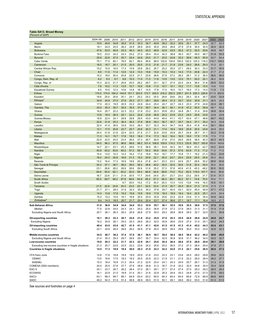## <span id="page-18-0"></span>**Table SA13. Broad Money**

| 'Percent of GDP                                      |           |       |       |       |       |       |       |       |       |       |       |       |       |       |       |       |
|------------------------------------------------------|-----------|-------|-------|-------|-------|-------|-------|-------|-------|-------|-------|-------|-------|-------|-------|-------|
|                                                      | 2004-08   | 2009  | 2010  | 2011  | 2012  | 2013  | 2014  | 2015  | 2016  | 2017  | 2018  | 2019  | 2020  | 2021  | 2022  | 2023  |
| Angola                                               | 19.0      | 45.6  | 34.8  | 35.0  | 31.5  | 33.3  | 35.7  | 40.9  | 39.2  | 32.2  | 30.6  | 33.1  | 37.7  | 24.5  | 22.7  | 22.3  |
| Benin                                                | 18.1      | 24.0  | 25.5  | 26.2  | 24.9  | 26.9  | 29.9  | 30.9  | 29.8  | 28.6  | 27.9  | 27.8  | 30.5  | 30.5  | 30.5  | 30.5  |
| <b>Botswana</b>                                      | 47.6      | 53.5  | 49.9  | 43.3  | 46.3  | 44.5  | 40.2  | 48.8  | 42.9  | 43.5  | 45.2  | 47.2  | 52.5  | 50.6  | 49.8  | 49.7  |
| Burkina Faso                                         | 18.0      | 23.0  | 24.2  | 24.3  | 25.2  | 27.0  | 28.4  | 33.4  | 34.3  | 38.8  | 39.3  | 40.7  | 45.0  | 48.7  | 51.8  | 54.5  |
| <b>Burundi</b>                                       |           |       |       |       |       |       |       |       |       |       |       |       |       |       |       |       |
|                                                      | 25.6      | 22.6  | 27.5  | 25.7  | 25.4  | 24.6  | 25.0  | 21.7  | 23.0  | 24.8  | 33.2  | 39.6  | 46.3  | 50.9  | 52.7  | 54.4  |
| Cabo Verde                                           | 75.1      | 77.5  | 80.1  | 78.5  | 82.1  | 89.4  | 95.6  | 98.9  | 102.6 | 104.6 | 100.0 | 102.0 | 125.3 | 116.2 | 112.7 | 109.2 |
| Cameroon                                             | 16.5      | 18.7  | 20.1  | 21.0  | 20.0  | 20.5  | 21.0  | 21.6  | 21.7  | 21.9  | 23.6  | 24.0  | 26.6  | 29.3  | 31.2  | 32.1  |
| Central African Rep.                                 | 15.2      | 15.5  | 16.5  | 17.3  | 15.8  | 25.6  | 26.2  | 25.7  | 25.2  | 25.0  | 27.1  | 28.0  | 30.3  | 33.3  | 31.7  | 30.5  |
| Chad                                                 | 8.9       | 11.0  | 11.4  | 12.0  | 12.4  | 13.3  | 15.6  | 15.9  | 15.3  | 15.3  | 14.3  | 17.0  | 20.8  | 22.3  | 21.7  | 21.2  |
| Comoros                                              | 15.2      | 18.0  | 20.4  | 20.8  | 22.5  | 21.7  | 22.8  | 26.6  | 27.9  | 27.2  | 28.2  | 28.1  | 31.2  | 36.5  | 36.5  | 36.5  |
| Congo, Dem. Rep. of                                  | 6.2       | 9.3   | 9.7   | 9.6   | 10.3  | 11.0  | 11.3  | 11.8  | 13.5  | 13.0  | 12.0  | 15.1  | 20.2  | 22.1  | 26.2  | 30.6  |
| Congo, Rep. of                                       | 15.3      | 22.5  | 21.7  | 25.8  | 25.5  | 26.2  | 29.7  | 33.1  | 32.7  | 27.4  | 22.4  | 24.4  | 36.4  | 31.8  | 28.8  | 32.2  |
| Côte d'Ivoire                                        | 7.9       | 10.2  | 11.3  | 13.5  | 10.7  | 10.5  | 10.6  | 11.0  | 10.7  | 10.1  | 10.2  | 11.7  | 13.8  | 15.5  | 13.6  | 13.2  |
| <b>Equatorial Guinea</b>                             | 6.5       | 10.5  | 12.3  | 10.6  | 14.8  | 16.7  | 14.5  | 17.8  | 17.4  | 16.5  | 15.7  | 16.0  | 17.3  | 14.3  | 11.9  | 7.3   |
| Eritrea                                              | 174.0     | 174.0 | 164.2 | 144.8 | 151.7 | 203.5 | 172.7 | 245.5 | 216.2 | 252.5 | 239.7 | 241.5 | 235.3 | 226.6 | 211.5 | 202.6 |
| Eswatini                                             | 19.6      | 25.4  | 25.6  | 25.1  | 24.1  | 25.2  | 24.2  | 25.5  | 29.8  | 29.6  | 29.2  | 28.3  | 32.4  | 30.7  | 33.9  | 33.9  |
| Ethiopia                                             | 34.6      | 24.8  | 27.0  | 27.6  | 25.3  | 27.1  | 28.1  | 28.6  | 28.4  | 31.3  | 33.7  | 33.0  | 30.8  | 31.1  | 26.5  | 24.2  |
| Gabon                                                | 17.0      | 20.3  | 19.5  | 20.5  | 23.2  | 24.8  | 24.4  | 25.4  | 24.7  | 22.7  | 24.3  | 23.3  | 27.9  | 24.6  | 22.4  | 26.1  |
| Gambia, The                                          | 24.0      | 30.3  | 30.7  | 35.5  | 35.0  | 37.0  | 39.7  | 34.4  | 36.1  | 40.1  | 41.9  | 47.2  | 55.5  | 59.8  | 56.7  | 53.2  |
| Ghana                                                | 16.4      | 20.7  | 22.2  | 22.3  | 22.2  | 21.6  | 23.2  | 25.3  | 25.8  | 25.2  | 24.8  | 26.1  | 31.4  | 30.6  | 30.6  | 30.4  |
| Guinea                                               | 13.6      | 18.4  | 26.4  | 25.1  | 22.2  | 22.6  | 23.8  | 26.8  | 25.2  | 23.9  | 23.2  | 24.5  | 25.6  | 23.6  | 23.8  | 23.8  |
| Guinea-Bissau                                        | 16.9      | 22.4  | 24.1  | 29.9  | 28.8  | 29.5  | 43.0  | 44.9  | 45.4  | 41.1  | 43.7  | 43.4  | 47.1  | 48.8  | 46.7  | 45.2  |
| Kenya                                                | 22.6      | 31.9  | 35.3  | 36.4  | 36.2  | 37.8  | 38.9  | 39.3  | 36.7  | 35.7  | 35.7  | 34.4  | 37.1  | 35.2  | 34.3  | 33.8  |
| Lesotho                                              | 32.4      | 41.4  | 36.5  | 33.9  | 33.0  | 38.3  | 33.7  | 32.3  | 34.3  | 34.7  | 34.8  | 35.4  | 41.8  | 40.6  | 39.1  | 38.4  |
| Liberia                                              | 12.1      | 17.5  | 20.8  | 22.7  | 20.7  | 20.6  | 20.3  | 21.1  | 17.4  | 18.4  | 19.6  | 20.9  | 25.5  | 24.8  | 24.9  | 25.0  |
| Madagascar                                           | 20.4      | 21.8  | 21.6  | 22.4  | 22.0  | 21.5  | 21.7  | 22.6  | 23.9  | 25.8  | 25.7  | 24.8  | 28.7  | 31.1  | 32.3  | 31.8  |
| Malawi                                               | 11.3      | 14.1  | 15.7  | 17.8  | 18.3  | 18.4  | 17.4  | 17.3  | 16.2  | 16.4  | 16.5  | 16.0  | 17.5  | 17.5  | 17.5  | 17.5  |
| Mali                                                 | 22.9      | 22.5  | 24.0  | 23.4  | 26.0  | 27.3  | 26.7  | 26.9  | 27.8  | 27.0  | 29.0  | 29.6  | 36.5  | 40.3  | 40.3  | 40.3  |
| <b>Mauritius</b>                                     | 94.5      | 96.3  | 97.5  | 96.6  | 98.6  | 98.2  | 101.4 | 106.9 | 109.9 | 114.2 | 115.3 | 120.8 | 163.7 | 165.8 | 153.0 | 143.6 |
| Mozambique                                           | 14.7      | 22.1  | 23.1  | 25.3  | 28.6  | 31.5  | 36.9  | 39.1  | 33.9  | 34.3  | 34.7  | 36.9  | 43.3  | 42.7  | 43.2  | 43.4  |
| Namibia                                              | 40.8      | 63.2  | 63.6  | 65.2  | 57.2  | 58.7  | 55.2  | 55.6  | 54.6  | 57.2  | 57.6  | 63.9  | 71.3  | 71.2  | 71.2  | 71.2  |
|                                                      |           |       |       |       |       |       |       |       |       |       |       |       |       |       |       |       |
| Niger                                                | 10.4      | 13.0  | 14.3  | 14.3  | 16.2  | 17.0  | 19.9  | 19.4  | 19.7  | 17.7  | 15.8  | 17.1  | 19.2  | 21.3  | 23.2  | 23.8  |
| Nigeria                                              | 16.0      | 24.3  | 20.8  | 18.8  | 21.3  | 19.3  | 20.9  | 22.1  | 25.4  | 24.7  | 25.4  | 23.9  | 25.0  | 24.9  | 25.3  | 26.2  |
| Rwanda                                               | 15.2      | 16.4  | 17.3  | 18.9  | 18.9  | 20.4  | 21.8  | 24.1  | 23.3  | 23.3  | 24.9  | 25.7  | 28.9  | 30.2  | 29.9  | 30.6  |
| São Tomé & Príncipe                                  | 34.3      | 37.1  | 38.7  | 38.0  | 39.0  | 38.3  | 38.8  | 40.2  | 35.0  | 32.9  | 35.6  | 31.8  | 32.4  | 30.0  | 30.0  | 30.0  |
| Senegal                                              | 23.1      | 26.6  | 28.2  | 28.9  | 28.6  | 29.9  | 31.8  | 35.2  | 37.3  | 37.8  | 40.9  | 41.5  | 45.3  | 48.2  | 50.5  | 50.0  |
| Seychelles                                           | 84.6      | 55.5  | 62.1  | 60.2  | 52.0  | 58.3  | 66.9  | 64.6  | 68.8  | 74.0  | 75.2  | 82.5  | 119.0 | 107.7 | 84.0  | 80.6  |
| Sierra Leone                                         | 16.7      | 22.6  | 21.1  | 21.9  | 20.5  | 17.7  | 20.6  | 24.0  | 25.1  | 23.7  | 23.0  | 23.2  | 29.5  | 31.7  | 31.4  | 31.1  |
| South Africa                                         | 65.0      | 69.7  | 68.2  | 67.8  | 66.6  | 64.9  | 65.2  | 67.3  | 66.3  | 66.1  | 66.2  | 67.1  | 74.6  | 70.5  | 70.4  | 71.1  |
| South Sudan                                          | $\ddotsc$ |       |       | 9.7   | 20.0  | 15.2  | 17.2  | 30.3  | 25.3  | 13.3  | 13.5  | 13.6  | 14.6  | 16.3  | 15.5  | 10.1  |
| Tanzania                                             | 21.5      | 22.9  | 24.8  | 24.3  | 23.5  | 22.1  | 22.5  | 23.4  | 21.4  | 20.7  | 20.4  | 20.4  | 21.3  | 21.5  | 21.5  | 21.4  |
| Togo                                                 | 21.7      | 27.1  | 29.3  | 31.9  | 32.4  | 35.0  | 34.3  | 37.8  | 39.7  | 42.0  | 43.1  | 42.0  | 45.4  | 46.9  | 47.1  | 47.2  |
| Uganda                                               | 14.3      | 13.8  | 17.8  | 15.2  | 15.6  | 15.9  | 16.9  | 17.8  | 18.3  | 18.9  | 18.4  | 19.4  | 22.5  | 25.1  | 23.5  | 23.4  |
| Zambia                                               | 15.2      | 15.2  | 15.6  | 16.1  | 16.6  | 20.5  | 20.9  | 25.8  | 20.6  | 22.0  | 22.9  | 23.6  | 31.3  | 35.4  | 34.8  | 34.2  |
| Zimbabwe <sup>®</sup>                                | 9.4       | 14.3  | 18.5  | 20.7  | 21.7  | 20.4  | 22.4  | 23.7  | 27.4  | 36.6  | 27.1  | 18.7  | 17.1  | 16.4  | 18.5  | 21.7  |
| Sub-Saharan Africa                                   | 31.6      | 36.6  | 34.9  | 34.0  | 34.0  | 33.3  | 33.9  | 35.7  | 36.1  | 35.5  | 35.6  | 35.5  | 38.6  | 37.5  | 37.0  | 37.0  |
| Median                                               | 17.5      | 22.6  | 24.0  | 24.3  | 24.1  | 25.2  | 25.0  | 26.8  | 27.8  | 27.2  | 27.9  | 28.0  | 31.3  | 31.1  | 31.4  | 31.8  |
| <b>Excluding Nigeria and South Africa</b>            | 20.7      | 26.1  | 26.3  | 26.2  | 25.9  | 26.8  | 27.9  | 30.0  | 29.3  | 28.8  | 28.9  | 29.5  | 32.7  | 32.0  | 31.1  | 30.9  |
|                                                      |           |       |       |       |       |       |       |       |       |       |       |       |       |       |       |       |
| <b>Oil-exporting countries</b>                       | 16.1      | 26.3  | 22.3  | 20.7  | 22.6  | 21.6  | 23.2  | 25.0  | 27.0  | 25.3  | 25.5  | 24.9  | 26.9  | 24.9  | 24.9  | 25.7  |
| <b>Excluding Nigeria</b>                             | 16.2      | 30.9  | 26.1  | 25.0  | 25.   | 26.6  | 28.3  | 32.0  | 30.9  |       |       |       | 31    | 25.1  | 24.2  | 24.3  |
| Oil-importing countries                              | 40.4      | 43.0  | 43.0  | 42.7  | 41.5  | 41.1  | 41.1  | 42.6  | 41.5  | 41.5  | 41.3  | 41.4  | 45.2  | 44.3  | 43.4  | 43.1  |
| <b>Excluding South Africa</b>                        | 22.1      | 24.6  | 26.4  | 26.6  | 26.2  | 26.9  | 27.8  | 29.4  | 28.9  | 29.4  | 29.6  | 30.0  | 33.0  | 33.5  | 32.6  | 32.3  |
|                                                      |           |       |       |       |       |       |       |       |       |       |       |       |       |       |       |       |
| Middle-income countries                              | 34.5      | 40.7  | 38.2  | 37.4  | 37.0  | 36.1  | 36.5  | 38.7  | 39.4  | 38.4  | 38.5  | 38.4  | 42.2  | 40.2  | 39.8  | 40.0  |
| Excluding Nigeria and South Africa                   | 21.4      | 30.3  | 29.3  | 29.7  | 28.6  | 29.7  | 30.7  | 33.4  | 32.5  | 30.8  | 30.8  | 31.7  | 36.2  | 34.0  | 33.0  | 32.7  |
| Low-income countries                                 | 19.8      | 20.3  | 22.2  | 21.7  | 22.3  | 22.9  | 24.1  | 25.6  | 25.4  | 26.4  | 26.6  | 27.0  | 28.8  | 29.8  | 29.1  | 28.9  |
| Excluding low-income countries in fragile situations | 21.2      | 20.7  | 22.6  | 22.5  | 22.2  | 22.8  | 24.2  | 25.6  | 25.2  | 26.5  | 27.2  | 27.3  | 28.4  | 29.4  | 27.8  | 27.1  |
| Countries in fragile situations                      | 14.5      | 17.3  | 18.9  | 19.4  | 20.0  | 20.3  | 21.0  | 22.3  | 22.2  | 22.0  | 21.3  | 22.1  | 25.6  | 26.5  | 26.5  | 27.3  |
|                                                      |           |       |       |       |       |       |       |       |       |       |       |       |       |       |       |       |
| CFA franc zone                                       | 14.6      | 17.6  | 18.8  | 19.9  | 19.9  | 20.9  | 21.6  | 23.0  | 23.3  | 23.1  | 23.6  | 24.5  | 28.0  | 29.6  | 29.6  | 30.0  |
| <b>CEMAC</b>                                         | 13.5      | 16.6  | 17.5  | 18.3  | 19.2  | 20.5  | 20.9  | 22.3  | 21.9  | 21.1  | 21.5  | 22.2  | 26.0  | 26.4  | 26.2  | 27.1  |
| <b>WAEMU</b>                                         | 15.3      | 18.4  | 19.9  | 21.2  | 20.4  | 21.2  | 22.0  | 23.4  | 24.1  | 24.3  | 24.9  | 25.7  | 29.1  | 31.3  | 31.3  | 31.5  |
| COMESA (SSA members)                                 | 24.5      | 25.5  | 27.6  | 27.7  | 27.6  | 28.9  | 29.8  | 31.2  | 30.7  | 31.9  | 32.2  | 32.0  | 34.6  | 35.0  | 33.4  | 32.8  |
| EAC-5                                                | 20.1      | 23.7  | 26.7  | 26.2  | 26.4  | 27.0  | 28.1  | 29.1  | 27.7  | 27.4  | 27.4  | 27.0  | 29.3  | 29.2  | 28.5  | 28.3  |
| <b>ECOWAS</b>                                        | 16.1      | 22.9  | 21.0  | 19.9  | 21.4  | 20.1  | 21.6  | 22.9  | 25.3  | 24.9  | 25.3  | 24.8  | 27.0  | 27.3  | 27.6  | 28.2  |
| SACU                                                 | 63.1      | 68.3  | 66.7  | 66.1  | 64.9  | 63.4  | 63.2  | 65.5  | 64.3  | 64.4  | 64.5  | 65.6  | 72.9  | 68.9  | 68.8  | 69.5  |
| SADC                                                 | 48.2      | 54.3  | 51.9  | 51.4  | 49.8  | 48.9  | 49.0  | 51.5  | 50.1  | 49.1  | 48.6  | 49.4  | 55.0  | 51.6  | 51.3  | 51.5  |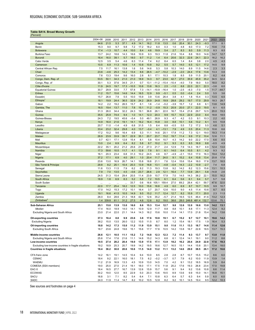## <span id="page-19-0"></span>**Table SA14. Broad Money Growth**

| (Percent)                                                     |              |              |              |              |                |             |              |              |             |             |              |              |              |            |              |              |
|---------------------------------------------------------------|--------------|--------------|--------------|--------------|----------------|-------------|--------------|--------------|-------------|-------------|--------------|--------------|--------------|------------|--------------|--------------|
|                                                               | 2004-08      | 2009         | 2010         | 2011         | 2012           | 2013        | 2014         | 2015         | 2016        | 2017        | 2018         | 2019         | 2020         | 2021       | 2022         | 2023         |
| Angola                                                        | 64.6         | 21.5         | 5.3          | 37.1         | 4.9            | 14.1        | 16.2         | 11.8         | 13.5        | 0.6         | 20.4         | 30.1         | 24.3         | $-9.3$     | 17.1         | 8.1          |
| Benin                                                         | 15.3         | 9.0          | 9.7          | 9.8          | 7.2            | 17.2        | 18.2         | 6.0          | 0.3         | 1.0         | 4.8          | 6.0          | 17.3         | 7.2        | 10.6         | 7.5          |
| <b>Botswana</b>                                               | 17.4         | $-1.3$       | 10.7         | 4.4          | 10.0           | 8.4         | 4.6          | 19.9         | 5.4         | 2.7         | 8.3          | 8.0          | 5.9          | 11.3       | 8.3          | 8.5          |
| Burkina Faso                                                  | 13.7         | 24.2         | 18.6         | 14.3         | 16.6           | 10.9        | 9.3          | 19.3         | 11.8        | 21.6        | 10.4         | 8.8          | 18.0         | 14.6       | 14.7         | 12.7         |
| <b>Burundi</b>                                                | 16.4         | 16.0         | 39.1         | 5.7          | 18.0           | 9.7         | 11.2         | 1.4          | 6.4         | 20.6        | 32.3         | 22.6         | 24.1         | 22.3       | 16.2         | 16.2         |
| Cabo Verde                                                    | 12.5         | 3.5          | 5.4          | 4.6          | 6.3            | 11.4        | 7.4          | 6.2          | 8.4         | 6.5         | 1.4          | 8.4          | 3.8          | 2.0        | 4.5          | 4.3          |
| Cameroon                                                      | 10.5         | 6.9          | 11.3         | 10.6         | 1.4            | 10.8        | 10.8         | 9.2          | 5.5         | 5.7         | 14.0         | 6.5          | 12.1         | 17.2       | 14.5         | 9.9          |
| Central African Rep.                                          | 7.5          | 11.7         | 16.1         | 13.8         | 1.6            | 5.6         | 14.6         | 5.3          | 5.8         | 10.3        | 14.0         | 8.9          | 11.5         | 14.6       | 2.3          | 3.3          |
| Chad                                                          | 23.6         | $-4.6$       | 25.3         | 14.2         | 13.4           | 8.6         | 26.5         | $-4.7$       | $-10.2$     | $-2.9$      | $-2.0$       | 24.4         | 17.6         | 13.6       | 13.3         | 0.6          |
| Comoros                                                       | 7.6          | 13.3         | 19.4         | 9.6          | 16.0           | 2.8         | 8.1          | 17.1         | 10.3        | 1.8         | 8.5          | 5.9          | 11.5         | 20.1       | 6.2          | 4.4          |
| Congo, Dem. Rep. of                                           | 53.5         | 50.1         | 34.3         | 21.0         | 21.0           | 18.9        | 14.3         | 9.7          | 23.0        | 42.7        | 27.0         | 35.9         | 45.9         | 35.2       | 34.5         | 32.4         |
| Congo, Rep. of                                                | 30.1         | 5.3          | 37.6         | 34.5         | 21.1           | 0.7         | 13.1         | $-11.2$      | $-15.4$     | $-10.4$     | $-4.0$       | 7.9          | 18.0         | 5.0        | 18.0         | 8.2          |
| Côte d'Ivoire                                                 | 11.9         | 24.5         | 19.7         | 17.3         | $-10.5$        | 10.8        | 13.8         | 16.3         | 2.5         | $-1.0$      | 8.8          | 22.0         | 22.1         | 22.3       | $-3.6$       | 6.0          |
| <b>Equatorial Guinea</b>                                      | 30.7         | 29.9         | 33.5         | 7.7          | 57.8           | 7.3         | $-14.1$      | $-10.9$      | -16.4       | 1.0         | $-2.5$       | -6.3         | $-7.0$       | 1.5        | 11.7         | 44.7         |
| Eritrea                                                       | 11.2         | 15.7         | 15.6         | 14.6         | 14.4           | 16.5        | 12.9         | 9.9          | $-5.1$      | 0.5         | 0.0          | $-0.4$       | 2.4          | 5.0        | 5.5          | 3.6          |
| Eswatini                                                      | 15.7         | 26.8         | 7.9          | 5.5          | 10.0           | 15.9        | 3.9          | 13.6         | 26.4        | 3.8         | 4.1          | 1.8          | 15.4         | 0.3        | 13.5         | 6.5          |
| Ethiopia                                                      | 18.1         | 19.9         | 24.4         | 36.5         | 32.9           | 24.2        | 26.9         | 24.8         | 19.9        | 28.8        | 29.2         | 19.7         | 17.0         | 29.9       | 18.3         | 28.7         |
| Gabon                                                         | 14.2         | 2.2          | 19.2         | 26.5         | 15.7           | 6.1         | 1.6          | $-1.4$       | $-5.2$      | $-3.9$      | 15.7         | 1.2          | 6.8          | 6.1        | 13.6         | 14.9         |
| Gambia, The                                                   | 16.5         | 19.4         | 13.7         | 11.0         | 7.8            | 15.1        | 11.2         | $-0.9$       | 15.3        | 20.9        | 20.0         | 27.1         | 22.0         | 19.5       | 6.1          | 6.5          |
| Ghana                                                         | 31.3         | 26.0         | 34.4         | 32.2         | 24.3           | 19.1        | 36.8         | 26.1         | 22.0        | 16.7        | 15.4         | 21.6         | 29.7         | 12.5       | 20.0         | 15.3         |
| Guinea                                                        | 35.5         | 25.9         | 74.4         | 9.4          | 1.0            | 14.1        | 12.3         | 20.3         | 9.9         | 15.7        | 10.3         | 22.9         | 23.0         | 8.4        | 18.8         | 18.5         |
| Guinea-Bissau                                                 | 24.3         | 7.2          | 19.5         | 45.6         | $-5.4$         | 5.0         | 49.1         | 26.9         | 9.3         | 4.7         | 4.2          | 0.3          | 9.1          | 10.3       | 2.2          | 4.0          |
| Kenya                                                         | 14.9         | 16.0         | 21.6         | 19.1         | 14.1           | 16.2        | 16.4         | 15.8         | 3.0         | 8.8         | 10.1         | 5.6          | 13.2         | 6.1        | 9.5          | 10.8         |
| Lesotho                                                       | 20.7         | 11.0         | $-1.4$       | 4.9          | 6.8            | 31.5        | 1.5          | 6.4          | 8.8         | $-0.5$      | 5.5          | 7.2          | 17.2         | 5.5        | 4.6          | 5.1          |
| Liberia                                                       | 33.4         | 23.2         | 32.4         | 29.8         | 4.0            | 13.7        | $-0.4$       | 4.1          | $-13.1$     | 7.9         | 4.9          | 0.5          | 20.4         | 11.3       | 10.6         | 6.6          |
| Madagascar                                                    | 17.2<br>26.9 | 10.2<br>23.9 | 9.6<br>33.9  | 16.4         | 6.9<br>22.9    | 5.3         | 11.1         | 14.6         | 20.1        | 17.8        | 11.2         | 7.3          | 12.1         | 19.0       | 19.3         | 11.4         |
| Malawi<br>Mali                                                | 0.7          |              | 17.1         | 35.7         |                | 35.1<br>8.1 | 20.7         | 23.7<br>10.4 | 15.2        | 19.7        | 11.4         | 9.9<br>9.0   | 17.2         | 10.4       | 12.6<br>6.6  | 11.1         |
| <b>Mauritius</b>                                              | 13.0         | 42.1<br>2.4  | 6.9          | 12.8<br>6.4  | 15.4<br>8.2    | 5.8         | 5.8<br>8.7   |              | 10.7<br>9.1 | 4.3         | 14.2<br>6.3  | 8.5          | 22.2         | 17.0       | $-0.5$       | 8.5          |
| Mozambique                                                    | 22.2         | 35.1         | 20.2         | 21.2         | 25.6           | 21.2        | 27.3         | 10.2<br>21.7 | 2.4         | 9.3<br>12.9 | 7.9          | 14.3         | 16.9<br>18.7 | 8.8<br>6.9 | 12.4         | 4.9<br>13.0  |
| Namibia                                                       | 17.3         | 59.6         | 10.5         | 11.7         | 4.1            | 12.8        | 7.8          | 9.1          | 6.1         | 14.0        | 6.4          | 10.5         | 8.1          | 4.2        | 9.3          | 9.2          |
| Niger                                                         | 16.1         | 20.3         | 23.4         | 6.8          | 31.3           | 10.2        | 24.5         | 4.6          | 8.7         | -4.9        | $-2.1$       | 15.0         | 17.0         | 16.3       | 19.4         | 12.2         |
| Nigeria                                                       | 37.2         | 17.1         | 6.9          | 4.0          | 29.1           | 1.0         | 20.4         | 11.7         | 24.0        | 9.1         | 15.2         | 6.4          | 10.8         | 13.4       | 20.8         | 17.8         |
| Rwanda                                                        | 23.6         | 13.0         | 16.9         | 26.7         | 14.1           | 15.8        | 18.8         | 21.1         | 7.6         | 12.4        | 15.6         | 15.4         | 18.0         | 17.8       | 13.7         | 18.5         |
| São Tomé & Príncipe                                           | 29.8         | 8.2          | 25.1         | 10.4         | 20.3           | 13.9        | 16.8         | 13.1         | $-4.8$      | $-0.4$      | 14.3         | $-2.2$       | 10.9         | $-2.7$     | 7.4          | 6.8          |
| Senegal                                                       | 11.6         | 13.3         | 11.5         | 7.9          | 6.2            | 8.2         | 11.3         | 19.3         | 13.8        | 9.2         | 14.2         | 8.2          | 12.3         | 15.6       | 13.1         | 10.3         |
| Seychelles                                                    | 7.9          | 7.0          | 13.5         | 4.5          | $-0.6$         | 23.7        | 26.6         | 2.9          | 12.1        | 16.4        | 7.7          | 13.9         | 29.1         | 5.8        | $-14.8$      | 2.6          |
| Sierra Leone                                                  | 24.5         | 31.3         | 15.4         | 29.4         | 20.5           | 11.4        | 23.9         | 10.7         | 17.9        | 7.0         | 14.5         | 14.3         | 38.2         | 22.1       | 15.0         | 16.2         |
| South Africa                                                  | 18.9         | 1.8          | 6.9          | 8.3          | 5.2            | 5.8         | 7.2          | 10.5         | 6.1         | 6.4         | 5.6          | 6.1          | 9.4          | 5.7        | 5.7          | 5.8          |
| South Sudan                                                   | $\ddotsc$    | $\ddotsc$    | $\ddotsc$    | $\ddotsc$    | 33.7           | 0.6         | 16.6         | 105.1        | 159.4       | 27.0        | 69.2         | 28.4         | 42.1         | 59.7       | 47.6         | 32.0         |
| Tanzania                                                      | 22.0         | 17.7         | 25.4         | 18.2         | 12.5           | 10.0        | 15.6         | 18.8         | 4.9         | 6.0         | 6.9          | 8.7          | 10.7         | 10.5       | 9.9          | 10.7         |
| Togo                                                          | 17.0         | 14.2         | 15.3         | 17.2         | 10.1           | 16.4        | 3.7          | 20.7         | 12.6        | 10.0        | 9.0          | 4.5          | 11.4         | 10.6       | 8.7          | 8.5          |
| Uganda                                                        | 19.1         | 16.6         | 41.5         | 10.5         | 14.9           | 9.5         | 15.2         | 11.7         | 12.4        | 12.7        | 8.2          | 15.9         | 17.1         | 20.0       | 2.3          | 11.5         |
| Zambia                                                        | 26.0         | 8.4          | 28.6         | 21.3         | 18.8           | 42.1        | 12.6         | 35.2         | $-5.7$      | 21.4        | 16.5         | 12.5         | 46.4         | 41.6       | 13.2         | 12.3         |
| Zimbabwe <sup>4</sup>                                         | 1.4          | 339.8        | 61.1         | 31.2         | 27.5           | 4.6         | 12.6         | 8.2          | 19.0        | 38.6        | 28.0         | 249.8        | 481.4        | 132.7      | 133.6        | 75.1         |
| Sub-Saharan Africa                                            | 25.1         | 15.0         | 13.9         | 13.0         | 16.0           | 8.6         | 15.3         | 13.4         | 12.7        | 9.8         | 12.6         | 12.0         | 16.6         | 13.0       | 14.2         | 13.1         |
| Median                                                        | 17.4         | 16.0         | 18.9         | 14.0         | 14.1           | 10.9        | 12.9         | 11.7         | 8.8         | 8.8         | 10.1         | 8.8          | 17.1         | 11.3       | 12.4         | 9.2          |
| Excluding Nigeria and South Africa                            | 23.0         | 21.4         | 22.0         | 21.1         | 14.4           | 14.3        | 16.2         | 15.6         | 10.0        | 11.4        | 14.1         | 17.0         | 21.8         | 15.4       | 14.2         | 13.6         |
|                                                               |              |              |              |              |                |             |              |              |             |             |              |              |              |            |              |              |
| <b>Oil-exporting countries</b>                                | 37.3         | 16.4         | 8.8          | 9.9          | 23.6           | 3.8         | 17.6         | 10.8         | 19.1        | 6.7         | 15.2         | 9.7          | 12.7         | 10.1       | 19.6         | 14.2         |
| <b>Excluding Nigeria</b>                                      | 38.2         | 15.0         | 13.5         | 26.0         | $\overline{c}$ | 10          | 11.5         | 8.7          | 8.0         |             |              | 18.1         | 17.5         | 1.9        | 16.4         | 5.3          |
| Oil-importing countries                                       | 18.8         | 14.2         | 17.3         | 15.0         | 11.2           | 11.9        | 13.9         | 15.1         | 9.0         | 11.6        | 11.1         | 13.3         | 18.7         | 14.6       | 11.4         | 12.6         |
| <b>Excluding South Africa</b>                                 | 18.7         | 23.6         | 24.8         | 19.6         | 15.1           | 15.6        | 17.7         | 17.6         | 10.5        | 14.2        | 13.8         | 16.7         | 22.8         | 18.5       | 13.7         | 15.3         |
|                                                               |              |              |              |              |                |             |              |              |             |             |              |              |              |            |              |              |
| Middle-income countries<br>Excluding Nigeria and South Africa | 26.6<br>25.6 | 12.1<br>17.4 | 10.5<br>17.6 | 11.1<br>21.6 | 15.2<br>11.1   | 7.2<br>14.6 | 14.8<br>15.2 | 12.3<br>14.3 | 12.3<br>6.8 | 7.2<br>6.1  | 11.4<br>12.4 | 9.3<br>14.1  | 13.7<br>19.1 | 9.7<br>9.0 | 13.0<br>11.2 | 11.0<br>8.6  |
|                                                               | 19.5         | 27.4         | 28.2         | 20.4         | 19.0           | 13.9        | 17.5         | 17.1         | 13.9        | 18.2        | 16.2         | 20.4         | 24.9         | 22.8       | 17.6         | 19.3         |
| Low-income countries                                          |              |              | 25.3         | 20.7         |                | 14.2        | 19.5         | 18.6         | 12.7        | 16.5        | 15.1         |              | 15.8         | 20.1       |              |              |
| Excluding low-income countries in fragile situations          | 19.2<br>18.4 | 18.9<br>36.2 | 30.0         | 20.6         | 19.9<br>10.6   | 11.5        | 14.0         | 13.2         | 11.1        | 13.2        | 14.6         | 14.4<br>29.0 | 38.5         | 26.1       | 13.4<br>17.2 | 18.0<br>16.6 |
| <b>Countries in fragile situations</b>                        |              |              |              |              |                |             |              |              |             |             |              |              |              |            |              |              |
| CFA franc zone                                                | 14.2         | 16.1         | 19.1         | 14.5         | 10.4           | 9.4         | 10.0         | 8.5          | 2.8         | 2.8         | 8.7          | 10.7         | 15.5         | 15.2       | 8.6          | 6.0          |
| CEMAC                                                         | 18.4         | 9.2          | 22.1         | 16.0         | 18.1           | 7.5         | 6.2          | $-0.2$       | $-3.7$      | 0.7         | 7.9          | 6.2          | 10.0         | 11.9       | 13.9         | 1.4          |
| WAEMU                                                         | 11.2         | 21.9         | 16.9         | 13.3         | 4.5            | 10.9        | 13.0         | 14.5         | 7.0         | 4.2         | 9.1          | 13.2         | 18.5         | 16.9       | 5.9          | 8.4          |
| COMESA (SSA members)                                          | 19.0         | 25.0         | 27.0         | 21.4         | 19.1           | 18.0        | 17.1         | 17.5         | 11.8        | 20.2        | 17.6         | 19.3         | 26.8         | 23.4       | 17.0         | 19.8         |
| EAC-5                                                         | 18.4         | 16.5         | 27.7         | 16.7         | 13.9           | 12.6        | 15.9         | 15.7         | 5.6         | 9.1         | 9.4          | 9.2          | 13.6         | 10.8       | 8.6          | 11.4         |
| <b>ECOWAS</b>                                                 | 30.2         | 19.0         | 12.0         | 8.5          | 22.9           | 5.0         | 20.3         | 13.6         | 19.5        | 8.9         | 13.6         | 9.9          | 15.0         | 14.1       | 16.8         | 15.1         |
| <b>SACU</b>                                                   | 18.8         | 3.1          | 7.1          | 8.2          | 5.4            | 6.4         | 7.1          | 10.8         | 6.3         | 6.4         | 5.7          | 6.3          | 9.4          | 5.9        | 6.0          | 6.0          |
| SADC                                                          | 24.0         | 11.9         | 11.4         | 14.7         | 8.2            | 10.2        | 10.5         | 12.8         | 8.2         | 9.2         | 10.1         | 14.5         | 19.4         | 9.5        | 12.2         | 10.3         |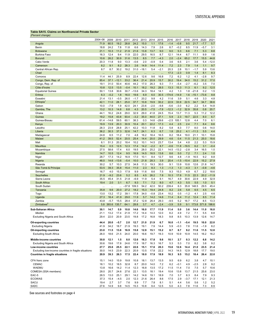## <span id="page-20-0"></span>**Table SA15. Claims on Nonfinancial Private Sector**

| (Percent change)                                     |              |              |              |              |              |              |             |              |            |            |               |             |            |            |
|------------------------------------------------------|--------------|--------------|--------------|--------------|--------------|--------------|-------------|--------------|------------|------------|---------------|-------------|------------|------------|
|                                                      | 2004-08      | 2009         | 2010         | 2011         | 2012         | 2013         | 2014        | 2015         | 2016       | 2017       | 2018          | 2019        | 2020       | 2021       |
| Angola                                               | 71.9         | 60.5         | 19.2         | 28.8         | 24.2         | 15.0         | 1.1         | 17.6         | $-1.4$     | $-0.8$     | 9.5           | 21.7        | $-7.7$     | 5.7        |
| Benin                                                | 18.8         | 24.2         | 7.8          | 11.8         | 6.6          | 14.3         | 7.9         | 2.6          | 8.7        | $-0.2$     | 8.5           | 11.9        | $-5.7$     | 3.1        |
| <b>Botswana</b>                                      | 21.1         | 10.3         | 11.2         | 21.9         | 21.6         | 13.8         | 13.7        | 9.0          | 9.0        | 5.3        | 6.6           | 7.1         | 5.3        | 8.8        |
| <b>Burkina Faso</b>                                  | 16.3         | 12.4         | 9.4          | 11.9         | 22.0         | 29.5         | 16.5        | 8.7          | 12.1       | 14.4       | 6.7           | 11.1        | 9.9        | 1.6        |
| <b>Burundi</b>                                       | 10.6         | 26.2         | 30.9         | 31.6         | 13.5         | 8.5          | 7.7         | $-4.3$       | 2.0        | $-2.4$     | 65.2          | 17.7        | 15.5       | 44.8       |
| Cabo Verde                                           | 20.3         | 11.8         | 9.0          | 13.3         | $-0.6$       | 2.0          | $-0.9$      | 0.4          | 3.6        | 6.5        | 2.1           | 3.6         | 5.4        | $-12.0$    |
| Cameroon                                             | 8.2          | 9.1          | 8.2          | 28.3         | 2.6          | 14.9         | 14.4        | 11.4         | 7.2        | 2.3        | 7.9           | 1.4         | 1.1        | 9.7        |
| Central African Rep.                                 | 8.7          | 8.7          | 30.2         | 19.2         | 31.0         | $-18.1$      | 5.4         | $-2.1$       | 20.3       | 2.8        | 10.1          | $-1.7$      | 5.9        | 13.6       |
| Chad                                                 |              |              |              |              |              |              | $\ddotsc$   |              | 17.3       | $-2.3$     | 0.9           | 1.4         | 8.1        | 8.3        |
| Comoros                                              | 11.4         | 44.1         | 25.9         | 8.9          | 22.4         | 12.6         | 9.6         | 16.8         | 7.2        | 6.2        | 1.2           | 4.1         | $-2.8$     | 9.7        |
| Congo, Dem. Rep. of                                  | 85.4         | 37.1         | $-12.1$      | 33.2         | 36.4         | 21.4         | 20.9        | 15.7         | 30.2       | 19.4       | 34.0          | 15.2        | 31.2       | 17.0       |
| Congo, Rep. of                                       | 19.1         | 31.0         | 50.4         | 40.6         | 44.2         | 17.0         | 26.3        | 9.3          | 7.1        | $-5.4$     | $-2.7$        | $-6.2$      | 3.5        | 7.0        |
| Côte d'Ivoire                                        | 10.8         | 12.5         | 13.5         | $-0.4$       | 10.1         | 18.2         | 19.2        | 28.5         | 13.3       | 15.3       | 11.3          | 6.1         | 9.2        | 12.5       |
| <b>Equatorial Guinea</b>                             | 50.1         | 13.8         | 30.6         | 30.7         | $-13.6$      | 34.3         | 18.4        | 14.1         | 4.2        | 1.3        | 1.8           | $-21.8$     | 0.2        | 1.5        |
| Eritrea                                              | 6.3          | $-0.2$       | 1.8          | 16.0         | 19.6         | 6.9          | 6.0         | 30.5         | $-174.6$   | $-14.9$    | 1.6           | $-15.1$     | $-73.6$    | 8.8        |
| Eswatini                                             | 21.4         | 13.1         | $-0.5$       | 26.0         | $-1.7$       | 20.2         | 9.8         | 4.2          | 11.6       | 3.9        | 5.1           | 4.6         | 3.3        | 4.8        |
| Ethiopia <sup>1</sup>                                | 42.1         | 11.0         | 28.1         | 25.0         | 37.7         | 10.8         | 19.9        | 30.2         | 22.9       | 33.9       | 22.5          | 34.7        | 34.7       | 38.6       |
| Gabon                                                | 10.0         | $-7.9$       | 1.9          | 42.0         | 24.1         | 23.6         | $-2.0$      | $-9.8$       | $-5.6$     | $-3.0$     | 6.2           | 2.2         | 5.4        | 14.8       |
| Gambia, The                                          | 13.2         | 10.3         | 14.8         | 8.8          | 4.3          | 20.5         | $-7.5$      | $-7.9$       | $-12.3$    | $-1.2$     | 32.9          | 35.8        | 0.8        | 20.7       |
| Ghana                                                | 44.1         | 16.2         | 24.8         | 29.0         | 32.9         | 29.0         | 41.8        | 24.5         | 15.4       | 13.7       | 11.3          | 5.3         | 11.2       | 12.2       |
| Guinea                                               | 19.2         | 15.8         | 43.8         | 93.4         | $-3.2$       | 35.0         | 44.0        | 27.1         | 5.9        | 2.3        | 19.7          | 22.5        | 8.0        | 6.7        |
| Guinea-Bissau                                        | 61.4         | $-14.8$      | 59.5         | 60.1         | 38.3         | 0.3          | 14.6        | $-29.6$      | $-2.5$     | 105.1      | 12.8          | 4.4         | 7.0        | 6.1        |
| Kenya                                                | 19.9         | 13.9         | 20.3         | 30.9         | 10.4         | 20.1         | 22.2        | 17.3         | 4.4        | 2.5        | 2.4           | 7.1         | 8.4        | 8.6        |
| Lesotho                                              | 28.3         | 23.9         | 28.8         | 25.1         | 42.2         | 10.3         | 11.8        | 8.2          | 5.8        | 8.3        | 7.7           | 8.0         | 0.6        | 14.0       |
| Liberia                                              | 36.2         | 30.3         | 37.3         | 32.6         | 14.7         | 24.1         | 6.3         | 6.7          | 1.8        | 25.2       | 4.1           | $-11.3$     | 5.5        | 4.4        |
| Madagascar                                           | 24.8         | 6.5          | 11.2         | 7.0          | 4.8          | 16.2         | 18.4        | 16.5         | 8.2        | 18.4       | 19.0          | 21.1        | 10.1       | 15.8       |
| Malawi                                               | 41.2         | 39.5         | 52.4         | 20.5         | 25.4         | 14.4         | 20.0        | 29.9         | 4.6        | 0.4        | 11.5          | 21.3        | 25.0       | 18.6       |
| Mali                                                 | 6.1          | 51.3         | 20.2         | 18.4         | 10.2         | 10.1         | 14.5        | 23.7         | 13.4       | 5.4        | 4.8           | 2.2         | 5.3        | 15.9       |
| <b>Mauritius</b>                                     | 15.4         | 0.5          | 12.5         | 12.3         | 17.4         | 14.2         | $-2.2$      | 8.7          | $-0.6$     | 11.8       | $-19.5$       | 6.2         | 3.1        | $-0.4$     |
| Mozambique<br>Namibia                                | 27.5         | 58.6         | 17.4         | 6.0          | 19.5         | 28.0         | 25.2        | 22.1         | 14.5       | $-13.2$    | $-2.8$        | 3.4         | 16.5       | 1.0        |
|                                                      | 14.7         | 10.5<br>17.3 | 12.4<br>14.2 | 9.5<br>16.9  | 16.9<br>17.0 | 14.5<br>10.1 | 16.5<br>8.4 | 13.8<br>12.7 | 8.6<br>9.6 | 5.0<br>4.8 | 7.2<br>$-1.9$ | 7.1<br>16.5 | 2.4<br>9.2 | 1.0<br>8.8 |
| Niger<br>Nigeria                                     | 28.7<br>46.0 | 14.6         | $-13.6$      | $-5.4$       | 10.0         | 21.8         | 28.3        | 3.9          | 20.4       | $-1.5$     | $-10.4$       | 22.9        | 15.2       | 27.9       |
| Rwanda                                               | 30.2         | 5.7          | 10.3         | 27.5         | 34.8         | 11.3         | 19.3        | 30.0         | 9.1        | 13.9       | 10.8          | 12.6        | 21.8       | 14.7       |
| São Tomé & Príncipe                                  | 53.5         | 39.3         | 35.8         | 15.4         | 11.0         | 2.3          | 8.3         | 1.3          | $-1.3$     | 1.3        | $-4.3$        | 3.1         | $-0.8$     | $-4.6$     |
|                                                      | 16.7         | 4.0          | 15.3         | 17.9         | 9.9          | 11.6         | 8.6         | 7.5          | 9.3        | 15.3       | 4.9           | 6.7         | 2.2        | 18.6       |
| Senegal<br>Seychelles                                | 21.9         | $-9.2$       | 23.6         | 5.2          | 8.5          | 4.5          | 26.2        | 7.8          | 10.3       | 17.8       | 11.5          | 22.3        | 20.2       | $-11.9$    |
| Sierra Leone                                         | 35.5         | 45.4         | 31.5         | 21.8         | $-6.9$       | 11.9         | 5.4         | 9.1          | 16.7       | 4.9        | 30.6          | 22.9        | 4.9        | 32.9       |
| South Africa                                         | 19.4         | 2.0          | 3.1          | 6.7          | 9.3          | 7.1          | 7.2         | 8.0          | 4.7        | 4.3        | 5.5           | 5.5         | 1.0        | 5.1        |
| South Sudan                                          |              | $\ddotsc$    |              | $-37.8$      | 109.3        | 54.2         | 42.0        | 50.2         | 239.4      | 6.3        | 35.8          | 148.5       | 29.5       | 45.4       |
| Tanzania                                             | 35.8         | 9.6          | 20.0         | 27.2         | 18.2         | 15.3         | 19.4        | 24.8         | 8.2        | 2.6        | 5.8           | 6.5         | 4.5        | 6.5        |
| Togo                                                 | 13.0         | 13.2         | 17.2         | 39.1         | 17.8         | 34.0         | $-0.8$      | 23.4         | 10.2       | 0.5        | $-1.2$        | 4.1         | 2.5        | 4.6        |
| Uganda                                               | 27.3         | 16.4         | 41.9         | 29.0         | 11.9         | 5.7          | 14.2        | 14.6         | 11.4       | 6.4        | 11.2          | 12.4        | 8.5        | 11.4       |
| Zambia                                               | 43.8         | $-5.7$       | 15.5         | 28.4         | 37.2         | 12.8         | 26.4        | 29.3         | $-9.5$     | 5.2        | 16.7          | 17.2        | 8.5        | 13.3       |
| Zimbabwe <sup>2</sup>                                | 5.8          | 393.6        | 135.7        | 64.1         | 28.8         | 3.7          | 4.7         | $-2.4$       | $-3.9$     | 5.9        | 9.1           | 173.8       | 571.8      | 198.6      |
|                                                      |              |              |              |              |              |              |             |              |            |            |               |             |            |            |
| Sub-Saharan Africa                                   | 30.1         | 14.7         | 5.9          | 10.8<br>21.9 | 14.6         | 16.0         | 17.7        | 11.9         | 11.4       | 5.0        | 3.6           | 14.4        | 11.0       | 16.0       |
| Median                                               | 21.1         | 13.2         | 17.4         |              | 17.2         | 14.4         | 14.3        | 12.0         | 8.2        | 4.9        | 7.2           | 7.1         | 5.5        | 8.8        |
| Excluding Nigeria and South Africa                   | 29.4         | 22.0         | 20.9         | 23.5         | 19.8         | 17.2         | 16.8        | 18.3         | 9.8        | 8.5        | 10.3          | 13.9        | 12.6       | 14.7       |
| Oil-exporting countries                              | 44.4         | 20.0         | $-5.7$       | 2.0          | 12.7         | 21.0         | 21.9        | 6.7          | 16.0       | $-1.1$     | -5.4          | 19.5        | 10.0       | 22.0       |
| <b>Excluding Nigeria</b>                             | 41.9         | 34.2         | 18.7         | 21.9         | 19.3         | 19.1         | 7.9         | 14.4         | 5.9        | $-0.3$     | 7.8           | 11.6        | $-1.9$     | 8.2        |
| Oil-importing countries                              | 23.0         | 11.5         | 13.8         | 16.9         | 15.8         | 12.9         | 15.1        | 15.2         | 8.7        | 8.7        | 9.2           | 11.6        | 11.5       | 12.8       |
| <b>Excluding South Africa</b>                        | 26.0         | 18.6         | 21.5         | 24.0         | 20.0         | 16.6         | 19.7        | 19.3         | 10.9       | 10.9       | 10.9          | 14.5        | 16.2       | 16.2       |
|                                                      |              |              |              |              |              |              |             |              |            |            |               |             |            |            |
| Middle-income countries                              | 30.8         | 12.1         | 1.5          | 8.0          | 12.6         | 16.3         | 17.8        | 9.6          | 10.1       | 2.7        | 0.3           | 12.2        | 6.8        | 14.2       |
| <b>Excluding Nigeria and South Africa</b>            | 30.6         | 19.6         | 17.8         | 24.6         | 17.9         | 18.7         | 16.3        | 16.7         | 5.3        | 5.3        | 7.0           | 8.2         | 3.8        | 9.2        |
| Low-income countries                                 | 27.7         | 25.6         | 25.5         | 22.1         | 22.6         | 15.1         | 17.6        | 20.3         | 15.6       | 12.6       | 14.4          | 21.0        | 23.5       | 21.4       |
| Excluding low-income countries in fragile situations | 30.0         | 14.5         | 23.9         | 22.3         | 20.9         | 13.5         | 17.8        | 22.2         | 14.3       | 14.5       | 12.9          | 18.8        | 17.7       | 19.0       |
| <b>Countries in fragile situations</b>               | 20.9         | 39.3         | 26.3         | 17.5         | 22.4         | 18.0         | 17.9        | 18.9         | 16.3       | 9.5        | 15.2          | 18.4        | 26.4       | 22.0       |
| CFA franc zone                                       | 15.1         | 14.0         | 15.9         | 19.8         | 10.8         | 18.1         | 13.7        | 13.5         | 9.5        | 6.9        | 6.2           | 3.8         | 4.7        | 10.1       |
| <b>CEMAC</b>                                         | 18.1         | 10.2         | 18.5         | 32.8         | 8.7          | 20.0         | 14.0        | 7.2          | 6.2        | $-0.1$     | 4.9           | $-2.5$      | 2.8        | 9.2        |
| <b>WAEMU</b>                                         | 13.8         | 16.6         | 14.2         | 11.4         | 12.3         | 16.8         | 13.5        | 17.2         | 11.5       | 11.4       | 7.0           | 7.5         | 5.7        | 10.6       |
| COMESA (SSA members)                                 | 28.0         | 20.7         | 24.6         | 27.6         | 22.1         | 13.5         | 18.1        | 19.4         | 10.6       | 13.8       | 13.7          | 21.5        | 25.6       | 23.0       |
| EAC-5                                                | 26.5         | 13.0         | 25.1         | 29.1         | 14.2         | 14.6         | 19.1        | 18.9         | 7.0        | 3.7        | 6.3           | 8.4         | 7.9        | 9.3        |
| <b>ECOWAS</b>                                        | 37.3         | 15.4         | $-4.5$       | 2.0          | 12.3         | 21.6         | 26.4        | 8.6          | 17.5       | 2.9        | $-3.7$        | 17.1        | 12.1       | 21.3       |
| <b>SACU</b>                                          | 19.4         | 2.7          | 3.7          | 7.6          | 9.9          | 7.7          | 7.8         | 8.1          | 5.1        | 4.4        | 5.6           | 5.6         | 1.2        | 5.2        |
| SADC                                                 | 27.6         | 14.9         | 9.8          | 14.5         | 15.3         | 10.8         | 9.4         | 12.5         | 5.0        | 4.3        | 7.8           | 11.6        | 7.3        | 8.9        |
|                                                      |              |              |              |              |              |              |             |              |            |            |               |             |            |            |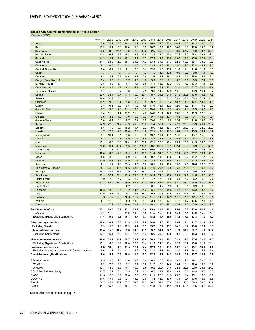## <span id="page-21-0"></span>**Table SA16. Claims on Nonfinancial Private Sector**

| (Percent of GDP                                      |             |                 |                      |              |              |              |              |              |              |              |              |              |              |              |
|------------------------------------------------------|-------------|-----------------|----------------------|--------------|--------------|--------------|--------------|--------------|--------------|--------------|--------------|--------------|--------------|--------------|
|                                                      | 2004-08     | 2009            | 2010                 | 2011         | 2012         | 2013         | 2014         | 2015         | 2016         | 2017         | 2018         | 2019         | 2020         | 2021         |
| Angola                                               | 7.5         | 23.1            | 19.9                 | 18.8         | 20.1         | 21.4         | 19.9         | 24.0         | 20.0         | 16.2         | 14.0         | 14.2         | 12.0         | 9.1          |
| Benin                                                | 10.5        | 15.1            | 15.8                 | 16.6         | 15.6         | 16.5         | 16.7         | 16.7         | 17.5         | 16.6         | 16.8         | 17.6         | 15.5         | 14.9         |
| <b>Botswana</b>                                      | 22.5        | 29.2            | 27.4                 | 27.8         | 32.9         | 33.2         | 32.5         | 36.0         | 32.7         | 33.9         | 34.7         | 35.9         | 39.7         | 37.4         |
| <b>Burkina Faso</b>                                  | 13.8        | 16.1            | 15.6                 | 15.4         | 16.6         | 20.8         | 23.4         | 25.0         | 25.8         | 27.4         | 26.9         | 28.4         | 29.3         | 28.1         |
| <b>Burundi</b>                                       | 14.3        | 15.1            | 17.2                 | 20.1         | 19.1         | 18.3         | 17.9         | 14.7         | 15.0         | 13.0         | 21.8         | 25.0         | 27.2         | 35.4         |
| Cabo Verde<br>Cameroon                               | 41.4<br>8.1 | 58.0<br>9.0     | 61.9<br>9.4          | 65.7<br>11.4 | 64.3<br>11.0 | 64.2<br>11.7 | 63.3<br>12.4 | 61.8<br>13.0 | 61.3<br>13.2 | 62.5<br>13.0 | 60.2<br>13.2 | 58.7<br>12.8 | 73.2<br>12.8 | 58.6<br>13.2 |
| Central African Rep.                                 | 6.6         | 6.9             | 8.2                  | 9.1          | 10.6         | 13.4         | 12.6         | 11.5         | 12.8         | 11.8         | 12.4         | 11.6         | 11.9         | 13.0         |
| Chad                                                 |             |                 |                      |              |              |              |              | 8.4          | 10.5         | 10.6         | 10.2         | 9.8          | 11.1         | 11.3         |
| Comoros                                              | 5.2         | $\cdots$<br>8.8 | 10.5                 | 10.6         | 12.1         | 12.8         | 13.6         | 15.8         | 16.1         | 16.4         | 15.9         | 15.6         | 15.1         | 16.1         |
| Congo, Dem. Rep. of                                  | 2.4         | 5.0             | 3.4                  | 3.7          | 4.5          | 4.9          | 5.3          | 5.8          | 7.1          | 5.7          | 5.6          | 5.9          | 7.1          | 6.7          |
| Congo, Rep. of                                       | 2.5         | 4.8             | 5.1                  | 6.3          | 7.4          | 8.8          | 11.1         | 15.3         | 19.2         | 16.9         | 14.0         | 13.3         | 17.4         | 15.5         |
| Côte d'Ivoire                                        | 11.5        | 13.5            | 14.3                 | 14.4         | 14.1         | 14.7         | 15.5         | 17.8         | 19.2         | 21.0         | 21.7         | 21.7         | 23.0         | 23.6         |
| <b>Equatorial Guinea</b>                             | 2.7         | 5.8             | 6.7                  | 7.0          | 5.3          | 7.5          | 9.0          | 14.2         | 17.3         | 16.5         | 16.3         | 13.9         | 16.1         | 13.4         |
| Eritrea                                              | 32.6        | 23.4            | 19.4                 | 17.3         | 19.0         | 23.4         | 18.7         | 31.5         | $-21.8$      | $-21.5$      | $-20.8$      | $-17.9$      | $-4.5$       | $-4.5$       |
| Eswatini                                             | 18.6        | 20.6            | 19.1                 | 22.4         | 19.2         | 20.8         | 21.2         | 20.4         | 21.1         | 20.9         | 20.9         | 20.8         | 21.3         | 21.1         |
| Ethiopia                                             | 10.9        | 9.3             | 10.4                 | 9.8          | 9.3          | 8.8          | 8.7          | 9.2          | 9.4          | 10.7         | 11.0         | 12.1         | 13.0         | 14.0         |
| Gabon                                                | 9.1         | 10.1            | 8.3                  | 9.8          | 11.9         | 14.8         | 14.0         | 13.4         | 12.9         | 12.0         | 11.8         | 11.4         | 13.5         | 12.9         |
| Gambia, The                                          | 7.7         | 9.6             | 9.8                  | 11.1         | 10.6         | 11.7         | 10.4         | 8.4          | 6.7          | 6.1          | 7.1          | 8.5          | 8.3          | 9.0          |
| Ghana                                                | 8.4<br>3.9  | 11.5<br>3.5     | 11.4<br>4.2          | 11.2         | 11.9<br>5.9  | 12.6<br>7.2  | 14.0<br>9.7  | 15.1<br>11.5 | 14.6<br>10.4 | 13.8<br>8.8  | 13.1<br>9.2  | 11.9<br>9.7  | 12.3         | 12.0<br>8.1  |
| Guinea<br>Guinea-Bissau                              | 2.6         | 4.4             | 6.4                  | 7.0<br>8.7   | 12.2         | 12.0         | 13.4         | 7.8          | 7.0          | 12.4         | 14.3         | 14.8         | 8.9<br>15.8  | 15.7         |
| Kenya                                                | 14.9        | 22.5            | 24.7                 | 27.9         | 26.9         | 29.0         | 31.4         | 32.1         | 30.4         | 27.9         | 25.9         | 25.3         | 26.1         | 25.4         |
| Lesotho                                              | 8.8         | 11.9            | 13.7                 | 15.2         | 19.7         | 19.2         | 18.6         | 18.1         | 18.7         | 20.7         | 21.2         | 21.7         | 22.0         | 23.0         |
| Liberia                                              | 4.7         | 7.7             | 9.5                  | 10.6         | 10.6         | 11.6         | 12.1         | 13.0         | 12.5         | 15.4         | 16.3         | 15.3         | 16.4         | 14.9         |
| Madagascar                                           | 8.7         | 10.1            | 10.1                 | 9.6          | 9.3          | 10.0         | 10.7         | 11.4         | 10.9         | 11.8         | 12.6         | 13.7         | 15.5         | 16.4         |
| Malawi                                               | 4.8         | 7.7             | 9.8                  | 9.9          | 10.4         | 8.8          | 8.3          | 8.7          | 7.4          | 6.3          | 6.3          | 6.7          | 7.9          | 8.4          |
| Mali                                                 | 15.1        | 16.5            | 18.0                 | 18.4         | 19.6         | 20.9         | 22.1         | 25.0         | 26.4         | 25.9         | 25.6         | 24.5         | 26.0         | 28.5         |
| <b>Mauritius</b>                                     | 72.0        | 80.1            | 85.4                 | 89.3         | 98.8         | 106.3        | 98.8         | 102.7        | 96.3         | 102.4        | 78.3         | 80.3         | 95.9         | 88.8         |
| Mozambique                                           | 11.1        | 21.8            | 22.2                 | 21.3         | 22.9         | 26.6         | 30.6         | 32.6         | 31.6         | 24.5         | 22.4         | 21.5         | 24.8         | 23.1         |
| Namibia                                              | 48.0        | 48.0            | 49.1                 | 49.3         | 48.6         | 50.7         | 51.4         | 54.0         | 54.3         | 52.4         | 53.2         | 57.2         | 60.4         | 58.5         |
| Niger                                                | 5.5<br>11.9 | 8.9<br>19.3     | 9.1<br>13.3          | 9.9<br>10.9  | 10.0<br>10.6 | 10.5<br>11.5 | 10.7<br>13.3 | 11.3<br>13.1 | 11.5<br>14.6 | 11.4<br>12.9 | 10.2<br>10.2 | 11.2<br>11.2 | 11.7<br>12.1 | 12.2<br>13.6 |
| Nigeria<br>Rwanda                                    | 9.1         | 11.2            | 11.1                 | 12.3         | 14.5         | 15.0         | 16.1         | 19.2         | 18.8         | 19.0         | 19.5         | 19.6         | 22.8         | 23.2         |
| São Tomé & Príncipe                                  | 25.7        | 35.0            | 39.6                 | 40.6         | 38.4         | 33.9         | 31.9         | 29.5         | 26.6         | 25.5         | 23.1         | 21.7         | 19.8         | 18.0         |
| Senegal                                              | 16.2        | 19.4            | 21.3                 | 23.9         | 24.4         | 26.3         | 27.3         | 27.3         | 27.8         | 29.7         | 29.6         | 29.5         | 29.3         | 32.0         |
| Seychelles                                           | 25.1        | 20.1            | 24.4                 | 23.9         | 22.5         | 21.3         | 24.4         | 24.6         | 25.8         | 28.1         | 29.6         | 34.8         | 46.8         | 35.2         |
| Sierra Leone                                         | 4.0         | 7.2             | 7.7                  | 7.5          | 5.4          | 4.7          | 4.7          | 5.3          | 5.5          | 5.1          | 5.7          | 6.2          | 6.0          | 7.0          |
| South Africa                                         | 61.3        | 64.9            | 61.2                 | 59.9         | 61.1         | 60.3         | 60.5         | 61.1         | 59.4         | 58.0         | 58.1         | 58.5         | 60.0         | 56.4         |
| South Sudan                                          |             |                 | $\ddot{\phantom{a}}$ | 0.2          | 0.6          | 0.7          | 0.9          | 1.2          | 1.3          | 0.6          | 0.5          | 0.9          | 0.9          | 0.9          |
| Tanzania                                             | 10.3        | 13.0            | 13.5                 | 14.2         | 14.5         | 14.2         | 15.0         | 16.4         | 15.5         | 14.5         | 14.1         | 13.8         | 13.6         | 13.3         |
| Togo                                                 | 12.6        | 14.7            | 16.1                 | 20.8         | 22.7         | 28.1         | 26.4         | 29.8         | 30.6         | 29.6         | 27.5         | 26.7         | 26.6         | 26.0         |
| Uganda                                               | 7.3         | 8.2             | 10.6                 | 10.6         | 10.7         | 10.4         | 11.0         | 11.9         | 12.2         | 11.9         | 11.8         | 12.1         | 13.0         | 13.5         |
| Zambia<br>Zimbabwe <sup>2</sup>                      | 8.7<br>3.3  | 10.0<br>7.2     | 9.1<br>13.5          | 10.0<br>19.0 | 11.9<br>20.1 | 11.7<br>18.7 | 13.4<br>19.2 | 15.8<br>18.3 | 12.1<br>17.1 | 11.2<br>17.4 | 11.7<br>11.0 | 12.5<br>5.9  | 12.3<br>6.3  | 11.1         |
|                                                      |             |                 |                      |              |              |              |              |              |              |              |              |              |              | 7.7          |
| Sub-Saharan Africa                                   | 25.2        | 29.0            | 26.2                 | 25.1         | 25.2         | 25.6         | 25.9         | 26.7         | 26.3         | 25.0         | 23.8         | 23.9         | 24.3         | 24.0         |
| Median                                               | 9.1<br>11.4 | 11.5<br>15.5    | 13.3<br>15.8         | 11.8<br>16.1 | 13.2<br>16.7 | 14.5<br>17.7 | 14.5<br>18.2 | 15.8<br>19.7 | 15.5<br>18.9 | 15.4         | 14.1<br>17.3 | 13.9<br>17.3 | 15.5<br>17.9 | 14.9<br>17.7 |
| <b>Excluding Nigeria and South Africa</b>            |             |                 |                      |              |              |              |              |              |              | 18.2         |              |              |              |              |
| <b>Oil-exporting countries</b>                       | 10.4        | 18.2            | 13.6                 | 11.5         | 11.7         | 12.8         | 14.0         | 14.5         | 15.2         | 13.4         | 11.1         | 11.7         | 12.2         | 12.8         |
| <b>Excluding Nigeria</b>                             | 6.9         | 15.8            | 14.3                 | 12.9         | 14.4         | 15.9         | 15.7         | 18.1         | 16.7         | 14.5         | 13.2         | 13.0         | 12.4         | 10.8         |
| Oil-importing countries                              | 33.4        | 35.6            | 34.2                 | 33.8         | 34.0         | 33.9         | 33.7         | 34.4         | 32.9         | 31.9         | 31.0         | 30.7         | 31.1         | 30.2         |
| <b>Excluding South Africa</b>                        | 12.7        | 15.4            | 16.3                 | 17.1         | 17.5         | 18.3         | 18.9         | 20.2         | 19.5         | 19.1         | 18.3         | 18.3         | 19.1         | 19.2         |
| Middle-income countries                              | 29.0        | 33.5            | 29.8                 | 28.7         | 28.6         | 29.0         | 29.3         | 30.4         | 30.2         | 28.8         | 27.3         | 27.5         | 28.0         | 27.3         |
| Excluding Nigeria and South Africa                   | 13.1        | 18.8            | 18.8                 | 19.6         | 20.0         | 21.4         | 21.9         | 24.3         | 23.4         | 22.2         | 20.9         | 20.8         | 21.2         | 20.4         |
| Low-income countries                                 | 8.8         | 10.6            | 11.6                 | 11.5         | 12.1         | 12.4         | 12.9         | 13.8         | 13.5         | 13.2         | 12.9         | 13.1         | 14.1         | 14.6         |
| Excluding low-income countries in fragile situations | 9.6         | 11.3            | 12.1                 | 12.1         | 12.2         | 12.5         | 13.1         | 14.3         | 14.1         | 13.9         | 13.8         | 14.3         | 15.1         | 15.4         |
| <b>Countries in fragile situations</b>               | 8.0         | 9.9             | 10.8                 | 10.8         | 11.8         | 12.2         | 12.9         | 14.1         | 14.3         | 14.2         | 13.9         | 13.7         | 14.9         | 15.8         |
|                                                      | 9.9         | 12.0            |                      | 13.6         |              | 15.4         | 16.3         |              | 18.9         | 19.3         | 19.2         | 19.1         | 20.0         | 20.4         |
| CFA franc zone<br><b>CEMAC</b>                       | 6.2         | 7.7             | 12.6<br>7.9          | 9.2          | 13.7<br>9.1  | 10.8         | 11.7         | 17.6<br>12.8 | 14.0         | 13.4         | 13.1         | 12.4         | 13.5         | 13.2         |
| <b>WAEMU</b>                                         | 12.3        | 14.9            | 15.8                 | 16.7         | 16.9         | 18.5         | 19.2         | 20.7         | 21.8         | 22.8         | 22.8         | 22.9         | 23.4         | 24.2         |
| COMESA (SSA members)                                 | 12.7        | 15.1            | 16.4                 | 17.5         | 17.9         | 18.5         | 18.7         | 19.7         | 18.4         | 18.1         | 16.7         | 16.9         | 18.0         | 18.3         |
| EAC-5                                                | 11.5        | 15.3            | 16.9                 | 18.4         | 18.5         | 19.5         | 21.1         | 22.3         | 21.5         | 20.2         | 19.4         | 19.1         | 19.7         | 19.6         |
| <b>ECOWAS</b>                                        | 11.6        | 17.4            | 13.5                 | 12.1         | 11.9         | 12.9         | 14.4         | 14.8         | 16.0         | 15.1         | 13.4         | 13.9         | 14.8         | 15.8         |
| <b>SACU</b>                                          | 58.7        | 62.4            | 58.9                 | 57.7         | 59.0         | 58.3         | 58.3         | 59.1         | 57.4         | 56.3         | 56.3         | 56.9         | 58.5         | 54.9         |
| SADC                                                 | 41.7        | 45.7            | 43.0                 | 42.1         | 42.8         | 42.4         | 41.8         | 43.3         | 41.1         | 39.4         | 38.4         | 38.5         | 38.8         | 37.0         |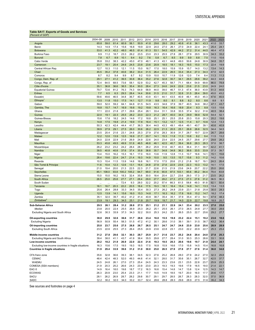## <span id="page-22-0"></span>**Table SA17. Exports of Goods and Services**

| (Percent of GDP                                      |           |       |      |       |      |                |      |      |      |      |       |      |      |      |      |      |
|------------------------------------------------------|-----------|-------|------|-------|------|----------------|------|------|------|------|-------|------|------|------|------|------|
|                                                      | 2004-08   | 2009  | 2010 | 2011  | 2012 | 2013           | 2014 | 2015 | 2016 | 2017 | 2018  | 2019 | 2020 | 2021 | 2022 | 2023 |
| Angola                                               | 65.8      | 59.0  | 61.4 | 60.9  | 56.1 | 50.9           | 41.8 | 29.6 | 28.0 | 29.2 | 40.8  | 41.6 | 36.1 | 43.3 | 41.0 | 33.7 |
| Benin                                                | 14.3      | 14.9  | 17.4 | 15.6  | 16.8 | 19.9           | 22.9 | 24.0 | 27.0 | 26.1 | 27.0  | 24.9 | 22.4 | 24.1 | 25.4 | 24.1 |
| <b>Botswana</b>                                      | 53.0      | 41.3  | 42.2 | 48.0  | 46.5 | 61.4           | 61.3 | 53.1 | 54.5 | 42.9 | 44.2  | 37.2 | 31.4 | 44.5 | 46.4 | 47.5 |
| Burkina Faso                                         | 9.9       | 11.2  | 18.7 | 23.3  | 26.2 | 23.5           | 23.0 | 23.3 | 25.5 | 27.8 | 28.1  | 27.9 | 29.5 | 30.9 | 34.3 | 33.2 |
| <b>Burundi</b>                                       | 7.8       | 6.7   | 8.9  | 10.1  | 9.4  | 9.2            | 7.6  | 5.8  | 6.7  | 8.5  | 9.9   | 9.9  | 8.8  | 7.5  | 11.0 | 10.6 |
| Cabo Verde                                           | 35.8      | 33.2  | 38.3 | 42.2  | 45.0 | 47.0           | 48.1 | 41.3 | 43.1 | 44.8 | 49.0  | 50.6 | 24.8 | 30.9 | 34.8 | 35.7 |
| Cameroon                                             | 23.7      | 19.1  | 20.4 | 24.6  | 24.5 | 23.8           | 23.6 | 20.9 | 18.5 | 18.1 | 18.3  | 19.5 | 15.0 | 17.3 | 22.4 | 19.9 |
| Central African Rep.                                 | 12.7      | 10.3  | 11.0 | 12.1  | 11.5 | 15.0           | 16.7 | 17.0 | 18.0 | 15.9 | 15.9  | 15.7 | 14.0 | 13.2 | 13.4 | 14.3 |
| Chad                                                 | 45.5      | 35.2  | 37.8 | 40.6  | 38.2 | 33.4           | 31.5 | 26.4 | 22.9 | 26.5 | 33.4  | 35.4 | 27.3 | 34.3 | 47.0 | 42.5 |
| Comoros                                              | 8.7       | 8.2   | 9.4  | 9.9   | 8.7  | 9.2            | 10.9 | 10.0 | 10.7 | 11.9 | 12.6  | 12.0 | 7.4  | 8.4  | 11.3 | 11.3 |
| Congo, Dem. Rep. of                                  | 29.1      | 27.1  | 41.2 | 39.5  | 30.8 | 36.4           | 35.2 | 27.6 | 32.8 | 30.7 | 34.1  | 26.5 | 28.6 | 39.2 | 44.3 | 44.8 |
| Congo, Rep. of                                       | 72.4      | 64.5  | 68.5 | 73.6  | 58.1 | 52.9           | 53.2 | 42.7 | 45.3 | 58.7 | 71.1  | 68.4 | 54.9 | 69.8 | 86.0 | 78.8 |
| Côte d'Ivoire                                        | 35.1      | 36.8  | 36.6 | 38.5  | 35.4 | 30.0           | 28.4 | 27.3 | 24.6 | 24.9 | 22.6  | 23.6 | 21.5 | 23.0 | 24.9 | 24.0 |
| <b>Equatorial Guinea</b>                             | 79.7      | 72.6  | 81.2 | 76.3  | 74.3 | 64.9           | 58.9 | 44.0 | 39.0 | 46.7 | 51.3  | 47.4 | 36.0 | 43.9 | 51.3 | 44.6 |
| Eritrea                                              | 7.7       | 6.5   | 6.3  | 29.3  | 28.4 | 14.4           | 30.6 | 31.5 | 21.0 | 31.7 | 32.8  | 31.5 | 28.4 | 39.0 | 45.0 | 43.2 |
| Eswatini                                             | 59.6      | 49.6  | 46.5 | 34.8  | 36.7 | 40.5           | 43.9 | 43.1 | 44.1 | 43.5 | 40.9  | 46.1 | 45.0 | 45.3 | 47.6 | 45.5 |
| Ethiopia                                             | 13.5      | 11.8  | 15.0 | 17.5  | 14.1 | 12.7           | 11.9 | 9.8  | 8.0  | 8.1  | 8.8   | 8.2  | 8.0  | 8.6  | 8.8  | 9.1  |
| Gabon                                                | 59.0      | 52.0  | 59.2 | 64.1  | 64.8 | 61.5           | 54.5 | 43.5 | 34.6 | 37.9 | 39.7  | 40.5 | 34.6 | 38.2 | 47.1 | 43.7 |
| Gambia, The                                          | 18.8      | 15.7  | 14.7 | 16.9  | 19.8 | 19.2           | 19.8 | 16.3 | 16.4 | 16.6 | 18.9  | 20.4 | 8.3  | 8.8  | 13.5 | 15.6 |
| Ghana                                                | 17.1      | 22.0  | 21.8 | 27.1  | 29.6 | 25.4           | 28.1 | 33.4 | 31.1 | 33.8 | 33.5  | 37.4 | 32.2 | 31.6 | 40.5 | 38.4 |
| Guinea                                               | 22.0      | 19.1  | 22.3 | 25.5  | 28.2 | 23.0           | 22.3 | 21.2 | 28.7 | 40.0 | 34.4  | 29.9 | 58.8 | 52.8 | 54.4 | 52.1 |
| Guinea-Bissau                                        | 15.6      | 17.6  | 18.2 | 24.5  | 14.6 | 17.2           | 18.8 | 25.1 | 25.1 | 25.5 | 25.8  | 20.3 | 15.8 | 20.3 | 20.2 | 19.6 |
| Kenya                                                | 14.8      | 17.5  | 19.8 | 21.4  | 19.9 | 17.8           | 16.4 | 15.1 | 13.2 | 12.7 | 12.5  | 11.4 | 9.7  | 10.6 | 12.4 | 13.3 |
| Lesotho                                              | 50.3      | 42.3  | 42.4 | 44.4  | 41.7 | 36.3           | 36.4 | 44.5 | 43.3 | 49.1 | 49.4  | 49.1 | 40.7 | 39.1 | 40.6 | 40.9 |
| Liberia                                              | 38.9      | 27.9  | 29.1 | 27.5  | 26.0 | 30.6           | 26.2 | 22.5 | 21.3 | 20.5 | 25.1  | 26.8 | 26.6 | 32.5 | 34.4 | 34.5 |
| Madagascar                                           | 23.5      | 20.4  | 21.6 | 23.1  | 24.6 | 25.3           | 27.9 | 27.6 | 28.3 | 30.9 | 31.7  | 28.7 | 19.7 | 22.9 | 26.7 | 28.6 |
| Malawi                                               | 12.2      | 12.0  | 13.9 | 12.5  | 16.9 | 21.7           | 20.7 | 14.1 | 15.3 | 11.8 | 11.3  | 10.8 | 8.2  | 9.4  | 11.5 | 13.2 |
| Mali                                                 | 24.0      | 22.8  | 22.9 | 21.6  | 26.9 | 24.9           | 22.6 | 24.0 | 23.4 | 22.5 | 24.5  | 25.7 | 29.6 | 27.7 | 29.8 | 28.2 |
| <b>Mauritius</b>                                     | 53.3      | 45.8  | 49.5 | 49.9  | 51.9 | 46.5           | 46.8 | 46.1 | 42.5 | 40.7 | 39.4  | 36.8 | 28.3 | 28.3 | 37.0 | 38.7 |
| Mozambique                                           | 26.2      | 23.2  | 23.2 | 24.2  | 28.4 | 28.1           | 26.2 | 25.9 | 31.6 | 40.7 | 40.3  | 36.4 | 31.1 | 39.7 | 42.2 | 41.1 |
| Namibia                                              | 38.5      | 40.8  | 40.8 | 37.6  | 37.4 | 35.8           | 38.8 | 35.7 | 34.8 | 34.8 | 36.2  | 36.6 | 33.5 | 33.9 | 37.3 | 39.7 |
| Niger                                                | 13.4      | 15.0  | 16.2 | 15.3  | 16.1 | 17.0           | 16.0 | 13.6 | 11.9 | 12.8 | 11.3  | 10.7 | 16.6 | 14.1 | 15.1 | 15.6 |
| Nigeria                                              | 28.4      | 19.6  | 22.4 | 24.7  | 21.4 | 19.3           | 14.9 | 10.0 | 9.5  | 13.5 | 15.7  | 15.6 | 9.3  | 11.2 | 14.2 | 10.6 |
| Rwanda                                               | 10.3      | 10.4  | 11.5 | 13.9  | 14.6 | 16.6           | 16.1 | 17.0 | 17.5 | 20.6 | 21.2  | 21.8 | 18.7 | 19.1 | 24.3 | 26.4 |
| São Tomé & Príncipe                                  | 11.6      | 10.4  | 12.3 | 12.6  | 13.1 | 16.4           | 24.8 | 27.9 | 27.8 | 22.9 | 23.6  | 22.3 | 10.3 | 13.2 | 14.1 | 17.5 |
| Senegal                                              | 21.0      | 19.4  | 20.0 | 21.3  | 22.5 | 22.3           | 21.7 | 22.6 | 21.5 | 21.9 | 23.6  | 24.9 | 20.7 | 22.2 | 25.0 | 26.6 |
| Seychelles                                           | 85.1      | 108.0 | 93.8 | 100.2 | 05.2 | 94.7           | 99.0 | 91.6 | 90.8 | 97.5 | 103.1 | 95.6 | 85.2 | 84.4 | 79.4 | 83.8 |
| Sierra Leone                                         | 15.0      | 15.0  | 16.2 | 18.3  | 32.4 | 35.8           | 30.0 | 18.4 | 20.4 | 22.7 | 23.6  | 26.0 | 17.3 | 21.7 | 23.5 | 26.2 |
| South Africa                                         | 26.5      | 25.0  | 25.8 | 27.7  | 27.1 | 28.4           | 29.0 | 27.7 | 28.2 | 27.3 | 27.5  | 27.3 | 27.8 | 31.2 | 36.5 | 36.3 |
| South Sudan                                          | $\ddotsc$ |       |      | 72.4  | 9.3  | 28.0           | 32.2 | 20.2 | 57.4 | 66.3 | 61.5  | 58.8 | 49.3 | 81.8 | 92.1 | 50.4 |
| Tanzania                                             | 18.1      | 18.7  | 20.3 | 22.2  | 20.5 | 18.4           | 17.5 | 19.3 | 18.1 | 16.4 | 15.4  | 14.8 | 14.1 | 13.3 | 13.4 | 13.5 |
| Togo                                                 | 25.6      | 26.4  | 28.8 | 33.3  | 34.5 | 35.4           | 30.3 | 27.3 | 26.2 | 24.8 | 23.9  | 23.1 | 21.8 | 25.8 | 30.0 | 28.3 |
| Uganda                                               | 12.5      | 13.9  | 14.1 | 15.6  | 16.0 | 15.3           | 14.8 | 17.1 | 16.3 | 16.2 | 17.8  | 16.6 | 15.2 | 14.7 | 18.2 | 17.4 |
| Zambia                                               | 35.1      | 32.0  | 39.7 | 40.2  | 41.2 | 41.4           | 40.8 | 38.7 | 35.4 | 35.1 | 37.9  | 35.4 | 47.3 | 54.1 | 47.9 | 48.3 |
| Zimbabwe <sup>4</sup>                                | 23.9      | 19.1  | 29.3 | 34.5  | 25.1 | 21.8           | 20.7 | 19.9 | 19.7 | 21.7 | 14.0  | 22.9 | 22.7 | 19.8 | 18.9 | 20.7 |
| Sub-Saharan Africa                                   | 29.5      | 26.1  | 28.4 | 31.2  | 28.8 | 27.5           | 25.1 | 21.2 | 21.1 | 22.9 | 24.1  | 23.4 | 20.2 | 23.5 | 27.0 | 25.0 |
| Median                                               | 23.8      | 20.0  | 22.4 | 25.5  | 26.9 | 25.3           | 26.2 | 25.1 | 25.5 | 26.1 | 27.0  | 26.5 | 24.8 | 27.7 | 30.0 | 28.6 |
| Excluding Nigeria and South Africa                   | 32.6      | 30.3  | 33.9 | 37.3  | 34.3 | 32.2           | 30.0 | 25.3 | 24.2 | 25.1 | 26.5  | 25.5 | 22.7 | 25.6 | 29.2 | 27.7 |
| <b>Oil-exporting countries</b>                       | 38.0      | 29.9  | 32.6 | 36.6  | 31.7 | 28.6           | 23.4 | 16.0 | 15.5 | 19.8 | 23.2  | 22.4 | 15.1 | 19.2 | 23.6 | 18.6 |
| <b>Excluding Nigeria</b>                             | 56.9      | 50.9  |      | 58.3  | 51.5 | $\overline{c}$ | ے.   | 30.1 | 28.6 | 31   | 39.1  |      | 31.5 | 38.7 | 43.2 | 36.4 |
| Oil-importing countries                              | 25.0      | 23.7  | 25.6 | 27.5  | 26.8 | 26.7           | 26.5 | 25.1 | 24.7 | 24.7 | 24.6  | 23.9 | 23.0 | 25.6 | 28.9 | 28.9 |
| <b>Excluding South Africa</b>                        | 23.5      | 22.6  | 25.5 | 27.3  | 26.4 | 25.5           | 24.9 | 23.6 | 22.8 | 23.1 | 23.0  | 22.2 | 20.9 | 22.7 | 25.3 | 25.4 |
|                                                      |           |       |      |       |      |                |      |      |      |      |       |      |      |      |      |      |
| Middle-income countries                              | 31.2      | 27.8  | 29.6 | 32.1  | 30.3 | 28.7           | 25.9 | 21.7 | 21.6 | 23.7 | 25.2  | 24.6 | 20.4 | 24.0 | 27.8 | 25.3 |
| Excluding Nigeria and South Africa                   | 39.4      | 38.0  | 41.1 | 43.7  | 41.9 | 38.4           | 35.5 | 29.8 | 27.7 | 28.4 | 31.0  | 30.3 | 25.3 | 28.8 | 33.1 | 30.8 |
| Low-income countries                                 | 20.2      | 18.2  | 21.9 | 26.9  | 22.0 | 22.4           | 21.6 | 19.3 | 19.5 | 20.3 | 20.6  | 19.6 | 19.7 | 21.9 | 24.4 | 24.1 |
| Excluding low-income countries in fragile situations | 16.3      | 15.6  | 17.5 | 19.5  | 19.3 | 18.5           | 17.5 | 16.8 | 15.9 | 16.6 | 17.0  | 15.8 | 14.5 | 15.4 | 16.8 | 16.8 |
| <b>Countries in fragile situations</b>               | 31.9      | 29.4  | 33.9 | 39.6  | 31.2 | 31.0           | 30.0 | 25.0 | 26.5 | 27.9 | 27.8  | 27.7 | 27.6 | 31.4 | 36.0 | 34.8 |
| CFA franc zone                                       | 35.6      | 32.8  | 36.6 | 39.3  | 38.1 | 34.5           | 32.3 | 27.6 | 25.2 | 26.8 | 28.0  | 27.9 | 24.2 | 27.0 | 32.3 | 29.8 |
| <b>CEMAC</b>                                         | 48.4      | 42.4  | 48.3 | 52.0  | 49.3 | 44.6           | 41.4 | 32.1 | 28.0 | 31.7 | 35.6  | 35.1 | 26.7 | 32.7 | 42.5 | 37.7 |
| <b>WAEMU</b>                                         | 24.5      | 24.8  | 26.1 | 27.0  | 27.3 | 25.4           | 24.5 | 24.3 | 23.3 | 23.6 | 23.1  | 23.5 | 22.8 | 23.7 | 25.9 | 25.3 |
| COMESA (SSA members)                                 | 21.9      | 20.3  | 25.2 | 26.6  | 24.3 | 23.9           | 23.0 | 20.3 | 19.3 | 19.3 | 19.6  | 17.9 | 16.5 | 19.0 | 21.4 | 22.1 |
| EAC-5                                                | 14.9      | 16.4  | 18.0 | 19.6  | 18.7 | 17.2           | 16.3 | 16.6 | 15.4 | 14.8 | 14.7  | 13.8 | 12.4 | 12.5 | 14.3 | 14.7 |
| <b>ECOWAS</b>                                        | 26.3      | 20.9  | 23.0 | 25.4  | 23.3 | 21.1           | 17.7 | 14.5 | 14.9 | 18.5 | 19.7  | 20.0 | 16.0 | 17.7 | 20.6 | 17.7 |
| <b>SACU</b>                                          | 28.1      | 26.2  | 26.9 | 28.7  | 28.2 | 29.8           | 30.7 | 29.1 | 29.7 | 28.5 | 28.7  | 28.3 | 28.3 | 32.0 | 37.0 | 36.9 |
| SADC                                                 | 32.2      | 30.2  | 32.0 | 34.0  | 33.2 | 33.7           | 32.4 | 28.6 | 28.8 | 28.3 | 29.6  | 28.9 | 27.5 | 31.6 | 35.2 | 34.3 |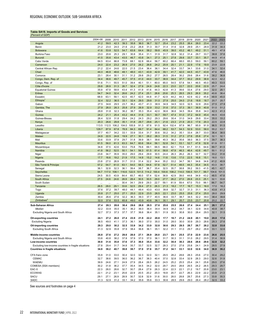## <span id="page-23-0"></span>**Table SA18. Imports of Goods and Services**

| 'Percent of GDP                                      |              |                |              |              |              |              |              |              |              |              |              |              |              |              |              |              |
|------------------------------------------------------|--------------|----------------|--------------|--------------|--------------|--------------|--------------|--------------|--------------|--------------|--------------|--------------|--------------|--------------|--------------|--------------|
|                                                      | 2004-08      | 2009           | 2010         | 2011         | 2012         | 2013         | 2014         | 2015         | 2016         | 2017         | 2018         | 2019         | 2020         | 2021         | 2022         | 2023         |
| Angola                                               | 41.2         | 59.5           | 42.3         | 39.3         | 35.8         | 36.0         | 36.7         | 32.7         | 25.4         | 23.2         | 25.5         | 26.4         | 26.0         | 23.4         | 22.2         | 22.2         |
| Benin                                                | 21.2         | 23.0           | 24.0         | 21.6         | 23.2         | 26.8         | 31.3         | 30.7         | 31.4         | 31.6         | 32.8         | 29.9         | 25.1         | 28.9         | 31.9         | 30.3         |
| <b>Botswana</b>                                      | 41.6         | 53.8           | 52.5         | 54.7         | 63.8         | 64.4         | 58.2         | 59.8         | 45.9         | 39.0         | 43.2         | 46.1         | 49.2         | 51.1         | 49.1         | 47.9         |
| Burkina Faso                                         | 23.0         | 20.6           | 25.3         | 29.1         | 30.8         | 35.4         | 31.1         | 31.9         | 31.7         | 32.8         | 32.2         | 31.4         | 29.7         | 33.7         | 38.8         | 37.6         |
| <b>Burundi</b>                                       | 41.5         | 35.6           | 43.4         | 43.5         | 46.7         | 43.8         | 34.1         | 27.3         | 25.1         | 27.8         | 29.8         | 33.7         | 33.1         | 35.7         | 44.9         | 41.4         |
| Cabo Verde                                           | 64.5         | 63.4           | 66.8         | 73.8         | 68.1         | 62.8         | 66.4         | 56.7         | 60.2         | 66.4         | 68.0         | 65.3         | 59.0         | 59.1         | 60.2         | 59.1         |
| Cameroon                                             | 24.0         | 22.4           | 23.2         | 26.9         | 27.0         | 26.2         | 26.6         | 24.2         | 20.9         | 20.1         | 21.1         | 22.9         | 17.6         | 19.9         | 23.9         | 22.8         |
| Central African Rep                                  | 21.2         | 22.4           | 24.6         | 22.0         | 21.5         | 23.4         | 36.4         | 36.1         | 34.4         | 32.4         | 33.7         | 34.1         | 33.6         | 31.0         | 34.1         | 32.4         |
| Chad                                                 | 44.3         | 46.8           | 48.6         | 48.1         | 48.0         | 43.1         | 43.9         | 42.9         | 39.1         | 41.7         | 42.0         | 44.5         | 43.7         | 43.9         | 47.6         | 46.6         |
| Comoros                                              | 23.1         | 28.4           | 30.1         | 31.1         | 31.2         | 29.8         | 29.2         | 27.7         | 26.5         | 28.4         | 30.2         | 29.6         | 28.4         | 31.6         | 38.2         | 36.8         |
| Congo, Dem. Rep. of                                  | 34.4         | 36.6           | 49.7         | 45.7         | 37.5         | 41.0         | 44.0         | 33.7         | 38.9         | 34.4         | 37.7         | 30.2         | 29.9         | 38.9         | 42.3         | 42.2         |
| Congo, Rep. of                                       | 51.6         | 71.1           | 55.5         | 51.0         | 39.4         | 40.1         | 51.1         | 80.0         | 85.0         | 54.5         | 57.8         | 54.1         | 46.5         | 45.0         | 49.3         | 53.5         |
| Côte d'Ivoire                                        | 29.8         | 28.9           | 31.3         | 26.7         | 32.4         | 27.9         | 24.9         | 24.8         | 22.3         | 23.0         | 22.7         | 22.0         | 20.6         | 22.9         | 25.7         | 24.4         |
| <b>Equatorial Guinea</b>                             | 35.9         | 47.9           | 58.9         | 43.4         | 41.3         | 41.9         | 41.6         | 44.3         | 42.8         | 41.3         | 39.6         | 33.4         | 27.6         | 29.0         | 32.0         | 28.1         |
| Eritrea                                              | 54.7         | 34.0           | 32.4         | 26.6         | 24.2         | 27.4         | 25.1         | 26.6         | 20.6         | 25.3         | 28.5         | 29.3         | 26.9         | 35.2         | 40.8         | 38.4         |
| Eswatini                                             | 68.9         | 63.1           | 59.1         | 42.5         | 40.7         | 42.0         | 44.8         | 41.7         | 42.9         | 44.2         | 44.3         | 42.9         | 42.2         | 45.8         | 48.9         | 45.0         |
| Ethiopia                                             | 32.4         | 32.2           | 36.5         | 33.1         | 32.4         | 29.5         | 29.8         | 31.0         | 27.9         | 25.0         | 24.0         | 21.6         | 18.8         | 18.7         | 20.7         | 20.7         |
| Gabon                                                | 27.5         | 34.6           | 29.5         | 23.7         | 36.2         | 43.7         | 41.3         | 38.9         | 34.9         | 34.5         | 32.0         | 32.5         | 32.8         | 29.6         | 27.5         | 27.9         |
| Gambia, The                                          | 27.9         | 26.0           | 26.3         | 25.8         | 27.9         | 26.9         | 32.9         | 33.2         | 31.6         | 37.0         | 37.3         | 39.1         | 36.9         | 40.8         | 51.0         | 51.2         |
| Ghana                                                | 28.8         | 31.8           | 32.3         | 36.2         | 38.7         | 35.3         | 35.4         | 42.0         | 36.6         | 36.6         | 34.5         | 39.4         | 35.8         | 34.0         | 42.3         | 41.3         |
| Guinea                                               | 24.2         | 21.1           | 25.4         | 43.2         | 44.4         | 31.6         | 33.1         | 30.7         | 59.7         | 47.4         | 51.0         | 37.2         | 64.9         | 45.4         | 46.5         | 43.6         |
| Guinea-Bissau                                        | 26.4         | 32.8           | 31.8         | 29.4         | 24.2         | 24.3         | 29.2         | 29.3         | 29.6         | 30.4         | 31.0         | 34.9         | 29.8         | 33.4         | 35.0         | 33.2         |
| Kenya                                                | 20.3         | 26.6           | 29.8         | 35.1         | 31.8         | 29.7         | 29.6         | 25.1         | 21.6         | 23.3         | 21.9         | 20.3         | 17.6         | 20.3         | 22.5         | 22.8         |
| Lesotho                                              | 113.5        | 112.5          | 106.2        | 104.0        | 105.9        | 91.3         | 87.6         | 91.5         | 92.4         | 102.4        | 97.9         | 96.7         | 95.9         | 91.9         | 96.5         | 91.5         |
| Liberia                                              | 129.7        | 87.9           | 67.8         | 78.9         | 84.3         | 69.7         | 91.4         | 84.4         | 68.2         | 53.7         | 54.3         | 52.9         | 53.0         | 58.0         | 55.2         | 53.7         |
| Madagascar                                           | 37.7         | 40.7           | 34.2         | 33.1         | 33.9         | 33.4         | 31.7         | 30.6         | 30.2         | 34.2         | 35.1         | 33.4         | 28.7         | 33.0         | 36.4         | 38.5         |
| Malawi                                               | 24.9         | 22.5           | 24.8         | 19.9         | 27.1         | 30.1         | 28.2         | 28.3         | 31.5         | 31.2         | 27.3         | 27.6         | 25.8         | 27.4         | 32.1         | 32.1         |
| Mali<br><b>Mauritius</b>                             | 33.6         | 33.9           | 37.9<br>61.3 | 29.7         | 31.8         | 39.9         | 38.1<br>58.4 | 39.6<br>56.1 | 40.3         | 36.2         | 35.6         | 38.0         | 36.3         | 37.5         | 39.7         | 38.3         |
|                                                      | 61.5<br>34.8 | 56.0<br>37.5   | 42.6         | 63.3<br>53.0 | 64.7<br>75.8 | 60.6<br>76.6 | 69.1         | 66.5         | 52.8<br>66.0 | 54.1<br>62.1 | 53.1<br>70.8 | 52.7<br>61.7 | 47.8<br>61.5 | 52.8<br>64.6 | 61.9<br>89.7 | 57.1<br>81.5 |
| Mozambique<br>Namibia                                | 41.8         | 56.2           | 52.5         | 50.1         | 54.1         | 56.3         | 61.5         | 61.4         | 58.8         | 47.9         | 46.3         | 46.4         | 42.8         | 49.7         | 50.1         | 51.2         |
|                                                      | 23.8         | 34.7           | 35.9         | 35.0         | 29.0         | 29.4         | 29.9         | 30.5         | 24.4         | 26.3         | 26.2         | 26.3         | 32.7         | 32.7         | 33.2         | 31.6         |
| Niger<br>Nigeria                                     | 17.7         | 16.6           | 19.2         | 21.9         | 17.5         | 14.9         | 15.2         | 14.6         | 11.6         | 13.6         | 17.0         | 22.5         | 16.8         | 15.1         | 16.0         | 13.1         |
| Rwanda                                               | 23.8         | 27.0           | 26.9         | 31.7         | 31.0         | 31.4         | 32.2         | 34.4         | 35.2         | 33.2         | 34.7         | 36.1         | 34.6         | 34.6         | 41.2         | 40.9         |
| São Tomé & Príncipe                                  | 57.2         | 54.7           | 61.0         | 63.1         | 54.0         | 58.3         | 64.6         | 57.8         | 52.7         | 51.4         | 48.5         | 44.3         | 35.4         | 34.5         | 43.3         | 38.7         |
| Senegal                                              | 36.1         | 32.8           | 32.3         | 36.1         | 39.4         | 38.7         | 36.7         | 35.4         | 32.5         | 35.7         | 38.8         | 39.2         | 39.3         | 41.5         | 45.1         | 42.7         |
| Seychelles                                           | 94.7         | 117.0          | 108.1        | 116.6        | 122.5        | 101.5        | 114.2        | 100.4        | 100.6        | 108.2        | 114.0        | 106.5        | 101.7        | 99.7         | 104.6        | 101.5        |
| Sierra Leone                                         | 24.5         | 30.5           | 43.9         | 84.4         | 65.7         | 46.0         | 57.4         | 52.4         | 36.9         | 42.9         | 39.0         | 44.6         | 34.9         | 43.2         | 48.5         | 47.8         |
| South Africa                                         | 27.5         | 24.6           | 24.6         | 26.9         | 28.4         | 30.5         | 30.5         | 29.0         | 27.7         | 26.2         | 27.0         | 26.8         | 23.3         | 25.1         | 32.1         | 33.8         |
| South Sudan                                          | $\ddotsc$    |                |              | 30.4         | 34.1         | 29.9         | 29.3         | 22.7         | 59.1         | 81.9         | 59.4         | 67.0         | 75.0         | 99.1         | 86.7         | 54.7         |
| Tanzania                                             | 26.5         | 28.0           | 29.1         | 33.6         | 32.5         | 29.4         | 27.3         | 26.3         | 21.3         | 18.2         | 17.7         | 16.7         | 15.3         | 16.0         | 17.0         | 16.2         |
| Togo                                                 | 37.6         | 37.2           | 39.7         | 48.0         | 44.1         | 49.4         | 43.0         | 43.0         | 39.8         | 32.7         | 32.7         | 31.3         | 31.1         | 36.3         | 43.8         | 41.3         |
| Uganda                                               | 20.8         | 21.7           | 25.0         | 27.1         | 25.0         | 22.9         | 23.5         | 26.5         | 22.1         | 23.0         | 25.5         | 25.6         | 27.4         | 25.0         | 28.0         | 29.9         |
| Zambia                                               | 30.4         | 26.6           | 27.6         | 32.2         | 36.3         | 39.3         | 37.7         | 40.5         | 36.6         | 33.7         | 38.7         | 34.5         | 32.2         | 39.0         | 38.4         | 39.6         |
| Zimbabwe <sup>-</sup>                                | 32.0         | 37.6           | 53.5         | 65.8         | 49.0         | 43.9         | 40.6         | 36.1         | 30.1         | 29.1         | 20.7         | 23.5         | 23.7         | 20.8         | 20.2         | 22.7         |
| Sub-Saharan Africa                                   | 27.4         | 28.3           | 28.6         | 30.4         | 29.6         | 28.8         | 28.5         | 27.6         | 25.6         | 25.5         | 26.6         | 27.4         | 24.4         | 25.1         | 28.1         | 27.2         |
| Median                                               | 32.2         | 33.9           | 35.0         | 35.1         | 36.2         | 36.0         | 36.4         | 34.4         | 34.9         | 34.2         | 34.7         | 34.1         | 32.8         | 34.6         | 40.8         | 38.7         |
| Excluding Nigeria and South Africa                   | 32.7         | 37.3           | 37.3         | 37.7         | 37.7         | 36.6         | 36.4         | 35.1         | 31.9         | 30.3         | 30.8         | 30.0         | 28.4         | 29.5         | 32.1         | 31.5         |
|                                                      |              |                |              |              |              |              |              |              |              |              |              |              |              |              |              |              |
| <b>Oil-exporting countries</b>                       | 24.1         | 27.2           | 26.0         | 27.4         | 23.9         | 21.9         | 22.2         | 20.8         | 17.7         | 18.7         | 21.2         | 24.9         | 20.1         | 19.0         | 20.0         | 17.6         |
| <b>Excluding Nigeria</b>                             | 36.5         | $\overline{0}$ |              | 37           | 36.1         | 36.0         | 37.0         | 35.0         | 31<br>.0     | 28.0         | 30           | 30.9         | 29.3         | 28.6         | 28.3         | 27.6         |
| Oil-importing countries                              | 29.3         | 29.0           | 30.2         | 32.5         | 33.9         | 34.2         | 33.9         | 32.8         | 30.6         | 29.3         | 29.5         | 28.7         | 26.7         | 28.2         | 32.8         | 33.0         |
| <b>Excluding South Africa</b>                        | 31.3         | 32.9           | 35.8         | 37.9         | 38.4         | 36.8         | 36.1         | 35.1         | 32.2         | 31.1         | 31.0         | 29.7         | 28.2         | 29.8         | 33.1         | 32.6         |
|                                                      |              |                |              |              |              |              |              |              |              |              |              |              |              |              |              |              |
| Middle-income countries                              | 26.8         | 27.6           | 27.2         | 29.0         | 28.0         | 27.1         | 26.9         | 26.0         | 23.7         | 24.1         | 25.5         | 27.0         | 22.9         | 23.6         | 26.6         | 25.5         |
| Excluding Nigeria and South Africa                   | 33.8         | 40.8           | 38.2         | 37.8         | 37.9         | 37.0         | 37.0         | 36.1         | 31.7         | 30.3         | 31.1         | 31.0         | 28.2         | 29.5         | 31.4         | 30.9         |
| Low-income countries                                 | 30.8         | 31.6           | 35.8         | 37.6         | 37.3         | 36.0         | 35.4         | 33.6         | 32.2         | 30.4         | 30.3         | 28.6         | 28.6         | 29.6         | 32.8         | 32.2         |
| Excluding low-income countries in fragile situations | 27.8         | 29.4           | 31.7         | 34.8         | 35.7         | 33.7         | 32.5         | 32.7         | 28.3         | 27.0         | 27.6         | 25.8         | 24.1         | 24.9         | 28.5         | 27.9         |
| <b>Countries in fragile situations</b>               | 34.8         | 36.2           | 40.7         | 39.8         | 38.7         | 37.0         | 37.6         | 35.7         | 37.2         | 34.1         | 33.1         | 32.0         | 32.6         | 34.0         | 36.9         | 36.2         |
| CFA franc zone                                       | 35.8         | 31.0           | 33.0         | 30.4         | 32.0         | 32.3         | 32.0         | 32.1         | 29.5         | 28.2         | 28.6         | 28.3         | 25.6         | 27.0         | 30.4         | 29.2         |
| <b>CEMAC</b>                                         | 32.7         | 38.6           | 39.5         | 36.0         | 36.2         | 36.7         | 38.3         | 40.4         | 37.0         | 32.8         | 33.4         | 32.9         | 28.3         | 29.0         | 32.6         | 31.9         |
| <b>WAEMU</b>                                         | 39.9         | 24.6           | 27.1         | 24.9         | 27.9         | 28.4         | 26.5         | 26.2         | 24.5         | 25.2         | 25.5         | 25.4         | 24.1         | 25.8         | 29.0         | 27.6         |
| COMESA (SSA members)                                 | 30.2         | 31.8           | 36.2         | 37.7         | 35.4         | 34.5         | 34.2         | 32.0         | 29.7         | 29.0         | 28.6         | 26.5         | 24.2         | 26.5         | 29.3         | 29.7         |
| EAC-5                                                | 22.3         | 26.0           | 28.6         | 32.7         | 30.7         | 28.4         | 27.9         | 26.3         | 22.4         | 22.3         | 22.1         | 21.2         | 19.7         | 20.8         | 23.0         | 23.1         |
| <b>ECOWAS</b>                                        | 22.1         | 21.2           | 23.1         | 25.6         | 22.9         | 20.5         | 20.2         | 20.3         | 18.8         | 20.7         | 22.7         | 26.3         | 22.9         | 22.2         | 23.9         | 21.3         |
| <b>SACU</b>                                          | 29.1         | 27.1           | 26.9         | 28.9         | 30.7         | 32.8         | 32.9         | 31.6         | 30.0         | 28.0         | 28.8         | 28.7         | 25.6         | 27.3         | 33.8         | 35.3         |
| <b>SADC</b>                                          | 31.3         | 32.9           | 31.2         | 33.1         | 34.2         | 35.6         | 35.6         | 33.3         | 30.6         | 28.5         | 29.6         | 29.0         | 26.4         | 28.2         | 32.5         | 33.2         |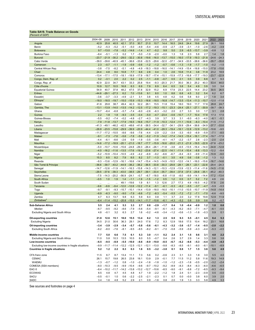## <span id="page-24-0"></span>**Table SA19. Trade Balance on Goods**

|  |                  | Table SAT9. Trade Balance on Goods |  |
|--|------------------|------------------------------------|--|
|  | (Percent of GDP) |                                    |  |

|                                                      | 2004-08           | 2009                                                            | 2010                    | 2011           | 2012                    | 2013                            | 2014              | 2015                    | 2016                                    | 2017                                                                                                    | 2018                  | 2019             | 2020             | 2021                              | 2022            | 2023              |
|------------------------------------------------------|-------------------|-----------------------------------------------------------------|-------------------------|----------------|-------------------------|---------------------------------|-------------------|-------------------------|-----------------------------------------|---------------------------------------------------------------------------------------------------------|-----------------------|------------------|------------------|-----------------------------------|-----------------|-------------------|
| Angola                                               | 42.9              | 25.8                                                            | 40.5                    | 42.1           | 37.0                    | 30.7                            | 21.0              | 10.7                    | 14.4                                    | 16.5                                                                                                    | 24.6                  | 24.4             | 19.6             | 27.9                              | 26.1            | 18.8              |
| Benin                                                | $-5.2$            | $-5.3$                                                          | $-5.2$                  | $-5.1$         | $-5.0$                  | $-4.9$                          | $-5.4$            | $-4.6$                  | $-0.9$                                  | $-2.7$                                                                                                  | $-3.9$                | $-3.1$           | $-1.0$           | $-2.6$                            | $-4.2$          | $-3.9$            |
| <b>Botswana</b>                                      |                   | $9.7 - 13.0$                                                    | $-7.8$                  | $-5.2$         | $-14.6$                 | $-1.4$                          | 4.7               | $-5.2$                  | 9.8                                     | 5.0                                                                                                     | 2.9                   | $-6.5$           | $-13.7$          | $-3.9$                            | $-0.8$          | 1.2               |
| <b>Burkina Faso</b><br><b>Burundi</b>                | $-8.4$<br>$-23.7$ | $-5.1$<br>$-21.9$                                               | $-1.3$<br>$-30.2$       | 0.2<br>$-29.0$ | 1.7                     | $-5.0$<br>$-32.2 -30.8$         | $-1.9$<br>$-19.6$ | $-2.0$<br>$-16.0$       | $-0.0$                                  | 1.3<br>$-13.7 -15.0$                                                                                    | 1.8<br>$-16.0$        | 2.3<br>$-17.9$   | 5.8<br>$-19.3$   | 2.7<br>$-21.8$                    | 1.4<br>$-24.6$  | 1.8<br>$-24.3$    |
| Cabo Verde                                           | $-39.0$           | $-39.6$                                                         | $-40.9$                 | $-45.1$        | $-36.6$                 | $-33.6$                         | $-32.5$           | $-29.6$                 | $-32.0$                                 | $-37.1$                                                                                                 | $-34.9$               | $-33.5$          | $-38.6$          | $-36.6$                           | $-35.7$         | $-35.6$           |
| Cameroon                                             | 2.3               | $-0.7$                                                          | $-1.1$                  | $-1.9$         | $-0.9$                  | $-0.6$                          | $-1.2$            | $-1.2$                  | $-0.7$                                  | $-0.6$                                                                                                  | $-1.3$                | $-1.9$           | $-1.7$           | $-1.0$                            | $-0.2$          | $-1.5$            |
| Central African Rep.                                 | $-3.8$            | $-7.5$                                                          | $-8.2$                  | $-5.1$         | $-4.8$                  | $-4.9$                          | $-18.3$           | $-18.8$                 |                                         | $-16.0 -14.1$                                                                                           |                       | $-14.9 -15.4$    | $-16.8$          | $-15.0$                           | $-17.8$         | $-15.6$           |
| Chad                                                 | 24.4              | 4.8                                                             | 8.0                     | 10.8           | 7.7                     | 6.6                             | 2.8               | 0.4                     | 1.0                                     | 2.6                                                                                                     | 10.8                  | 11.4             | 3.8              | 11.9                              | 23.2            | 18.9              |
| Comoros                                              | $-13.4$           | $-17.1$                                                         | $-17.5$                 | $-18.1$        | $-18.9$                 | $-17.9$                         |                   | $-18.7 -17.4$           |                                         | $-15.1 -15.9$                                                                                           | $-17.3$               | $-16.8$          | $-17.7$          | $-19.3$                           | $-23.7$         | $-22.9$           |
| Congo, Dem. Rep. of                                  | 0.2               | $-3.1$                                                          | 2.0                     | 2.2            | 0.2                     | 2.5                             | $-1.1$            | $-0.8$                  | $-0.7$                                  | 0.5                                                                                                     | 2.1                   | 0.5              | 3.9              | 6.9                               | 8.7             | 9.3               |
| Congo, Rep. of                                       | 42.9              | 22.0                                                            | 34.7                    | 43.1           | 33.3                    | 25.8                            | 19.4              | $-9.3$                  | $-20.3$                                 | 21.7                                                                                                    | 35.0                  | 36.3             | 25.2             | 40.3                              | 53.4            | 44.0              |
| Côte d'Ivoire                                        | 10.9              | 12.7                                                            | 10.5                    | 16.8           | 8.3                     | 6.9                             | 7.9               | 6.9                     | 6.4                                     | 6.5                                                                                                     | 3.8                   | 5.4              | 4.9              | 3.9                               | 3.0             | 3.4               |
| <b>Equatorial Guinea</b>                             | 54.9              | 40.7                                                            | 37.8                    | 48.2           | 47.5                    | 37.8                            | 32.9              | 15.2                    | 6.9                                     | 17.9                                                                                                    | 23.3                  | 22.5             | 14.4             | 23.2                              | 30.5            | 26.5              |
| Eritrea                                              | $-44.6$           | $-29.1$                                                         | $-27.3$                 | 6.2            | 7.0                     | $-13.6$                         | 9.1               | 8.0                     | 1.0                                     | 8.8                                                                                                     | 6.8                   | 4.5              | 3.2              | 5.4                               | 6.2             | 6.7               |
| Eswatini<br>Ethiopia                                 | $-3.6$            | $-3.7$                                                          | $-3.3$                  | $-4.9$         | $-2.1$                  | 3.1                             | 3.8               | 4.5                     | 4.8<br>$-18.5 -16.8$                    | 4.2                                                                                                     | 0.6                   | 5.8<br>$-13.4$   | 6.0<br>$-11.3$   | 2.7                               | 1.9             | 3.4<br>$-11.6$    |
| Gabon                                                | 41.6              | $-18.0$ $-18.5$ $-19.7$ $-15.0$ $-15.9$ $-15.3$ $-16.6$<br>29.8 | 38.7                    | 49.4           | 42.3                    | 32.2                            | 28.1              | 15.5                    | 11.8                                    | 15.4                                                                                                    | $-14.7 -13.5$<br>18.0 | 19.0             | 11.7             | $-10.7$<br>17.8                   | $-12.0$<br>28.8 | 24.7              |
| Gambia, The                                          | $-13.1$           | $-13.9$                                                         | $-14.0$                 | $-13.5$        | $-14.2$                 | $-12.5$                         | $-17.2$           | $-19.3$                 | $-15.1$                                 | $-23.3$                                                                                                 | $-24.4$               | $-25.1$          | $-27.1$          | $-30.9$                           | $-39.7$         | $-39.3$           |
| Ghana                                                | $-10.7$           | $-6.4$                                                          | $-6.8$                  | $-5.7$         | $-7.4$                  | $-6.0$                          | $-2.6$            | $-6.3$                  | $-3.2$                                  | 2.0                                                                                                     | 2.7                   | 3.3              | 3.0              | 1.7                               | 3.1             | 2.8               |
| Guinea                                               | 2.2               | 1.8                                                             | 1.8                     | $-9.3$         | $-3.5$                  | $-0.4$                          | $-5.0$            | $-4.7$                  | $-23.4$                                 | $-0.6$                                                                                                  | $-10.7$               | $-1.7$           | 10.4             | 17.8                              | 17.3            | 17.5              |
| Guinea-Bissau                                        | $-5.5$            | $-9.2$                                                          | $-7.4$                  | $-0.2$         | $-4.8$                  | $-2.7$                          | $-4.3$            | 3.9                     | 3.7                                     | 3.3                                                                                                     | 3.1                   | $-6.0$           | $-6.3$           | $-4.0$                            | $-6.1$          | $-5.1$            |
| Kenya                                                | $-7.9$            | $-11.8$                                                         | $-13.7 -17.9$           |                |                         | $-16.5 -16.6$                   |                   | $-15.7 -11.9$           | $-10.3$                                 | $-12.4$ $-11.1$ $-10.6$                                                                                 |                       |                  | $-8.3$           | $-10.4$                           | $-11.5$         | $-11.2$           |
| Lesotho                                              | $-41.3$           | $-49.1$                                                         |                         |                |                         |                                 |                   |                         |                                         | $-46.2$ $-42.5$ $-48.6$ $-41.6$ $-38.5$ $-34.4$ $-32.7$ $-34.1$ $-29.9$ $-29.4$                         |                       |                  | $-36.6$          | $-34.9$                           | $-37.7$         | $-33.6$           |
| Liberia                                              | $-26.8$           | $-23.5$                                                         | $-15.8$                 | $-29.9$        | $-39.9$                 | $-20.9$                         | $-44.4$           |                         |                                         | $-41.0$ $-28.3$ $-19.4$ $-16.1$ $-12.8$                                                                 |                       |                  | $-12.9$          | $-13.2$                           | $-10.6$         | $-9.5$            |
| Madagascar                                           | -11.7             | $-17.2$                                                         | $-10.5$                 | $-8.6$         | $-9.6$                  | $-7.6$                          | $-4.4$            | $-2.9$                  | $-2.2$                                  | $-3.4$                                                                                                  | $-3.3$                | $-6.0$           | $-6.9$           | $-5.9$                            | $-7.1$          | $-8.5$            |
| Malawi                                               | $-9.1$            | $-7.3$                                                          | $-7.6$                  | $-5.6$         | $-7.8$                  | $-5.6$                          |                   | $-5.2 -11.9$            |                                         | $-14.2$ $-17.4$ $-14.5$ $-15.4$                                                                         |                       |                  | $-16.1 -17.4$    |                                   | $-19.7$         | $-17.9$           |
| Mali                                                 | $-4.4$            | $-6.1$                                                          | $-8.6$                  | $-2.6$         | 0.9                     | $-1.9$                          | $-3.5$            | $-3.6$                  | $-4.1$                                  | $-4.7$                                                                                                  | $-2.2$                | $-3.7$           | 2.8              | $-2.3$                            | $-2.0$          | $-2.4$            |
| <b>Mauritius</b>                                     | $-14.6$           |                                                                 |                         |                |                         |                                 |                   |                         |                                         | $-17.2$ $-18.9$ $-20.1$ $-21.0$ $-18.7$ $-17.7$ $-15.9$ $-16.6$ $-20.0$ $-21.3$ $-21.9$ $-19.5$ $-22.9$ |                       |                  |                  |                                   | $-27.8$         | $-23.2$           |
| Mozambique<br>Namibia                                | $-5.0$<br>$-4.0$  |                                                                 | $-10.7 -10.6$           |                | $-15.6$ $-24.8$ $-29.3$ |                                 | $-26.4$           | $-26.1 -11.8$           |                                         | $-3.8$                                                                                                  |                       | $-6.5 -13.5$     | $-16.4$          | $-14.0$                           | $-34.8$         | $-12.8$<br>$-9.4$ |
| Niger                                                | $-5.2$            | $-10.9$                                                         | $-10.4$                 | $-10.5$        | $-4.9$                  | $-4.2$                          | $-6.9$            | $-9.2$                  | $-6.6$                                  | $-16.2$ $-11.6$ $-13.5$ $-17.6$ $-19.2$ $-23.6$ $-27.4$ $-22.5$ $-14.1$ $-11.4$ $-10.4$<br>$-6.7$       | $-8.4$                | $-9.3$           | $-9.9$           | $-8.8$ $-13.3$ $-12.2$<br>$-11.4$ | $-10.9$         | $-9.0$            |
| Nigeria                                              | 15.3              | 8.5                                                             | 8.2                     | 7.9            | 8.5                     | 8.2                             | 3.7               | $-1.3$                  | $-0.1$                                  | 3.5                                                                                                     | 4.9                   | 0.6              | $-3.8$           | $-1.2$                            | 1.3             | 0.2               |
| Rwanda                                               | $-9.3$            | $-13.6$                                                         | $-12.9$                 | $-16.1$        |                         |                                 |                   |                         |                                         | $-16.6$ $-14.7$ $-15.4$ $-14.5$ $-14.9$ $-10.5$ $-12.0$ $-14.1$ $-16.0$ $-15.6$                         |                       |                  |                  |                                   | $-16.7$         | $-14.6$           |
| São Tomé & Príncipe                                  | $-36.6$           |                                                                 |                         |                |                         |                                 |                   |                         |                                         | $-39.7$ $-43.2$ $-44.9$ $-38.2$ $-38.2$ $-36.5$ $-33.8$ $-30.3$ $-29.8$ $-28.1$ $-26.1$ $-23.1$ $-22.8$ |                       |                  |                  |                                   | $-29.4$         | $-24.3$           |
| Senegal                                              | $-14.7$           | $-12.6$                                                         |                         |                |                         |                                 |                   |                         |                                         | $-11.9$ $-14.1$ $-16.3$ $-15.8$ $-14.3$ $-12.1$ $-10.3$ $-12.9$ $-13.9$ $-12.3$                         |                       |                  | $-11.4$ $-11.6$  |                                   | $-14.5$         | $-11.6$           |
| Seychelles                                           | $-29.5$           | $-37.6$                                                         | $-39.3$                 | $-43.0$        | $-38.5$                 |                                 |                   |                         | $-29.7$ $-39.1$ $-33.4$ $-35.7$ $-39.4$ |                                                                                                         | $-37.8$               | $-37.5$          | $-29.8$          | $-35.1$                           | $-45.2$         | -40.3             |
| Sierra Leone                                         | $-7.5$            | $-14.3$                                                         | $-20.2 -56.9$           |                | $-24.1$                 | $-0.7$                          |                   | $-6.7 -18.0$            |                                         | $-6.8$ $-11.8$                                                                                          | $-8.0$                | $-9.9$           | $-14.1 - 14.4$   |                                   | $-17.2$         | $-13.4$           |
| South Africa                                         | $-0.5$            | 1.0                                                             | 1.9                     | 1.4            | $-1.1$                  | $-1.9$                          | $-1.5$            | $-1.2$                  | 0.5                                     | 1.2                                                                                                     | 0.5                   | 0.7              | 5.2              | 7.2                               | 4.9             | 2.6               |
| South Sudan                                          | $\ddotsc$         | $\ddotsc$                                                       |                         | 49.1           | $-19.6$                 | 1.9                             | 8.1               | 1.3                     | 12.6                                    | 2.7                                                                                                     | 17.3                  | 4.9              | $-16.5$          | $-4.2$                            | 17.8            | 2.6               |
| Tanzania                                             | $-9.6$            | $-9.9$                                                          | $-9.4$                  | $-12.0$        | $-12.8$                 | $-12.2 -11.4$                   |                   | $-9.1$                  | $-6.1$                                  | $-5.3$                                                                                                  | $-6.2$                | $-5.5$           | $-3.7$           | $-4.7$                            | $-5.9$          | $-5.5$            |
| Togo                                                 | $-9.7$            | $-9.1$                                                          | $-9.3$                  | $-15.7$        | $-10.1$                 | $-14.4$                         | $-13.9$           | $-18.0$                 | $-16.0$                                 | $-10.1$                                                                                                 | $-11.0$               | $-10.5$          | $-10.7$          | $-11.9$                           | $-14.8$         | $-14.4$           |
| Uganda<br>Zambia                                     | $-6.9$<br>4.7     | $-6.3$<br>6.3                                                   | $-9.0$<br>13.7          | $-9.0$<br>9.8  | $-7.9$<br>6.3           | $-6.6$<br>5.9                   | $-7.2$<br>6.0     | $-8.3$<br>0.8           | $-5.4$<br>1.1                           | $-5.5$<br>3.7                                                                                           | $-7.2$<br>2.0         | $-7.2$<br>3.2    | $-7.1$<br>17.8   | $-7.0$<br>19.8                    | $-6.6$<br>12.9  | $-9.5$<br>11.9    |
| $Zim$ babwe $2$                                      | $-6.4$            |                                                                 | $-11.4$ $-15.2$ $-20.8$ |                |                         | $-15.5$ $-14.1$ $-11.7$ $-10.6$ |                   |                         | $-6.1$                                  | $-4.3$                                                                                                  | $-5.2$                | 0.8              | 0.9              | 0.6                               | 0.2             | $-0.7$            |
|                                                      |                   |                                                                 |                         |                |                         |                                 |                   |                         |                                         |                                                                                                         |                       |                  |                  |                                   |                 |                   |
| Sub-Saharan Africa<br>Median                         | 5.5<br>$-6.7$     | 2.4<br>$-9.5$                                                   | 4.1<br>$-9.2$           | 5.3<br>$-8.6$  | 3.3<br>$-7.9$           | 2.7<br>$-5.6$                   | 0.8<br>$-5.4$     | $-2.9$<br>$-9.1$        | $-1.7$<br>$-6.1$                        | 0.4<br>$-4.3$                                                                                           | 1.0<br>$-6.2$         | $-0.4$<br>$-6.0$ | $-0.9$<br>$-7.1$ | 1.2<br>$-4.7$                     | 1.8<br>$-6.1$   | 0.6<br>$-5.5$     |
| Excluding Nigeria and South Africa                   | 4.8               | $-0.1$                                                          | 3.2                     | 6.3            | 2.7                     | 1.6                             | $-0.2$            | $-4.6$                  | $-3.4$                                  | $-1.2$                                                                                                  | $-0.6$                | $-1.3$           | $-1.8$           | $-0.3$                            | 0.9             | 0.1               |
|                                                      |                   |                                                                 |                         |                |                         |                                 |                   |                         |                                         |                                                                                                         |                       |                  |                  |                                   |                 |                   |
| Oil-exporting countries                              | 21.8              | 12.6                                                            | 15.1                    | 18.0           | 15.5                    | 13.4                            | 8.2               | 1.3                     | 2.5                                     | 6.9                                                                                                     | 9.3                   | 5.5              | $-0.1$           | 4.5                               | 8.4             | 5.3               |
| <b>Excluding Nigeria</b>                             | 34.5              | 21.0                                                            | 30.6                    | 36.3           | 29.1                    | 24.0                            | 17.6              | 7.2                     | 8.3                                     | 12.9                                                                                                    | 18.6                  | 17.5             | 10.4             | 18.2                              | 23.1            | 16.8              |
| Oil-importing countries                              | -3.4              | $-3.9$                                                          | -2.9                    | $-3.4$         | $-5.7$                  | $-5.8$                          | -5.6              | -6.1                    | $-4.3$                                  | $-3.2$                                                                                                  | -3.6                  | $-3.7$           | -1.4             | $-0.5$                            | $-2.0$          | $-2.2$            |
| <b>Excluding South Africa</b>                        | $-6.2$            | $-8.0$                                                          | $-7.6$                  | $-8.1$         | $-9.5$                  | $-8.5$                          | $-8.2$            | $-9.1$                  | $-7.0$                                  | $-5.8$                                                                                                  | $-5.9$                | $-5.9$           | $-4.3$           | $-4.4$                            | $-5.3$          | $-4.5$            |
| Middle-income countries                              | 7.7               | 5.0                                                             | 6.6                     | 7.5            | 6.1                     | 5.3                             | 3.0               | $-1.1$                  | 0.2                                     | 2.4                                                                                                     | 3.1                   | 1.5              | 0.6              | 3.1                               | 4.0             | 2.2               |
| Excluding Nigeria and South Africa                   | 11.0              | 5.8                                                             | 10.3                    | 13.5           | 10.5                    | 8.0                             | 5.5               | $-0.7$                  | 0.4                                     | 2.6                                                                                                     | 3.7                   | 2.9              | 1.4              | 3.3                               | 5.6             | 3.8               |
| Low-income countries                                 | $-6.5$            | $-9.5$                                                          | $-8.9$                  |                | $-5.5 -10.0$            | $-8.6$                          | $-8.9$            | $-10.0$                 | $-8.5$                                  | $-6.7$                                                                                                  | $-6.2$                | $-6.6$           | $-5.3$           | $-4.4$                            | $-4.9$          | $-4.3$            |
| Excluding low-income countries in fragile situations | -9.9              |                                                                 | $-11.7 -11.4$           |                | $-12.2 -12.5$           |                                 |                   | $-12.1 -12.1 -13.0$     | $-9.8$                                  | $-8.3$                                                                                                  | $-8.5$                | $-9.1$           | $-8.0$           | $-8.1$                            | $-10.1$         | $-8.9$            |
| <b>Countries in fragile situations</b>               | 5.2               | 1.2                                                             | 2.2                     | 8.3            | 0.3                     | 1.6                             | 0.5               | $-3.2$                  | $-3.8$                                  | 0.1                                                                                                     | 0.8                   | 1.7              | 1.5              | 3.6                               | 5.6             | 4.9               |
| CFA franc zone                                       | 11.5              | 6.7                                                             | 8.7                     | 13.4           | 11.1                    | 7.3                             | 5.6               | 0.2                     | $-0.6$                                  | 2.3                                                                                                     | 3.1                   | 3.3              | 1.8              | 3.0                               | 5.5             | 4.0               |
| <b>CEMAC</b>                                         | 26.1              | 15.7                                                            | 19.8                    | 26.5           | 23.8                    | 18.1                            | 13.9              | 2.9                     | $-0.1$                                  | 7.7                                                                                                     | 11.5                  | 11.2             | 5.8              | 11.6                              | 19.3            | 14.9              |
| <b>WAEMU</b>                                         | $-1.3$            | $-0.7$                                                          | $-1.2$                  | 0.8            | $-1.0$                  | $-2.4$                          | $-1.6$            | $-1.8$                  | $-1.0$                                  | $-1.2$                                                                                                  | $-2.3$                | $-1.6$           | $-0.5$           | $-2.0$                            | $-3.2$          | $-2.4$            |
| COMESA (SSA members)                                 | $-8.0$            | $-10.3$                                                         | $-9.5$                  |                | $-9.9 - 10.4$           | $-9.6$                          |                   | $-9.7 -10.2$            | $-9.2$                                  | $-8.9$                                                                                                  | $-8.3$                | $-8.4$           | $-6.3$           | $-6.0$                            | $-6.6$          | $-6.5$            |
| EAC-5                                                | $-8.4$            | $-10.2$                                                         | $-11.7$                 |                | $-14.2 -13.8$           |                                 |                   | $-13.2$ $-12.7$ $-10.6$ | $-8.5$                                  | $-9.0$                                                                                                  | $-9.1$                | $-8.8$           | $-7.2$           | $-8.5$                            | $-9.3$          | $-9.4$            |
| <b>ECOWAS</b>                                        | 8.5               | 4.8                                                             | 4.7                     | 4.5            | 4.8                     | 4.7                             | 1.9               | $-2.2$                  | $-1.2$                                  | 1.8                                                                                                     | 2.4                   | 0.1              | $-2.3$           | $-0.9$                            | 0.5             | $-0.0$            |
| SACU                                                 | $-0.5$            | $-0.1$                                                          | 1.0                     | 0.6            | $-2.2$                  | $-2.5$                          | $-2.1$            | $-2.3$                  | 0.1                                     | 0.7                                                                                                     | 0.0                   | $-0.0$           | 3.8              | 6.0                               | 3.9             | 2.0               |
| SADC                                                 | 3.4               | 1.6                                                             | 4.8                     | 5.2            | 2.9                     | 2.1                             | 0.9               | $-1.6$                  | 0.8                                     | 2.0                                                                                                     | 1.9                   | 1.3              | 3.3              | 5.8                               | 4.9             | 3.3               |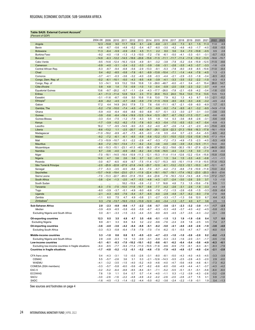## <span id="page-25-0"></span>**Table SA20. External Current Account<sup>1</sup>** *(Percent of GDP)*

|                                                      | 2004-08           | 2009               | 2010                     | 2011             | 2012                                      | 2013                                    | 2014              | 2015               | 2016                 | 2017                           | 2018                    | 2019              | 2020                    | 2021              | 2022               | 2023               |
|------------------------------------------------------|-------------------|--------------------|--------------------------|------------------|-------------------------------------------|-----------------------------------------|-------------------|--------------------|----------------------|--------------------------------|-------------------------|-------------------|-------------------------|-------------------|--------------------|--------------------|
| Angola                                               | 12.3              | $-10.8$            | 9.0                      | 11.7             | 10.8                                      | 6.1                                     | $-2.6$            | $-8.8$             | $-3.1$               | $-0.5$                         | 7.3                     | 6.1               | 1.5                     | 11.3              | 11.0               | 4.9                |
| Benin                                                | $-4.6$            | $-6.7$             | $-5.6$                   | $-4.8$           | $-5.2$                                    | $-5.4$                                  | $-6.7$            | $-6.0$             | $-3.0$               | $-4.2$                         | $-4.6$                  | $-4.0$            | $-1.7$                  | $-4.5$            | $-5.8$             | $-5.5$             |
| <b>Botswana</b>                                      | 11.3              | $-6.4$             | $-5.9$                   | $-0.9$           | $-5.9$                                    | 4.5                                     | 11.1              | 2.2                | 8.0                  | 5.6                            | 0.4                     | $-7.0$            | $-10.8$                 | $-0.5$            | 0.5                | 2.8                |
| Burkina Faso<br><b>Burundi</b>                       | $-9.2$<br>$-14.9$ | $-4.0$<br>$-6.3$   | $-1.8$                   | $-1.3$           | $-1.3$<br>$-12.2$ $-14.5$ $-18.6$ $-20.6$ | $-10.0$                                 | $-7.2$<br>$-15.6$ | $-7.6$<br>$-11.5$  | $-6.1$<br>$-11.1$    | $-5.0$<br>$-11.7$              | $-4.1$<br>$-11.4 -11.6$ | $-3.3$            | $-0.1$<br>$-10.2 -13.5$ | $-3.1$            | $-5.7$             | $-5.3$<br>$-15.7$  |
| Cabo Verde                                           | $-9.5$            | $-14.6$            | $-12.4$                  | $-16.3$          | $-12.6$                                   | $-4.9$                                  | $-9.1$            | $-3.2$             | $-3.8$               | $-7.8$                         | $-5.2$                  | $-0.4$            | $-15.9$                 | $-12.5$           | $-18.6$<br>$-11.5$ | $-8.6$             |
| Cameroon                                             | $-0.9$            | $-4.0$             | $-3.1$                   | $-2.4$           | $-3.2$                                    | $-3.3$                                  | $-3.9$            | $-3.6$             | $-3.1$               | $-2.6$                         | $-3.5$                  | $-4.3$            | $-3.7$                  | $-3.3$            | $-1.6$             | $-2.9$             |
| Central African Rep.                                 | $-5.3$            | $-8.7$             | $-9.4$                   | $-6.8$           | $-5.6$                                    | $-2.9$                                  | $-13.3$           | $-9.1$             | $-5.3$               | $-7.8$                         | $-8.0$                  | $-4.9$            | $-8.5$                  | $-10.6$           | $-11.0$            | $-8.4$             |
| Chad                                                 | 0.4               | $-8.2$             | $-8.5$                   | $-5.8$           | $-7.8$                                    | $-9.1$                                  | $-8.9$            | $-13.8$            | $-10.4$              | $-7.1$                         | $-1.4$                  | $-4.4$            | $-7.6$                  | $-4.5$            | 1.3                | $-2.3$             |
| Comoros                                              | $-3.7$            | $-4.1$             | $-0.3$                   | $-3.6$           | $-3.2$                                    | $-4.0$                                  | $-3.8$            | $-0.3$             | $-4.4$               | $-2.1$                         | $-2.9$                  | $-3.3$            | $-1.6$                  | $-3.4$            | $-8.3$             | $-8.2$             |
| Congo, Dem. Rep. of                                  | $-0.2$            | $-6.1$             | $-10.1$                  | $-5.0$           | $-4.3$                                    | $-9.5$                                  | $-4.8$            | $-3.9$             | $-4.1$               | $-3.3$                         | $-3.5$                  | $-3.2$            | $-2.2$                  | $-1.0$            | $-0.3$             | $-0.3$             |
| Congo, Rep. of                                       | 3.3               | $-14.1$            | 6.9                      | 13.2             | 13.6                                      | 10.8                                    | 1.0               | $-39.0$            | $-48.7$              | $-6.0$                         | $-0.1$                  | 0.4               | $-0.1$                  | 15.4              | 26.0               | 14.7               |
| Côte d'Ivoire                                        | 0.8               | 4.8                | 1.4                      | 7.5              | $-0.9$                                    | $-1.0$                                  | 1.0               | $-0.4$             | $-0.9$               | $-2.0$                         | $-3.9$                  | $-2.3$            | $-3.2$                  | $-3.7$            | $-4.8$             | $-4.4$             |
| <b>Equatorial Guinea</b>                             | 13.6              | $-9.7$             | $-20.2$                  | $-5.7$           | $-1.1$                                    | $-2.4$                                  | $-4.3$            | $-17.7$            | $-26.0$              | $-7.8$                         | $-2.1$                  | $-0.9$            | $-4.2$                  | $-3.4$            | $-1.6$             | $-2.0$             |
| Eritrea<br>Eswatini                                  | $-4.1$<br>$-3.1$  | $-11.3$<br>$-11.6$ | $-11.4$<br>$-8.7$        | 12.8<br>$-5.8$   | 12.4<br>5.0                               | 2.3<br>10.8                             | 17.3<br>11.6      | 20.8<br>13.0       | 15.3<br>7.9          | 24.0<br>6.2                    | 15.4<br>1.3             | 13.0<br>4.3       | 11.4<br>6.7             | 13.5<br>0.5       | 13.5<br>$-2.1$     | 13.3<br>$-0.2$     |
| Ethiopia <sup>2</sup>                                | $-6.9$            | $-8.2$             | $-4.5$                   | $-0.7$           | $-6.6$                                    | $-5.9$                                  | $-7.9$            | $-11.5$            | $-10.9$              | $-8.5$                         | $-6.5$                  | $-5.3$            | $-4.6$                  | $-3.2$            | $-4.5$             | $-4.4$             |
| Gabon                                                | 17.2              | 4.4                | 14.9                     | 24.0             | 17.9                                      | 7.3                                     | 7.6               | $-5.6$             | $-11.1$              | $-8.7$                         | $-2.1$                  | $-0.9$            | $-6.0$                  | $-6.9$            | 1.7                | $-0.1$             |
| Gambia, The                                          | $-5.2$            | $-7.8$             | $-10.0$                  | $-7.4$           | $-4.5$                                    | $-6.7$                                  | $-7.3$            | $-9.9$             | $-9.2$               | $-7.4$                         | $-9.5$                  | $-6.1$            | $-3.2$                  | $-9.5$            | $-14.9$            | $-11.8$            |
| Ghana                                                | $-5.9$            | $-4.0$             | $-6.4$                   | $-6.6$           | $-8.6$                                    | $-9.0$                                  | $-6.8$            | $-5.7$             | $-5.1$               | $-3.3$                         | $-3.0$                  | $-2.7$            | $-3.1$                  | $-3.0$            | $-3.6$             | $-3.5$             |
| Guinea                                               | $-3.9$            | $-5.6$             | $-6.4$                   | $-18.4$          | $-19.9$                                   | $-12.5$                                 | $-14.4$           | $-12.5$            | $-30.7$              | $-6.7$                         | $-19.2$                 | $-11.5$           | $-13.7$                 | $-4.0$            | $-9.6$             | $-8.5$             |
| Guinea-Bissau                                        | $-3.3$            | $-5.4$             | $-7.5$                   | $-1.2$           | $-7.9$                                    | $-4.3$                                  | 0.5               | 1.8                | 1.4                  | 0.3                            | $-3.6$                  | $-8.8$            | $-2.6$                  | $-3.1$            | $-5.6$             | $-4.8$             |
| Kenya                                                | $-1.7$            | $-3.9$             | $-5.2$                   | $-8.2$           | $-7.5$                                    | $-7.8$                                  | $-9.3$            | $-6.3$             | $-5.4$               | $-7.0$                         | $-5.5$                  | $-5.3$            | $-4.7$                  | $-5.4$            | $-5.8$             | $-5.3$             |
| Lesotho                                              | 16.2              | 1.7                | $-9.5$                   | $-14.5$          | $-9.0$                                    | $-5.3$                                  | $-5.2$            | $-4.0$             | $-6.7$               | $-2.6$                         | $-1.4$                  | $-2.1$            | $-2.0$                  | $-9.3$            | $-15.6$            | $-8.9$             |
| Liberia                                              | $-8.6$            | $-13.2$            | 1.1                      | $-2.5$           | $-20.7$                                   | $-8.8$                                  |                   | $-34.7 -28.1$      | $-22.9$              | $-22.3$                        | $-21.3$                 | $-19.6$           | $-16.3$                 | $-17.8$           | $-16.1$            | $-15.9$            |
| Madagascar<br>Malawi                                 | $-11.0$<br>$-9.2$ | $-18.2$<br>$-7.2$  | $-8.9$<br>$-6.1$         | $-6.7$<br>$-6.1$ | $-7.5$<br>$-6.5$                          | $-6.5$<br>$-5.9$                        | $-0.3$<br>$-5.8$  | $-1.6$<br>$-12.2$  | 0.5<br>$-13.1 -15.5$ | $-0.4$                         | 0.7                     | $-2.3$<br>$-12.6$ | $-5.4$<br>$-13.8$       | $-5.5$<br>$-14.5$ | $-6.5$<br>$-17.3$  | $-6.2$<br>$-15.4$  |
| Mali                                                 | $-7.3$            | $-10.9$            | $-10.7$                  | $-5.1$           | $-2.2$                                    | $-2.9$                                  | $-4.7$            | $-5.3$             | $-7.2$               | $-7.3$                         | $-12.0$<br>$-4.9$       | $-7.5$            | $-2.3$                  | $-4.5$            | $-5.3$             | $-4.9$             |
| <b>Mauritius</b>                                     | $-6.0$            |                    | $-7.2$ $-10.1$ $-13.4$   |                  | $-7.1$                                    | $-6.2$                                  | $-5.4$            | $-3.6$             | $-4.0$               | $-4.6$                         | $-3.9$                  |                   | $-5.4 -12.5$            | $-11.1$           | $-14.0$            | $-8.0$             |
| Mozambique                                           | $-8.0$            | $-10.3$            | $-15.1$                  | $-23.1$          | $-41.5$                                   | $-40.5$                                 | $-36.3$           |                    | $-37.4 -32.2$        | $-19.6$                        | $-30.3$                 | $-19.1$           | $-27.6$                 | $-22.4$           | $-44.9$            | -39.0              |
| Namibia                                              | 6.7               | $-3.6$             | $-4.0$                   | $-6.9$           | $-8.6$                                    | $-8.2$                                  |                   | $-9.4 -13.6$       | $-16.5$              | $-4.4$                         | $-3.4$                  | $-1.8$            | 3.0                     | $-7.3$            | $-6.9$             | $-4.4$             |
| Niger                                                | $-7.0$            | $-18.1$            | $-14.5$                  | $-16.4$          | $-10.9$                                   | $-11.3$                                 | $-12.1 -15.3$     |                    | $-11.4 -11.4$        |                                | $-12.6 -12.2$           |                   | $-13.4$                 | $-15.8$           | $-15.8$            | $-13.8$            |
| Nigeria                                              | 14.0              | 4.7                | 3.6                      | 2.6              | 3.8                                       | 3.7                                     | 0.2               | $-3.1$             | 1.3                  | 3.4                            | 1.5                     | $-3.3$            | $-4.0$                  | $-0.8$            | $-1.1$             | $-1.1$             |
| Rwanda                                               | $-3.0$            | $-6.7$             | $-6.5$                   | $-6.9$           | $-9.7$                                    |                                         | $-7.5 -11.4$      | $-12.7 -15.3$      |                      |                                | $-9.5 -10.1 -11.9$      |                   | $-11.9$                 | $-10.5$           | $-11.4$            | $-10.3$            |
| São Tomé & Príncipe                                  | $-2.0$            | $-25.9$            | $-22.8$                  | $-27.9$          | $-21.8$                                   | $-14.5 -20.7 -12.0$                     |                   |                    |                      | $-6.1$ $-13.2$ $-12.3$ $-12.1$ |                         |                   | $-10.3$                 | $-9.7$            | $-12.1$            | $-8.7$             |
| Senegal                                              | $-7.7$            | $-5.3$             | $-3.5$                   | $-6.5$           | $-8.8$                                    | $-8.3$                                  | $-7.0$            | $-5.7$             | $-4.2$               | $-7.3$                         | $-8.8$                  | $-7.9$            | $-10.9$                 | $-11.8$           | $-13.0$            | $-8.4$             |
| Seychelles<br>Sierra Leone                           | $-13.7$<br>$-7.0$ | $-14.8$<br>$-13.3$ | $-19.4$<br>$-22.7 -65.0$ | $-23.0$          | $-21.1$<br>$-31.8$                        | $-11.9$<br>$-15.0$                      | $-22.4$<br>$-9.4$ | $-18.1$<br>$-23.6$ | $-19.7 -19.1$        |                                | $-17.4 -16.2$           |                   | $-23.0$                 | $-20.3$           | $-30.0$            | $-23.6$<br>$-13.7$ |
| South Africa                                         | $-3.8$            | $-2.4$             | $-1.3$                   | $-2.0$           | $-4.7$                                    | $-5.3$                                  | $-4.8$            | $-4.3$             | $-2.7$               | $-7.6$ $-18.3$<br>$-2.4$       | $-12.4$<br>$-3.0$       | $-14.3$<br>$-2.6$ | $-6.8$<br>2.0           | $-13.0$<br>3.7    | $-17.2$<br>1.3     | $-1.0$             |
| South Sudan                                          |                   |                    |                          |                  | $18.2 - 15.9$                             | $-3.9$                                  | $-1.2$            | 1.7                | 16.8                 | 4.8                            | 7.3                     | 1.5               | $-15.6$                 | $-7.6$            | 9.5                | 1.1                |
| Tanzania                                             | $-6.3$            | $-7.5$             | $-7.5$                   | $-10.5$          | $-11.6$                                   | $-10.7$                                 | $-9.8$            | $-7.7$             | $-4.2$               | $-2.6$                         | $-3.1$                  | $-2.6$            | $-1.8$                  | $-3.3$            | $-4.3$             | $-3.6$             |
| Togo                                                 | $-6.0$            | $-3.9$             | $-3.7$                   | $-5.1$           | $-4.9$                                    | $-9.0$                                  | $-6.8$            | $-7.6$             | $-7.2$               | $-1.5$                         | $-2.6$                  | $-0.8$            | $-1.5$                  | $-3.3$            | $-5.9$             | $-6.4$             |
| Uganda                                               | $-2.1$            | $-4.3$             | $-6.5$                   | $-7.6$           | $-5.4$                                    | $-5.7$                                  | $-6.5$            | $-6.0$             | $-2.8$               | $-4.8$                         | $-5.7$                  | $-6.2$            | $-9.3$                  | $-7.9$            | $-7.0$             | $-9.8$             |
| Zambia                                               | $-1.1$            | 6.0                | 7.5                      | 4.7              | 4.9                                       | $-0.8$                                  | 2.1               | $-2.7$             | $-3.3$               | $-1.7$                         | $-1.3$                  | 0.6               | 12.0                    | 6.7               | 4.4                | 4.3                |
| Zimbabwe <sup>3</sup>                                | 0.3               | $-7.6$             |                          |                  |                                           | $-13.7$ $-19.5$ $-13.3$ $-13.9$ $-12.0$ |                   | $-8.0$             | $-3.4$               | $-1.3$                         | $-3.7$                  | 4.0               | 4.7                     | 3.6               | 2.5                | 1.5                |
| Sub-Saharan Africa                                   | 2.0               | $-2.3$             | $-0.8$                   | $-0.6$           | $-1.7$                                    | $-2.2$                                  | $-3.6$            | $-5.7$             | $-3.6$               | $-2.1$                         | $-2.3$                  | $-3.2$            | $-3.0$                  | $-1.1$            | $-1.7$             | $-2.5$             |
| Median                                               | $-3.9$            | $-6.9$             | $-6.5$                   | $-5.8$           | $-6.6$                                    | $-5.9$                                  | $-6.7$            | $-6.3$             | $-5.3$               | $-4.8$                         | $-3.7$                  | $-4.0$            | $-4.2$                  | $-4.5$            | $-5.8$             | $-5.3$             |
| <b>Excluding Nigeria and South Africa</b>            | 0.0               | $-6.1$             | -3.3                     | $-1.5$           | $-3.3$                                    | $-4.4$                                  | $-5.5$            | $-8.0$             | $-6.5$               | $-4.5$                         | $-3.7$                  | $-3.5$            | $-4.3$                  | $-3.2$            | $-3.1$             | $-3.6$             |
| Oil-exporting countries                              | 12.3              | 0.5                | 3.5                      | 4.8              | 4.7                                       | 3.5                                     | $-0.6$            | $-5.1$             | $-1.5$               | 1.3                            | 1.9                     | $-1.9$            | -3.6                    | 0.4               | 1.7                | 0.0                |
| <b>Excluding Nigeria</b>                             | 8.9               | $-8.1$             | 3.3                      | 8.8              | 6.4                                       | 3.2                                     | $-2.2$            | $-9.6$             | $-7.6$               | $-2.4$                         | 2.8                     | 1.6               | $-2.5$                  | 3.5               | 7.4                | 2.7                |
| Oil-importing countries                              | -3.6              | $-4.0$             | -3.6                     | $-4.2$           | $-6.4$                                    | $-6.8$                                  | $-6.1$            | -6.2               | $-5.0$               | $-4.1$                         | -4.6                    | -4.0              | -2.6                    | $-1.9$            | $-3.6$             | $-4.0$             |
| <b>Excluding South Africa</b>                        | $-3.3$            | $-5.3$             | $-5.8$                   | $-6.4$           | $-7.8$                                    | $-7.9$                                  | $-7.0$            | $-7.4$             | $-6.2$               | $-5.1$                         | $-5.5$                  | $-4.7$            | $-4.7$                  | $-4.7$            | $-6.0$             | $-5.4$             |
| Middle-income countries                              | 3.3               | $-1.0$             | 0.6                      | 0.8              | 0.1                                       | $-0.5$                                  | $-2.3$            | $-4.7$             | $-2.3$               | $-1.0$                         | $-1.0$                  | $-2.6$            | $-2.0$                  | 0.2               | $-0.2$             | $-1.3$             |
| Excluding Nigeria and South Africa                   | 2.8               | $-4.8$             | $-0.3$                   | 1.9              | 1.0                                       | $-0.9$                                  | $-3.1$            | $-6.8$             | $-5.3$               | $-3.3$                         | $-1.6$                  | $-2.0$            | $-3.1$                  | $-1.7$            | $-0.5$             | $-1.6$             |
| Low-income countries                                 | $-5.1$            | $-8.1$             | $-8.3$                   |                  | $-7.0$ $-10.2$ $-10.1$                    |                                         | $-9.2$            | $-9.6$             | $-8.1$               | $-6.2$                         | $-6.4$                  | $-5.4$            | $-5.6$                  | $-4.9$            | $-6.3$             | $-6.1$             |
| Excluding low-income countries in fragile situations | $-6.4$            | $-8.5$             | $-7.7$                   |                  |                                           | $-9.4$ $-11.4$ $-11.0$ $-10.5$          |                   | $-11.6$            | $-8.6$               | $-6.9$                         | $-7.0$                  | $-6.1$            | $-6.3$                  | $-6.1$            | $-8.3$             | $-7.9$             |
| <b>Countries in fragile situations</b>               | $-1.7$            | $-4.8$             | $-5.2$                   | $-1.2$           | $-5.1$                                    | $-5.2$                                  | $-4.6$            | $-7.5$             | $-7.9$               | $-4.5$                         | $-4.8$                  | $-3.7$            | $-4.0$                  | $-2.4$            | $-2.1$             | $-2.8$             |
|                                                      |                   |                    |                          |                  |                                           |                                         |                   |                    |                      |                                |                         |                   |                         |                   |                    |                    |
| CFA franc zone<br><b>CEMAC</b>                       | 0.4<br>5.5        | $-4.3$<br>$-5.7$   | $-3.1$<br>$-2.6$         | 1.0              | $-0.5$<br>3.1                             | $-2.6$<br>0.3                           | $-3.1$            | $-8.0$             | $-8.1$               | $-5.0$                         | $-4.3$                  | $-4.0$            | $-4.5$                  | $-4.5$            | $-3.3$<br>2.9      | $-3.9$             |
| <b>WAEMU</b>                                         | $-4.1$            | $-3.2$             | $-3.5$                   | 3.6<br>$-1.5$    | $-4.0$                                    | $-5.2$                                  | $-2.1$<br>$-4.0$  | $-12.6$<br>$-4.6$  | $-14.3$<br>$-4.0$    | $-5.5$<br>$-4.7$               | $-2.5$<br>$-5.6$        | $-2.6$<br>$-4.9$  | $-4.3$<br>$-4.6$        | $-2.0$<br>$-6.1$  | $-7.3$             | $-0.0$<br>$-6.2$   |
| COMESA (SSA members)                                 | $-3.3$            | $-5.7$             | $-5.8$                   | $-6.0$           | $-5.6$                                    | $-6.7$                                  | $-6.2$            | $-6.6$             | $-6.0$               | $-5.6$                         | $-4.9$                  | $-4.4$            | $-4.1$                  | $-3.7$            | $-4.3$             | $-4.2$             |
| EAC-5                                                | $-3.2$            | $-5.2$             | $-6.4$                   | $-8.8$           | $-8.5$                                    | $-8.4$                                  | $-9.1$            | $-7.1$             | $-5.2$               | $-5.5$                         | $-5.1$                  | $-5.1$            | $-5.1$                  | $-5.6$            | $-6.0$             | $-6.0$             |
| <b>ECOWAS</b>                                        | 7.6               | 1.9                | 1.1                      | 0.4              | 0.7                                       | 0.7                                     | $-1.4$            | $-4.0$             | $-1.1$               | 0.3                            | $-1.2$                  | $-3.9$            | $-4.3$                  | $-2.6$            | $-3.2$             | $-2.8$             |
| <b>SACU</b>                                          | $-3.0$            | $-2.6$             | $-1.6$                   | $-2.2$           | $-4.8$                                    | $-4.9$                                  | $-4.2$            | $-4.2$             | $-2.6$               | $-2.0$                         | $-2.8$                  | $-2.7$            | 1.5                     | 3.1               | 0.9                | $-1.0$             |
| SADC                                                 | $-1.6$            | $-4.5$             | $-1.3$                   | $-1.4$           | $-3.2$                                    | $-4.4$                                  | $-5.0$            | $-6.2$             | $-3.6$               | $-2.4$                         | $-2.2$                  | $-1.9$            | $-0.1$                  | 1.9               | 0.4                | $-1.3$             |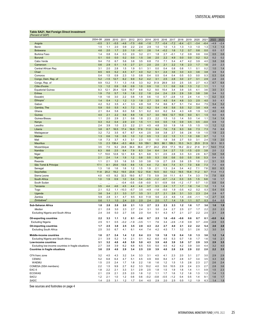## <span id="page-26-0"></span>**Table SA21. Net Foreign Direct Investment**

| 'Percent of GDP,                                     |            |                  |                  |               |               |               |               |            |               |            |               |               |            |            |            |            |
|------------------------------------------------------|------------|------------------|------------------|---------------|---------------|---------------|---------------|------------|---------------|------------|---------------|---------------|------------|------------|------------|------------|
|                                                      | 2004-08    | 2009             | 2010             | 2011          | 2012          | 2013          | 2014          | 2015       | 2016          | 2017       | 2018          | 2019          | 2020       | 2021       | 2022       | 2023       |
| Angola                                               | $-0.5$     | 3.1              | $-5.5$           | $-4.6$        | $-7.5$        | $-9.6$        | $-1.6$        | 7.7        | $-0.4$        | $-7.2$     | $-6.4$        | $-2.1$        | $-3.4$     | $-6.4$     | $-4.9$     | $-2.4$     |
| Benin                                                | 1.5        | 1.1              | 2.0              | 0.9           | 2.2           | 2.4           | 2.9           | 1.0        | 1.0           | 1.3        | 1.3           | 1.3           | 1.0        | 1.3        | 1.3        | 1.3        |
| <b>Botswana</b>                                      | 4.6        | 2.0              | 1.7              | 2.0           | 1.0           | $-0.1$        | 2.6           | 1.4        | $-0.2$        | 1.6        | 1.2           | 0.7           | 0.6        | 0.0        | 0.5        | 0.7        |
| Burkina Faso                                         | 1.4        | 0.8              | 0.4              | 0.3           | 2.0           | 3.2           | 2.1           | 1.8        | 2.7           | $-0.1$     | 1.2           | 0.9           | 0.6        | 0.6        | 0.5        | 0.6        |
| <b>Burundi</b>                                       | 0.1        | 0.0              | 0.0              | 0.2           | 0.0           | 1.5           | 3.6           | 2.0        | 2.2           | 4.9        | 0.0           | 0.0           | 0.2        | 0.2        | 0.2        | 0.2        |
| Cabo Verde                                           | 9.4        | 7.0              | 6.7              | 5.6           | 3.8           | 3.5           | 6.8           | 7.0        | 7.1           | 5.4        | 4.7           | 4.2           | 3.9        | 4.0        | 3.8        | 3.6        |
| Cameroon                                             | 0.6        | 2.9              | 0.1              | 1.5           | 2.7           | 2.1           | 2.0           | 2.0        | 2.1           | 2.2        | 1.6           | 2.3           | 1.7        | 1.6        | 2.0        | 2.3        |
| Central African Rep.                                 | 3.1        | 2.0              | 2.8              | 1.5           | 1.9           | 0.1           | 3.1           | 0.0        | 0.4           | 0.8        | 0.8           | 1.1           | 0.1        | 0.2        | 1.0        | 1.4        |
| Chad                                                 | 8.5        | 6.5              | 5.2              | 4.5           | 4.7           | 4.0           | 5.2           | 5.1        | 2.4           | 3.6        | 3.0           | 4.3           | 3.6        | 3.8        | 3.9        | 5.4        |
| Comoros                                              | 0.4        | 1.5              | 0.9              | 2.3           | 1.0           | 0.8           | 0.4           | 0.5        | 0.4           | 0.4        | 0.5           | 0.3           | 0.0        | 0.3        | 0.3        | 0.4        |
| Congo, Dem. Rep. of                                  | 5.2        | $-1.5$           | 12.7             | 6.2           | 9.9           | 5.2           | 4.2           | 3.1        | 2.5           | 2.8        | 3.0           | 2.7           | 3.1        | 2.9        | 2.8        | 2.6        |
| Congo, Rep. of                                       | 9.9        | 13.2             | 7.1              | 1.3           | $-1.6$        | 3.3           | 9.2           | 31.9       | 28.9          | 3.0        | 2.5           | 3.5           | 2.7        | 4.3        | 4.7        | 6.4        |
| Côte d'Ivoire                                        | 1.3        | 1.2              | 0.9              | 0.8           | 0.9           | 1.0           | 0.9           | 1.0        | 1.1           | 0.6        | 0.8           | 1.3           | 1.2        | 1.1        | 1.1        | 1.2        |
| <b>Equatorial Guinea</b>                             | 9.3        | 12.1             | 20.4             | 12.8          | 15.7          | 9.8           | 5.2           | 9.0        | 15.4          | 3.4        | 3.9           | 3.5           | 4.1        | 3.6        | 3.0        | 3.1        |
| Eritrea                                              | 1.9        | 7.0              | 5.7              | 1.9           | 1.8           | 2.2           | 1.8           | 2.4        | 2.4           | 2.9        | 2.9           | 3.9           | 3.8        | 3.6        | 3.4        | 3.2        |
| Eswatini                                             | 1.9        | 1.6              | 3.0              | 2.2           | 0.8           | 1.9           | 0.6           | 1.0        | 0.7           | $-2.8$     | 1.0           | 2.4           | 1.4        | 1.1        | 0.2        | 0.3        |
| Ethiopia                                             | 1.4        | 0.4              | 1.2              | 1.2           | 1.3           | 1.8           | 2.7           | 3.5        | 4.5           | 5.4        | 4.6           | 3.3           | 2.5        | 4.0        | 3.0        | 4.1        |
| Gabon<br>Gambia, The                                 | 4.2<br>5.9 | 5.2<br>5.0       | 3.5<br>5.5       | 4.1<br>4.3    | 3.3<br>7.2    | 4.8<br>6.2    | 5.8<br>6.2    | 7.4<br>5.4 | 8.6<br>4.9    | 8.7<br>5.6 | 5.1<br>5.5    | 7.4<br>5.2    | 8.4<br>3.8 | 7.5<br>4.9 | 5.4        | 5.2<br>4.6 |
| Ghana                                                | 2.1        | 8.4              | 5.8              | 6.0           | 5.8           | 5.1           | 6.2           | 6.0        | 6.2           | 5.4        | 4.3           | 4.8           | 1.9        | 3.2        | 4.6<br>4.0 | 4.0        |
| Guinea                                               | 4.0        | 2.1              | 2.2              | 5.6           | 8.8           | 1.6           | 0.7           | 3.0        | 18.6          | 12.7       | 15.9          | 9.0           | 6.1        | 1.5        | 5.0        | 6.5        |
| Guinea-Bissau                                        | 1.1        | 2.0              | 2.9              | 2.1           | 0.6           | 1.8           | 2.3           | 2.2        | 1.5           | 1.0        | 1.4           | 5.0           | 1.4        | 1.1        | 1.4        | 1.4        |
| Kenya                                                | 0.3        | 0.2              | 0.4              | 2.9           | 2.0           | 1.5           | 1.1           | 0.5        | 0.5           | 1.6        | 0.9           | 0.5           | 0.5        | $-0.0$     | 0.9        | 1.0        |
| Lesotho                                              | 2.4        | 3.9              | 1.0              | 2.3           | 2.2           | 2.1           | 4.5           | 4.8        | 3.0           | 1.9        | 1.6           | 1.5           | 1.5        | 1.5        | 1.2        | 1.2        |
| Liberia                                              | 3.8        | 8.7              | 16.5             | 17.4          | 16.9          | 17.6          | 11.0          | 9.4        | 7.6           | 7.8        | 9.3           | 9.6           | 7.3        | 7.3        | 7.6        | 8.8        |
| Madagascar                                           | 3.2        | 7.2              | 3.5              | 6.7           | 6.7           | 4.4           | 2.5           | 3.8        | 3.8           | 2.7        | 3.6           | 2.6           | 1.9        | 1.5        | 1.9        | 2.3        |
| Malawi                                               | 1.3        | 0.6              | 1.6              | 0.5           | 1.0           | 1.2           | 0.5           | 1.3        | 2.2           | 1.5        | 1.1           | 1.0           | 0.8        | 0.7        | 1.2        | 1.3        |
| Mali                                                 | 1.8        | 7.3              | 3.7              | 4.3           | 3.1           | 2.3           | 1.0           | 1.5        | 1.8           | 3.6        | 2.7           | 5.0           | 3.1        | 2.4        | 1.9        | 2.0        |
| <b>Mauritius</b>                                     | 1.5        | 2.3              | 138.4            | $-8.3$        | 48.6          | 9.9           | 159.1         | 38.5       | 66.1          | 189.3      | 10.3          | 14.3          | 25.9       | 31.9       | 32.3       | 32.3       |
| Mozambique                                           | 3.5        | 7.5              | 9.2              | 24.8          | 34.4          | 36.4          | 27.7          | 24.2       | 25.9          | 17.3       | 18.2          | 22.2          | 21.6       | 31.7       | 14.0       | 11.4       |
| Namibia                                              | 6.3        | 8.6              | 2.5              | 6.4           | 7.9           | 6.3           | 3.4           | 6.4        | 3.4           | 2.7        | 1.0           | $-1.5$        | $-2.0$     | 3.8        | 2.0        | 2.2        |
| Niger                                                | 1.7        | 10.0             | 12.8             | 12.1          | 8.9           | 6.1           | 6.8           | 5.1        | 2.5           | 2.8        | 3.3           | 5.3           | 2.6        | 6.7        | 5.8        | 5.8        |
| Nigeria                                              | 2.1        | 2.4              | 1.4              | 1.9           | 1.2           | 0.8           | 0.5           | 0.3        | 0.8           | 0.6        | 0.0           | 0.5           | 0.6        | 0.3        | 0.4        | 0.3        |
| Rwanda                                               | 1.1        | 2.1              | 3.5              | 1.6           | 3.5           | 3.0           | 3.8           | 1.9        | 2.7           | 2.8        | 3.6           | 2.5           | 1.0        | 2.2        | 3.1        | 3.5        |
| São Tomé & Príncipe                                  | 17.1       | 8.1              | 25.6             | 13.5          | 8.6           | 1.5           | 4.4           | 7.2        | 6.4           | 7.4        | 5.1           | 7.0           | 6.8        | 7.3        | 7.3        | 6.9        |
| Senegal                                              | 1.3        | 1.6              | 1.6              | 1.6           | 1.2           | 1.5           | 1.9           | 2.1        | 1.3           | 2.4        | 3.4           | 4.2           | 7.1        | 7.8        | 8.0        | 6.3        |
| Seychelles                                           | 11.8       | 20.2             | 19.2             | 19.5          | 23.8          | 12.2          | 15.6          | 10.5       | 8.0           | 13.2       | 19.5          | 15.8          | 11.2       | 9.7        | 11.4       | 11.3       |
| Sierra Leone                                         | 4.0        | 4.5              | 9.2              | 32.3          | 19.0          | 8.7           | 7.5           | 5.9        | 3.6           | 11.1       | 6.1           | 7.4           | 3.3        | 7.8        | 7.8        | 8.9        |
| South Africa                                         | 1.0        | 1.9              | 0.9              | 1.0           | 0.4           | 0.4           | $-0.5$        | $-1.2$     | $-0.7$        | $-1.4$     | 0.3           | 0.5           | 1.5        | 9.8        | 1.6        | 1.7        |
| South Sudan<br>Tanzania                              | <br>3.5    | $\ddotsc$<br>4.4 | $\ddotsc$<br>4.6 | $-0.4$<br>4.5 | $-0.5$<br>4.4 | $-3.8$<br>4.4 | $-0.0$<br>3.7 | 0.1<br>3.3 | $-0.9$<br>2.4 | 0.6<br>1.7 | $-1.2$<br>1.7 | $-1.7$<br>1.6 | 0.7<br>1.4 | 1.0<br>1.2 | 0.8        | 0.4        |
| Togo                                                 | 2.1        | 0.2              | 1.1              | $-10.3$       | $-5.7$        | 3.5           | $-4.9$        | $-1.6$     | $-5.0$        | 1.9        | $-3.5$        | 4.2           | 0.2        | 0.3        | 1.3<br>0.4 | 1.4<br>0.5 |
| Uganda                                               | 3.6        | 3.4              | 2.1              | 3.3           | 3.7           | 3.5           | 3.1           | 2.7        | 2.1           | 2.6        | 3.1           | 3.3           | 2.3        | 2.4        | 2.8        | 6.7        |
| Zambia                                               | 5.9        | 2.8              | 3.1              | 4.7           | 9.5           | 6.0           | 11.8          | 5.6        | 2.3           | 4.6        | 1.4           | $-0.6$        | $-1.1$     | 1.4        | 2.7        | 3.5        |
| Zimbabwe <sup>®</sup>                                | 0.6        | 1.1              | 1.0              | 2.4           | 2.0           | 2.0           | 2.4           | 2.0        | 1.7           | 1.4        | 1.9           | 1.1           | 0.7        | 0.3        | 0.4        | 0.5        |
|                                                      |            |                  |                  |               |               |               |               |            |               |            |               |               |            |            |            |            |
| Sub-Saharan Africa                                   | 1.8        | 2.8              | 2.8              | 2.0           | 2.1           | 1.3           | 2.7           | 2.3        | 2.3           | 2.3        | 1.2           | 1.6           | 1.7        | 3.6        | 1.6        | 1.9        |
| Median                                               | 2.1        | 2.8              | 3.0              | 2.3           | 2.7           | 2.4           | 3.1           | 3.0        | 2.4           | 2.7        | 2.5           | 2.7           | 1.7        | 2.2        | 2.0        | 2.3        |
| <b>Excluding Nigeria and South Africa</b>            | 2.4        | 3.6              | 5.0              | 2.7           | 3.6           | 2.0           | 5.4           | 5.1        | 4.3           | 4.7        | 2.1           | 2.7           | 2.2        | 2.5        | 2.1        | 2.8        |
| <b>Oil-exporting countries</b>                       | 2.2        | 3.3              | 1.1              | 1.2           | 0.1           | -0.6          | 0.7           | 2.5        | 1.6           | -0.6       | -0.6          | 0.6           | 0.7        | 0.1        | -0.0       | 0.4        |
| Excluding Nigeria                                    | 2.5        | 5.1              | 0.5              | -0.2          | -1.9          | -3.5          | 1.1           | 7.6        | 3.4           | -2.6       | 0.9           | 0.9           | 0.7        | -0.6       | -0.9       | 0.5        |
| Oil-importing countries                              | 1.7        | 2.5              | 3.8              | 2.5           | 3.5           | 2.8           | 4.3           | 2.2        | 2.7           | 4.0        | 2.1           | 2.2           | 2.2        | 5.4        | 2.6        | 2.8        |
| <b>Excluding South Africa</b>                        | 2.5        | 3.0              | 6.7              | 4.1           | 6.1           | 4.4           | 7.4           | 4.2        | 4.5           | 7.1        | 3.2           | 3.1           | 2.6        | 3.2        | 3.0        | 3.4        |
| Middle-income countries                              | 1.6        | 2.7              | 2.4              | 1.4           | 1.2           | 0.4           | 2.3           | 1.9        | 1.8           | 1.9        | 0.4           | 1.0           | 1.3        | 3.6        | $1.2$      | 1.4        |
| Excluding Nigeria and South Africa                   | 2.1        | 3.9              | 5.2              | 1.4           | 2.1           | 0.1           | 6.2           | 6.0        | 4.5           | 5.3        | 0.7           | 1.8           | 1.7        | 1.6        | 1.6        | 2.1        |
| Low-income countries                                 | 3.1        | 3.2              | 4.6              | 4.8           | 5.9           | 5.0           | 4.3           | 3.9        | 4.0           | 3.9        | 3.8           | 3.7           | 2.9        | 3.5        | 2.9        | 3.5        |
| Excluding low-income countries in fragile situations | 2.7        | 3.8              | 3.9              | 6.2           | 6.8           | 6.5           | 5.5           | 5.0        | 4.5           | 4.2        | 4.2           | 3.9           | 3.0        | 4.4        | 3.2        | 4.0        |
| <b>Countries in fragile situations</b>               | 3.6        | 2.9              | 4.6              | 2.9           | 3.4           | 2.5           | 2.8           | 3.9        | 4.0           | 2.8        | 2.6           | 2.9           | 2.2        | 2.0        | 2.2        | 2.5        |
|                                                      |            |                  |                  |               |               |               |               |            |               |            |               |               |            |            |            |            |
| CFA franc zone                                       | 3.2        | 4.5              | 4.3              | 3.2           | 3.4           | 3.3           | 3.1           | 4.5        | 4.1           | 2.3        | 2.0           | 3.1           | 2.7        | 3.0        | 2.9        | 2.9        |
| <b>CEMAC</b>                                         | 5.2        | 6.8              | 6.4              | 4.7           | 5.1           | 4.5           | 4.9           | 8.6        | 8.4           | 3.7        | 2.8           | 3.7           | 3.4        | 3.5        | 3.3        | 3.8        |
| <b>WAEMU</b>                                         | 1.5        | 2.5              | 2.4              | 1.7           | 1.8           | 2.2           | 1.6           | 1.6        | 1.2           | 1.5        | 1.5           | 2.6           | 2.3        | 2.7        | 2.6        | 2.4        |
| COMESA (SSA members)                                 | 2.2        | 1.5              | 9.9              | 2.7           | 6.2           | 3.3           | 10.2          | 4.0        | 5.0           | 10.5       | 2.9           | 2.4           | 2.3        | 2.7        | 2.8        | 3.6        |
| EAC-5                                                | 1.8        | 2.2              | 2.1              | 3.3           | 3.1           | 2.9           | 2.5           | 1.8        | 1.5           | 1.9        | 1.6           | 1.4           | 1.1        | 0.9        | 1.5        | 2.3        |
| <b>ECOWAS</b>                                        | 2.1        | 2.9              | 2.1              | 2.5           | 2.0           | 1.6           | 1.2           | 1.1        | 1.7           | 1.6        | 1.2           | 1.6           | 1.3        | 1.3        | 1.4        | 1.3        |
| <b>SACU</b>                                          | 1.2        | 2.1              | 1.0              | 1.2           | 0.6           | 0.6           | $-0.2$        | $-0.8$     | $-0.5$        | $-1.2$     | 0.4           | 0.5           | 1.4        | 9.1        | 1.6        | 1.7        |
| <b>SADC</b>                                          | 1.4        | 2.5              | 3.1              | 1.2           | 1.7           | 0.4           | 4.0           | 2.9        | 2.0           | 2.5        | 0.5           | 1.2           | 1.9        | 6.3        | 1.4        | 1.8        |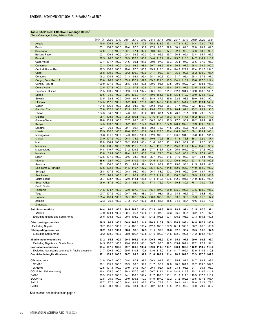## <span id="page-27-0"></span>**Table SA22. Real Effective Exchange Rates<sup>1</sup>**

| (Annual average; index, 2010 = 100 <i>,</i>          |                |                                             |                |                |                |                               |                          |               |                |                                                                  |                              |                |                          |                |
|------------------------------------------------------|----------------|---------------------------------------------|----------------|----------------|----------------|-------------------------------|--------------------------|---------------|----------------|------------------------------------------------------------------|------------------------------|----------------|--------------------------|----------------|
|                                                      | 2004-08        | 2009                                        | 2010           | 2011           | 2012           | 2013                          | 2014                     | 2015          | 2016           | 2017                                                             | 2018                         | 2019           | 2020                     | 2021           |
| Angola                                               | 79.0           | 105.1                                       | 100.0          | 103.1          | 113.7          | 119.9                         | 125.2                    | 123.2         | 119.1          | 147.3                                                            | 113.0                        | 94.4           | 72.0                     | 77.5           |
| Benin                                                | 103.1          | 106.7                                       | 100.0          | 99.4           | 97.7           | 98.9                          | 97.3                     | 87.5          | 87.8           | 88.1                                                             | 89.8                         | 87.0           | 90.2                     | 89.6           |
| <b>Botswana</b><br><b>Burkina Faso</b>               | 92.0<br>102.1  | 91.8<br>109.4                               | 100.0<br>100.0 | 100.1<br>100.3 | 97.4<br>98.6   | 92.6<br>100.3                 | 89.8<br>101.4            | 89.6<br>95.5  | 87.7<br>95.7   | 92.1<br>96.4                                                     | 93.0<br>99.1                 | 92.3<br>93.4   | 88.0<br>95.7             | 90.8<br>96.7   |
| <b>Burundi</b>                                       | 87.5           | 96.7                                        | 100.0          | 100.9          | 102.7          | 100.6                         | 104.4                    | 117.9         | 119.4          | 129.7                                                            | 118.3                        | 114.7          | 116.1                    | 116.7          |
| Cabo Verde                                           | 97.4           | 101.7                                       | 100.0          | 101.6          | 99.1           | 101.6                         | 100.9                    | 97.3          | 96.3           | 96.4                                                             | 97.3                         | 96.6           | 97.2                     | 96.9           |
| Cameroon                                             | 102.3          | 106.5                                       | 100.0          | 100.2          | 96.5           | 98.9                          | 99.7                     | 93.5          | 95.6           | 96.5                                                             | 97.9                         | 96.8           | 99.9                     | 100.0          |
| Central African Rep.                                 | 97.3           | 106.6                                       | 100.0          | 98.4           | 97.5           | 105.2                         | 119.9                    | 113.0         | 119.4          | 124.3                                                            | 127.9                        | 127.4          | 131.7                    | 134.3          |
| Chad                                                 | 98.8           | 109.9                                       | 100.0          | 99.2           | 100.0          | 100.6                         | 101.1                    | 96.9          | 96.4           | 95.5                                                             | 99.6                         | 95.2           | 100.0                    | 97.4           |
| Comoros                                              | 106.2          | 104.1                                       | 100.0          | 101.3          | 98.4           | 99.4                          | 98.1                     | 90.6          | 92.3           | 91.7                                                             | 95.4                         | 95.3           | 97.1                     | 97.0           |
| Congo, Dem. Rep. of                                  | 90.0           | 96.2                                        | 100.0          | 105.5          | 107.2          | 107.8                         | 109.2                    | 121.5         | 118.3          | 104.1                                                            | 118.2                        | 125.6          | 127.6                    | 119.4          |
| Congo, Rep. of                                       | 100.0          | 107.6                                       | 100.0          | 98.5           | 93.4           | 99.5                          | 100.6                    | 95.5          | 99.5           | 99.0                                                             | 102.2                        | 102.1          | 108.1                    | 107.9          |
| Côte d'Ivoire                                        | 102.5          | 107.3                                       | 100.0          | 102.2          | 97.3           | 100.6                         | 101.1                    | 94.4          | 95.8           | 95.1                                                             | 97.3                         | 93.5           | 98.3                     | 100.1          |
| <b>Equatorial Guinea</b><br>Eritrea                  | 91.5<br>59.6   | 100.5<br>94.9                               | 100.0<br>100.0 | 102.3<br>99.5  | 99.4<br>105.9  | 102.7<br>111.4                | 106.1<br>119.9           | 99.3<br>164.6 | 101.7<br>156.8 | 102.3<br>135.4                                                   | 104.4<br>112.2               | 102.0<br>100.0 | 108.0<br>124.3           | 103.1<br>150.2 |
| Eswatini                                             | 93.5           | 92.8                                        | 100.0          | 100.5          | 99.7           | 93.0                          | 88.9                     | 87.5          | 85.9           | 92.6                                                             | 93.6                         | 89.9           | 86.0                     | 90.1           |
| Ethiopia                                             | 104.5          | 117.8                                       | 100.0          | 105.2          | 124.6          | 125.5                         | 128.2                    | 143.7         | 148.3          | 147.6                                                            | 141.4                        | 156.2          | 153.4                    | 143.2          |
| Gabon                                                | 101.8          | 106.6                                       | 100.0          | 98.2           | 94.8           | 96.1                          | 100.3                    | 93.6          | 95.7           | 97.7                                                             | 103.0                        | 102.7          | 105.2                    | 104.3          |
| Gambia, The                                          | 102.8          | 102.8                                       | 100.0          | 92.5           | 89.0           | 81.6                          | 73.8                     | 73.4          | 88.9           | 90.4                                                             | 89.1                         | 93.2           | 93.9                     | 93.3           |
| Ghana                                                | 104.3          | 94.8                                        | 100.0          | 94.6           | 88.2           | 88.2                          | 68.9                     | 67.1          | 77.0           | 76.3                                                             | 75.1                         | 72.0           | 73.0                     | 72.8           |
| Guinea                                               | 95.4           | 108.3                                       | 100.0          | 96.2           | 106.1          | 117.7                         | 124.6                    | 140.7         | 128.3          | 134.6                                                            | 144.5                        | 158.2          | 166.8                    | 171.7          |
| Guinea-Bissau                                        | 99.8           | 105.1                                       | 100.0          | 102.7          | 99.5           | 101.3                         | 100.2                    | 95.4          | 98.5           | 97.7                                                             | 98.9                         | 96.2           | 98.4                     | 99.8           |
| Kenya                                                | 94.5           | 103.7                                       | 100.0          | 95.2           | 108.8          | 112.0                         | 115.8                    | 117.6         | 122.9          | 128.1                                                            | 132.6                        | 139.9          | 139.9                    | 136.3          |
| Lesotho                                              | 92.4           | 90.5                                        | 100.0          | 99.7           | 95.4           | 85.6                          | 80.2                     | 76.3<br>127.5 | 71.5<br>128.4  | 78.9                                                             | 80.6                         | 78.3           | 72.5                     | 79.8<br>145.1  |
| Liberia<br>Madagascar                                | 95.9<br>86.6   | 100.6<br>101.3                              | 100.0<br>100.0 | 99.6<br>104.3  | 107.8<br>103.2 | 106.8<br>106.6                | 106.9<br>102.9           | 100.0         | 99.1           | 116.9<br>106.8                                                   | 108.5<br>104.3               | 109.1<br>103.8 | 123.1<br>103.0           | 101.6          |
| Malawi                                               | 97.9           | 107.2                                       | 100.0          | 96.8           | 78.5           | 65.3                          | 70.6                     | 79.6          | 68.3           | 71.3                                                             | 76.8                         | 86.3           | 92.9                     | 87.4           |
| Mali                                                 | 98.9           | 106.4                                       | 100.0          | 100.2          | 100.4          | 100.4                         | 101.6                    | 97.0          | 95.1           | 95.5                                                             | 95.9                         | 92.1           | 92.5                     | 93.8           |
| <b>Mauritius</b>                                     | 98.8           | 100.5                                       | 100.0          | 109.9          | 111.2          | 110.8                         | 114.1                    | 110.5         | 111.7          | 115.8                                                            | 117.4                        | 114.4          | 104.9                    | 96.2           |
| Mozambique                                           | 114.8          | 119.7                                       | 100.0          | 121.2          | 129.6          | 128.8                         | 127.7                    | 115.7         | 90.6           | 95.9                                                             | 101.2                        | 102.7          | 97.2                     | 100.0          |
| Namibia                                              | 93.8           | 89.4                                        | 100.0          | 98.4           | 95.8           | 86.7                          | 82.8                     | 79.6          | 76.6           | 84.0                                                             | 85.1                         | 83.3           | 77.1                     | 81.5           |
| Niger                                                | 102.5          | 107.0                                       | 100.0          | 99.6           | 93.8           | 96.8                          | 95.7                     | 90.8          | 91.6           | 91.0                                                             | 93.9                         | 89.1           | 93.4                     | 96.7           |
| Nigeria                                              | 88.6           | 92.7                                        | 100.0          | 100.5          | 110.5          | 117.4                         | 124.5                    | 119.1         | 110.2          | 100.8                                                            | 109.1                        | 123.1          | 117.5                    | 109.5          |
| Rwanda                                               | 87.1           | 104.5                                       | 100.0          | 95.1           | 98.2           | 97.4                          | 93.1                     | 98.2          | 98.7           | 99.6                                                             | 93.1                         | 91.5           | 94.2                     | 84.5           |
| São Tomé & Príncipe                                  | 83.6           | 102.3                                       | 100.0          | 111.5          | 116.7          | 127.2                         | 136.1                    | 137.0         | 144.8          | 152.0                                                            | 165.3                        | 174.0          | 184.0                    | 193.7          |
| Senegal<br><b>Seychelles</b>                         | 105.8<br>133.7 | 107.6<br>96.2                               | 100.0<br>100.0 | 100.8<br>92.1  | 96.0<br>90.9   | 97.3<br>105.9                 | 96.1<br>102.2            | 88.2<br>112.2 | 90.2<br>112.1  | 90.6<br>108.5                                                    | 92.2<br>106.4                | 90.5<br>109.9  | 93.7<br>95.9             | 91.9<br>103.8  |
| Sierra Leone                                         | 95.7           | 103.7                                       | 100.0          | 102.0          | 118.1          | 126.8                         | 131.4                    | 142.6         | 129.6          | 112.2                                                            | 101.6                        | 104.9          | 108.9                    | 109.4          |
| South Africa                                         | 96.0           | 87.5                                        | 100.0          | 98.3           | 92.4           | 82.1                          | 77.1                     | 75.2          | 70.4           | 79.4                                                             | 80.7                         | 78.1           | 70.9                     | 77.5           |
| South Sudan                                          |                |                                             |                |                |                | $\sim$                        | $\sim$                   |               | $\sim$         |                                                                  |                              | $\ddotsc$      | $\ddotsc$                |                |
| Tanzania                                             | 101.5          | 104.7                                       | 100.0          | 93.0           | 107.2          | 113.3                         | 115.1                    | 107.9         | 105.0          | 105.2                                                            | 103.8                        | 107.5          | 109.9                    | 106.7          |
| Togo                                                 | 100.7          | 107.2                                       | 100.0          | 100.7          | 96.4           | 98.3                          | 98.7                     | 93.1          | 95.2           | 94.5                                                             | 95.7                         | 93.7           | 95.8                     | 97.0           |
| Uganda                                               | 105.4          | 108.4                                       | 100.0          | 93.1           | 103.6          | 104.4                         | 106.0                    | 100.9         | 96.1           | 93.6                                                             | 90.0                         | 93.3           | 95.0                     | 97.2           |
| Zambia                                               | 92.3           | 95.6                                        | 100.0          | 97.2           | 99.7           | 103.0                         | 98.4                     | 86.6          | 85.5           | 94.5                                                             | 88.4                         | 79.6           | 66.3                     | 73.0           |
| Zimbabwe                                             |                |                                             |                |                |                |                               |                          |               |                | $\ddotsc$                                                        | Ω.                           |                | $\ddotsc$                |                |
| Sub-Saharan Africa                                   | 94.4           | 96.7                                        | 100.0          | 99.5           | 102.5          | 102.4                         | 102.3                    | 99.8          | 96.5           | 98.2                                                             | 99.4                         | 101.5          | 97.5                     | 97.1           |
| Median                                               | 97.9           | 104.1                                       | 100.0          | 100.1          | 99.4           | 100.6                         | 101.1                    | 97.0          | 96.3           | 96.5                                                             | 99.1                         | 96.2           | 97.2                     | 97.4           |
| Excluding Nigeria and South Africa                   | 96.5           | 104.3                                       | 100.0          | 99.5           |                | 103.2 105.1 104.2 102.8       |                          |               |                | 103.1 106.2 103.9                                                |                              | 103.3          | 101.3                    | 100.8          |
| Oil-exporting countries                              | 88.5           |                                             | 96.2 100.0     | 100.8          |                | 108.8 114.9 120.8 115.9       |                          |               |                | 109.3 106.2 108.4                                                |                              | 114.8          | 107.4                    | 103.0          |
| <b>Excluding Nigeria</b>                             |                |                                             |                |                |                |                               |                          |               |                | 88.7 105.5 100.0 101.5 105.0 109.4 112.9 108.8 107.9 121.1 106.8 |                              | 96.7           | 86.0                     | 88.8           |
| Oil-importing countries                              | 98.2           |                                             | 96.9 100.0     | 98.6           | 98.6           | 94.9                          | 91.5                     | 90.3          | 88.6           | 92.6                                                             | 93.4                         | 93.5           | 91.0                     | 92.5           |
| <b>Excluding South Africa</b>                        |                | 99.2 103.9 100.0                            |                | 98.9           |                | 102.7 103.8 101.6 100.9       |                          |               |                | 101.5 102.2 102.5 104.2 104.5 103.1                              |                              |                |                          |                |
| Middle-income countries                              | 93.2           | 94.1 100.0                                  |                |                |                | 99.4 101.5 101.0 100.5        |                          | 96.9          | 93.5           | 95.9                                                             | 97.5                         | 99.0           | 93.3                     | 93.7           |
| Excluding Nigeria and South Africa                   |                | 94.5 102.0 100.0                            |                |                |                | 99.4 100.9 103.1 100.7        |                          | 97.0          |                | 99.3 105.4 101.4                                                 |                              | 97.2           | 92.9                     | 94.1           |
| Low-income countries                                 |                | 99.4 107.6 100.0                            |                |                |                |                               |                          |               |                | 99.7 106.8 108.2 109.6 111.8 109.1 108.0 108.0 112.2 113.5 110.6 |                              |                |                          |                |
| Excluding low-income countries in fragile situations |                | 101.7 109.4 100.0                           |                |                |                |                               |                          |               |                | 99.5 110.1 112.6 113.6 114.0 111.6 111.7 109.1 113.9 114.2 110.8 |                              |                |                          |                |
| <b>Countries in fragile situations</b>               |                | 97.1 105.0 100.0 100.7                      |                |                | 98.8           |                               | 99.9 101.8 103.1 101.4   |               |                |                                                                  | 98.5 102.6 103.3 107.5 107.0 |                |                          |                |
|                                                      |                |                                             |                |                |                |                               |                          |               |                |                                                                  |                              |                |                          |                |
| CFA franc zone<br><b>CEMAC</b>                       |                | 101.0 106.7 100.0 100.4<br>99.1 105.9 100.0 |                | 99.9           | 97.1<br>96.8   |                               | 99.5 100.3<br>99.7 101.7 | 93.9<br>95.7  | 95.2<br>97.8   | 95.4                                                             | 97.6<br>98.5 101.1           | 94.7           | 98.2<br>99.7 103.5 102.6 | 98.6           |
| <b>WAEMU</b>                                         |                | 102.5 107.4 100.0 100.9                     |                |                | 97.3           | 99.4                          | 99.4                     | 92.7          | 93.5           | 93.4                                                             | 95.3                         | 91.7           | 95.1                     | 96.0           |
| COMESA (SSA members)                                 |                | 96.4 105.0 100.0                            |                |                |                |                               |                          |               |                | 99.3 107.5 108.2 109.7 113.4 114.0 114.8 114.8 120.1 118.6 114.9 |                              |                |                          |                |
| EAC-5                                                |                | 98.5 105.0 100.0                            |                |                |                |                               |                          |               |                | 94.1 106.3 109.4 111.7 109.8 110.1 111.9 111.8 116.3 117.7 115.2 |                              |                |                          |                |
| <b>ECOWAS</b>                                        | 92.8           |                                             | 95.9 100.0     | 99.9           |                | 105.3 110.3 111.9 107.2 103.2 |                          |               |                |                                                                  | 97.2 102.6 109.5 107.6 103.4 |                |                          |                |
| <b>SACU</b>                                          | 95.7           |                                             | 87.7 100.0     | 98.4           | 92.8           | 82.7                          | 77.8                     | 75.9          | 71.3           | 80.1                                                             | 81.4                         | 78.9           | 71.8                     | 78.2           |
| SADC                                                 | 93.8           |                                             | 93.3 100.0     | 99.5           | 98.4           | 92.9                          | 90.2                     | 88.1          | 83.5           | 92.1                                                             | 90.2                         | 86.9           | 79.0                     | 83.2           |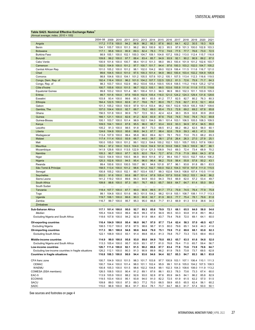## <span id="page-28-0"></span>**Table SA23. Nominal Effective Exchange Rates<sup>1</sup>**

| (Annual average; index, 2010 = 100)                                                            |                |                         |                |               |              |               |                      |              |               |               |                         |               |               |               |
|------------------------------------------------------------------------------------------------|----------------|-------------------------|----------------|---------------|--------------|---------------|----------------------|--------------|---------------|---------------|-------------------------|---------------|---------------|---------------|
|                                                                                                | 2004-08        | 2009                    | 2010           | 2011          | 2012         | 2013          | 2014                 | 2015         | 2016          | 2017          | 2018                    | 2019          | 2020          | 2021          |
| Angola                                                                                         | 117.2          | 117.6                   | 100.0          | 94.2          | 96.9         | 96.2          | 95.3                 | 87.6         | 66.0          | 64.1          | 42.2                    | 30.5          | 19.3          | 16.9          |
| Benin                                                                                          | 104.1          | 105.7                   | 100.0          | 101.3         | 96.2         | 99.3          | 100.9                | 92.3         | 95.5          | 97.9          | 101.3                   | 100.0         | 102.8         | 103.3         |
| <b>Botswana</b>                                                                                | 117.1          | 95.6                    | 100.0          | 95.9          | 89.3         | 82.4          | 78.3                 | 77.0         | 74.6          | 77.5          | 77.7                    | 76.6          | 73.0          | 72.5          |
| <b>Burkina Faso</b>                                                                            | 98.9           | 105.1                   | 100.0          | 102.1         | 100.3        | 104.7         | 109.1                | 104.8        | 107.2         | 109.2         | 113.0                   | 112.4         | 115.7         | 116.8         |
| <b>Burundi</b>                                                                                 | 109.8          | 99.2                    | 100.0          | 97.7          | 88.4         | 83.4          | 85.7                 | 94.9         | 93.9          | 92.1          | 90.2                    | 90.9          | 89.2          | 87.0          |
| Cabo Verde                                                                                     | 100.9          | 101.6                   | 100.0          | 100.7         | 98.4         | 101.0         | 101.3                | 98.0         | 99.3          | 100.4         | 101.9                   | 101.2         | 102.6         | 103.7         |
| Cameroon                                                                                       | 102.0          | 104.9                   | 100.0          | 101.2         | 97.7         | 100.7         | 101.7                | 94.4         | 97.6          | 100.3         | 103.2                   | 102.0         | 104.7         | 105.2         |
| Central African Rep.                                                                           | 101.0          | 105.2                   | 100.0          | 101.2         | 98.1         | 102.0         | 104.2                | 99.0         | 102.9         | 106.4         | 111.5                   | 111.6         | 116.7         | 121.0         |
| Chad                                                                                           | 99.6           | 104.5                   | 100.0          | 101.0         | 97.5         | 100.3         | 101.4                | 94.9         | 98.0          | 100.4         | 103.4                   | 102.2         | 104.9         | 105.9         |
| Comoros                                                                                        | 98.8           | 104.6                   | 100.0          | 104.1         | 101.2        | 105.5         | 107.6                | 101.2        | 105.1         | 107.5         | 113.4                   | 112.3         | 116.6         | 119.5         |
| Congo, Dem. Rep. of                                                                            | 192.4          | 116.4                   | 100.0          | 96.2          | 101.0        | 104.2         | 107.7                | 122.5        | 120.2         | 81.3          | 72.6                    | 75.9          | 71.7          | 64.3          |
| Congo, Rep. of                                                                                 | 98.3           | 103.7                   | 100.0          | 102.9         | 99.2         | 103.6         | 105.4                | 100.5        | 105.9         | 108.5         | 115.2                   | 116.9         | 125.2         | 127.6         |
| Côte d'Ivoire                                                                                  | 100.7          | 105.6                   | 100.0          | 101.5         | 98.7         | 102.3         | 105.1                | 99.5         | 103.6         | 105.9         | 111.6                   | 111.6         | 117.5         | 119.6         |
| <b>Equatorial Guinea</b>                                                                       | 99.8           | 103.2                   | 100.0          | 101.4         | 98.1         | 100.4         | 101.3                | 94.3         | 96.9          | 99.0          | 102.3                   | 101.1         | 103.9         | 105.3         |
| Eritrea                                                                                        | 99.7           | 101.6                   | 100.0          | 97.6          | 100.9        | 102.9         | 105.4                | 116.0        | 121.0         | 124.2         | 124.3                   | 129.4         | 131.6         | 128.6         |
| Eswatini                                                                                       | 103.8          | 93.4                    | 100.0          | 99.6          | 95.3         | 88.1          | 83.5                 | 81.2         | 77.7          | 82.5          | 82.7                    | 80.2          | 76.3          | 80.3          |
| Ethiopia                                                                                       | 164.4          | 122.5                   | 100.0          | 82.6          | 81.7         | 78.6          | 76.7                 | 80.0         | 78.7          | 72.6          | 62.7                    | 61.5          | 52.1          | 40.4          |
| Gabon                                                                                          | 101.3          | 105.2                   | 100.0          | 100.9         | 97.9         | 101.4         | 103.4                | 98.2         | 100.7         | 102.6         | 105.9                   | 105.3         | 108.7         | 109.6         |
| Gambia, The                                                                                    | 107.0          | 104.4                   | 100.0          | 92.7          | 88.7         | 79.2          | 69.0                 | 65.4         | 75.3          | 72.8          | 69.2                    | 69.2          | 67.8          | 65.8          |
| Ghana                                                                                          | 156.5          | 101.8                   | 100.0          | 90.9          | 78.7         | 72.5          | 50.3                 | 42.4         | 42.4          | 38.3          | 35.9                    | 32.8          | 30.9          | 28.8          |
| Guinea                                                                                         | 166.1          | 121.1                   | 100.0          | 82.6<br>101.4 | 81.2         | 82.8<br>102.1 | 83.9                 | 87.6         | 75.6<br>101.4 | 74.5          | 74.6                    | 76.4          | 74.3          | 69.8<br>109.5 |
| Guinea-Bissau                                                                                  | 100.1          | 103.7<br>104.1          | 100.0          | 87.8          | 98.9         | 96.0          | 104.0<br>95.7        | 99.1<br>93.4 | 93.9          | 103.1<br>93.3 | 106.5<br>94.9           | 105.5<br>97.4 | 108.3<br>94.5 | 89.0          |
| Kenya<br>Lesotho                                                                               | 109.5<br>105.2 | 91.3                    | 100.0<br>100.0 | 98.5          | 95.5<br>91.8 | 80.7          | 73.3                 | 68.5         | 61.2          | 66.2          | 66.2                    | 62.5          | 56.0          | 60.1          |
| Liberia                                                                                        | 124.6          | 104.8                   | 100.0          | 95.6          | 99.8         | 94.3          | 87.7                 | 98.4         | 92.6          | 76.9          | 59.3                    | 48.3          | 47.3          | 53.6          |
|                                                                                                | 113.4          | 107.9                   | 100.0          | 99.4          | 95.8         | 96.0          | 89.4                 | 82.1         | 78.1          | 79.0          | 73.0                    | 70.3          | 68.2          | 65.3          |
| Madagascar<br>Malawi                                                                           | 117.4          | 111.4                   | 100.0          | 93.9          | 66.7         | 44.0          | 39.7                 | 38.1         | 27.6          | 26.4          | 26.3                    | 27.0          | 27.9          | 25.1          |
| Mali                                                                                           | 100.0          | 105.0                   | 100.0          | 101.2         | 99.1         | 102.3         | 104.6                | 100.2        | 102.1         | 103.1         | 105.7                   | 105.3         | 107.6         | 108.0         |
| <b>Mauritius</b>                                                                               | 105.4          | 97.2                    | 100.0          | 103.5         | 104.0        | 102.8         | 104.9                | 101.8        | 103.8         | 106.0         | 106.3                   | 105.9         | 96.7          | 88.1          |
| Mozambique                                                                                     | 141.9          | 129.8                   | 100.0          | 113.5         | 122.9        | 121.4         | 121.3                | 108.9        | 74.0          | 69.3          | 72.4                    | 73.4          | 68.9          | 70.2          |
| Namibia                                                                                        | 105.3          | 90.7                    | 100.0          | 97.7          | 92.5         | 82.0          | 76.4                 | 72.7         | 67.6          | 71.9          | 71.9                    | 69.6          | 64.3          | 67.8          |
| Niger                                                                                          | 102.0          | 104.9                   | 100.0          | 100.5         | 96.9         | 99.9          | 101.6                | 97.2         | 99.4          | 100.7         | 103.5                   | 102.7         | 105.4         | 106.2         |
| Nigeria                                                                                        | 120.3          | 102.6                   | 100.0          | 94.5          | 95.4         | 96.0          | 96.4                 | 86.2         | 70.9          | 56.4          | 55.8                    | 57.8          | 50.2          | 43.1          |
| Rwanda                                                                                         | 99.4           | 100.6                   | 100.0          | 100.5         | 100.7        | 98.1          | 94.6                 | 101.8        | 97.7          | 96.1          | 93.8                    | 91.8          | 89.1          | 83.5          |
| São Tomé & Príncipe                                                                            | 158.5          | 113.4                   | 100.0          | 101.2         | 98.6         | 101.2         | 102.7                | 100.0        | 102.3         | 104.3         | 107.9                   | 107.9         | 111.0         | 115.5         |
| Senegal                                                                                        | 100.8          | 105.2                   | 100.0          | 102.1         | 99.7         | 103.4         | 105.7                | 99.3         | 102.6         | 104.5         | 108.8                   | 107.4         | 110.5         | 111.6         |
| Seychelles                                                                                     | 202.0          | 91.6                    | 100.0          | 93.6          | 88.7         | 101.4         | 97.8                 | 105.4        | 107.9         | 103.6         | 100.2                   | 103.1         | 84.8          | 86.2          |
| Sierra Leone                                                                                   | 141.2          | 119.2                   | 100.0          | 89.6          | 94.3         | 94.9          | 93.0                 | 94.3         | 78.5          | 66.9          | 62.0                    | 57.2          | 53.4          | 49.7          |
| South Africa                                                                                   | 109.8          | 88.6                    | 100.0          | 97.3          | 89.1         | 76.7          | 69.3                 | 65.7         | 58.9          | 64.7          | 64.7                    | 61.4          | 55.0          | 59.3          |
| South Sudan                                                                                    |                |                         |                | $\ddotsc$     |              | $\ddotsc$     |                      |              |               | $\ddotsc$     |                         |               | $\ddotsc$     |               |
| Tanzania                                                                                       | 118.4          | 107.7                   | 100.0          | 87.7          | 90.0         | 90.9          | 89.5                 | 81.7         | 77.3          | 75.9          | 74.5                    | 76.4          | 77.9          | 75.8          |
| Togo                                                                                           | 99.1           | 104.8                   | 100.0          | 101.6         | 98.3         | 101.5         | 104.2                | 98.2         | 101.9         | 105.1         | 108.7                   | 108.1         | 111.7         | 113.3         |
| Uganda                                                                                         | 119.7          | 108.1                   | 100.0          | 86.6          | 90.3         | 90.8          | 92.7                 | 81.9         | 80.5          | 77.7          | 75.4                    | 78.1          | 79.6          | 81.6          |
| Zambia                                                                                         | 116.7          | 99.7                    | 100.0          | 95.7          | 95.3         | 95.0          | 86.8                 | 71.7         | 61.3          | 66.9          | 61.3                    | 51.9          | 38.6          | 34.3          |
| Zimbabwe                                                                                       |                |                         |                | $\ddotsc$     | $\ddotsc$    | $\ddotsc$     | $\ddot{\phantom{1}}$ | $\ddotsc$    | $\ddotsc$     | $\ddotsc$     | $\ddotsc$               | $\ddotsc$     | $\ddots$      | $\cdots$      |
| Sub-Saharan Africa                                                                             | 117.1          |                         | 101.4 100.0    | 95.0          | 92.7         | 89.3          | 85.8                 | 79.9         | 72.1          | 68.1          | 65.5                    | 64.0          | 58.0          | 54.6          |
| Median                                                                                         | 105.4          | 104.8                   | 100.0          | 99.4          | 96.9         | 99.3          | 97.8                 | 94.9         | 95.5          | 93.3          | 93.8                    | 91.8          | 89.1          | 86.2          |
| <b>Excluding Nigeria and South Africa</b>                                                      | 118.6          | 107.8 100.0             |                | 94.2          | 92.9         | 91.9          | 88.4                 | 83.7         | 79.4          | 76.8          | 72.0                    | 69.1          | 64.1          | 60.0          |
|                                                                                                |                |                         |                |               |              |               |                      |              |               |               |                         |               |               |               |
| Oil-exporting countries                                                                        |                | 116.4 104.9 100.0       |                | 95.4          | 96.0         | 96.7          | 97.0                 | 87.7         | 73.4          | 62.4          | 58.3                    | 57.0          | 48.5          | 42.7          |
| <b>Excluding Nigeria</b>                                                                       |                | 108.5 110.7 100.0       |                | 97.8          | 97.5         | 98.6          | 98.7                 | 91.5         | 80.0          | 79.6          | 65.1                    | 54.9          | 44.3          | 41.6          |
| <b>Oil-importing countries</b>                                                                 | 117.3          |                         | 99.1 100.0     | 94.8          | 90.6         | 84.6          | 79.0                 | 75.1         | 70.9          | 71.2          | 69.6                    | 68.1          | 63.8          | 62.3          |
| <b>Excluding South Africa</b>                                                                  | 122.1          |                         | 106.9 100.0    | 93.1          | 91.4         | 89.8          | 85.4                 | 81.3         | 78.8          | 75.7          | 73.3                    | 72.5          | 69.4          | 65.0          |
| Middle-income countries                                                                        | 114.9          |                         | 99.0 100.0     | 95.8          | 93.0         | 89.0          | 84.9                 | 78.0         | 69.3          | 65.7          | 63.5                    | 61.6          | 54.8          | 52.0          |
| Excluding Nigeria and South Africa                                                             |                | 113.3 105.4 100.0       |                | 95.7          | 93.9         | 93.1          | 87.7                 | 81.0         | 76.8          | 76.4          | 71.0                    | 65.7          | 59.4          | 56.7          |
| Low-income countries                                                                           |                | 126.7 111.4 100.0       |                | 92.1          | 91.5         | 90.2          | 89.6                 | 87.7         | 83.4          | 77.8          | 73.6                    | 73.9          | 70.6          | 64.7          |
|                                                                                                |                | 126.2 112.1 100.0       |                | 90.3          | 91.3         | 90.9          | 89.9                 | 86.2         | 81.9          | 78.5          | 73.8                    | 73.7          | 69.5          | 62.8          |
| Excluding low-income countries in fragile situations<br><b>Countries in fragile situations</b> |                | 116.8 108.3 100.0       |                | 98.0          | 94.4         | 93.6          | 94.6                 | 94.4         | 92.7          | 85.3          | 84.7                    | 85.3          | 86.1          | 83.8          |
|                                                                                                |                |                         |                |               |              |               |                      |              |               |               |                         |               |               |               |
| CFA franc zone                                                                                 |                | 100.7 104.9 100.0 101.5 |                |               | 98.3         | 101.7 103.8   |                      |              | 97.7 100.9    |               | 103.1 107.1 106.4 110.1 |               |               | 111.3         |
| <b>CEMAC</b>                                                                                   |                | 100.7 104.4 100.0       |                | 101.4         | 98.0         | 101.1         | 102.4                | 95.9         | 99.1          |               | 101.6 105.0 104.2 107.5 |               |               | 108.5         |
| <b>WAEMU</b>                                                                                   |                | 100.8 105.3 100.0       |                | 101.5         | 98.6         | 102.2 104.8   |                      | 99.1         | 102.3         |               | 104.3 108.6 108.0       |               | 111.9         | 113.2         |
| COMESA (SSA members)                                                                           |                | 126.5 108.5 100.0       |                | 90.4          | 91.2         | 89.1          | 87.6                 | 86.1         | 83.3          | 78.3          | 73.6                    | 73.3          | 67.4          | 60.0          |
| EAC-5                                                                                          |                | 113.9 105.9 100.0       |                | 88.2          | 92.6         | 93.0          | 92.8                 | 87.6         | 85.9          | 84.5          | 84.1                    | 86.2          | 85.8          | 82.9          |
| <b>ECOWAS</b>                                                                                  |                | 119.5 103.4 100.0       |                | 95.1          | 93.8         | 94.0          | 91.0                 | 82.2         | 72.5          | 61.9          | 61.5                    | 62.2          | 57.0          | 51.5          |
| <b>SACU</b>                                                                                    | 109.8          |                         | 89.0 100.0     | 97.3          | 89.3         | 77.2          | 70.0                 | 66.5         | 59.9          | 65.5          | 65.5                    | 62.4          | 56.1          | 60.2          |
| SADC                                                                                           | 115.0          |                         | 96.9 100.0     | 96.4          | 91.7         | 83.4          | 78.1                 | 73.7         | 64.7          | 66.3          | 61.7                    | 57.4          | 50.0          | 50.1          |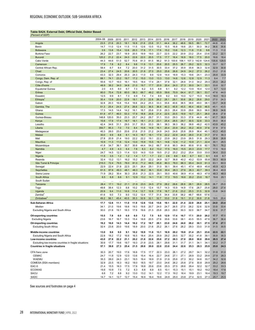## <span id="page-29-0"></span>**Table SA24. External Debt, Official Debt, Debtor Based**

| 'Percent of GDP                                                                                |              |              |              |              |              |              |              |              |              |              |              |              |              |              |              |              |
|------------------------------------------------------------------------------------------------|--------------|--------------|--------------|--------------|--------------|--------------|--------------|--------------|--------------|--------------|--------------|--------------|--------------|--------------|--------------|--------------|
|                                                                                                | 2004-08      | 2009         | 2010         | 2011         | 2012         | 2013         | 2014         | 2015         | 2016         | 2017         | 2018         | 2019         | 2020         | 2021         | 2022         | 2023         |
| Angola                                                                                         | 23.5         | 21.6         | 20.3         | 18.1         | 16.9         | 21.6         | 23.8         | 31.1         | 44.4         | 38.2         | 48.6         | 59.5         | 89.1         | 72.7         | 44.8         | 43.6         |
| Benin                                                                                          | 14.7         | 11.0         | 12.4         | 11.5         | 11.5         | 12.6         | 13.5         | 15.2         | 15.5         | 16.8         | 18.6         | 25.1         | 30.3         | 36.2         | 36.6         | 35.6         |
| <b>Botswana</b>                                                                                | 3.9          | 13.8         | 15.4         | 12.6         | 20.3         | 17.8         | 17.1         | 17.6         | 15.2         | 13.6         | 12.3         | 11.8         | 11.8         | 9.8          | 11.3         | 11.0         |
| <b>Burkina Faso</b>                                                                            | 26.2         | 22.7         | 23.7         | 18.9         | 20.5         | 19.9         | 19.0         | 22.7         | 22.5         | 22.2         | 20.9         | 23.2         | 25.4         | 23.6         | 23.2         | 22.1         |
| <b>Burundi</b>                                                                                 | 120.2        | 21.2         | 22.4         | 24.0         | 22.6         | 22.0         | 20.5         | 17.5         | 17.7         | 16.4         | 16.9         | 18.0         | 17.5         | 20.0         | 19.6         | 18.4         |
| Cabo Verde                                                                                     | 44.3         | 44.6         | 51.0         | 52.7         | 70.8         | 81.3         | 81.5         | 96.2         | 91.3         | 100.6        | 106.1        | 107.3        | 142.8        | 124.6        | 135.6        | 129.5        |
| Cameroon                                                                                       | 17.9         | 7.8          | 8.2          | 8.4          | 9.8          | 11.9         | 13.1         | 20.6         | 20.5         | 25.5         | 26.7         | 29.2         | 32.5         | 32.3         | 33.7         | 32.7         |
| Central African Rep.                                                                           | 58.4         | 8.7          | 8.4          | 7.2          | 20.0         | 31.2         | 31.5         | 30.5         | 33.4         | 37.2         | 35.9         | 35.8         | 36.3         | 32.8         | 32.9         | 30.8         |
| Chad                                                                                           | 23.4         | 27.4         | 24.5         | 20.6         | 20.5         | 21.8         | 27.0         | 25.0         | 25.6         | 26.8         | 24.9         | 24.2         | 27.3         | 26.2         | 23.2         | 21.6         |
| Comoros                                                                                        | 43.3         | 32.3         | 29.4         | 25.3         | 24.3         | 11.0         | 9.9          | 12.9         | 14.4         | 16.9         | 15.3         | 19.6         | 24.1         | 23.3         | 29.8         | 33.9         |
| Congo, Dem. Rep. of                                                                            | 88.1         | 74.1         | 23.2         | 19.7         | 17.2         | 15.0         | 13.0         | 13.3         | 13.0         | 14.6         | 12.6         | 12.8         | 12.9         | 11.3         | 9.4          | 7.7          |
| Congo, Rep. of                                                                                 | 55.6         | 10.7         | 16.0         | 16.1         | 19.5         | 18.4         | 17.4         | 28.1         | 37.8         | 32.1         | 28.8         | 31.0         | 34.2         | 29.3         | 25.0         | 26.2         |
| Côte d'Ivoire                                                                                  | 48.9         | 38.2         | 34.0         | 34.8         | 21.0         | 19.7         | 17.7         | 20.9         | 20.4         | 24.0         | 27.3         | 30.0         | 34.1         | 33.1         | 33.8         | 32.7         |
| <b>Equatorial Guinea</b><br>Eritrea                                                            | 2.0<br>80.0  | 4.5<br>70.4  | 8.0<br>72.8  | 6.7<br>60.0  | 7.3<br>58.3  | 6.2<br>69.7  | 5.5<br>49.2  | 8.8<br>65.9  | 9.1<br>59.6  | 9.2<br>70.9  | 12.2<br>64.4 | 13.9<br>61.7 | 16.4<br>58.1 | 12.0<br>53.7 | 9.7<br>47.6  | 12.0<br>44.0 |
| Eswatini                                                                                       | 12.5         | 9.9          | 8.1          | 7.3          | 6.9          | 7.4          | 7.4          | 8.9          | 9.2          | 9.0          | 10.0         | 12.7         | 15.3         | 15.9         | 18.0         | 18.3         |
| <b>Ethiopia</b>                                                                                | 35.4         | 13.9         | 20.0         | 22.9         | 19.1         | 21.3         | 22.8         | 26.2         | 28.1         | 29.1         | 30.6         | 28.2         | 28.8         | 29.0         | 27.0         | 24.3         |
| Gabon                                                                                          | 32.8         | 20.3         | 16.8         | 15.4         | 16.6         | 24.2         | 25.3         | 33.3         | 35.6         | 40.6         | 38.5         | 38.9         | 49.0         | 38.1         | 33.7         | 34.8         |
| Gambia, The                                                                                    | 51.3         | 25.4         | 24.5         | 27.4         | 26.6         | 32.3         | 36.5         | 36.8         | 40.3         | 45.8         | 45.5         | 46.4         | 48.9         | 46.5         | 45.1         | 43.5         |
| Ghana                                                                                          | 17.3         | 14.5         | 14.4         | 14.2         | 16.1         | 18.7         | 25.6         | 31.9         | 29.3         | 28.4         | 33.9         | 29.6         | 36.0         | 36.0         | 36.9         | 34.6         |
| Guinea                                                                                         | 61.9         | 47.7         | 46.0         | 53.3         | 17.9         | 18.8         | 20.8         | 21.4         | 22.5         | 20.5         | 19.9         | 19.7         | 25.1         | 26.0         | 26.6         | 27.8         |
| Guinea-Bissau                                                                                  | 148.8        | 120.0        | 35.0         | 23.3         | 25.7         | 24.2         | 29.7         | 31.1         | 33.0         | 29.3         | 33.3         | 37.8         | 44.9         | 40.1         | 41.7         | 38.9         |
| Kenya                                                                                          | 15.6         | 17.9         | 17.4         | 18.7         | 18.1         | 18.1         | 21.3         | 23.1         | 25.4         | 28.5         | 29.7         | 30.5         | 32.8         | 33.3         | 35.0         | 36.4         |
| Lesotho                                                                                        | 42.4         | 34.6         | 31.1         | 29.5         | 31.7         | 35.3         | 33.3         | 38.1         | 38.3         | 38.3         | 38.2         | 38.8         | 48.2         | 42.5         | 43.9         | 45.2         |
| Liberia                                                                                        | 350.7        | 95.3         | 7.0          | 7.0          | 8.4          | 10.8         | 14.9         | 16.1         | 20.4         | 23.9         | 29.2         | 35.2         | 40.9         | 37.6         | 37.8         | 37.5         |
| Madagascar                                                                                     | 40.3         | 28.0         | 25.0         | 20.6         | 21.6         | 21.0         | 21.2         | 24.9         | 24.0         | 24.8         | 25.8         | 26.9         | 36.4         | 40.1         | 43.3         | 45.0         |
| Malawi                                                                                         | 30.0         | 9.9          | 8.8          | 8.1          | 14.3         | 18.7         | 18.1         | 17.9         | 22.2         | 22.9         | 24.9         | 28.0         | 31.8         | 31.7         | 37.0         | 39.3         |
| Mali                                                                                           | 27.8         | 20.9         | 21.4         | 19.0         | 22.2         | 22.2         | 19.1         | 22.2         | 23.9         | 26.2         | 23.9         | 26.5         | 31.8         | 29.3         | 28.8         | 26.8         |
| <b>Mauritius</b>                                                                               | 10.9         | 11.3         | 11.6         | 12.4         | 13.0         | 15.9         | 15.5         | 16.1         | 14.6         | 12.9         | 11.2         | 10.9         | 21.1         | 22.4         | 30.1         | 28.5         |
| Mozambique                                                                                     | 41.8         | 34.7         | 36.1         | 30.7         | 30.8         | 44.4         | 54.2         | 66.7         | 91.6         | 90.3         | 84.6         | 80.8         | 91.6         | 82.1         | 76.1         | 76.2         |
| Namibia                                                                                        | 4.7          | 4.9          | 4.3          | 6.4          | 7.8          | 8.3          | 8.2          | 13.2         | 17.5         | 16.0         | 15.5         | 20.3         | 23.9         | 17.7         | 17.5         | 16.0         |
| Niger                                                                                          | 24.7         | 14.5         | 12.3         | 11.4         | 12.0         | 14.0         | 13.9         | 19.5         | 21.2         | 25.2         | 23.2         | 25.4         | 33.0         | 33.0         | 34.4         | 33.0         |
| Nigeria                                                                                        | 11.5         | 3.5          | 1.2          | 1.2          | 1.4          | 1.7          | 1.7          | 2.2          | 2.8          | 8.6          | 6.8          | 6.7          | 8.0          | 9.1          | 8.8          | 8.7          |
| Rwanda                                                                                         | 32.4         | 13.2         | 13.1         | 16.2         | 15.2         | 20.5         | 22.2         | 24.9         | 32.7         | 36.8         | 40.2         | 43.2         | 53.9         | 55.8         | 59.3         | 60.9         |
| São Tomé & Príncipe                                                                            | 215.0        | 72.4         | 79.5         | 78.0         | 81.0         | 71.2         | 69.5         | 85.8         | 80.3         | 78.0         | 66.3         | 65.4         | 64.9         | 61.3         | 63.1         | 60.0         |
| Senegal                                                                                        | 22.9         | 22.4         | 21.8         | 22.5         | 25.1         | 26.4         | 29.1         | 31.0         | 30.1         | 39.4         | 45.1         | 47.4         | 48.9         | 45.8         | 45.9         | 42.3         |
| Seychelles                                                                                     | 61.5         | 87.6         | 49.3         | 48.1         | 48.3         | 39.2         | 36.1         | 33.8         | 30.4         | 28.3         | 27.6         | 26.3         | 40.7         | 39.3         | 36.4         | 40.0         |
| Sierra Leone                                                                                   | 71.9         | 28.2         | 30.4         | 30.3         | 25.8         | 21.3         | 22.5         | 29.1         | 35.0         | 40.6         | 38.9         | 41.4         | 48.3         | 47.9         | 48.3         | 48.0         |
| South Africa                                                                                   | 6.5          | 6.8          | 8.6          | 9.1          | 12.9         | 13.2         | 14.1         | 11.8         | 17.3         | 19.5         | 16.6         | 20.2         | 23.6         | 18.7         | 19.6         | 20.1         |
| South Sudan                                                                                    |              |              | $\ddotsc$    | $\ddotsc$    |              | ż.           |              |              |              |              | ż.           |              |              |              |              | $\ddotsc$    |
| Tanzania                                                                                       | 26.4         | 17.1         | 19.2         | 21.1         | 21.9         | 23.5         | 24.5         | 27.9         | 28.2         | 28.6         | 28.9         | 28.1         | 28.9         | 28.5         | 26.7         | 25.0         |
| Togo                                                                                           | 49.8         | 38.4         | 12.3         | 8.8          | 10.2         | 11.0         | 12.4         | 15.7         | 14.3         | 15.9         | 14.9<br>23.2 | 17.6<br>25.3 | 28.7         | 25.8<br>32.9 | 28.0<br>33.8 | 27.4<br>34.0 |
| Uganda<br>Zambia <sup>®</sup>                                                                  | 20.9         | 9.4          | 11.0         | 10.9         | 11.4         | 12.7         | 12.8         | 17.8         | 18.7         | 21.6         | 38.2         |              | 31.5         |              |              |              |
| $Z$ imbabwe $3$                                                                                | 41.6<br>49.2 | 9.0<br>56.1  | 7.3<br>45.4  | 8.0<br>40.5  | 13.2<br>35.3 | 12.4<br>32.9 | 17.7<br>32.1 | 31.5<br>32.7 | 34.4<br>33.0 | 33.8<br>31.8 | 19.1         | 48.7<br>31.2 | 66.6<br>30.8 | 57.6<br>21.8 | $\ddotsc$    | $\ddotsc$    |
|                                                                                                |              |              |              |              |              |              |              |              |              |              |              |              |              |              | 19.5         | 20.4         |
| Sub-Saharan Africa                                                                             | 17.7         | 12.8         | 11.1         | 11.0         | 11.9         | 12.8         | 13.6         | 15.6         | 19.1         | 22.0         | 21.4         | 22.9         | 26.6         | 25.1         | 24.0         | 23.4         |
| Median                                                                                         | 34.1         | 21.0         | 19.6         | 18.8         | 19.3         | 19.8         | 20.7         | 24.0         | 24.7         | 26.5         | 27.0         | 28.2         | 32.6         | 32.9         | 33.8         | 33.4         |
| Excluding Nigeria and South Africa                                                             | 30.0         | 21.9         | 19.1         | 18.3         | 17.9         | 19.6         | 21.3         | 25.8         | 28.3         | 29.0         | 30.3         | 32.0         | 36.7         | 34.7         | 32.6         | 31.7         |
| <b>Oil-exporting countries</b>                                                                 | 15.5         | 7.8          | 6.0          | 6.0          | 6.0          | 7.2          | 7.5          | 9.5          | 12.9         | 17.4         | 16.7         | 17.1         | 20.0         | 20.2         | 17.7         | 17.1         |
| <b>Excluding Nigeria</b>                                                                       | 23.6         | 16.7         | 16.7         | 15.3         | 15.4         | 18.8         | 20.5         | 27.6         | 35.6         | 33.6         | 38.1         | 43.5         | 55.5         | 47.9         | 36.7         | 36.4         |
| Oil-importing countries                                                                        | 19.2         | 16.0         | 14.3         | 14.4         | 16.2         | 17.2         | 18.7         | 20.1         | 23.0         | 24.6         | 24.0         | 26.2         | 30.1         | 27.5         | 27.6         | 27.1         |
| <b>Excluding South Africa</b>                                                                  | 32.4         | 23.8         | 20.0         | 19.6         | 18.9         | 20.0         | 21.6         | 25.2         | 26.1         | 27.6         | 28.2         | 29.3         | 33.0         | 31.9         | 31.5         | 30.5         |
|                                                                                                |              |              |              |              |              |              |              |              |              |              |              |              |              |              |              |              |
| Middle-income countries                                                                        | 13.0         | 9.6          | 9.0          | 9.1          | 10.2         | 10.9         | 11.6         | 13.1         | 16.9         | 20.2         | 19.8         | 21.4         | 25.1         | 23.6         | 22.5         | 22.1         |
| Excluding Nigeria and South Africa                                                             | 22.8         | 18.2         | 17.2         | 16.6         | 16.5         | 18.4         | 20.4         | 25.9         | 29.2         | 29.5         | 32.7         | 35.2         | 41.8         | 39.1         | 35.9         | 35.3         |
| Low-income countries                                                                           | 43.0         | 27.8         | 22.2         | 21.1         | 20.2         | 21.8         | 22.6         | 25.6         | 27.2         | 28.3         | 27.0         | 28.0         | 30.8         | 29.6         | 28.5         | 27.4         |
| Excluding low-income countries in fragile situations<br><b>Countries in fragile situations</b> | 30.9<br>57.1 | 17.7<br>39.8 | 19.6<br>27.3 | 19.7<br>25.4 | 19.3<br>21.5 | 21.9<br>20.8 | 23.5<br>20.0 | 28.1<br>22.0 | 29.8<br>23.0 | 31.1<br>24.4 | 31.7<br>22.6 | 31.1<br>25.3 | 34.1<br>28.3 | 34.1<br>25.9 | 33.2<br>25.0 | 31.7<br>24.3 |
|                                                                                                |              |              |              |              |              |              |              |              |              |              |              |              |              |              |              |              |
| CFA franc zone                                                                                 | 30.3         | 20.7         | 19.0         | 17.6         | 16.6         | 17.5         | 17.7         | 22.3         | 23.0         | 26.1         | 27.2         | 29.7         | 34.1         | 32.2         | 31.8         | 31.0         |
| <b>CEMAC</b>                                                                                   | 24.7         | 11.9         | 12.9         | 12.0         | 13.6         | 15.4         | 16.4         | 22.7         | 24.6         | 27.1         | 27.1         | 28.9         | 33.2         | 29.8         | 27.9         | 28.3         |
| WAEMU                                                                                          | 35.3         | 28.0         | 24.3         | 23.1         | 19.5         | 19.4         | 18.9         | 21.9         | 21.9         | 25.6         | 27.3         | 30.2         | 34.6         | 33.7         | 34.2         | 32.6         |
| COMESA (SSA members)                                                                           | 32.9         | 23.5         | 18.3         | 18.2         | 18.0         | 18.5         | 19.7         | 23.0         | 24.6         | 26.2         | 25.8         | 27.6         | 30.8         | 29.9         | 29.2         | 28.6         |
| EAC-5                                                                                          | 21.4         | 15.5         | 16.3         | 17.5         | 17.6         | 18.8         | 20.6         | 23.6         | 25.3         | 27.5         | 28.6         | 29.4         | 32.2         | 32.7         | 33.2         | 33.3         |
| <b>ECOWAS</b>                                                                                  | 19.8         | 10.9         | 7.5          | 7.2          | 6.3          | 6.8          | 6.9          | 8.5          | 10.1         | 15.3         | 15.1         | 15.1         | 18.2         | 19.2         | 18.4         | 17.6         |
| SACU                                                                                           | 6.6          | 7.2          | 8.8          | 9.2          | 13.0         | 13.2         | 14.1         | 12.2         | 17.3         | 19.2         | 16.4         | 19.9         | 23.1         | 18.4         | 19.3         | 19.7         |
| SADC                                                                                           | 14.7         | 14.1         | 12.7         | 12.7         | 15.4         | 16.9         | 18.4         | 19.6         | 24.9         | 25.0         | 23.8         | 27.4         | 32.5         | 27.3         | 25.7         | 25.5         |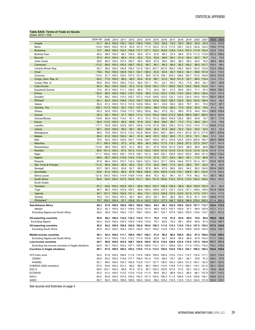## <span id="page-30-0"></span>**Table SA25. Terms of Trade on Goods**

| (Index, 2010 = 100 <sub>)</sub>                      |           |       |                  |       |                                                                              |       |             |                                                |       |                               |             |       |                         |            |                                                                                          |       |
|------------------------------------------------------|-----------|-------|------------------|-------|------------------------------------------------------------------------------|-------|-------------|------------------------------------------------|-------|-------------------------------|-------------|-------|-------------------------|------------|------------------------------------------------------------------------------------------|-------|
|                                                      | 2004-08   | 2009  | 2010             | 2011  | 2012                                                                         | 2013  | 2014        | 2015                                           | 2016  | 2017                          | 2018        | 2019  | 2020                    | 2021       | 2022                                                                                     | 2023  |
| Angola                                               | 91.7      | 84.3  | 100.0            | 125.1 | 132.0                                                                        | 128.9 | 116.8       | 70.5                                           | 60.6  | 74.3                          | 93.3        | 86.8  | 55.0                    | 83.5       | 115.5                                                                                    | 103.8 |
| Benin                                                | 110.9     | 109.9 | 100.0            | 101.8 | 93.5                                                                         | 101.2 | 111.0       | 122.4                                          | 121.9 | 117.0                         | 126.1       | 132.5 | 134.9                   | 124.0      | 118.5                                                                                    | 117.9 |
| <b>Botswana</b>                                      | 74.7      | 89.9  | 100.0            | 124.0 | 109.6                                                                        | 117.7 | 127.1       | 122.0                                          | 142.9 | 118.9                         | 114.3       | 107.3 | 117.9                   | 132.4      | 129.6                                                                                    | 134.9 |
| Burkina Faso                                         | 85.0      | 99.5  | 100.0            | 96.7  | 105.5                                                                        | 92.0  | 87.4        | 87.6                                           | 88.3  | 87.9                          | 88.6        | 87.9  | 111.2                   | 110.6      | 107.2                                                                                    | 106.2 |
| <b>Burundi</b>                                       | 57.4      | 64.3  | 100.0            | 88.4  | 81.0                                                                         | 63.2  | 72.4        | 52.6                                           | 56.9  | 56.1                          | 61.5        | 94.4  | 82.7                    | 75.7       | 74.2                                                                                     | 75.5  |
| Cabo Verde                                           | 99.6      | 86.0  | 100.0            | 107.4 | 106.7                                                                        | 95.5  | 89.6        | 67.9                                           | 69.6  | 88.5                          | 98.3        | 96.4  | 64.5                    | 76.0       | 80.4                                                                                     | 68.3  |
| Cameroon                                             | 113.3     | 89.5  | 100.0            | 100.5 | 108.7                                                                        | 103.2 | 96.7        | 86.1                                           | 86.3  | 86.4                          | 86.2        | 106.2 | 96.0                    | 101.7      | 109.3                                                                                    | 99.0  |
| Central African Rep.                                 | 92.7      | 98.5  | 100.0            | 100.8 | 100.4                                                                        | 121.6 | 139.3       | 207.7                                          | 207.8 | 169.3                         | 148.2       | 169.0 | 132.5                   | 132.8      | 112.3                                                                                    | 126.2 |
| Chad                                                 | 79.6      | 78.2  | 100.0            | 120.9 | 123.1                                                                        | 134.7 | 128.2       | 63.5                                           | 63.5  | 82.7                          | 100.3       | 94.1  | 69.9                    | 101.8      | 132.3                                                                                    | 116.3 |
| Comoros                                              | 110.4     | 91.7  | 100.0            | 135.4 | 147.5                                                                        | 121.5 | 99.9        | 101.9                                          | 159.1 | 204.3                         | 199.8       | 184.7 | 172.0                   | 148.6      | 122.5                                                                                    | 127.8 |
| Congo, Dem. Rep. of                                  | 82.2      | 77.6  | 100.0            | 96.0  | 98.3                                                                         | 93.4  | 91.6        | 86.7                                           | 81.6  | 99.8                          | 101.0       | 92.7  | 96.0                    | 116.4      | 114.0                                                                                    | 115.3 |
| Congo, Rep. of                                       | 99.9      | 65.5  | 100.0            | 126.2 | 112.0                                                                        | 99.8  | 107.1       | 79.1                                           | 42.1  | 65.3                          | 76.3        | 71.9  | 58.5                    | 54.1       | 53.1                                                                                     | 52.9  |
| Côte d'Ivoire                                        | 94.3      | 98.2  | 100.0            | 102.6 | 97.2                                                                         | 131.6 | 135.8       | 154.3                                          | 170.1 | 165.6                         | 152.3       | 139.2 | 156.8                   | 142.6      | 135.7                                                                                    | 134.2 |
| <b>Equatorial Guinea</b>                             | 72.0      | 85.3  | 100.0            | 111.1 | 130.0                                                                        | 95.2  | 77.2        | 44.0                                           | 38.1  | 61.2                          | 80.6        | 83.3  | 71.1                    | 97.4       | 140.6                                                                                    | 120.3 |
| Eritrea                                              | 130.5     | 96.5  | 100.0            | 106.5 | 116.7                                                                        | 102.8 | 96.9        | 113.2                                          | 125.3 | 116.6                         | 110.5       | 125.0 | 130.4                   | 129.2      | 132.0                                                                                    | 137.8 |
| Eswatini                                             | 77.6      | 89.2  | 100.0            | 110.3 | 105.7                                                                        | 127.3 | 115.8       | 128.6                                          | 133.5 | 132.1                         | 132.0       | 130.5 | 134.0                   | 100.9      | 100.4                                                                                    | 100.5 |
| Ethiopia                                             | 60.1      | 82.3  | 100.0            | 109.8 | 110.2                                                                        | 104.7 | 102.6       | 107.6                                          | 105.0 | 109.7                         | 102.6       | 89.3  | 103.0                   | 106.9      | 104.0                                                                                    | 99.2  |
| Gabon                                                | 90.2      | 81.3  | 100.0            | 131.2 | 121.8                                                                        | 120.6 | 109.4       | 60.1                                           | 53.9  | 69.3                          | 80.5        | 79.7  | 55.1                    | 75.0       | 112.7                                                                                    | 97.1  |
| Gambia, The                                          | 158.1     | 117.3 | 100.0            | 93.7  | 118.1                                                                        | 137.1 | 120.0       | 96.4                                           | 110.4 | 86.2                          | 77.0        | 83.9  | 93.3                    | 79.6       | 61.2                                                                                     | 59.5  |
| Ghana                                                | 60.3      | 82.8  | 100.0            | 118.6 | 117.2                                                                        | 108.2 | 100.6       | 86.2                                           | 87.9  | 83.1                          | 88.5        | 87.6  | 94.4                    | 109.3      | 128.8                                                                                    | 130.4 |
| Guinea                                               | 95.3      | 65.1  | 100.0            | 91.7  | 109.4                                                                        | 111.2 | 112.0       | 104.2                                          | 148.9 | 213.2                         | 185.6       | 198.5 | 438.7                   | 360.0      | 362.9                                                                                    | 345.6 |
| Guinea-Bissau                                        | 116.8     | 80.8  | 100.0            | 112.4 | 91.1                                                                         | 91.3  | 91.2        | 151.2                                          | 166.0 | 154.8                         | 128.2       | 88.0  | 84.8                    | 78.7       | 67.1                                                                                     | 71.4  |
| Kenya                                                | 98.0      | 113.5 | 100.0            | 95.4  | 89.6                                                                         | 91.9  | 83.2        | 96.6                                           | 89.5  | 85.7                          | 77.2        | 77.2  | 86.6                    | 82.1       | 77.8                                                                                     | 79.9  |
| Lesotho                                              | 117.1     | 93.8  | 100.0            | 102.6 | 100.7                                                                        | 104.8 | 114.9       | 121.8                                          | 108.2 | 108.3                         | 107.9       | 110.0 | 114.4                   | 111.8      | 108.8                                                                                    | 111.2 |
|                                                      | 69.1      |       | 100.0            | 99.2  | 68.1                                                                         | 69.2  | 59.8        | 56.4                                           | 67.4  | 68.8                          | 53.2        | 53.2  | 53.2                    | 53.2       | 53.2                                                                                     | 53.2  |
| Liberia                                              | 98.0      | 63.5  |                  |       |                                                                              |       |             |                                                |       | 394.0                         |             |       |                         | 277.6      |                                                                                          | 370.6 |
| Madagascar                                           |           | 76.9  | 100.0            | 101.9 | 115.3                                                                        | 152.6 | 184.6       | 190.0                                          | 345.1 |                               | 416.1       | 351.6 | 321.4                   |            | 325.7                                                                                    |       |
| Malawi                                               | 89.4      | 91.8  | 100.0            | 100.0 | 84.1                                                                         | 81.0  | 84.5        | 87.3                                           | 93.2  | 80.0                          | 71.1        | 67.4  | 70.1                    | 58.4       | 57.0                                                                                     | 55.0  |
| Mali                                                 | 76.0      | 92.4  | 100.0            | 126.9 | 140.7                                                                        | 118.8 | 126.7       | 145.0                                          | 167.3 | 124.8                         | 124.4       | 125.9 | 205.8                   | 184.7      | 165.0                                                                                    | 168.8 |
| <b>Mauritius</b>                                     | 91.1      | 100.3 | 100.0            | 97.0  | 91.6                                                                         | 95.6  | 94.3        | 106.2                                          | 117.5 | 110.1                         | 105.6       | 107.3 | 127.0                   | 134.7      | 133.7                                                                                    | 141.5 |
| Mozambique                                           | 112.9     | 96.8  | 100.0            | 95.5  | 91.3                                                                         | 88.8  | 93.1        | 97.8                                           | 100.8 | 101.9                         | 100.8       | 98.9  | 98.8                    | 99.9       | 100.1                                                                                    | 102.4 |
| Namibia                                              | 89.5      | 101.3 | 100.0            | 97.2  | 107.3                                                                        | 113.3 | 120.2       | 134.8                                          | 131.9 | 131.9                         | 131.9       | 131.9 | 131.9                   | 131.9      | 131.9                                                                                    | 131.9 |
| Niger                                                | 111.1     | 102.8 | 100.0            | 100.1 | 137.6                                                                        | 128.1 | 101.3       | 99.9                                           | 100.1 | 100.9                         | 100.0       | 102.9 | 99.6                    | 101.3      | 106.0                                                                                    | 112.2 |
| Nigeria                                              | 96.6      | 90.7  | 100.0            | 113.8 | 114.3                                                                        | 115.0 | 111.6       | 81.5                                           | 75.7  | 84.3                          | 96.0        | 90.1  | 71.5                    | 88.8       | 107.3                                                                                    | 99.4  |
| Rwanda                                               | 67.8      | 96.4  | 100.0            | 103.7 | 116.3                                                                        | 126.0 | 122.3       | 139.3                                          | 121.7 | 148.8                         | 146.6       | 157.0 | 191.4                   | 157.1      | 172.8                                                                                    | 167.6 |
| São Tomé & Príncipe                                  | 111.0     | 96.9  | 100.0            | 90.5  | 84.0                                                                         | 75.0  | 77.5        | 92.8                                           | 89.6  | 77.4                          | 84.3        | 88.5  | 78.7                    | 93.2       | 85.4                                                                                     | 92.9  |
| Senegal                                              | 83.7      | 98.3  | 100.0            | 93.8  | 92.7                                                                         | 86.0  | 87.9        | 96.0                                           | 97.8  | 96.6                          | 99.0        | 94.2  | 99.2                    | 104.9      | 103.4                                                                                    | 106.3 |
| Seychelles                                           | 92.8      | 91.2  | 100.0            | 96.9  | 87.8                                                                         | 106.5 | 106.8       | 93.9                                           | 109.9 | 112.8                         | 116.1       | 108.9 | 99.1                    | 103.5      | 111.9                                                                                    | 105.4 |
| Sierra Leone                                         | 121.6     | 104.3 | 100.0            | 114.9 | 118.8                                                                        | 114.8 | 96.6        | 75.3                                           | 82.1  | 94.1                          | 81.7        | 74.9  | 90.2                    | 76.5       | 65.7                                                                                     | 68.2  |
| South Africa                                         | 84.6      | 94.9  | 100.0            | 107.5 | 102.6                                                                        | 101.1 | 99.4        | 101.9                                          | 105.6 | 110.3                         | 107.6       | 113.5 | 130.3                   | 136.9      | 129.2                                                                                    | 120.5 |
| South Sudan                                          | $\ddotsc$ |       |                  |       |                                                                              |       |             |                                                |       |                               |             |       |                         |            |                                                                                          |       |
| Tanzania                                             | 67.2      | 92.6  | 100.0            | 102.8 | 103.1                                                                        | 99.9  | 100.0       | 104.7                                          | 108.3 | 105.5                         | 86.9        | 86.8  | 104.9                   | 102.3      | 95.1                                                                                     | 95.5  |
| Togo                                                 | 98.7      | 96.3  | 100.0            | 103.9 | 100.7                                                                        | 96.8  | 104.0       | 108.8                                          | 107.3 | 133.7                         | 132.8       | 137.1 | 148.0                   | 149.5      | 151.8                                                                                    | 150.5 |
| Uganda                                               | 94.7      | 101.7 | 100.0            | 103.6 | 101.1                                                                        | 99.0  | 110.1       | 123.3                                          | 126.8 | 127.4                         | 124.9 121.9 |       | 117.4                   | 115.1      | 116.2                                                                                    | 117.0 |
| Zambia                                               | 78.3      | 72.7  | 100.0            | 107.3 | 92.7                                                                         | 86.0  | 84.0        | 82.1                                           | 80.7  | 95.2                          | 90.0        | 81.6  | 91.7                    | 109.1      | 109.8                                                                                    | 111.0 |
| Zimbabwe <sup>2</sup>                                | 76.7      | 100.2 | 100.0            | 97.1  | 100.9                                                                        |       | 101.4 100.2 | 122.0                                          | 127.5 | 185.7                         |             |       | 180.8 196.9 276.4 269.3 |            | 271.4                                                                                    | 290.0 |
| Sub-Saharan Africa                                   | 89.3      | 91.9  | 100.0            | 109.9 | 109.3                                                                        | 108.8 | 106.2       | 94.3                                           | 96.1  | 102.9                         | 105.6       | 103.0 | 107.7 115.7             |            | 120.4                                                                                    | 115.5 |
| Median                                               | 92.2      | 92.1  | 100.0            | 102.7 | 105.6                                                                        | 103.0 | 101.0       | 98.8                                           | 105.3 | 103.7                         | 100.9       | 97.7  | 99.4                    | 105.9      | 112.1                                                                                    | 111.1 |
| Excluding Nigeria and South Africa                   | 88.5      | 90.8  | 100.0            |       | 109.2 110.1                                                                  | 108.7 | 105.5       | 99.1                                           | 102.7 | 107.8                         | 109.0       | 105.0 | 116.6                   | 118.7      | 123.1                                                                                    | 121.3 |
|                                                      |           |       |                  |       |                                                                              |       |             |                                                |       |                               |             |       |                         |            |                                                                                          |       |
| Oil-exporting countries                              | 95.8      |       |                  |       | 88.3 100.0 116.0 118.2 116.5 111.1                                           |       |             | 78.4                                           | 71.6  | 81.0                          | 93.8        | 90.0  | 70.8                    | 88.4       | 108.9                                                                                    | 99.8  |
| <b>Excluding Nigeria</b>                             | 94.3      | 83.5  | 100.0            | 120.5 | 125.9                                                                        | 119.8 | 110.0       | 70.7                                           | 62.6  | 75.2                          | 89.1        | 89.6  | 69.0                    | 87.3       | 112.5                                                                                    | 100.7 |
| Oil-importing countries                              | 85.2      |       |                  |       |                                                                              |       |             |                                                |       |                               |             |       |                         |            | 94.2 100.0 105.8 102.9 102.8 102.0 106.3 111.6 115.3 112.0 110.3 127.2 129.2 127.0 124.8 |       |
| <b>Excluding South Africa</b>                        | 85.9      | 93.5  | 100.0            |       | 104.2 103.2 104.0 103.7 109.0                                                |       |             |                                                |       | 114.9 118.2 114.4 108.6 125.8 |             |       |                         | 125.4      | 125.9                                                                                    | 126.7 |
| Middle-income countries                              | 90.1      |       |                  |       | 92.4 100.0 111.1 109.9 109.7 106.3                                           |       |             | 91.0                                           | 90.4  |                               | 96.4 100.4  | 99.2  |                         |            | 97.5 108.6 114.8                                                                         | 108.4 |
| Excluding Nigeria and South Africa                   | 90.5      |       |                  |       | 91.4 100.0 112.4 112.2 111.0 105.6                                           |       |             | 92.9                                           | 92.7  | 94.8                          | 98.4        | 96.4  |                         | 97.9 103.0 | 111.1                                                                                    | 108.0 |
| Low-income countries                                 | 84.7      |       |                  |       |                                                                              |       |             |                                                |       |                               |             |       |                         |            | 89.9 100.0 103.6 106.7 104.8 105.5 107.8 116.6 126.6 123.0 115.5 137.5 136.9 137.7 137.3 |       |
| Excluding low-income countries in fragile situations | 84.0      |       |                  |       |                                                                              |       |             |                                                |       |                               |             |       |                         |            | 92.7 100.0 103.2 107.1 105.8 106.9 112.1 121.1 126.8 120.1 111.0 119.3 116.3 116.1 116.4 |       |
|                                                      |           |       |                  |       |                                                                              |       |             |                                                |       |                               |             |       |                         |            |                                                                                          |       |
| <b>Countries in fragile situations</b>               | 90.1      |       |                  |       |                                                                              |       |             |                                                |       |                               |             |       |                         |            | 87.6 100.0 106.5 105.2 110.0 111.4 112.2 120.8 132.9 130.3 124.1 160.2 156.2 154.8 154.6 |       |
| CFA franc zone                                       | 94.5      |       |                  |       |                                                                              |       |             |                                                |       |                               |             |       |                         |            | 91.8 100.0 108.9 111.6 110.5 108.6 105.0 109.4 110.0 110.3 110.7 118.4 117.1 120.0 116.4 |       |
| <b>CEMAC</b>                                         | 95.6      |       |                  |       | 83.2 100.0 114.8 117.7 108.0 101.4                                           |       |             | 73.6                                           | 68.4  | 78.7                          | 86.1        | 94.1  | 79.8                    | 91.2       | 109.3                                                                                    | 97.9  |
| WAEMU                                                | 93.1      |       | 99.0 100.0       |       | 103.3 105.8 112.8 114.7 127.7 136.5 130.3 126.0 121.0 140.1 132.3            |       |             |                                                |       |                               |             |       |                         |            | 126.7                                                                                    | 127.2 |
| COMESA (SSA members)                                 | 87.0      |       | 93.6 100.0 101.3 |       | 99.2                                                                         | 99.4  |             | 98.7 106.0 110.5 119.8 117.3 108.1 119.1 121.5 |       |                               |             |       |                         |            | 122.1                                                                                    | 123.5 |
| EAC-5                                                | 88.0      |       | 103.1 100.0      | 99.8  | 97.4                                                                         | 97.2  |             | 95.7 105.2 102.9 101.6                         |       |                               | 91.5        |       | 92.1 102.3              | 97.4       | 94.6                                                                                     | 95.8  |
| <b>ECOWAS</b>                                        | 93.2      |       |                  |       | 91.4 100.0 112.0 112.9 113.8 111.0                                           |       |             | 89.9                                           | 90.3  |                               | 96.8 103.3  | 98.4  |                         |            | 98.1 107.9 119.7 114.2                                                                   |       |
| SACU                                                 | 84.5      |       |                  |       | 94.8 100.0 107.8 103.0 102.3 101.3 104.0 108.3 111.5 108.9 113.9 129.8 136.1 |       |             |                                                |       |                               |             |       |                         |            | 128.9                                                                                    | 121.2 |
| SADC                                                 | 85.7      |       |                  |       | 92.0 100.0 108.9 106.9 106.3 104.0                                           |       |             |                                                |       |                               |             |       |                         |            | 98.2 103.2 110.5 112.5 112.2 124.2 131.9 130.0 125.1                                     |       |
|                                                      |           |       |                  |       |                                                                              |       |             |                                                |       |                               |             |       |                         |            |                                                                                          |       |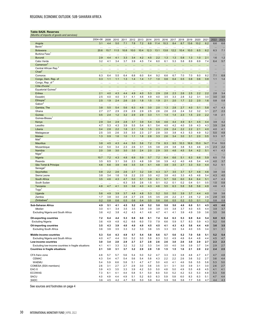<span id="page-31-0"></span>**Table SA26. Reserves** *(Months of imports of goods and services)*

|                                                          | 2004-08                     | 2009             | 2010             | 2011       | 2012             | 2013             | 2014       | 2015            | 2016            | 2017       | 2018                  | 2019             | 2020            | 2021            | 2022       | 2023                       |
|----------------------------------------------------------|-----------------------------|------------------|------------------|------------|------------------|------------------|------------|-----------------|-----------------|------------|-----------------------|------------------|-----------------|-----------------|------------|----------------------------|
| Angola                                                   | 3.1                         | 4.4              | 5.0              | 7.1        | 7.8              | 7.2              | 8.8        | 11.4            | 10.3            | 8.4        | 8.7                   | 13.6             | 10.2            | 6.2             | 6.6        | 6.6                        |
| Benin <sup>®</sup>                                       | .                           |                  |                  |            |                  |                  |            |                 |                 | .          |                       |                  | $\ddotsc$       | $\ddotsc$       | $\ddotsc$  | $\ldots$                   |
| <b>Botswana</b>                                          | 20.6                        | 15.7             | 11.5             | 10.8       | 10.0             | 10.4             | 12.3       | 13.1            | 13.8            | 12.2       | 10.4                  | 10.0             | 6.5             | 6.2             | 6.3        | 7.1                        |
| Burkina Faso                                             | $\ddotsc$                   | $\ddotsc$        | $\ddotsc$        | $\cdots$   | $\cdots$         | $\cdots$         | $\ddotsc$  | $\cdots$        | $\cdots$        | $\ddotsc$  | $\ddotsc$             | $\cdots$         | $\cdots$        | $\ddots$        | $\ddotsc$  | $\ddotsc$                  |
| <b>Burundi</b>                                           | 2.9                         | 4.4              | 4.1              | 3.3        | 3.4              | 4.2              | 4.5        | 2.2             | 1.3             | 1.3        | 0.8                   | 1.3              | 1.0             | 2.1             | 1.6        | 1.2                        |
| Cabo Verde                                               | 3.2                         | 4.1              | 3.4              | 3.7        | 3.9              | 4.5              | 7.4        | 6.0             | 6.1             | 5.3        | 5.8                   | 8.9              | 6.9             | 7.4             | 6.4        | 5.7                        |
| Cameron <sup>2</sup>                                     |                             | $\ddotsc$        | $\ddotsc$        |            |                  |                  |            | $\ddotsc$       |                 |            | $\cdots$              |                  | $\ddotsc$       |                 |            | $\ddotsc$                  |
| Central African Rep. <sup>2</sup><br>Chad <sup>2</sup>   | $\ddotsc$                   |                  | $\cdots$         |            |                  |                  |            | $\cdots$        | $\cdots$        |            | $\ddotsc$             | $\cdots$         | $\ddots$        |                 |            | $\ddot{\phantom{1}}$       |
| Comoros                                                  | $\ddot{\phantom{0}}$<br>6.3 | $\ddotsc$<br>6.4 | $\ddotsc$<br>5.5 | <br>6.4    | $\ddotsc$<br>6.8 | $\ddotsc$<br>6.0 | <br>8.4    | $\cdots$<br>9.2 | $\cdots$<br>6.6 | <br>6.7    | $\ddotsc$<br>7.0      | $\ddotsc$<br>7.0 | $\cdots$<br>8.0 | $\cdots$<br>8.2 | ш,<br>7.1  | $\bar{\phantom{a}}$<br>6.8 |
| Congo, Dem. Rep. of                                      | 0.3                         | 1.1              | 1.1              | 1.3        | 1.4              | 1.4              | 1.7        | 1.0             | 0.6             | 0.4        | 0.5                   | 0.8              | 0.6             | 0.8             | 1.1        | 1.4                        |
| Congo, Rep. of 2                                         | $\ddotsc$                   |                  | $\ddotsc$        | $\cdots$   |                  |                  |            | $\ddots$        | $\cdots$        | $\ddotsc$  |                       |                  | $\ddots$        |                 |            |                            |
| Côte d'Ivoire                                            | $\ddotsc$                   | <br>             | $\cdots$         |            | <br>             | <br>             | <br>       | $\cdots$        |                 |            | $\cdots$<br>$\ddotsc$ | $\cdots$<br>     | $\cdots$        | $\cdots$<br>    | <br>       | $\ldots$<br>$\ddotsc$      |
| Equatorial Guinea <sup>2</sup>                           | $\ddotsc$                   | $\cdots$         | $\ddotsc$        |            |                  |                  |            | $\cdots$        |                 |            | $\cdots$              |                  | $\cdots$        |                 |            | $\ddot{\phantom{0}}$       |
| Eritrea                                                  | 2.1                         | 4.0              | 4.3              | 4.4        | 4.9              | 4.0              | 5.3        | 2.9             | 2.8             | 2.3        | 2.6                   | 2.5              | 2.2             | 2.2             | 2.8        | 3.4                        |
| Eswatini                                                 | 2.5                         | 4.0              | 4.0              | 3.1        | 4.1              | 4.6              | 4.9        | 4.0             | 3.5             | 3.3        | 2.8                   | 3.2              | 3.1             | 3.0             | 3.0        | 3.0                        |
| Ethiopia                                                 | 2.5                         | 1.9              | 2.4              | 2.6        | 2.0              | 1.8              | 1.5        | 1.9             | 2.1             | 2.0        | 1.7                   | 2.2              | 2.0             | 1.6             | 0.8        | 0.8                        |
| Gabon                                                    | $\ddotsc$                   | $\cdots$         | $\cdots$         | $\cdots$   | $\cdots$         | $\cdots$         | $\ddotsc$  | $\ddots$        | $\cdots$        | $\ddotsc$  | $\ddotsc$             | $\cdots$         | $\ddots$        | $\ddots$        | $\cdots$   | $\ldots$                   |
| Gambia, The                                              | 3.8                         | 5.5              | 5.4              | 5.6        | 6.3              | 4.8              | 3.0        | 2.0             | 1.3             | 2.8        | 2.7                   | 4.0              | 5.1             | 5.8             | 4.7        | 4.3                        |
| Ghana                                                    | 2.7                         | 2.7              | 2.9              | 2.9        | 2.9              | 2.9              | 2.5        | 2.6             | 2.6             | 2.8        | 2.4                   | 3.2              | 3.2             | 3.1             | 2.7        | 2.3                        |
| Guinea                                                   | 0.5                         | 2.4              | 1.2              | 3.2        | 2.9              | 2.9              | 3.3        | 1.1             | 1.4             | 1.4        | 2.3                   | 1.5              | 2.0             | 2.2             | 1.8        | 2.1                        |
| Guinea-Bissau <sup>1</sup>                               | $\ddotsc$                   | $\ddotsc$        | $\ddotsc$        | $\cdots$   | $\ddotsc$        | $\ddots$         | $\ddotsc$  | $\ddots$        | $\cdots$        | $\ddotsc$  | $\ddotsc$             | $\ddots$         | $\ddotsc$       | $\ddotsc$       | $\ddotsc$  | $\ddot{\phantom{1}}$       |
| Kenya                                                    | 2.9                         | 3.4              | 2.9              | 2.8        | 3.7              | 3.9              | 5.4        | 5.6             | 4.6             | 4.4        | 4.9                   | 6.1              | 4.5             | 4.4             | 3.9        | 4.2                        |
| Lesotho<br>Liberia                                       | 4.7<br>0.4                  | 5.3<br>2.8       | 4.3<br>2.2       | 3.9<br>1.8 | 5.5<br>2.1       | 5.4<br>1.6       | 6.1        | 5.4<br>2.3      | 4.0<br>2.9      | 4.2<br>2.4 | 4.0<br>2.2            | 3.9<br>2.2       | 4.3<br>2.1      | 4.3<br>4.0      | 3.9<br>4.0 | 3.4<br>4.1                 |
| Madagascar                                               | 2.5                         | 3.5              | 2.6              | 3.5        | 3.0              | 2.3              | 1.5<br>2.7 | 2.8             | 3.0             | 3.8        | 4.3                   | 5.3              | 4.9             | 5.2             | 5.0        | 4.8                        |
| Malawi                                                   | 1.3                         | 0.9              | 1.6              | 1.0        | 1.1              | 1.8              | 2.8        | 3.3             | 2.6             | 3.4        | 3.0                   | 3.1              | 2.0             | 0.5             | 0.3        | 0.7                        |
| Mali <sup>1</sup>                                        | $\ddotsc$                   | $\cdots$         | $\ddotsc$        | $\ddots$   | $\ddotsc$        | $\cdots$         |            | $\ddotsc$       | $\cdots$        | $\ddotsc$  | $\ddotsc$             | $\ddotsc$        | $\ddotsc$       | $\ddotsc$       |            |                            |
| <b>Mauritius</b>                                         | 3.8                         | 4.5              | 4.3              | 4.4        | 5.0              | 5.6              | 7.2        | 7.9             | 8.3             | 9.5        | 10.3                  | 16.9             | 15.0            | 14.7            | 11.4       | 10.0                       |
| Mozambique                                               | 4.2                         | 5.0              | 3.4              | 2.3        | 2.6              | 3.1              | 3.5        | 3.8             | 2.9             | 3.8        | 3.8                   | 5.3              | 4.6             | 2.5             | 2.3        | 2.2                        |
| Namibia                                                  | 2.0                         | 3.8              | 3.0              | 3.0        | 3.0              | 2.4              | 2.0        | 2.9             | 3.5             | 4.6        | 4.5                   | 5.4              | 4.2             | 5.1             | 4.1        | 4.3                        |
| Niger                                                    | $\ddotsc$                   | $\cdots$         | $\cdots$         | $\cdots$   | $\cdots$         | $\cdots$         | $\ddotsc$  | $\cdots$        | $\cdots$        | $\ddotsc$  | $\cdots$              | $\cdots$         | $\ddotsc$       | $\ddotsc$       | $\cdots$   | $\ldots$                   |
| Nigeria                                                  | 10.7                        | 7.2              | 4.3              | 4.8        | 6.9              | 5.9              | 5.7        | 7.2             | 6.4             | 6.6        | 5.1                   | 6.3              | 6.6             | 5.9             | 6.5        | 7.0                        |
| Rwanda                                                   | 3.5                         | 6.5              | 3.1              | 3.6        | 2.3              | 4.8              | 3.9        | 3.6             | 3.9             | 4.2        | 4.0                   | 4.6              | 5.4             | 4.6             | 4.0        | 3.7                        |
| São Tomé & Príncipe                                      | 4.6                         | 6.6              | 3.9              | 4.6        | 3.5              | 3.4              | 4.1        | 4.8             | 3.9             | 3.5        | 2.7                   | 3.3              | 5.0             | 4.4             | 5.2        | 5.1                        |
| Senegal <sup>1</sup>                                     | $\ddotsc$                   | $\cdots$         | $\ddotsc$        | $\ddots$   | $\ddotsc$        | $\cdots$         | $\ddotsc$  | $\cdots$        | $\cdots$        | $\ddotsc$  | $\ddotsc$             | $\cdots$         | $\ddotsc$       | $\ddotsc$       |            | $\ldots$                   |
| Seychelles                                               | 0.8                         | 2.2              | 2.6              | 2.6        | 2.7              | 3.2              | 3.9        | 4.3             | 3.7             | 3.5        | 3.7                   | 5.7              | 4.6             | 4.6             | 3.8        | 3.6                        |
| Sierra Leone                                             | 3.8                         | 3.4              | 1.6              | 1.8        | 2.2              | 2.0              | 3.0        | 4.2             | 3.8             | 4.0        | 3.3                   | 4.5              | 4.6             | 5.4             | 4.3        | 4.0                        |
| South Africa<br>South Sudan                              | 3.5                         | 4.6              | 4.3              | 4.7<br>6.3 | 5.0<br>3.5       | 5.1<br>2.6       | 5.9<br>1.5 | 6.1<br>0.1      | 5.7<br>0.2      | 5.6<br>0.1 | 6.0<br>0.2            | 8.4<br>0.4       | 6.4<br>0.1      | 5.1<br>0.5      | 4.7<br>1.0 | 4.3<br>0.8                 |
| Tanzania                                                 | $\ddotsc$<br>4.8            | $\ddotsc$<br>4.7 | $\ddotsc$<br>4.1 | 3.5        | 3.6              | 4.0              | 4.3        | 4.6             | 5.5             | 6.3        | 5.8                   | 5.8              | 5.6             | 4.9             | 4.6        | 4.3                        |
| Togo'                                                    | $\ddotsc$                   | $\ddotsc$        | $\ddotsc$        | $\cdots$   | $\ddotsc$        | $\ddotsc$        |            | $\ddotsc$       | $\ddotsc$       | $\ddotsc$  | $\ddotsc$             | $\cdots$         | $\ddotsc$       |                 | $\cdots$   | $\ddot{\phantom{1}}$       |
| Uganda                                                   | 5.6                         | 4.9              | 3.9              | 3.7        | 4.8              | 4.8              | 5.3        | 5.2             | 5.0             | 5.0        | 3.9                   | 3.7              | 4.4             | 4.0             | 3.8        | 3.6                        |
| Zambia                                                   | 1.7                         | 3.8              | 3.0              | 2.8        | 2.7              | 2.6              | 3.5        | 3.5             | 2.6             | 2.2        | 2.1                   | 2.6              | 1.2             | 2.6             | 2.8        | 3.5                        |
| Zimbabwe <sup>®</sup>                                    | 0.2                         | 0.8              | 0.6              | 0.5        | 0.6              | 0.4              | 0.5        | 0.6             | 0.6             | 0.5        | 0.2                   | 0.3              | 0.1             | 1.2             | 0.8        | 0.8                        |
| Sub-Saharan Africa                                       | 4.9                         | 5.1              | 4.1              | 4.5        | 5.2              | 4.9              | 5.2        | 5.8             | 5.0             | 5.0        | 4.6                   | 6.0              | 5.1             | 4.5             | 4.5        | 4.6                        |
| Median                                                   | 3.0                         | 4.1              | 3.4              | 3.5        | 3.5              | 3.9              | 3.9        | 3.8             | 3.5             | 3.8        | 3.7                   | 4.0              | 4.5             | 4.4             | 3.9        | 3.7                        |
| Excluding Nigeria and South Africa                       | 3.6                         | 4.2              | 3.8              | 4.2        | 4.3              | 4.1              | 4.6        | 4.7             | 4.1             | 4.1        | 3.9                   | 4.9              | 3.9             | 3.6             | 3.5        | 3.6                        |
|                                                          |                             |                  |                  |            |                  |                  |            |                 |                 |            |                       |                  |                 |                 |            |                            |
| <b>Oil-exporting countries</b>                           | 7.2<br>3.6                  | 6.4<br>4.9       | 4.4<br>4.8       | 5.3<br>6.2 | 6.8<br>6.6       | 6.0<br>6.0       | 6.1<br>7.0 | 7.4<br>7.9      | 6.4<br>6.6      | 6.3<br>5.9 | 5.3<br>5.7            | 6.9<br>8.3       | 6.4<br>5.9      | 5.4<br>4.3      | 6.0<br>5.2 | 6.5<br>5.6                 |
| <b>Excluding Nigeria</b>                                 |                             |                  |                  |            |                  |                  |            |                 |                 |            |                       |                  |                 |                 |            |                            |
| Oil-importing countries<br><b>Excluding South Africa</b> | 3.5<br>3.6                  | 4.3<br>3.9       | 3.9<br>3.5       | 4.0<br>3.3 | 4.0<br>3.2       | 4.0<br>3.3       | 4.5<br>3.6 | 4.5<br>3.5      | 4.1<br>3.3      | 4.3<br>3.5 | 4.3<br>3.4            | 5.6<br>4.0       | 4.4<br>3.5      | 4.0<br>3.4      | 3.6<br>3.1 | 3.5<br>3.1                 |
|                                                          |                             |                  |                  |            |                  |                  |            |                 |                 |            |                       |                  |                 |                 |            |                            |
| Middle-income countries                                  | 5.3                         | 5.4              | 4.3              | 4.9        | 5.7              | 5.4              | 5.8        | 6.6             | 5.7             | 5.6        | 5.2                   | 7.0              | 5.8             | 5.1             | 5.2        | 5.4                        |
| Excluding Nigeria and South Africa                       | 4.0                         | 4.7              | 4.4              | 5.0        | 5.2              | 5.0              | 5.8        | 6.3             | 5.2             | 4.9        | 4.8                   | 6.4              | 4.8             | 4.4             | 4.5        | 4.7                        |
| Low-income countries                                     | 3.0                         | 3.4              | 2.8              | 2.9        | 2.7              | 2.7              | 2.8        | 2.6             | 2.6             | 3.0        | 2.6                   | 3.0              | 2.9             | 2.7             | 2.3        | 2.3                        |
| Excluding low-income countries in fragile situations     | 4.1                         | 4.1              | 3.3              | 3.2        | 3.2              | 3.2              | 3.3        | 3.4             | 3.5             | 4.0        | 3.6                   | 3.9              | 3.7             | 3.4             | 2.9        | 2.7                        |
| <b>Countries in fragile situations</b>                   | 2.1                         | 3.0              | 3.1              | 3.7        | 3.2              | 2.9              | 2.8        | 1.9             | 1.5             | 1.5        | 1.6                   | 2.1              | 2.0             | 2.2             | 2.4        | 2.5                        |
| CFA franc zone                                           | 4.8                         | 5.7              | 5.7              | 5.6        | 5.4              | 5.0              | 5.2        | 4.7             | 3.3             | 3.3        | 3.8                   | 4.8              | 4.7             | 4.7             | 4.7        | 4.8                        |
| <b>CEMAC</b>                                             | 4.3                         | 5.4              | 4.7              | 5.4        | 5.6              | 5.4              | 5.8        | 4.3             | 2.2             | 2.2        | 2.6                   | 3.6              | 3.2             | 2.7             | 3.6        | 4.4                        |
| WAEMU                                                    | 5.4                         | 5.9              | 6.6              | 5.8        | 5.1              | 4.7              | 4.7        | 5.0             | 4.0             | 4.1        | 4.6                   | 5.6              | 5.5             | 5.8             | 5.3        | 5.0                        |
| COMESA (SSA members)                                     | 2.6                         | 3.1              | 2.7              | 2.7        | 2.9              | 3.0              | 3.6        | 3.5             | 3.1             | 3.1        | 3.0                   | 3.9              | 3.1             | 3.0             | 2.6        | 2.7                        |
| EAC-5                                                    | 3.9                         | 4.3              | 3.5              | 3.3        | 3.9              | 4.2              | 5.0        | 5.0             | 4.8             | 5.0        | 4.9                   | 5.5              | 4.8             | 4.5             | 4.1        | 4.1                        |
| <b>ECOWAS</b>                                            | 7.3                         | 6.1              | 4.1              | 4.4        | 5.8              | 5.1              | 5.0        | 6.0             | 5.0             | 5.2        | 4.2                   | 5.3              | 5.3             | 4.9             | 5.3        | 5.6                        |
| SACU                                                     | 4.0                         | 4.9              | 4.4              | 4.9        | 5.1              | 5.2              | 6.0        | 6.3             | 5.9             | 5.8        | 6.0                   | 8.3              | 6.3             | 5.1             | 4.7        | 4.4                        |
| <b>SADC</b>                                              | 3.6                         | 4.5              | 4.2              | 4.7        | 5.0              | 5.0              | 5.8        | 6.4             | 5.9             | 5.6        | 5.6                   | 7.7              | 5.8             | 4.7             | 4.4        | 4.3                        |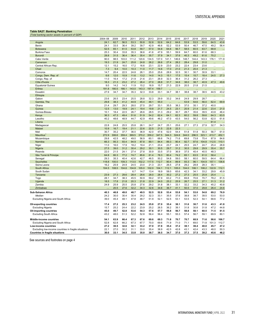## <span id="page-32-0"></span>**Table SA27. Banking Penetration** *(Total banking sector assets in percent of GDP)*

| (Total Daffking Sector assets in percent of GDF      |              |                  |                   |              |                      |              |                   |                   |                   |              |              |              |                      |                          |
|------------------------------------------------------|--------------|------------------|-------------------|--------------|----------------------|--------------|-------------------|-------------------|-------------------|--------------|--------------|--------------|----------------------|--------------------------|
|                                                      | 2004-08      | 2009             | 2010              | 2011         | 2012                 | 2013         | 2014              | 2015              | 2016              | 2017         | 2018         | 2019         | 2020                 | 2021                     |
| Angola                                               | 24.1         | 62.7             | 56.5              | 53.3         | 50.8                 | 52.8         | 52.6              | 64.2              | 64.6              | 53.9         | 53.5         | 59.6         | 64.5                 | 43.6                     |
| Benin                                                | 24.1         | 33.5             | 36.4              | 39.2         | 39.7                 | 42.9         | 46.6              | 52.2              | 53.9              | 50.4         | 46.7         | 47.5         | 49.2                 | 56.4                     |
| Botswana                                             | 52.5         | 65.1             | 61.5              | 53.8         | 59.7                 | 57.0         | 54.8              | 64.6              | 56.7              | 58.5         | 60.5         | 63.7         | 68.8                 | $\ddotsc$                |
| <b>Burkina Faso</b>                                  | 25.3         | 30.4             | 33.8              | 35.3         | 36.6                 | 41.6         | 47.9              | 55.1              | 59.9              | 64.7         | 60.0         | 61.6         | 68.3                 |                          |
| Burundi                                              | 28.8         | 31.5             | 36.4              | 36.4         | 35.4                 | 35.7         | 37.9              | 34.1              | 37.6              | 40.3         | 49.2         | 61.6         | 70.2                 |                          |
| Cabo Verde                                           | 90.0         | 98.5             | 103.0             | 111.2        | 120.6                | 134.5        | 137.0             | 141.1             | 146.6             | 148.7        | 144.4        | 143.3        | 176.1                | 171.9                    |
| Cameroon                                             | 19.3         | 21.9             | 24.7              | 25.8         | 24.8                 | 26.2         | 26.6              | 27.4              | 28.2              | 28.4         | 29.8         | 31.0         | ä.                   |                          |
| Central African Rep.                                 | 12.1         | 15.2             | 16.0              | 17.2         | 16.6                 | 23.1         | 22.9              | 23.0              | 23.2              | 22.4         | 23.4         | 23.6         | $\ddotsc$            | $\ddotsc$                |
| Chad                                                 | 7.3          | 9.4              | 10.0              | 10.3         | 11.0                 | 11.7         | 14.6              | 17.0              | 21.0              | 21.3         | 20.4         | 21.3         | $\ddotsc$            |                          |
| Comoros                                              | 14.7         | 20.4             | 22.5              | 24.8         | 26.1                 | 25.0         | 25.6              | 28.9              | 32.5              | 30.1         | 30.7         | 30.9         | 33.1                 | $\sim$                   |
| Congo, Dem. Rep. of                                  | 6.6          | 12.0             | 10.9              | 11.6         | 13.2                 | 14.0         | 14.3              | 15.1              | 17.5              | 15.4         | 15.7         | 18.4         | 24.5                 | 27.3                     |
| Congo, Rep. of                                       | 11.0         | 16.4             | 17.2              | 21.9         | 21.6                 | 23.1         | 26.9              | 32.3              | 36.4              | 31.2         | 26.2         | 27.3         | $\ddotsc$            | $\ddotsc$                |
| Côte d'Ivoire                                        | 18.3         | 21.3             | 23.2              | 27.2         | 26.4                 | 27.0         | 28.8              | 31.7              | 34.6              | 38.0         | 38.7         | 40.9         | 47.3                 | 49.6                     |
| <b>Equatorial Guinea</b>                             | 9.0          | 14.2             | 14.3              | 11.9         | 15.2                 | 16.9         | 15.7              | 21.3              | 22.9              | 20.5         | 21.8         | 21.5         | $\ddotsc$            | $\ddotsc$                |
| Eritrea                                              | 191.8        | 180.5            | 166.1             | 143.0        | 143.3                | 197.4        | 159.7             | $\ddotsc$         | $\ddotsc$         | $\ddots$     | $\ddotsc$    | $\ddotsc$    | $\ddotsc$            | $\ddots$                 |
| Eswatini                                             | 27.9         | 34.7             | 34.7              | 35.3         | 32.3                 | 33.8         | 33.1              | 34.7              | 38.1              | 38.8         | 38.7         | 38.5         | 44.5                 | 43.2                     |
| Ethiopia                                             |              | $\ddotsc$        | $\ddotsc$         | $\ddotsc$    | $\ddot{\phantom{0}}$ | $\cdots$     | $\ddotsc$         | $\ldots$          | $\ddotsc$         | $\ddotsc$    | $\ddotsc$    |              | $\ddot{\phantom{0}}$ | $\ddots$                 |
| Gabon                                                | 23.6<br>29.8 | 26.5<br>38.3     | 23.4              | 25.5         | 28.8                 | 32.3<br>48.1 | 29.9<br>55.0      | 33.2              | 34.6              | 24.9         | 29.9         | 28.7         | $\ddotsc$            | $\ddots$<br>69.9         |
| Gambia, The<br>Ghana                                 | 21.4         | 29.7             | 41.2<br>29.3      | 44.9<br>28.0 | 45.4<br>27.5         | 29.7         | 33.1              | $\ddotsc$<br>35.5 | $\ddotsc$<br>38.3 | 53.9         | 54.6<br>35.1 | 56.0<br>37.2 | 62.4<br>40.0         |                          |
| Guinea                                               | 12.5         | 13.0             | 19.9              | 24.1         | 19.4                 | 19.8         | 21.7              | 24.5              | 23.1              | 37.0<br>20.9 | 21.4         | 22.6         | 23.4                 | $\ldots$<br>21.0         |
| Guinea-Bissau                                        | 10.1         | 18.4             | 22.5              | 26.7         | 26.6                 | 28.5         | 31.3              | 29.2              | 30.7              | 28.7         | 35.6         | 39.5         | 43.8                 | 46.4                     |
| Kenya                                                | 36.3         | 47.3             | 49.4              | 51.6         | 51.9                 | 54.2         | 62.4              | 64.1              | 62.3              | 60.2         | 59.8         | 59.6         | 64.3                 | 63.5                     |
| Lesotho                                              | 40.2         | 48.6             | 48.9              | 44.7         | 42.9                 | 49.6         | 46.2              | 47.0              | 43.5              | 54.0         | 56.2         | 53.8         | 62.0                 | 61.6                     |
| Liberia                                              |              |                  |                   |              |                      |              |                   |                   |                   |              |              |              | 61.4                 |                          |
| Madagascar                                           | 22.8         | $\cdots$<br>24.8 | $\ddotsc$<br>25.5 | 25.8         | <br>26.1             | 24.7         | $\ddotsc$<br>24.7 | 25.1              | $\ldots$<br>25.6  | 27.1         | 27.3         | 27.9         | 32.7                 | $\ddotsc$<br>34.3        |
| Malawi                                               | 10.9         | 16.7             | 19.4              | 21.1         | 22.6                 | 22.5         | 21.5              | 22.8              | 22.3              | Ω.           |              |              | μ.                   |                          |
| Mali                                                 | 30.7         | 35.2             | 37.7              | 36.0         | 36.9                 | 42.0         | 47.6              | 52.0              | 54.4              | 51.8         | 51.8         | 50.3         | 56.7                 | 61.0                     |
| <b>Mauritius</b>                                     | 272.9        | 306.6            | 359.4             | 369.5        | 370.2                | 359.2        | 347.5             | 344.3             | 324.6             | 344.0        | 296.5        | 323.1        | 413.7                | 452.1                    |
| Mozambique                                           | 29.8         | 42.5             | 48.2              | 49.0         | 56.9                 | 60.1         | 68.6              | 74.2              | 71.6              | 69.8         | 73.8         | 75.4         | 87.9                 | 84.6                     |
| Namibia                                              | 66.3         | 95.3             | 93.4              | 94.9         | 87.8                 | 89.1         | 84.4              | 89.3              | 90.4              | 92.7         | 97.6         | 104.8        | 112.5                | 110.1                    |
| Niger                                                | 11.0         | 16.0             | 17.9              | 18.2         | 19.4                 | 21.1         | 23.4              | 23.7              | 24.1              | 25.5         | 24.7         | 24.7         | 25.4                 | 28.8                     |
| Nigeria                                              | 27.5         | 39.0             | 31.2              | 30.4         | 29.2                 | 30.1         | 30.5              | 29.7              | 31.2              | 30.5         | 29.8         | 29.9         | 35.4                 | 35.7                     |
| Rwanda                                               | 22.0         | 21.5             | 24.1              | 27.4         | 27.8                 | 30.9         | 33.5              | 37.0              | 36.9              | 37.5         | 40.4         | 40.5         | 48.3                 | $\ddotsc$                |
| São Tomé & Príncipe                                  | 64.8         | 80.3             | 77.2              | 74.7         | 85.6                 | 81.4         | 78.3              | 80.4              | 74.2              | 65.1         | 63.5         | 61.0         | 58.4                 |                          |
| Senegal                                              | 29.3         | 35.3             | 40.4              | 42.6         | 42.7                 | 46.5         | 50.2              | 54.8              | 59.0              | 58.1         | 60.0         | 59.5         | 64.4                 | 66.4                     |
| Seychelles                                           | 118.8        | 100.0            | 109.3             | 113.0        | 102.2                | 117.5        | 112.7             | 90.4              | 89.9              | 93.3         | 96.1         | 104.9        | 157.1                | 136.6                    |
| Sierra Leone                                         | 16.2         | 25.9             | 24.9              | 24.5         | 23.0                 | 21.3         | 23.1              | 26.5              | 27.8              | 29.2         | 28.8         | 28.3         | 35.1                 | $\ddot{\phantom{a}}$     |
| South Africa                                         | 104.5        | 108.5            | 104.6             | 104.8        | 105.0                | 102.0        | 104.1             | 112.1             | 105.0             | 104.0        | 106.1        | 108.2        | 122.9                | 112.1                    |
| South Sudan                                          | $\ddotsc$    | $\ddotsc$        | $\ddotsc$         | 6.7          | 14.7                 | 13.4         | 18.9              | 58.0              | 65.6              | 42.3         | 34.1         | 33.2         | 29.9                 | 45.9                     |
| Tanzania                                             | 23.9         | 27.3             | 29.6              | 28.4         | 28.6                 | 28.0         | 28.4              | 30.2              | 27.2              | 27.3         | 25.5         | 25.9         | 25.4                 | $\overline{\phantom{a}}$ |
| Togo                                                 | 28.1         | 34.7             | 38.3              | 45.5         | 50.9                 | 59.2         | 57.9              | 63.2              | 71.0              | 69.8         | 70.6         | 70.7         | 78.2                 | 81.5                     |
| Uganda                                               | 18.5         | 17.8             | 21.8              | 20.3         | 21.8                 | 22.9         | 24.0              | 25.2              | 25.9              | 26.7         | 25.5         | 27.1         | 31.3                 | 31.2                     |
| Zambia                                               | 24.9         | 25.9             | 25.5              | 25.8         | 27.6                 | 29.2         | 31.8              | 38.1              | 33.1              | 32.2         | 33.2         | 34.3         | 45.2                 | 40.8                     |
| Zimbabwe                                             |              | 20.5             | 27.6              | 32.2         | 34.3                 | 32.6         | 34.6              | 36.7              | 41.1              | 50.5         | 37.0         | 29.8         | 26.4                 | 24.6                     |
| Sub-Saharan Africa                                   | 40.3         | 46.8             | 49.0              | 48.7         | 49.5                 | 52.5         | 52.8              | 53.4              | 53.8              | 54.1         | 53.0         | 54.8         | 69.2                 | 76.9                     |
| Median                                               | 24.2         | 30.0             | 30.4              | 30.4         | 29.2                 | 32.3         | 33.1              | 35.5              | 37.6              | 38.8         | 38.7         | 39.5         | 53.0                 | 53.0                     |
| Excluding Nigeria and South Africa                   | 39.0         | 45.4             | 48.1              | 47.8         | 48.7                 | 51.9         | 52.1              | 52.5              | 53.1              | 53.5         | 52.3         | 54.1         | 68.6                 | 77.2                     |
|                                                      |              |                  |                   |              |                      |              |                   |                   |                   |              |              |              |                      |                          |
| Oil-exporting countries                              | 17.4         | 27.2             | 25.3              | 23.2         | 24.5                 | 25.8         | 27.0              | 35.4              | 38.1              | 31.6         | 30.7         | 31.6         | 43.3                 | 41.8                     |
| <b>Excluding Nigeria</b>                             | 15.7         | 25.2             | 24.4              | 22.2         | 23.9                 | 25.2         | 26.5              | 36.2              | 39.1              | 31.8         | 30.8         | 31.8         | 47.2                 | 44.8                     |
| <b>Oil-importing countries</b>                       | 45.0         | 49.7             | 52.8              | 53.6         | 54.3                 | 57.6         | 57.7              | 56.8              | 56.7              | 58.8         | 58.1         | 60.5         | 71.5                 | 81.5                     |
| <b>Excluding South Africa</b>                        | 43.2         | 48.0             | 51.3              | 52.2         | 52.8                 | 56.4         | 56.4              | 55.1              | 55.3              | 57.4         | 56.7         | 59.1         | 69.9                 | 80.1                     |
| Middle-income countries                              | 54.1         | 63.9             | 66.4              | 67.3         | 67.6                 | 69.6         | 69.3              | 71.8              | 70.7              | 70.7         | 68.9         | 71.6         | 98.6                 | 106.7                    |
| Excluding Nigeria and South Africa                   | 52.8         | 62.8             | 66.2              | 67.3         | 67.7                 | 70.0         | 69.6              | 71.9              | 71.0              | 71.1         | 69.0         | 71.8         | 101.3                | 112.7                    |
| Low-income countries                                 | 27.2         | 30.5             | 32.6              | 32.1         | 33.2                 | 37.0         | 37.8              | 35.4              | 37.2              | 38.1         | 38.4         | 40.0         | 45.7                 | 47.2                     |
| Excluding low-income countries in fragile situations | 22.1         | 27.0             | 30.2              | 31.1         | 33.0                 | 35.4         | 38.9              | 42.5              | 42.8              | 43.1         | 42.4         | 43.3         | 48.0                 | 50.3                     |
| <b>Countries in fragile situations</b>               | 30.0         | 33.1             | 34.5              | 33.8         | 35.0                 | 38.7         | 38.5              | 34.7              | 37.0              | 37.3         | 37.5         | 39.2         | 45.6                 | 46.2                     |
|                                                      |              |                  |                   |              |                      |              |                   |                   |                   |              |              |              |                      |                          |